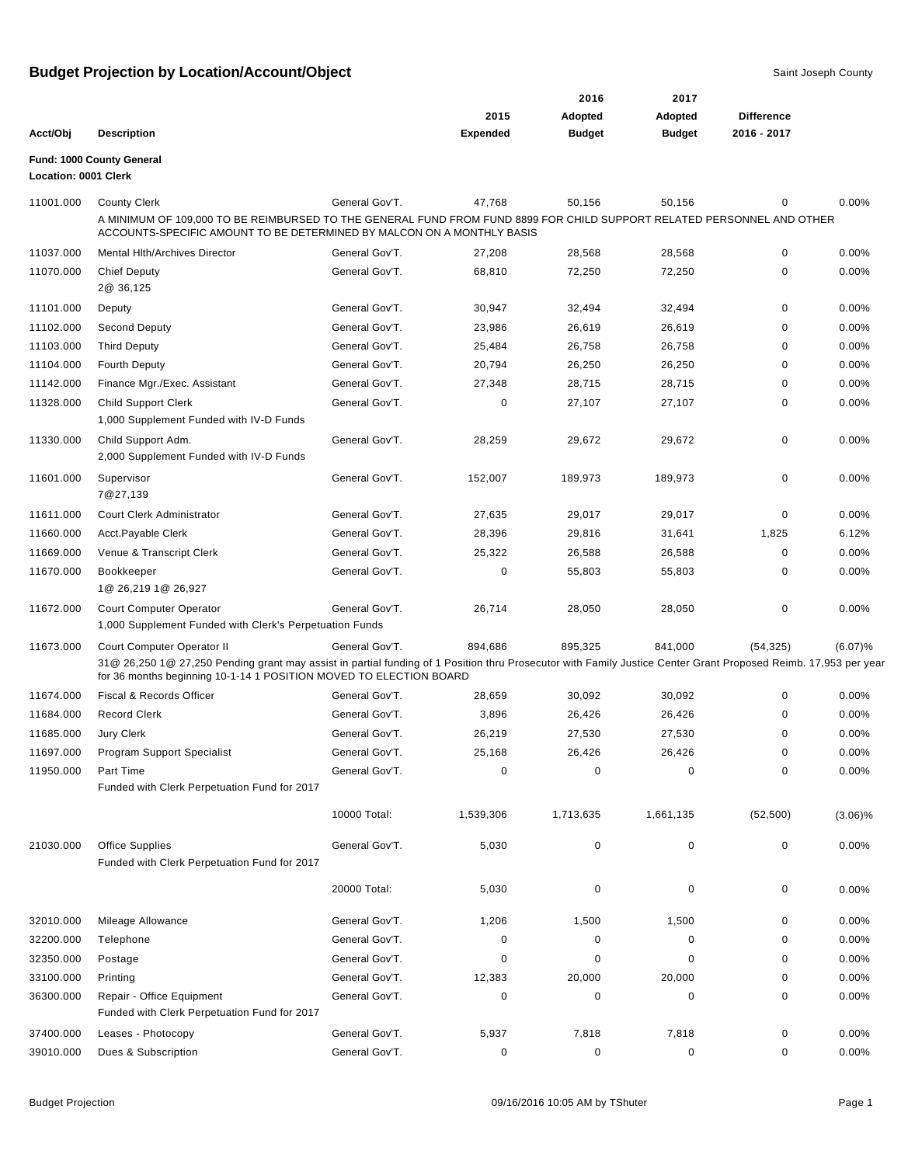|                        |                                                                                                                                                                                                                                       |                                  |                  | 2016             | 2017             |                   |                |
|------------------------|---------------------------------------------------------------------------------------------------------------------------------------------------------------------------------------------------------------------------------------|----------------------------------|------------------|------------------|------------------|-------------------|----------------|
|                        |                                                                                                                                                                                                                                       |                                  | 2015             | Adopted          | Adopted          | <b>Difference</b> |                |
| Acct/Obj               | <b>Description</b>                                                                                                                                                                                                                    |                                  | <b>Expended</b>  | <b>Budget</b>    | <b>Budget</b>    | 2016 - 2017       |                |
|                        | Fund: 1000 County General                                                                                                                                                                                                             |                                  |                  |                  |                  |                   |                |
| Location: 0001 Clerk   |                                                                                                                                                                                                                                       |                                  |                  |                  |                  |                   |                |
| 11001.000              | <b>County Clerk</b>                                                                                                                                                                                                                   | General Gov'T.                   | 47,768           | 50,156           | 50,156           | 0                 | 0.00%          |
|                        | A MINIMUM OF 109,000 TO BE REIMBURSED TO THE GENERAL FUND FROM FUND 8899 FOR CHILD SUPPORT RELATED PERSONNEL AND OTHER                                                                                                                |                                  |                  |                  |                  |                   |                |
|                        | ACCOUNTS-SPECIFIC AMOUNT TO BE DETERMINED BY MALCON ON A MONTHLY BASIS                                                                                                                                                                |                                  |                  |                  |                  |                   |                |
| 11037.000              | Mental Hlth/Archives Director                                                                                                                                                                                                         | General Gov'T.                   | 27,208           | 28,568           | 28,568           | 0                 | 0.00%          |
| 11070.000              | <b>Chief Deputy</b>                                                                                                                                                                                                                   | General Gov'T.                   | 68,810           | 72,250           | 72,250           | 0                 | 0.00%          |
|                        | 2@ 36,125                                                                                                                                                                                                                             |                                  |                  |                  |                  |                   |                |
| 11101.000              | Deputy                                                                                                                                                                                                                                | General Gov'T.                   | 30,947           | 32,494           | 32,494           | 0                 | 0.00%          |
| 11102.000              | Second Deputy                                                                                                                                                                                                                         | General Gov'T.                   | 23,986           | 26,619           | 26,619           | 0                 | 0.00%          |
| 11103.000              | <b>Third Deputy</b>                                                                                                                                                                                                                   | General Gov'T.                   | 25,484           | 26,758           | 26,758           | 0<br>0            | 0.00%          |
| 11104.000<br>11142.000 | <b>Fourth Deputy</b>                                                                                                                                                                                                                  | General Gov'T.<br>General Gov'T. | 20,794<br>27,348 | 26,250           | 26,250           | 0                 | 0.00%<br>0.00% |
|                        | Finance Mgr./Exec. Assistant<br><b>Child Support Clerk</b>                                                                                                                                                                            | General Gov'T.                   | $\mathbf 0$      | 28,715<br>27,107 | 28,715<br>27,107 | 0                 | 0.00%          |
| 11328.000              | 1,000 Supplement Funded with IV-D Funds                                                                                                                                                                                               |                                  |                  |                  |                  |                   |                |
| 11330.000              | Child Support Adm.                                                                                                                                                                                                                    | General Gov'T.                   | 28,259           | 29,672           | 29,672           | 0                 | 0.00%          |
|                        | 2,000 Supplement Funded with IV-D Funds                                                                                                                                                                                               |                                  |                  |                  |                  |                   |                |
| 11601.000              | Supervisor<br>7@27,139                                                                                                                                                                                                                | General Gov'T.                   | 152,007          | 189,973          | 189,973          | 0                 | 0.00%          |
| 11611.000              | Court Clerk Administrator                                                                                                                                                                                                             | General Gov'T.                   | 27,635           | 29,017           | 29,017           | $\Omega$          | 0.00%          |
| 11660.000              | Acct.Payable Clerk                                                                                                                                                                                                                    | General Gov'T.                   | 28,396           | 29,816           | 31,641           | 1,825             | 6.12%          |
| 11669.000              | Venue & Transcript Clerk                                                                                                                                                                                                              | General Gov'T.                   | 25,322           | 26,588           | 26,588           | 0                 | 0.00%          |
| 11670.000              | Bookkeeper                                                                                                                                                                                                                            | General Gov'T.                   | 0                | 55,803           | 55,803           | 0                 | 0.00%          |
|                        | 1@ 26,219 1@ 26,927                                                                                                                                                                                                                   |                                  |                  |                  |                  |                   |                |
| 11672.000              | <b>Court Computer Operator</b>                                                                                                                                                                                                        | General Gov'T.                   | 26,714           | 28,050           | 28,050           | 0                 | 0.00%          |
|                        | 1,000 Supplement Funded with Clerk's Perpetuation Funds                                                                                                                                                                               |                                  |                  |                  |                  |                   |                |
| 11673.000              | Court Computer Operator II                                                                                                                                                                                                            | General Gov'T.                   | 894,686          | 895,325          | 841,000          | (54, 325)         | (6.07)%        |
|                        | 31@ 26,250 1@ 27,250 Pending grant may assist in partial funding of 1 Position thru Prosecutor with Family Justice Center Grant Proposed Reimb. 17,953 per year<br>for 36 months beginning 10-1-14 1 POSITION MOVED TO ELECTION BOARD |                                  |                  |                  |                  |                   |                |
| 11674.000              | Fiscal & Records Officer                                                                                                                                                                                                              | General Gov'T.                   | 28,659           | 30,092           | 30,092           | 0                 | 0.00%          |
| 11684.000              | <b>Record Clerk</b>                                                                                                                                                                                                                   | General Gov'T.                   | 3,896            | 26,426           | 26,426           | ∩                 | 0.00%          |
| 11685.000              | Jury Clerk                                                                                                                                                                                                                            | General Gov'T.                   | 26,219           | 27,530           | 27,530           | 0                 | 0.00%          |
| 11697.000              | Program Support Specialist                                                                                                                                                                                                            | General Gov'T.                   | 25,168           | 26,426           | 26,426           |                   | 0.00%          |
| 11950.000              | Part Time                                                                                                                                                                                                                             | General Gov'T.                   | 0                | 0                | 0                | 0                 | 0.00%          |
|                        | Funded with Clerk Perpetuation Fund for 2017                                                                                                                                                                                          |                                  |                  |                  |                  |                   |                |
|                        |                                                                                                                                                                                                                                       |                                  |                  |                  |                  |                   |                |
|                        |                                                                                                                                                                                                                                       | 10000 Total:                     | 1,539,306        | 1,713,635        | 1,661,135        | (52, 500)         | $(3.06)\%$     |
| 21030.000              | Office Supplies                                                                                                                                                                                                                       | General Gov'T.                   | 5,030            | 0                | 0                | 0                 | 0.00%          |
|                        | Funded with Clerk Perpetuation Fund for 2017                                                                                                                                                                                          |                                  |                  |                  |                  |                   |                |
|                        |                                                                                                                                                                                                                                       | 20000 Total:                     | 5,030            | 0                | 0                | 0                 | 0.00%          |
|                        |                                                                                                                                                                                                                                       |                                  |                  |                  |                  |                   |                |
| 32010.000              | Mileage Allowance                                                                                                                                                                                                                     | General Gov'T.                   | 1,206            | 1,500            | 1,500            | 0                 | 0.00%          |
| 32200.000              | Telephone                                                                                                                                                                                                                             | General Gov'T.                   | 0                | 0                | 0                | 0                 | 0.00%          |
| 32350.000              | Postage                                                                                                                                                                                                                               | General Gov'T.                   | 0                | 0                | 0                | 0                 | 0.00%          |
| 33100.000              | Printing                                                                                                                                                                                                                              | General Gov'T.                   | 12,383           | 20,000           | 20,000           | 0                 | 0.00%          |
| 36300.000              | Repair - Office Equipment                                                                                                                                                                                                             | General Gov'T.                   | 0                | 0                | 0                | 0                 | 0.00%          |
|                        | Funded with Clerk Perpetuation Fund for 2017                                                                                                                                                                                          |                                  |                  |                  |                  |                   |                |
| 37400.000              | Leases - Photocopy                                                                                                                                                                                                                    | General Gov'T.                   | 5,937            | 7,818            | 7,818            | 0                 | 0.00%          |
| 39010.000              | Dues & Subscription                                                                                                                                                                                                                   | General Gov'T.                   | 0                | 0                | 0                | 0                 | 0.00%          |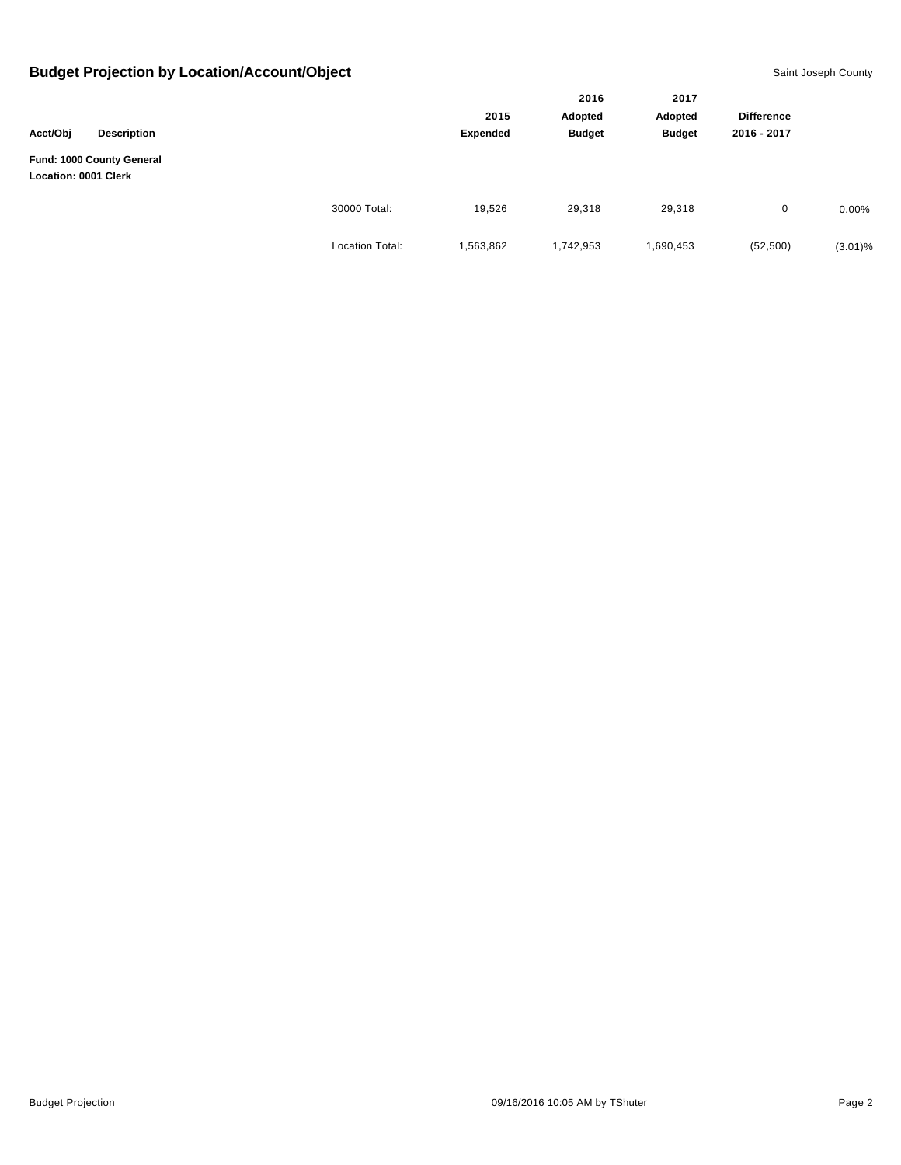|                             |                           |                        |                 | 2016<br>Adopted<br><b>Budget</b> | 2017<br>Adopted<br><b>Budget</b> | <b>Difference</b><br>2016 - 2017<br>29,318<br>0 |            |
|-----------------------------|---------------------------|------------------------|-----------------|----------------------------------|----------------------------------|-------------------------------------------------|------------|
| Acct/Obj                    | <b>Description</b>        |                        | 2015            |                                  |                                  |                                                 |            |
|                             |                           |                        | <b>Expended</b> |                                  |                                  |                                                 |            |
| <b>Location: 0001 Clerk</b> | Fund: 1000 County General |                        |                 |                                  |                                  |                                                 |            |
|                             |                           | 30000 Total:           | 19,526          | 29,318                           |                                  |                                                 | $0.00\%$   |
|                             |                           | <b>Location Total:</b> | 1,563,862       | 1,742,953                        | 1,690,453                        | (52, 500)                                       | $(3.01)\%$ |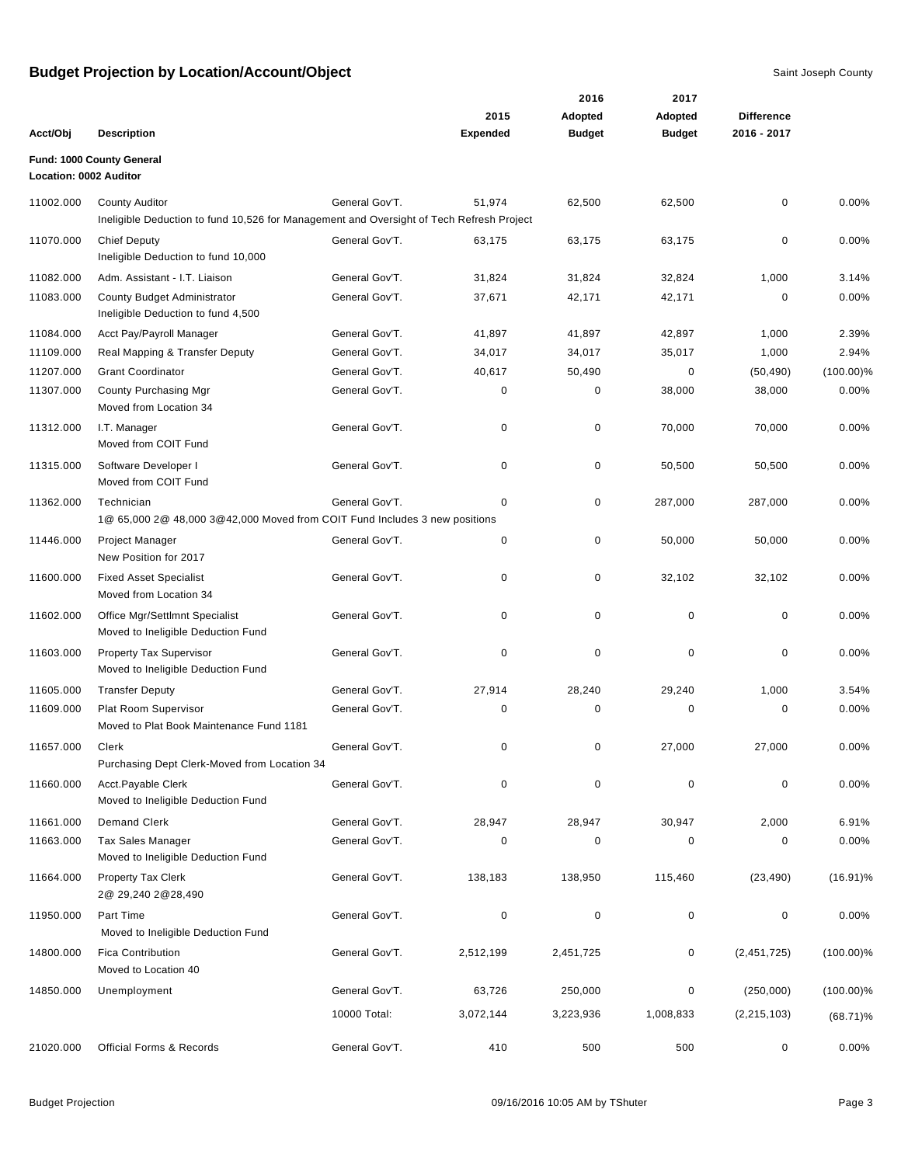|                        |                                                                                                                   |                |                 | 2016          | 2017          |                   |              |
|------------------------|-------------------------------------------------------------------------------------------------------------------|----------------|-----------------|---------------|---------------|-------------------|--------------|
|                        |                                                                                                                   |                | 2015            | Adopted       | Adopted       | <b>Difference</b> |              |
| Acct/Obj               | <b>Description</b>                                                                                                |                | <b>Expended</b> | <b>Budget</b> | <b>Budget</b> | 2016 - 2017       |              |
| Location: 0002 Auditor | Fund: 1000 County General                                                                                         |                |                 |               |               |                   |              |
| 11002.000              | <b>County Auditor</b><br>Ineligible Deduction to fund 10,526 for Management and Oversight of Tech Refresh Project | General Gov'T. | 51,974          | 62,500        | 62,500        | 0                 | 0.00%        |
| 11070.000              | <b>Chief Deputy</b><br>Ineligible Deduction to fund 10,000                                                        | General Gov'T. | 63,175          | 63,175        | 63,175        | 0                 | 0.00%        |
| 11082.000              | Adm. Assistant - I.T. Liaison                                                                                     | General Gov'T. | 31,824          | 31,824        | 32,824        | 1,000             | 3.14%        |
| 11083.000              | County Budget Administrator<br>Ineligible Deduction to fund 4,500                                                 | General Gov'T. | 37,671          | 42,171        | 42,171        | 0                 | 0.00%        |
| 11084.000              | Acct Pay/Payroll Manager                                                                                          | General Gov'T. | 41,897          | 41,897        | 42,897        | 1,000             | 2.39%        |
| 11109.000              | Real Mapping & Transfer Deputy                                                                                    | General Gov'T. | 34,017          | 34,017        | 35,017        | 1,000             | 2.94%        |
| 11207.000              | <b>Grant Coordinator</b>                                                                                          | General Gov'T. | 40,617          | 50,490        | 0             | (50, 490)         | $(100.00)\%$ |
| 11307.000              | County Purchasing Mgr<br>Moved from Location 34                                                                   | General Gov'T. | 0               | 0             | 38,000        | 38,000            | 0.00%        |
| 11312.000              | I.T. Manager<br>Moved from COIT Fund                                                                              | General Gov'T. | 0               | 0             | 70,000        | 70,000            | 0.00%        |
| 11315.000              | Software Developer I<br>Moved from COIT Fund                                                                      | General Gov'T. | 0               | $\pmb{0}$     | 50,500        | 50,500            | 0.00%        |
| 11362.000              | Technician<br>1@ 65,000 2@ 48,000 3@42,000 Moved from COIT Fund Includes 3 new positions                          | General Gov'T. | 0               | $\pmb{0}$     | 287,000       | 287,000           | 0.00%        |
| 11446.000              | Project Manager<br>New Position for 2017                                                                          | General Gov'T. | 0               | $\pmb{0}$     | 50,000        | 50,000            | 0.00%        |
| 11600.000              | <b>Fixed Asset Specialist</b><br>Moved from Location 34                                                           | General Gov'T. | 0               | 0             | 32,102        | 32,102            | 0.00%        |
| 11602.000              | Office Mgr/Settlmnt Specialist<br>Moved to Ineligible Deduction Fund                                              | General Gov'T. | 0               | 0             | 0             | 0                 | 0.00%        |
| 11603.000              | <b>Property Tax Supervisor</b><br>Moved to Ineligible Deduction Fund                                              | General Gov'T. | 0               | 0             | $\mathbf 0$   | 0                 | 0.00%        |
| 11605.000              | <b>Transfer Deputy</b>                                                                                            | General Gov'T. | 27,914          | 28,240        | 29,240        | 1,000             | 3.54%        |
| 11609.000              | Plat Room Supervisor<br>Moved to Plat Book Maintenance Fund 1181                                                  | General Gov'T. | 0               | 0             | 0             | 0                 | 0.00%        |
| 11657.000              | Clerk<br>Purchasing Dept Clerk-Moved from Location 34                                                             | General Gov'T. | 0               | 0             | 27,000        | 27,000            | 0.00%        |
| 11660.000              | Acct.Payable Clerk<br>Moved to Ineligible Deduction Fund                                                          | General Gov'T. | 0               | 0             | 0             | 0                 | 0.00%        |
| 11661.000              | <b>Demand Clerk</b>                                                                                               | General Gov'T. | 28,947          | 28,947        | 30,947        | 2,000             | 6.91%        |
| 11663.000              | <b>Tax Sales Manager</b><br>Moved to Ineligible Deduction Fund                                                    | General Gov'T. | 0               | 0             | 0             | 0                 | 0.00%        |
| 11664.000              | Property Tax Clerk<br>2@ 29,240 2@28,490                                                                          | General Gov'T. | 138,183         | 138,950       | 115,460       | (23, 490)         | $(16.91)\%$  |
| 11950.000              | Part Time<br>Moved to Ineligible Deduction Fund                                                                   | General Gov'T. | 0               | $\pmb{0}$     | 0             | 0                 | 0.00%        |
| 14800.000              | <b>Fica Contribution</b><br>Moved to Location 40                                                                  | General Gov'T. | 2,512,199       | 2,451,725     | 0             | (2,451,725)       | $(100.00)\%$ |
| 14850.000              | Unemployment                                                                                                      | General Gov'T. | 63,726          | 250,000       | 0             | (250,000)         | $(100.00)\%$ |
|                        |                                                                                                                   | 10000 Total:   | 3,072,144       | 3,223,936     | 1,008,833     | (2, 215, 103)     | $(68.71)\%$  |
| 21020.000              | <b>Official Forms &amp; Records</b>                                                                               | General Gov'T. | 410             | 500           | 500           | 0                 | 0.00%        |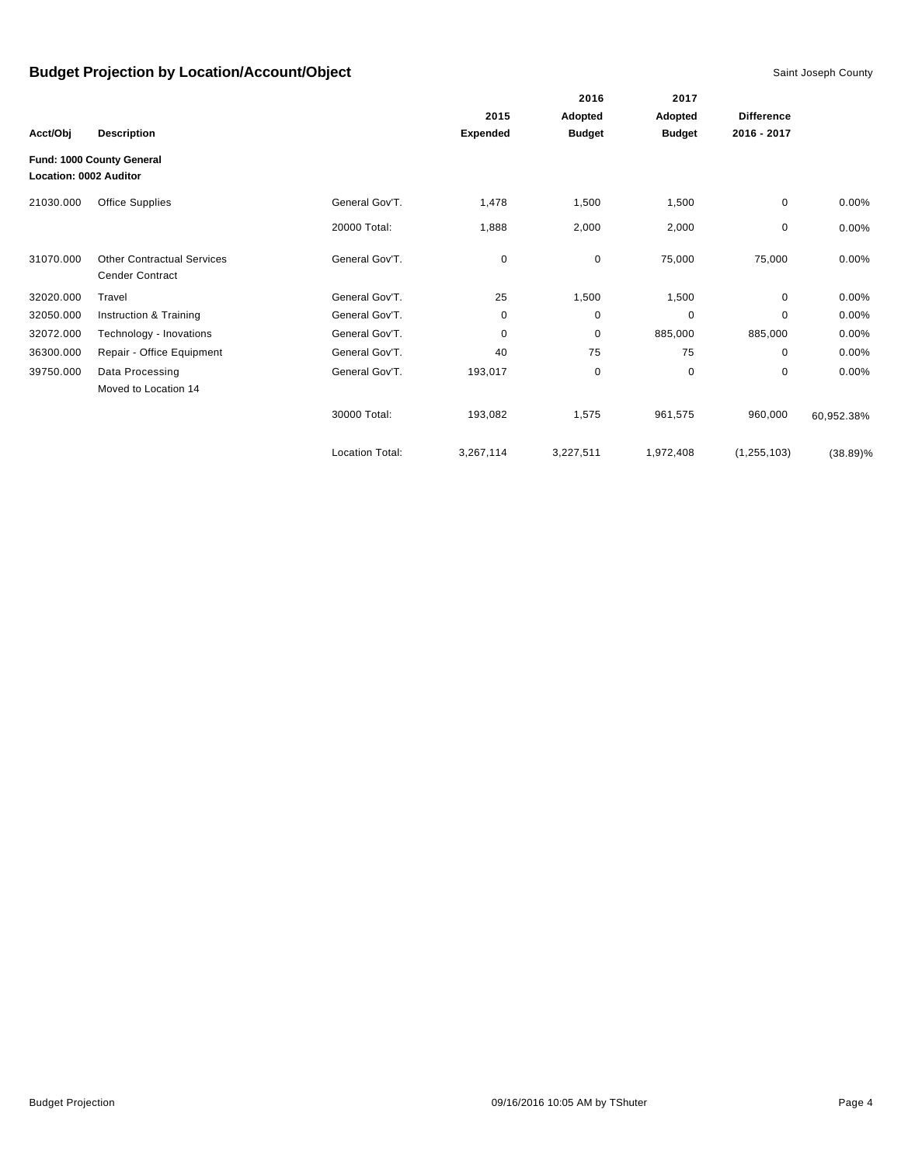|                               |                                                             |                        |                 | 2016          | 2017                     |                                  |             |
|-------------------------------|-------------------------------------------------------------|------------------------|-----------------|---------------|--------------------------|----------------------------------|-------------|
|                               | <b>Description</b>                                          |                        | 2015            | Adopted       | Adopted<br><b>Budget</b> | <b>Difference</b><br>2016 - 2017 |             |
| Acct/Obj                      |                                                             |                        | <b>Expended</b> | <b>Budget</b> |                          |                                  |             |
| <b>Location: 0002 Auditor</b> | Fund: 1000 County General                                   |                        |                 |               |                          |                                  |             |
| 21030.000                     | <b>Office Supplies</b>                                      | General Gov'T.         | 1,478           | 1,500         | 1,500                    | 0                                | 0.00%       |
|                               |                                                             | 20000 Total:           | 1,888           | 2,000         | 2,000                    | 0                                | 0.00%       |
| 31070.000                     | <b>Other Contractual Services</b><br><b>Cender Contract</b> | General Gov'T.         | $\mathbf 0$     | $\mathbf 0$   | 75,000                   | 75,000                           | 0.00%       |
| 32020.000                     | Travel                                                      | General Gov'T.         | 25              | 1,500         | 1,500                    | 0                                | $0.00\%$    |
| 32050.000                     | Instruction & Training                                      | General Gov'T.         | 0               | 0             | 0                        | $\mathbf 0$                      | 0.00%       |
| 32072.000                     | Technology - Inovations                                     | General Gov'T.         | 0               | 0             | 885,000                  | 885,000                          | $0.00\%$    |
| 36300.000                     | Repair - Office Equipment                                   | General Gov'T.         | 40              | 75            | 75                       | $\Omega$                         | 0.00%       |
| 39750.000                     | Data Processing<br>Moved to Location 14                     | General Gov'T.         | 193,017         | $\mathbf 0$   | $\mathbf 0$              | $\mathbf 0$                      | 0.00%       |
|                               |                                                             | 30000 Total:           | 193,082         | 1,575         | 961,575                  | 960,000                          | 60,952.38%  |
|                               |                                                             | <b>Location Total:</b> | 3,267,114       | 3,227,511     | 1,972,408                | (1, 255, 103)                    | $(38.89)\%$ |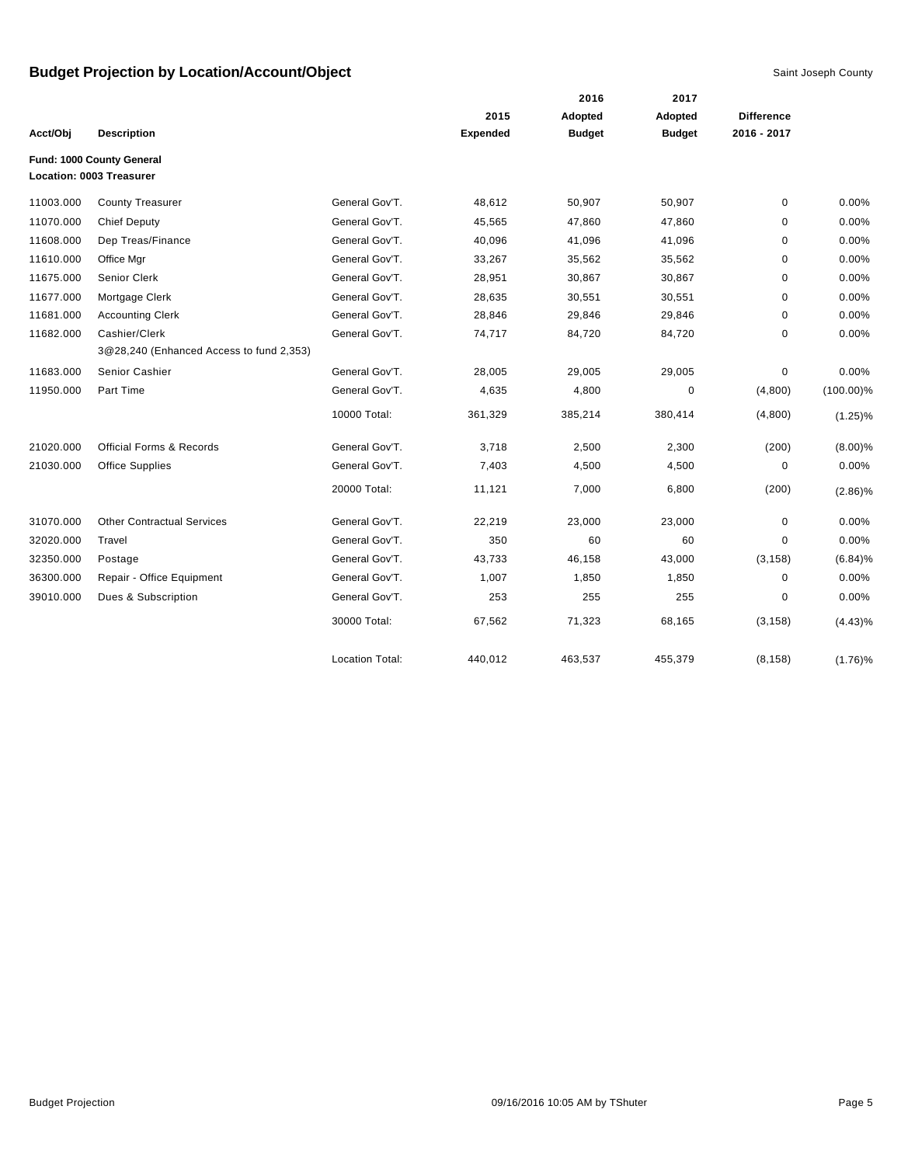|           |                                          |                        |                 | 2016          | 2017          |                   |              |
|-----------|------------------------------------------|------------------------|-----------------|---------------|---------------|-------------------|--------------|
|           |                                          |                        | 2015            | Adopted       | Adopted       | <b>Difference</b> |              |
| Acct/Obj  | <b>Description</b>                       |                        | <b>Expended</b> | <b>Budget</b> | <b>Budget</b> | 2016 - 2017       |              |
|           | Fund: 1000 County General                |                        |                 |               |               |                   |              |
|           | Location: 0003 Treasurer                 |                        |                 |               |               |                   |              |
| 11003.000 | <b>County Treasurer</b>                  | General Gov'T.         | 48,612          | 50,907        | 50,907        | $\mathbf 0$       | 0.00%        |
| 11070.000 | <b>Chief Deputy</b>                      | General Gov'T.         | 45,565          | 47,860        | 47,860        | 0                 | 0.00%        |
| 11608.000 | Dep Treas/Finance                        | General Gov'T.         | 40,096          | 41,096        | 41,096        | 0                 | 0.00%        |
| 11610.000 | Office Mgr                               | General Gov'T.         | 33,267          | 35,562        | 35,562        | 0                 | 0.00%        |
| 11675.000 | <b>Senior Clerk</b>                      | General Gov'T.         | 28,951          | 30,867        | 30,867        | 0                 | 0.00%        |
| 11677.000 | Mortgage Clerk                           | General Gov'T.         | 28,635          | 30,551        | 30,551        | $\mathbf 0$       | 0.00%        |
| 11681.000 | <b>Accounting Clerk</b>                  | General Gov'T.         | 28,846          | 29,846        | 29,846        | $\mathbf 0$       | 0.00%        |
| 11682.000 | Cashier/Clerk                            | General Gov'T.         | 74,717          | 84,720        | 84,720        | $\mathbf 0$       | 0.00%        |
|           | 3@28,240 (Enhanced Access to fund 2,353) |                        |                 |               |               |                   |              |
| 11683.000 | Senior Cashier                           | General Gov'T.         | 28,005          | 29,005        | 29,005        | 0                 | 0.00%        |
| 11950.000 | Part Time                                | General Gov'T.         | 4,635           | 4,800         | 0             | (4,800)           | $(100.00)\%$ |
|           |                                          | 10000 Total:           | 361,329         | 385,214       | 380,414       | (4,800)           | $(1.25)\%$   |
| 21020.000 | <b>Official Forms &amp; Records</b>      | General Gov'T.         | 3,718           | 2,500         | 2,300         | (200)             | $(8.00)\%$   |
| 21030.000 | Office Supplies                          | General Gov'T.         | 7,403           | 4,500         | 4,500         | 0                 | 0.00%        |
|           |                                          | 20000 Total:           | 11,121          | 7,000         | 6,800         | (200)             | $(2.86)\%$   |
| 31070.000 | <b>Other Contractual Services</b>        | General Gov'T.         | 22,219          | 23,000        | 23,000        | $\mathbf 0$       | 0.00%        |
| 32020.000 | Travel                                   | General Gov'T.         | 350             | 60            | 60            | $\mathbf 0$       | 0.00%        |
| 32350.000 | Postage                                  | General Gov'T.         | 43,733          | 46,158        | 43,000        | (3, 158)          | (6.84)%      |
| 36300.000 | Repair - Office Equipment                | General Gov'T.         | 1,007           | 1,850         | 1,850         | $\mathbf 0$       | 0.00%        |
| 39010.000 | Dues & Subscription                      | General Gov'T.         | 253             | 255           | 255           | 0                 | 0.00%        |
|           |                                          | 30000 Total:           | 67,562          | 71,323        | 68,165        | (3, 158)          | $(4.43)\%$   |
|           |                                          | <b>Location Total:</b> | 440.012         | 463,537       | 455,379       | (8, 158)          | $(1.76)\%$   |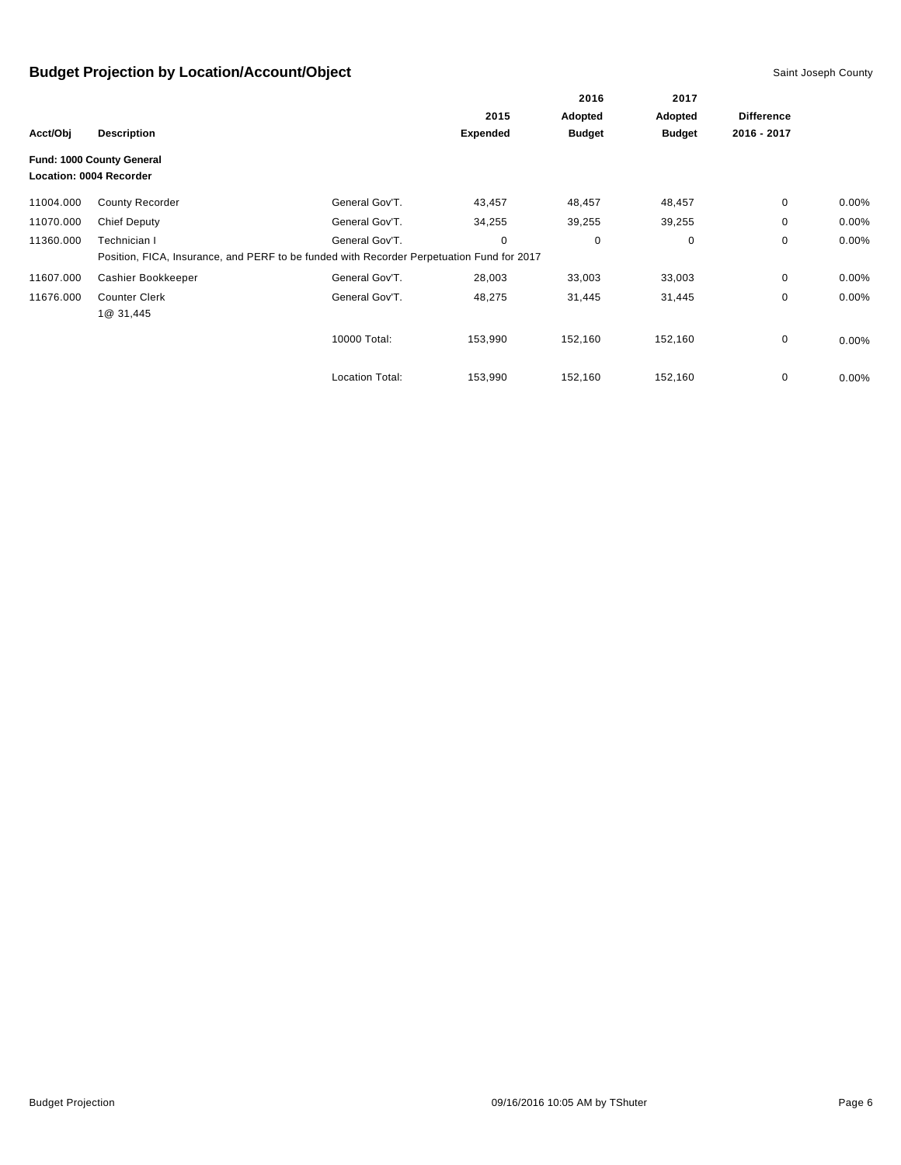|           |                                                      |                                                                                           |                 | 2016          | 2017          |                   |          |
|-----------|------------------------------------------------------|-------------------------------------------------------------------------------------------|-----------------|---------------|---------------|-------------------|----------|
|           |                                                      |                                                                                           | 2015            | Adopted       | Adopted       | <b>Difference</b> |          |
| Acct/Obj  | <b>Description</b>                                   |                                                                                           | <b>Expended</b> | <b>Budget</b> | <b>Budget</b> | 2016 - 2017       |          |
|           | Fund: 1000 County General<br>Location: 0004 Recorder |                                                                                           |                 |               |               |                   |          |
| 11004.000 | <b>County Recorder</b>                               | General Gov'T.                                                                            | 43,457          | 48,457        | 48,457        | 0                 | $0.00\%$ |
| 11070.000 | Chief Deputy                                         | General Gov'T.                                                                            | 34,255          | 39,255        | 39,255        | 0                 | $0.00\%$ |
| 11360.000 | Technician I                                         | General Gov'T.                                                                            | 0               | 0             | 0             | 0                 | 0.00%    |
|           |                                                      | Position, FICA, Insurance, and PERF to be funded with Recorder Perpetuation Fund for 2017 |                 |               |               |                   |          |
| 11607.000 | Cashier Bookkeeper                                   | General Gov'T.                                                                            | 28,003          | 33,003        | 33,003        | 0                 | $0.00\%$ |
| 11676.000 | <b>Counter Clerk</b><br>1@ 31,445                    | General Gov'T.                                                                            | 48,275          | 31,445        | 31,445        | 0                 | $0.00\%$ |
|           |                                                      | 10000 Total:                                                                              | 153,990         | 152,160       | 152,160       | 0                 | $0.00\%$ |
|           |                                                      | <b>Location Total:</b>                                                                    | 153,990         | 152,160       | 152,160       | 0                 | $0.00\%$ |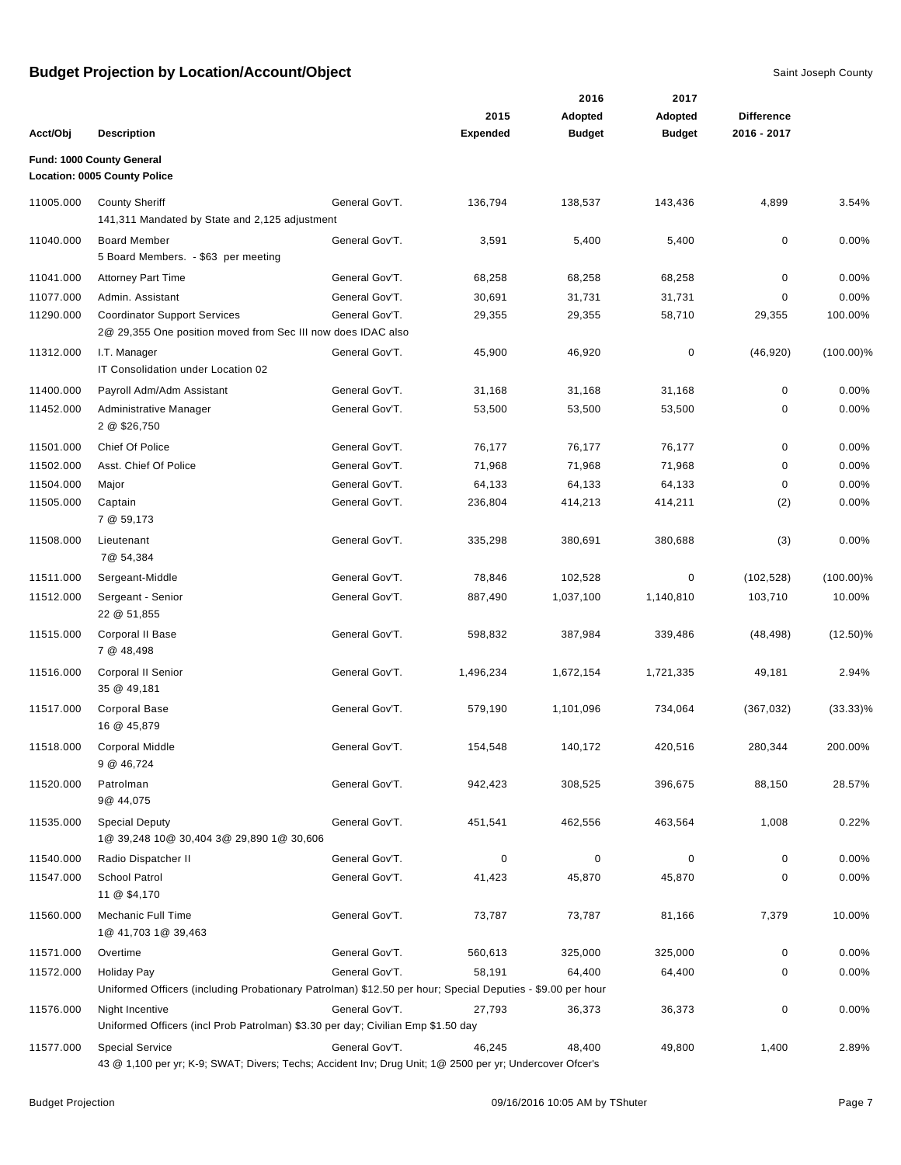|           |                                                                                                                                    |                |                         | 2016                     | 2017                            |                                  |              |
|-----------|------------------------------------------------------------------------------------------------------------------------------------|----------------|-------------------------|--------------------------|---------------------------------|----------------------------------|--------------|
| Acct/Obj  | <b>Description</b>                                                                                                                 |                | 2015<br><b>Expended</b> | Adopted<br><b>Budget</b> | <b>Adopted</b><br><b>Budget</b> | <b>Difference</b><br>2016 - 2017 |              |
|           | Fund: 1000 County General                                                                                                          |                |                         |                          |                                 |                                  |              |
|           | <b>Location: 0005 County Police</b>                                                                                                |                |                         |                          |                                 |                                  |              |
| 11005.000 | <b>County Sheriff</b><br>141,311 Mandated by State and 2,125 adjustment                                                            | General Gov'T. | 136,794                 | 138,537                  | 143,436                         | 4,899                            | 3.54%        |
| 11040.000 | <b>Board Member</b><br>5 Board Members. - \$63 per meeting                                                                         | General Gov'T. | 3,591                   | 5,400                    | 5,400                           | 0                                | 0.00%        |
| 11041.000 | <b>Attorney Part Time</b>                                                                                                          | General Gov'T. | 68,258                  | 68,258                   | 68,258                          | 0                                | 0.00%        |
| 11077.000 | Admin. Assistant                                                                                                                   | General Gov'T. | 30,691                  | 31,731                   | 31,731                          | 0                                | 0.00%        |
| 11290.000 | <b>Coordinator Support Services</b><br>2@ 29,355 One position moved from Sec III now does IDAC also                                | General Gov'T. | 29,355                  | 29,355                   | 58,710                          | 29,355                           | 100.00%      |
| 11312.000 | I.T. Manager<br>IT Consolidation under Location 02                                                                                 | General Gov'T. | 45,900                  | 46,920                   | 0                               | (46, 920)                        | $(100.00)\%$ |
| 11400.000 | Payroll Adm/Adm Assistant                                                                                                          | General Gov'T. | 31,168                  | 31,168                   | 31,168                          | 0                                | 0.00%        |
| 11452.000 | Administrative Manager<br>2 @ \$26,750                                                                                             | General Gov'T. | 53,500                  | 53,500                   | 53,500                          | 0                                | 0.00%        |
| 11501.000 | Chief Of Police                                                                                                                    | General Gov'T. | 76,177                  | 76,177                   | 76,177                          | 0                                | 0.00%        |
| 11502.000 | Asst. Chief Of Police                                                                                                              | General Gov'T. | 71,968                  | 71,968                   | 71,968                          | 0                                | 0.00%        |
| 11504.000 | Major                                                                                                                              | General Gov'T. | 64,133                  | 64,133                   | 64,133                          | 0                                | 0.00%        |
| 11505.000 | Captain<br>7 @ 59,173                                                                                                              | General Gov'T. | 236,804                 | 414,213                  | 414,211                         | (2)                              | 0.00%        |
| 11508.000 | Lieutenant<br>7@ 54,384                                                                                                            | General Gov'T. | 335,298                 | 380,691                  | 380,688                         | (3)                              | 0.00%        |
| 11511.000 | Sergeant-Middle                                                                                                                    | General Gov'T. | 78,846                  | 102,528                  | 0                               | (102, 528)                       | $(100.00)\%$ |
| 11512.000 | Sergeant - Senior<br>22 @ 51,855                                                                                                   | General Gov'T. | 887,490                 | 1,037,100                | 1,140,810                       | 103,710                          | 10.00%       |
| 11515.000 | Corporal II Base<br>7 @ 48,498                                                                                                     | General Gov'T. | 598,832                 | 387,984                  | 339,486                         | (48, 498)                        | $(12.50)\%$  |
| 11516.000 | Corporal II Senior<br>35 @ 49,181                                                                                                  | General Gov'T. | 1,496,234               | 1,672,154                | 1,721,335                       | 49,181                           | 2.94%        |
| 11517.000 | Corporal Base<br>16 @ 45,879                                                                                                       | General Gov'T. | 579,190                 | 1,101,096                | 734,064                         | (367, 032)                       | $(33.33)\%$  |
| 11518.000 | <b>Corporal Middle</b><br>9 @ 46,724                                                                                               | General Gov'T. | 154,548                 | 140,172                  | 420,516                         | 280,344                          | 200.00%      |
| 11520.000 | Patrolman<br>9@ 44,075                                                                                                             | General Gov'T. | 942,423                 | 308,525                  | 396,675                         | 88,150                           | 28.57%       |
| 11535.000 | <b>Special Deputy</b><br>1@ 39,248 10@ 30,404 3@ 29,890 1@ 30,606                                                                  | General Gov'T. | 451,541                 | 462,556                  | 463,564                         | 1,008                            | 0.22%        |
| 11540.000 | Radio Dispatcher II                                                                                                                | General Gov'T. | 0                       | $\mathbf 0$              | $\mathbf 0$                     | 0                                | 0.00%        |
| 11547.000 | School Patrol<br>11 @ \$4,170                                                                                                      | General Gov'T. | 41,423                  | 45,870                   | 45,870                          | 0                                | 0.00%        |
| 11560.000 | Mechanic Full Time<br>1@ 41,703 1@ 39,463                                                                                          | General Gov'T. | 73,787                  | 73,787                   | 81,166                          | 7,379                            | 10.00%       |
| 11571.000 | Overtime                                                                                                                           | General Gov'T. | 560,613                 | 325,000                  | 325,000                         | 0                                | 0.00%        |
| 11572.000 | <b>Holiday Pay</b><br>Uniformed Officers (including Probationary Patrolman) \$12.50 per hour; Special Deputies - \$9.00 per hour   | General Gov'T. | 58,191                  | 64,400                   | 64,400                          | 0                                | 0.00%        |
| 11576.000 | Night Incentive<br>Uniformed Officers (incl Prob Patrolman) \$3.30 per day; Civilian Emp \$1.50 day                                | General Gov'T. | 27,793                  | 36,373                   | 36,373                          | 0                                | 0.00%        |
| 11577.000 | <b>Special Service</b><br>43 @ 1,100 per yr; K-9; SWAT; Divers; Techs; Accident Inv; Drug Unit; 1@ 2500 per yr; Undercover Ofcer's | General Gov'T. | 46,245                  | 48,400                   | 49,800                          | 1,400                            | 2.89%        |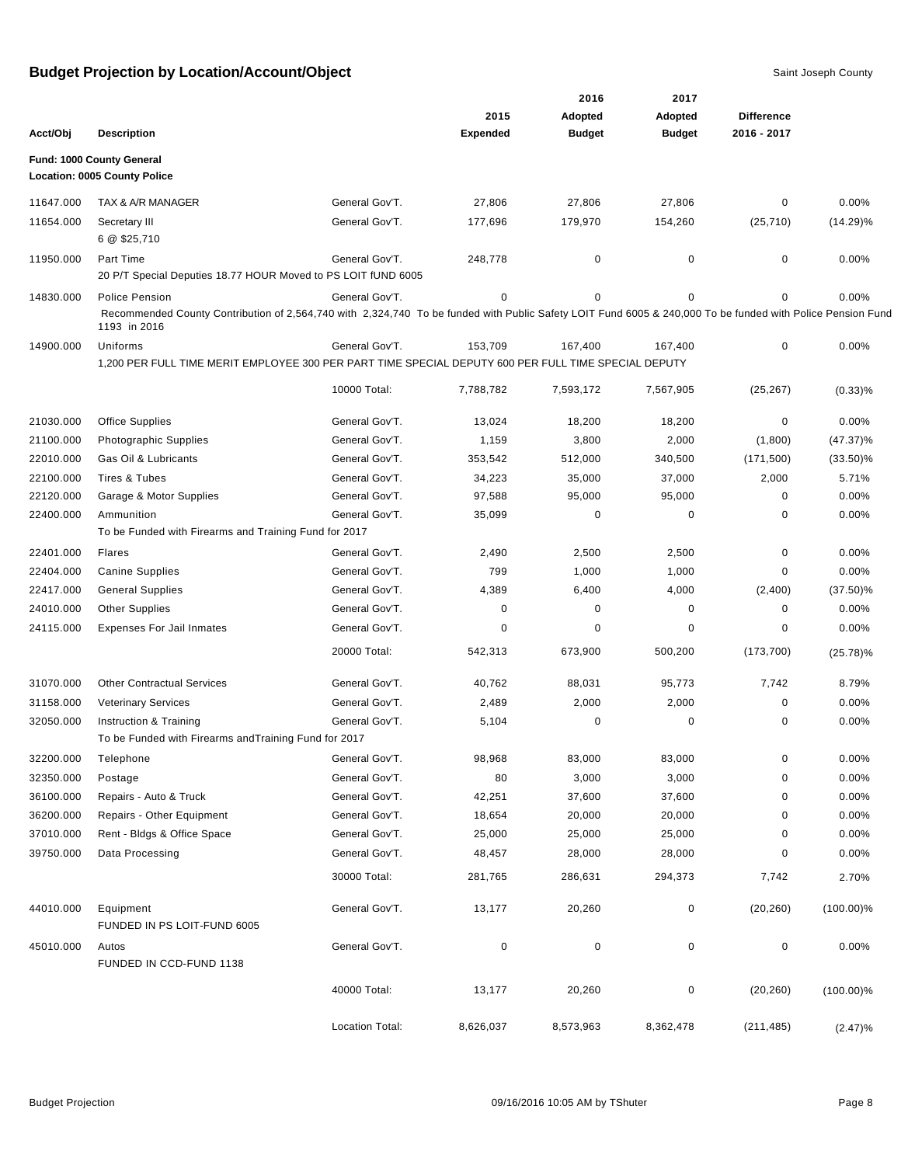|           |                                                                                                                                                                            |                 |                 | 2016          | 2017          |                   |              |
|-----------|----------------------------------------------------------------------------------------------------------------------------------------------------------------------------|-----------------|-----------------|---------------|---------------|-------------------|--------------|
|           |                                                                                                                                                                            |                 | 2015            | Adopted       | Adopted       | <b>Difference</b> |              |
| Acct/Obj  | <b>Description</b>                                                                                                                                                         |                 | <b>Expended</b> | <b>Budget</b> | <b>Budget</b> | 2016 - 2017       |              |
|           | Fund: 1000 County General                                                                                                                                                  |                 |                 |               |               |                   |              |
|           | Location: 0005 County Police                                                                                                                                               |                 |                 |               |               |                   |              |
| 11647.000 | TAX & A/R MANAGER                                                                                                                                                          | General Gov'T.  | 27,806          | 27,806        | 27,806        | 0                 | $0.00\%$     |
| 11654.000 | Secretary III<br>6 @ \$25,710                                                                                                                                              | General Gov'T.  | 177,696         | 179,970       | 154,260       | (25, 710)         | $(14.29)\%$  |
| 11950.000 | Part Time<br>20 P/T Special Deputies 18.77 HOUR Moved to PS LOIT fUND 6005                                                                                                 | General Gov'T.  | 248,778         | $\mathbf 0$   | 0             | 0                 | 0.00%        |
| 14830.000 | <b>Police Pension</b>                                                                                                                                                      | General Gov'T.  | 0               | $\mathbf 0$   | $\mathbf 0$   | 0                 | 0.00%        |
|           | Recommended County Contribution of 2,564,740 with 2,324,740 To be funded with Public Safety LOIT Fund 6005 & 240,000 To be funded with Police Pension Fund<br>1193 in 2016 |                 |                 |               |               |                   |              |
| 14900.000 | Uniforms                                                                                                                                                                   | General Gov'T.  | 153,709         | 167,400       | 167,400       | 0                 | 0.00%        |
|           | 1,200 PER FULL TIME MERIT EMPLOYEE 300 PER PART TIME SPECIAL DEPUTY 600 PER FULL TIME SPECIAL DEPUTY                                                                       |                 |                 |               |               |                   |              |
|           |                                                                                                                                                                            | 10000 Total:    | 7,788,782       | 7,593,172     | 7,567,905     | (25, 267)         | $(0.33)$ %   |
| 21030.000 | <b>Office Supplies</b>                                                                                                                                                     | General Gov'T.  | 13,024          | 18,200        | 18,200        | 0                 | 0.00%        |
| 21100.000 | <b>Photographic Supplies</b>                                                                                                                                               | General Gov'T.  | 1,159           | 3,800         | 2,000         | (1,800)           | $(47.37)\%$  |
| 22010.000 | Gas Oil & Lubricants                                                                                                                                                       | General Gov'T.  | 353,542         | 512,000       | 340,500       | (171, 500)        | $(33.50)\%$  |
| 22100.000 | Tires & Tubes                                                                                                                                                              | General Gov'T.  | 34,223          | 35,000        | 37,000        | 2,000             | 5.71%        |
| 22120.000 | Garage & Motor Supplies                                                                                                                                                    | General Gov'T.  | 97,588          | 95,000        | 95,000        | 0                 | 0.00%        |
| 22400.000 | Ammunition                                                                                                                                                                 | General Gov'T.  | 35,099          | 0             | 0             | 0                 | 0.00%        |
|           | To be Funded with Firearms and Training Fund for 2017                                                                                                                      |                 |                 |               |               |                   |              |
| 22401.000 | Flares                                                                                                                                                                     | General Gov'T.  | 2,490           | 2,500         | 2,500         | 0                 | 0.00%        |
| 22404.000 | <b>Canine Supplies</b>                                                                                                                                                     | General Gov'T.  | 799             | 1,000         | 1,000         | 0                 | 0.00%        |
| 22417.000 | <b>General Supplies</b>                                                                                                                                                    | General Gov'T.  | 4,389           | 6,400         | 4,000         | (2,400)           | $(37.50)\%$  |
| 24010.000 | <b>Other Supplies</b>                                                                                                                                                      | General Gov'T.  | 0               | 0             | 0             | 0                 | 0.00%        |
| 24115.000 | <b>Expenses For Jail Inmates</b>                                                                                                                                           | General Gov'T.  | 0               | $\mathbf 0$   | 0             | 0                 | 0.00%        |
|           |                                                                                                                                                                            | 20000 Total:    | 542,313         | 673,900       | 500,200       | (173, 700)        | $(25.78)\%$  |
| 31070.000 | <b>Other Contractual Services</b>                                                                                                                                          | General Gov'T.  | 40,762          | 88,031        | 95,773        | 7,742             | 8.79%        |
| 31158.000 | <b>Veterinary Services</b>                                                                                                                                                 | General Gov'T.  | 2,489           | 2,000         | 2,000         | 0                 | 0.00%        |
| 32050.000 | Instruction & Training<br>To be Funded with Firearms and Training Fund for 2017                                                                                            | General Gov'T.  | 5,104           | 0             | 0             | 0                 | 0.00%        |
| 32200.000 | Telephone                                                                                                                                                                  | General Gov'T.  | 98,968          | 83,000        | 83,000        | 0                 | 0.00%        |
| 32350.000 | Postage                                                                                                                                                                    | General Gov'T.  | 80              | 3,000         | 3,000         | 0                 | 0.00%        |
| 36100.000 | Repairs - Auto & Truck                                                                                                                                                     | General Gov'T.  | 42,251          | 37,600        | 37,600        | 0                 | 0.00%        |
| 36200.000 | Repairs - Other Equipment                                                                                                                                                  | General Gov'T.  | 18,654          | 20,000        | 20,000        | 0                 | $0.00\%$     |
| 37010.000 | Rent - Bldgs & Office Space                                                                                                                                                | General Gov'T.  | 25,000          | 25,000        | 25,000        | 0                 | $0.00\%$     |
| 39750.000 | Data Processing                                                                                                                                                            | General Gov'T.  | 48,457          | 28,000        | 28,000        | 0                 | $0.00\%$     |
|           |                                                                                                                                                                            | 30000 Total:    | 281,765         | 286,631       | 294,373       | 7,742             | 2.70%        |
| 44010.000 | Equipment<br>FUNDED IN PS LOIT-FUND 6005                                                                                                                                   | General Gov'T.  | 13,177          | 20,260        | 0             | (20, 260)         | $(100.00)\%$ |
| 45010.000 | Autos<br>FUNDED IN CCD-FUND 1138                                                                                                                                           | General Gov'T.  | 0               | $\pmb{0}$     | 0             | 0                 | 0.00%        |
|           |                                                                                                                                                                            | 40000 Total:    | 13,177          | 20,260        | $\pmb{0}$     | (20, 260)         | $(100.00)\%$ |
|           |                                                                                                                                                                            | Location Total: | 8,626,037       | 8,573,963     | 8,362,478     | (211, 485)        | (2.47)%      |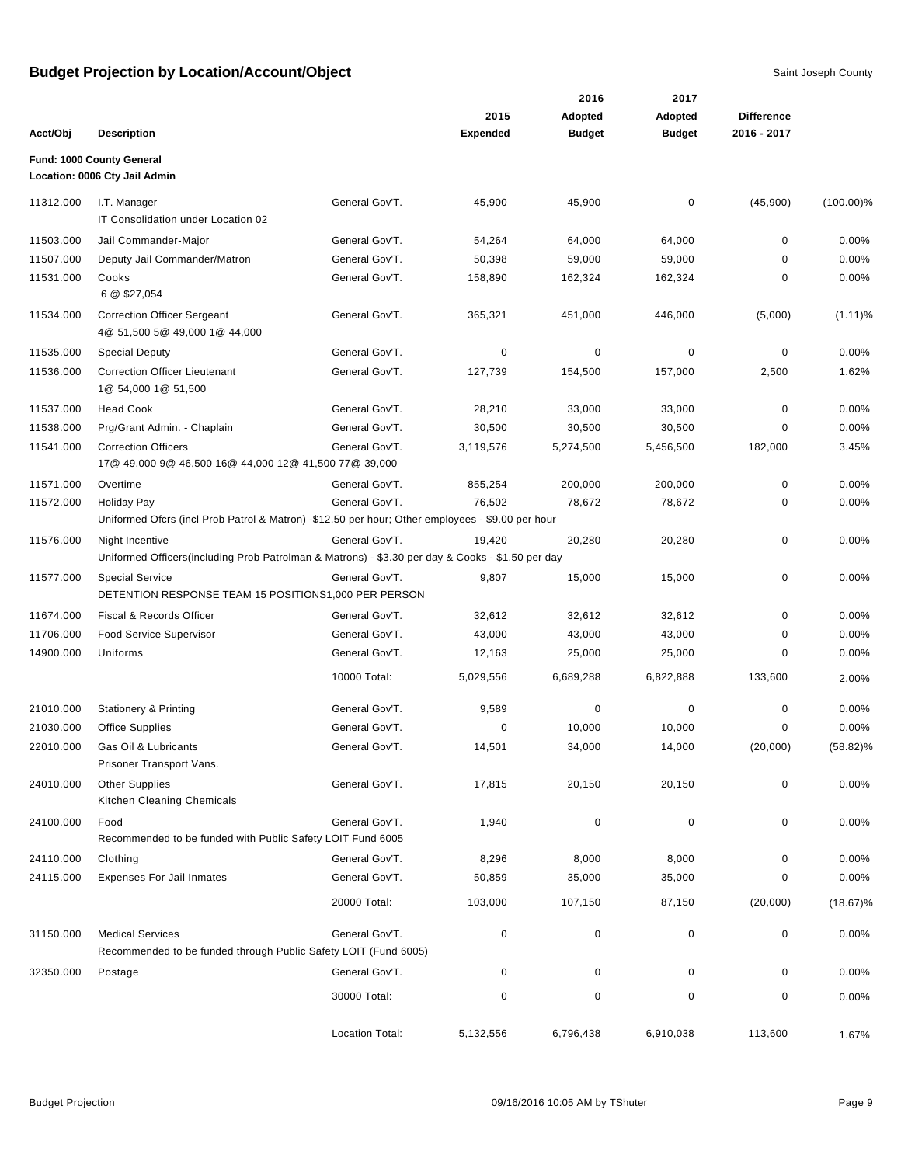|           |                                                                                                                        |                 |                 | 2016          | 2017          |                   |              |
|-----------|------------------------------------------------------------------------------------------------------------------------|-----------------|-----------------|---------------|---------------|-------------------|--------------|
|           |                                                                                                                        |                 | 2015            | Adopted       | Adopted       | <b>Difference</b> |              |
| Acct/Obj  | <b>Description</b>                                                                                                     |                 | <b>Expended</b> | <b>Budget</b> | <b>Budget</b> | 2016 - 2017       |              |
|           | Fund: 1000 County General<br>Location: 0006 Cty Jail Admin                                                             |                 |                 |               |               |                   |              |
| 11312.000 | I.T. Manager                                                                                                           | General Gov'T.  | 45,900          | 45,900        | 0             | (45,900)          | $(100.00)\%$ |
|           | IT Consolidation under Location 02                                                                                     |                 |                 |               |               |                   |              |
| 11503.000 | Jail Commander-Major                                                                                                   | General Gov'T.  | 54,264          | 64,000        | 64,000        | 0                 | 0.00%        |
| 11507.000 | Deputy Jail Commander/Matron                                                                                           | General Gov'T.  | 50,398          | 59,000        | 59,000        | 0                 | 0.00%        |
| 11531.000 | Cooks                                                                                                                  | General Gov'T.  | 158,890         | 162,324       | 162,324       | 0                 | 0.00%        |
|           | 6 @ \$27,054                                                                                                           |                 |                 |               |               |                   |              |
| 11534.000 | <b>Correction Officer Sergeant</b><br>4@ 51,500 5@ 49,000 1@ 44,000                                                    | General Gov'T.  | 365,321         | 451,000       | 446,000       | (5,000)           | $(1.11)\%$   |
| 11535.000 | <b>Special Deputy</b>                                                                                                  | General Gov'T.  | 0               | 0             | 0             | 0                 | 0.00%        |
| 11536.000 | <b>Correction Officer Lieutenant</b><br>1@ 54,000 1@ 51,500                                                            | General Gov'T.  | 127,739         | 154,500       | 157,000       | 2,500             | 1.62%        |
| 11537.000 | <b>Head Cook</b>                                                                                                       | General Gov'T.  | 28,210          | 33,000        | 33,000        | $\pmb{0}$         | 0.00%        |
| 11538.000 | Prg/Grant Admin. - Chaplain                                                                                            | General Gov'T.  | 30,500          | 30,500        | 30,500        | $\mathbf 0$       | 0.00%        |
| 11541.000 | <b>Correction Officers</b><br>17@ 49,000 9@ 46,500 16@ 44,000 12@ 41,500 77@ 39,000                                    | General Gov'T.  | 3,119,576       | 5,274,500     | 5,456,500     | 182,000           | 3.45%        |
| 11571.000 | Overtime                                                                                                               | General Gov'T.  | 855,254         | 200,000       | 200,000       | $\mathbf 0$       | 0.00%        |
| 11572.000 | <b>Holiday Pay</b><br>Uniformed Ofcrs (incl Prob Patrol & Matron) -\$12.50 per hour; Other employees - \$9.00 per hour | General Gov'T.  | 76,502          | 78,672        | 78,672        | 0                 | 0.00%        |
| 11576.000 | Night Incentive<br>Uniformed Officers (including Prob Patrolman & Matrons) - \$3.30 per day & Cooks - \$1.50 per day   | General Gov'T.  | 19,420          | 20,280        | 20,280        | $\mathbf 0$       | 0.00%        |
| 11577.000 | <b>Special Service</b><br>DETENTION RESPONSE TEAM 15 POSITIONS1,000 PER PERSON                                         | General Gov'T.  | 9,807           | 15,000        | 15,000        | 0                 | $0.00\%$     |
| 11674.000 | Fiscal & Records Officer                                                                                               | General Gov'T.  | 32,612          | 32,612        | 32,612        | 0                 | 0.00%        |
| 11706.000 | Food Service Supervisor                                                                                                | General Gov'T.  | 43,000          | 43,000        | 43,000        | 0                 | 0.00%        |
| 14900.000 | Uniforms                                                                                                               | General Gov'T.  | 12,163          | 25,000        | 25,000        | 0                 | 0.00%        |
|           |                                                                                                                        | 10000 Total:    | 5,029,556       | 6,689,288     | 6,822,888     | 133,600           | 2.00%        |
| 21010.000 | <b>Stationery &amp; Printing</b>                                                                                       | General Gov'T.  | 9,589           | $\pmb{0}$     | 0             | $\mathbf 0$       | 0.00%        |
| 21030.000 | Office Supplies                                                                                                        | General Gov'T.  | 0               | 10,000        | 10,000        | 0                 | $0.00\%$     |
| 22010.000 | Gas Oil & Lubricants<br>Prisoner Transport Vans.                                                                       | General Gov'T.  | 14,501          | 34,000        | 14,000        | (20,000)          | $(58.82)\%$  |
| 24010.000 | <b>Other Supplies</b><br>Kitchen Cleaning Chemicals                                                                    | General Gov'T.  | 17,815          | 20,150        | 20,150        | $\mathbf 0$       | 0.00%        |
| 24100.000 | Food<br>Recommended to be funded with Public Safety LOIT Fund 6005                                                     | General Gov'T.  | 1,940           | $\mathbf 0$   | $\pmb{0}$     | $\pmb{0}$         | 0.00%        |
| 24110.000 | Clothing                                                                                                               | General Gov'T.  | 8,296           | 8,000         | 8,000         | 0                 | $0.00\%$     |
| 24115.000 | <b>Expenses For Jail Inmates</b>                                                                                       | General Gov'T.  | 50,859          | 35,000        | 35,000        | 0                 | 0.00%        |
|           |                                                                                                                        | 20000 Total:    | 103,000         | 107,150       | 87,150        | (20,000)          | $(18.67)\%$  |
| 31150.000 | <b>Medical Services</b><br>Recommended to be funded through Public Safety LOIT (Fund 6005)                             | General Gov'T.  | 0               | $\mathbf 0$   | $\pmb{0}$     | $\pmb{0}$         | 0.00%        |
| 32350.000 | Postage                                                                                                                | General Gov'T.  | 0               | 0             | 0             | 0                 | 0.00%        |
|           |                                                                                                                        | 30000 Total:    | 0               | 0             | $\mathbf 0$   | $\mathbf 0$       | $0.00\%$     |
|           |                                                                                                                        | Location Total: | 5,132,556       | 6,796,438     | 6,910,038     | 113,600           | 1.67%        |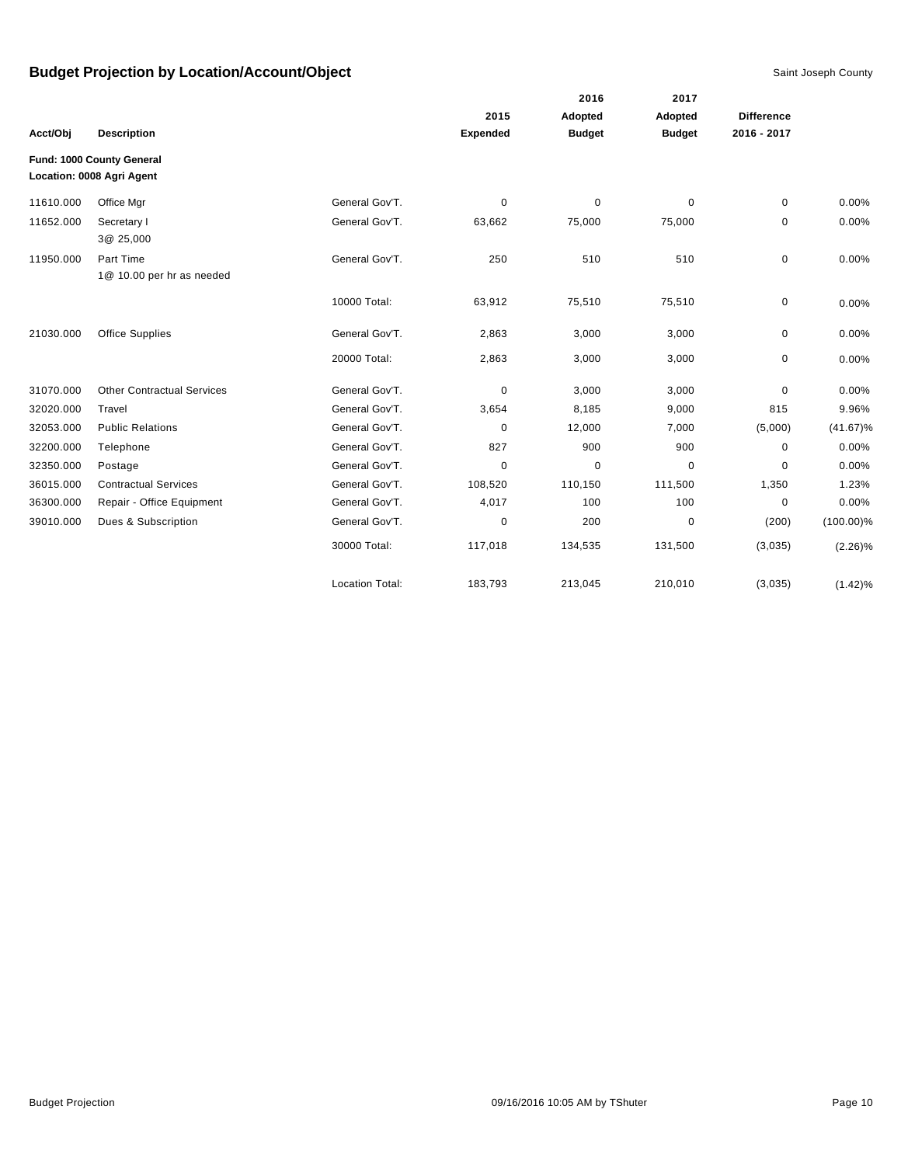|           |                                                        |                        |                 | 2016          | 2017          |                   |              |
|-----------|--------------------------------------------------------|------------------------|-----------------|---------------|---------------|-------------------|--------------|
|           |                                                        |                        | 2015            | Adopted       | Adopted       | <b>Difference</b> |              |
| Acct/Obj  | <b>Description</b>                                     |                        | <b>Expended</b> | <b>Budget</b> | <b>Budget</b> | 2016 - 2017       |              |
|           | Fund: 1000 County General<br>Location: 0008 Agri Agent |                        |                 |               |               |                   |              |
| 11610.000 | Office Mgr                                             | General Gov'T.         | 0               | $\mathbf 0$   | $\mathbf 0$   | $\mathbf 0$       | 0.00%        |
| 11652.000 | Secretary I<br>3@ 25,000                               | General Gov'T.         | 63,662          | 75,000        | 75,000        | 0                 | 0.00%        |
| 11950.000 | Part Time<br>1@ 10.00 per hr as needed                 | General Gov'T.         | 250             | 510           | 510           | $\mathbf 0$       | 0.00%        |
|           |                                                        | 10000 Total:           | 63,912          | 75,510        | 75,510        | 0                 | 0.00%        |
| 21030.000 | Office Supplies                                        | General Gov'T.         | 2,863           | 3,000         | 3,000         | 0                 | 0.00%        |
|           |                                                        | 20000 Total:           | 2,863           | 3,000         | 3,000         | 0                 | 0.00%        |
| 31070.000 | <b>Other Contractual Services</b>                      | General Gov'T.         | 0               | 3,000         | 3,000         | 0                 | 0.00%        |
| 32020.000 | Travel                                                 | General Gov'T.         | 3,654           | 8,185         | 9,000         | 815               | 9.96%        |
| 32053.000 | <b>Public Relations</b>                                | General Gov'T.         | 0               | 12,000        | 7,000         | (5,000)           | $(41.67)\%$  |
| 32200.000 | Telephone                                              | General Gov'T.         | 827             | 900           | 900           | $\mathbf 0$       | 0.00%        |
| 32350.000 | Postage                                                | General Gov'T.         | 0               | $\pmb{0}$     | 0             | 0                 | 0.00%        |
| 36015.000 | <b>Contractual Services</b>                            | General Gov'T.         | 108,520         | 110,150       | 111,500       | 1,350             | 1.23%        |
| 36300.000 | Repair - Office Equipment                              | General Gov'T.         | 4,017           | 100           | 100           | 0                 | 0.00%        |
| 39010.000 | Dues & Subscription                                    | General Gov'T.         | 0               | 200           | 0             | (200)             | $(100.00)\%$ |
|           |                                                        | 30000 Total:           | 117,018         | 134,535       | 131,500       | (3,035)           | $(2.26)\%$   |
|           |                                                        | <b>Location Total:</b> | 183,793         | 213,045       | 210,010       | (3,035)           | (1.42)%      |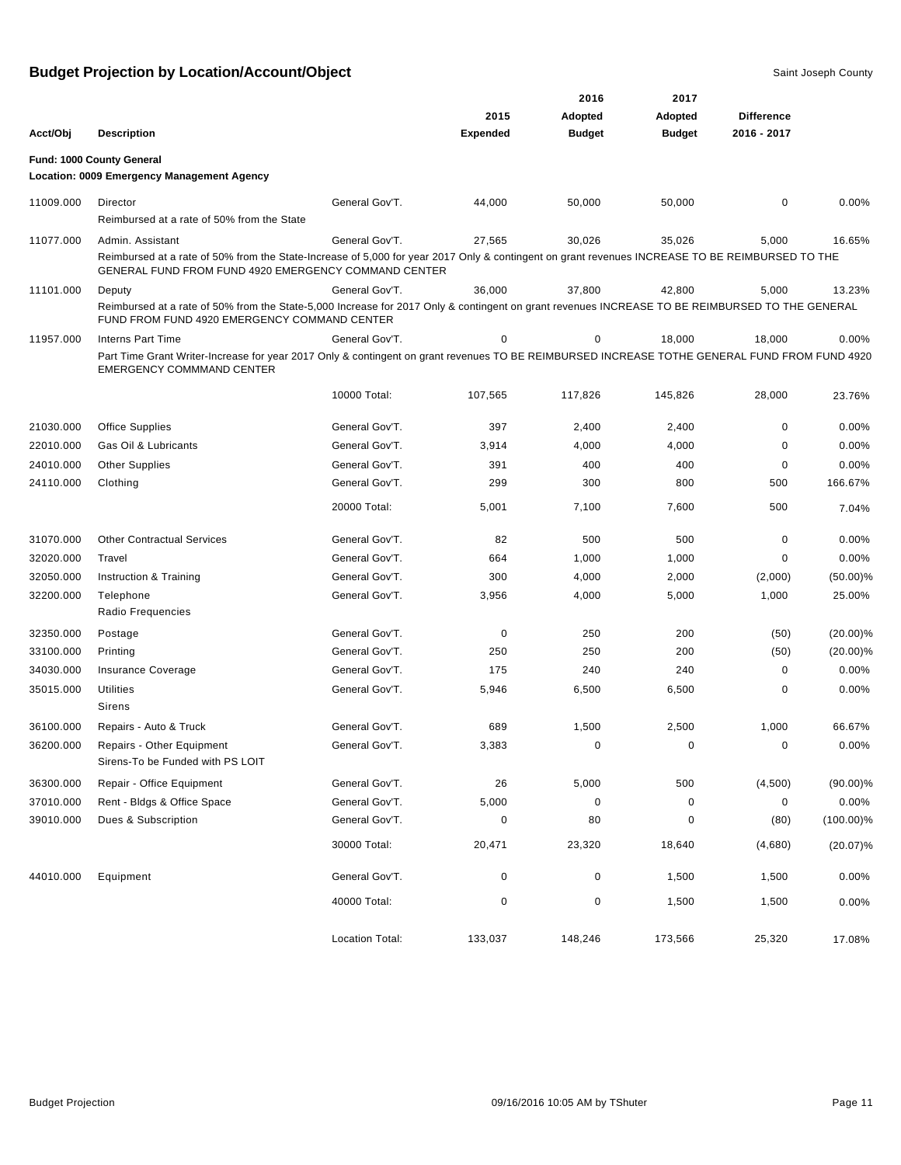|           |                                                                                                                                                                                                         |                        |                 | 2016           | 2017          |                   |              |
|-----------|---------------------------------------------------------------------------------------------------------------------------------------------------------------------------------------------------------|------------------------|-----------------|----------------|---------------|-------------------|--------------|
|           |                                                                                                                                                                                                         |                        | 2015            | <b>Adopted</b> | Adopted       | <b>Difference</b> |              |
| Acct/Obj  | <b>Description</b>                                                                                                                                                                                      |                        | <b>Expended</b> | <b>Budget</b>  | <b>Budget</b> | 2016 - 2017       |              |
|           | Fund: 1000 County General<br>Location: 0009 Emergency Management Agency                                                                                                                                 |                        |                 |                |               |                   |              |
| 11009.000 | Director                                                                                                                                                                                                | General Gov'T.         | 44,000          | 50,000         | 50,000        | 0                 | 0.00%        |
|           | Reimbursed at a rate of 50% from the State                                                                                                                                                              |                        |                 |                |               |                   |              |
| 11077.000 | Admin. Assistant                                                                                                                                                                                        | General Gov'T.         | 27,565          | 30.026         | 35,026        | 5,000             | 16.65%       |
|           | Reimbursed at a rate of 50% from the State-Increase of 5,000 for year 2017 Only & contingent on grant revenues INCREASE TO BE REIMBURSED TO THE<br>GENERAL FUND FROM FUND 4920 EMERGENCY COMMAND CENTER |                        |                 |                |               |                   |              |
| 11101.000 | Deputy                                                                                                                                                                                                  | General Gov'T.         | 36,000          | 37,800         | 42,800        | 5,000             | 13.23%       |
|           | Reimbursed at a rate of 50% from the State-5,000 Increase for 2017 Only & contingent on grant revenues INCREASE TO BE REIMBURSED TO THE GENERAL<br>FUND FROM FUND 4920 EMERGENCY COMMAND CENTER         |                        |                 |                |               |                   |              |
| 11957.000 | <b>Interns Part Time</b>                                                                                                                                                                                | General Gov'T.         | 0               | 0              | 18,000        | 18,000            | 0.00%        |
|           | Part Time Grant Writer-Increase for year 2017 Only & contingent on grant revenues TO BE REIMBURSED INCREASE TOTHE GENERAL FUND FROM FUND 4920<br><b>EMERGENCY COMMMAND CENTER</b>                       |                        |                 |                |               |                   |              |
|           |                                                                                                                                                                                                         | 10000 Total:           | 107,565         | 117,826        | 145,826       | 28,000            | 23.76%       |
| 21030.000 | <b>Office Supplies</b>                                                                                                                                                                                  | General Gov'T.         | 397             | 2,400          | 2,400         | $\mathbf 0$       | 0.00%        |
| 22010.000 | Gas Oil & Lubricants                                                                                                                                                                                    | General Gov'T.         | 3,914           | 4,000          | 4,000         | $\mathbf 0$       | 0.00%        |
| 24010.000 | <b>Other Supplies</b>                                                                                                                                                                                   | General Gov'T.         | 391             | 400            | 400           | 0                 | 0.00%        |
| 24110.000 | Clothing                                                                                                                                                                                                | General Gov'T.         | 299             | 300            | 800           | 500               | 166.67%      |
|           |                                                                                                                                                                                                         | 20000 Total:           | 5,001           | 7,100          | 7,600         | 500               | 7.04%        |
| 31070.000 | <b>Other Contractual Services</b>                                                                                                                                                                       | General Gov'T.         | 82              | 500            | 500           | 0                 | 0.00%        |
| 32020.000 | Travel                                                                                                                                                                                                  | General Gov'T.         | 664             | 1,000          | 1,000         | 0                 | 0.00%        |
| 32050.000 | Instruction & Training                                                                                                                                                                                  | General Gov'T.         | 300             | 4,000          | 2,000         | (2,000)           | $(50.00)\%$  |
| 32200.000 | Telephone                                                                                                                                                                                               | General Gov'T.         | 3,956           | 4,000          | 5,000         | 1,000             | 25.00%       |
|           | Radio Frequencies                                                                                                                                                                                       |                        |                 |                |               |                   |              |
| 32350.000 | Postage                                                                                                                                                                                                 | General Gov'T.         | 0               | 250            | 200           | (50)              | $(20.00)\%$  |
| 33100.000 | Printing                                                                                                                                                                                                | General Gov'T.         | 250             | 250            | 200           | (50)              | $(20.00)\%$  |
| 34030.000 | Insurance Coverage                                                                                                                                                                                      | General Gov'T.         | 175             | 240            | 240           | 0                 | 0.00%        |
| 35015.000 | <b>Utilities</b><br><b>Sirens</b>                                                                                                                                                                       | General Gov'T.         | 5,946           | 6,500          | 6,500         | $\mathbf 0$       | 0.00%        |
| 36100.000 | Repairs - Auto & Truck                                                                                                                                                                                  | General Gov'T.         | 689             | 1,500          | 2,500         | 1,000             | 66.67%       |
| 36200.000 | Repairs - Other Equipment<br>Sirens-To be Funded with PS LOIT                                                                                                                                           | General Gov'T.         | 3,383           | 0              | 0             | 0                 | 0.00%        |
| 36300.000 | Repair - Office Equipment                                                                                                                                                                               | General Gov'T.         | 26              | 5,000          | 500           | (4,500)           | $(90.00)\%$  |
| 37010.000 | Rent - Bldgs & Office Space                                                                                                                                                                             | General Gov'T.         | 5,000           | 0              | $\pmb{0}$     | 0                 | 0.00%        |
| 39010.000 | Dues & Subscription                                                                                                                                                                                     | General Gov'T.         | $\pmb{0}$       | 80             | 0             | (80)              | $(100.00)\%$ |
|           |                                                                                                                                                                                                         | 30000 Total:           | 20,471          | 23,320         | 18,640        | (4,680)           | $(20.07)\%$  |
| 44010.000 | Equipment                                                                                                                                                                                               | General Gov'T.         | $\mathbf 0$     | $\pmb{0}$      | 1,500         | 1,500             | 0.00%        |
|           |                                                                                                                                                                                                         | 40000 Total:           | $\pmb{0}$       | $\pmb{0}$      | 1,500         | 1,500             | 0.00%        |
|           |                                                                                                                                                                                                         | <b>Location Total:</b> | 133,037         | 148,246        | 173,566       | 25,320            | 17.08%       |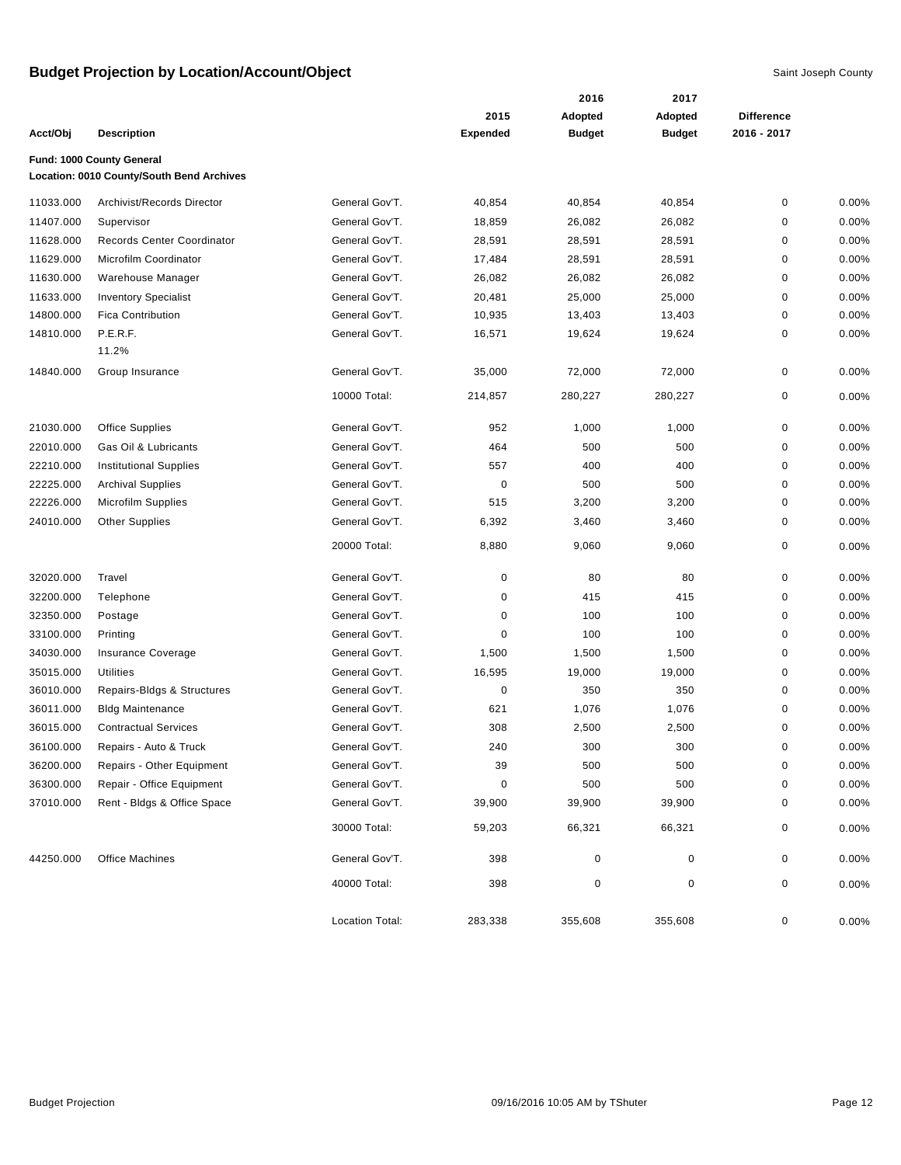|           |                                           |                 |                 | 2016          | 2017          |                   |          |
|-----------|-------------------------------------------|-----------------|-----------------|---------------|---------------|-------------------|----------|
|           |                                           |                 | 2015            | Adopted       | Adopted       | <b>Difference</b> |          |
| Acct/Obj  | <b>Description</b>                        |                 | <b>Expended</b> | <b>Budget</b> | <b>Budget</b> | 2016 - 2017       |          |
|           | Fund: 1000 County General                 |                 |                 |               |               |                   |          |
|           | Location: 0010 County/South Bend Archives |                 |                 |               |               |                   |          |
| 11033.000 | Archivist/Records Director                | General Gov'T.  | 40,854          | 40,854        | 40,854        | $\pmb{0}$         | 0.00%    |
| 11407.000 | Supervisor                                | General Gov'T.  | 18,859          | 26,082        | 26,082        | $\mathbf 0$       | 0.00%    |
| 11628.000 | Records Center Coordinator                | General Gov'T.  | 28,591          | 28,591        | 28,591        | 0                 | 0.00%    |
| 11629.000 | Microfilm Coordinator                     | General Gov'T.  | 17,484          | 28,591        | 28,591        | 0                 | 0.00%    |
| 11630.000 | Warehouse Manager                         | General Gov'T.  | 26,082          | 26,082        | 26,082        | $\pmb{0}$         | 0.00%    |
| 11633.000 | <b>Inventory Specialist</b>               | General Gov'T.  | 20,481          | 25,000        | 25,000        | $\mathbf 0$       | 0.00%    |
| 14800.000 | <b>Fica Contribution</b>                  | General Gov'T.  | 10,935          | 13,403        | 13,403        | $\mathbf 0$       | 0.00%    |
| 14810.000 | P.E.R.F.                                  | General Gov'T.  | 16,571          | 19,624        | 19,624        | 0                 | 0.00%    |
|           | 11.2%                                     |                 |                 |               |               |                   |          |
| 14840.000 | Group Insurance                           | General Gov'T.  | 35,000          | 72,000        | 72,000        | $\pmb{0}$         | 0.00%    |
|           |                                           | 10000 Total:    | 214,857         | 280,227       | 280,227       | 0                 | 0.00%    |
| 21030.000 | <b>Office Supplies</b>                    | General Gov'T.  | 952             | 1,000         | 1,000         | $\pmb{0}$         | 0.00%    |
| 22010.000 | Gas Oil & Lubricants                      | General Gov'T.  | 464             | 500           | 500           | $\pmb{0}$         | 0.00%    |
| 22210.000 | <b>Institutional Supplies</b>             | General Gov'T.  | 557             | 400           | 400           | $\mathbf 0$       | 0.00%    |
| 22225.000 | <b>Archival Supplies</b>                  | General Gov'T.  | 0               | 500           | 500           | $\pmb{0}$         | 0.00%    |
| 22226.000 | <b>Microfilm Supplies</b>                 | General Gov'T.  | 515             | 3,200         | 3,200         | $\mathbf 0$       | 0.00%    |
| 24010.000 | <b>Other Supplies</b>                     | General Gov'T.  | 6,392           | 3,460         | 3,460         | $\mathbf 0$       | 0.00%    |
|           |                                           | 20000 Total:    | 8,880           | 9,060         | 9,060         | $\pmb{0}$         | 0.00%    |
| 32020.000 | Travel                                    | General Gov'T.  | 0               | 80            | 80            | $\pmb{0}$         | 0.00%    |
| 32200.000 | Telephone                                 | General Gov'T.  | 0               | 415           | 415           | $\pmb{0}$         | 0.00%    |
| 32350.000 | Postage                                   | General Gov'T.  | 0               | 100           | 100           | $\mathbf 0$       | 0.00%    |
| 33100.000 | Printing                                  | General Gov'T.  | 0               | 100           | 100           | 0                 | 0.00%    |
| 34030.000 | Insurance Coverage                        | General Gov'T.  | 1,500           | 1,500         | 1,500         | $\mathbf 0$       | 0.00%    |
| 35015.000 | <b>Utilities</b>                          | General Gov'T.  | 16,595          | 19,000        | 19,000        | $\mathbf 0$       | 0.00%    |
| 36010.000 | Repairs-Bldgs & Structures                | General Gov'T.  | 0               | 350           | 350           | 0                 | 0.00%    |
| 36011.000 | <b>Bldg Maintenance</b>                   | General Gov'T.  | 621             | 1,076         | 1,076         | 0                 | 0.00%    |
| 36015.000 | <b>Contractual Services</b>               | General Gov'T.  | 308             | 2,500         | 2,500         | $\mathbf 0$       | 0.00%    |
| 36100.000 | Repairs - Auto & Truck                    | General Gov'T.  | 240             | 300           | 300           | $\mathbf 0$       | 0.00%    |
| 36200.000 | Repairs - Other Equipment                 | General Gov'T.  | 39              | 500           | 500           | 0                 | 0.00%    |
| 36300.000 | Repair - Office Equipment                 | General Gov'T.  | 0               | 500           | 500           | 0                 | 0.00%    |
| 37010.000 | Rent - Bldgs & Office Space               | General Gov'T.  | 39,900          | 39,900        | 39,900        | 0                 | 0.00%    |
|           |                                           | 30000 Total:    | 59,203          | 66,321        | 66,321        | 0                 | $0.00\%$ |
| 44250.000 | <b>Office Machines</b>                    | General Gov'T.  | 398             | 0             | 0             | 0                 | $0.00\%$ |
|           |                                           | 40000 Total:    | 398             | $\pmb{0}$     | 0             | $\pmb{0}$         | $0.00\%$ |
|           |                                           | Location Total: | 283,338         | 355,608       | 355,608       | 0                 | 0.00%    |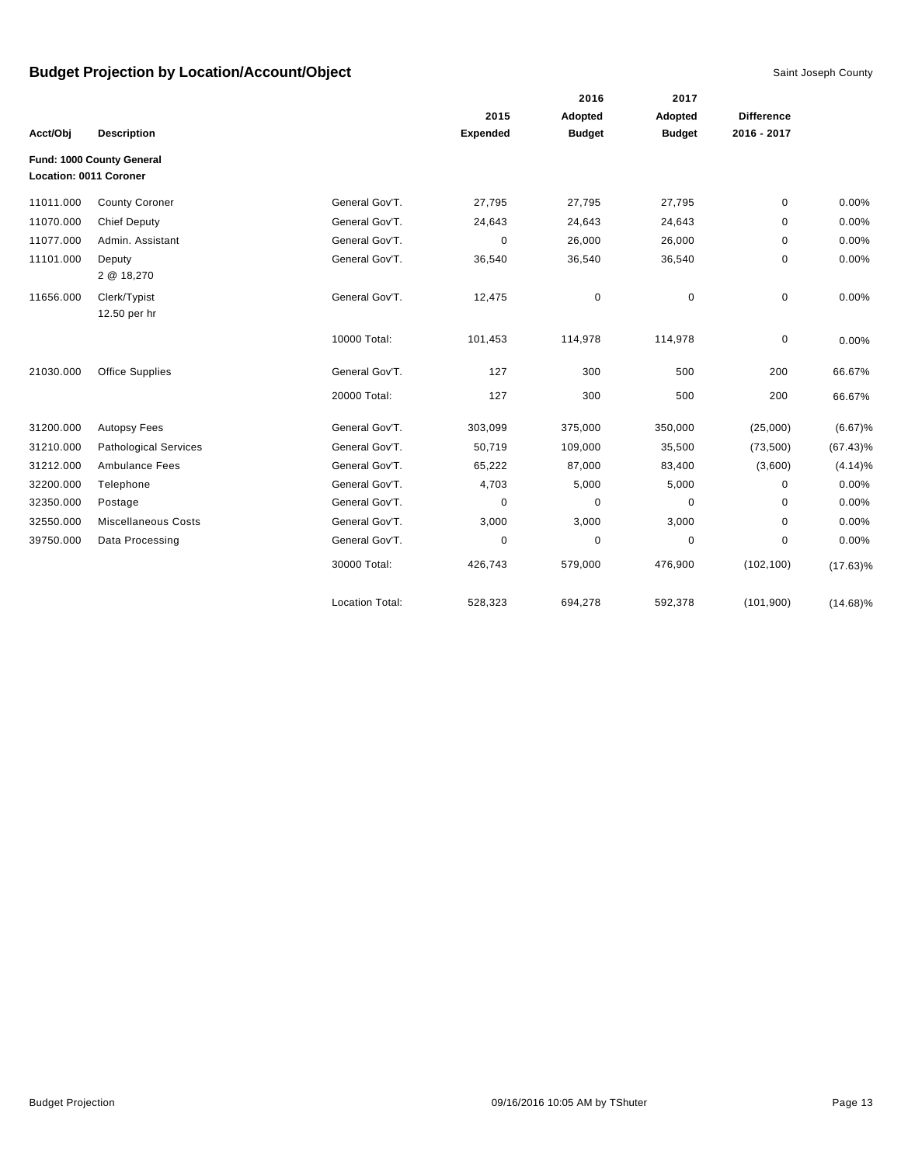|           |                                                     |                        |                 | 2016          | 2017          |                   |             |
|-----------|-----------------------------------------------------|------------------------|-----------------|---------------|---------------|-------------------|-------------|
|           |                                                     |                        | 2015            | Adopted       | Adopted       | <b>Difference</b> |             |
| Acct/Obi  | <b>Description</b>                                  |                        | <b>Expended</b> | <b>Budget</b> | <b>Budget</b> | 2016 - 2017       |             |
|           | Fund: 1000 County General<br>Location: 0011 Coroner |                        |                 |               |               |                   |             |
| 11011.000 | <b>County Coroner</b>                               | General Gov'T.         | 27,795          | 27,795        | 27,795        | 0                 | 0.00%       |
| 11070.000 | <b>Chief Deputy</b>                                 | General Gov'T.         | 24,643          | 24,643        | 24,643        | 0                 | 0.00%       |
| 11077.000 | Admin. Assistant                                    | General Gov'T.         | $\Omega$        | 26,000        | 26,000        | 0                 | 0.00%       |
| 11101.000 | Deputy<br>2 @ 18,270                                | General Gov'T.         | 36,540          | 36,540        | 36,540        | 0                 | 0.00%       |
| 11656.000 | Clerk/Typist<br>12.50 per hr                        | General Gov'T.         | 12,475          | $\pmb{0}$     | $\mathbf 0$   | 0                 | 0.00%       |
|           |                                                     | 10000 Total:           | 101,453         | 114,978       | 114,978       | 0                 | 0.00%       |
| 21030.000 | <b>Office Supplies</b>                              | General Gov'T.         | 127             | 300           | 500           | 200               | 66.67%      |
|           |                                                     | 20000 Total:           | 127             | 300           | 500           | 200               | 66.67%      |
| 31200.000 | <b>Autopsy Fees</b>                                 | General Gov'T.         | 303,099         | 375,000       | 350,000       | (25,000)          | (6.67)%     |
| 31210.000 | <b>Pathological Services</b>                        | General Gov'T.         | 50,719          | 109,000       | 35,500        | (73, 500)         | $(67.43)\%$ |
| 31212.000 | Ambulance Fees                                      | General Gov'T.         | 65,222          | 87,000        | 83,400        | (3,600)           | (4.14)%     |
| 32200.000 | Telephone                                           | General Gov'T.         | 4,703           | 5,000         | 5,000         | $\Omega$          | 0.00%       |
| 32350.000 | Postage                                             | General Gov'T.         | 0               | $\mathbf 0$   | 0             | 0                 | 0.00%       |
| 32550.000 | <b>Miscellaneous Costs</b>                          | General Gov'T.         | 3,000           | 3,000         | 3,000         | 0                 | 0.00%       |
| 39750.000 | Data Processing                                     | General Gov'T.         | 0               | $\mathbf 0$   | 0             | 0                 | 0.00%       |
|           |                                                     | 30000 Total:           | 426,743         | 579,000       | 476,900       | (102, 100)        | $(17.63)\%$ |
|           |                                                     | <b>Location Total:</b> | 528,323         | 694,278       | 592,378       | (101, 900)        | $(14.68)\%$ |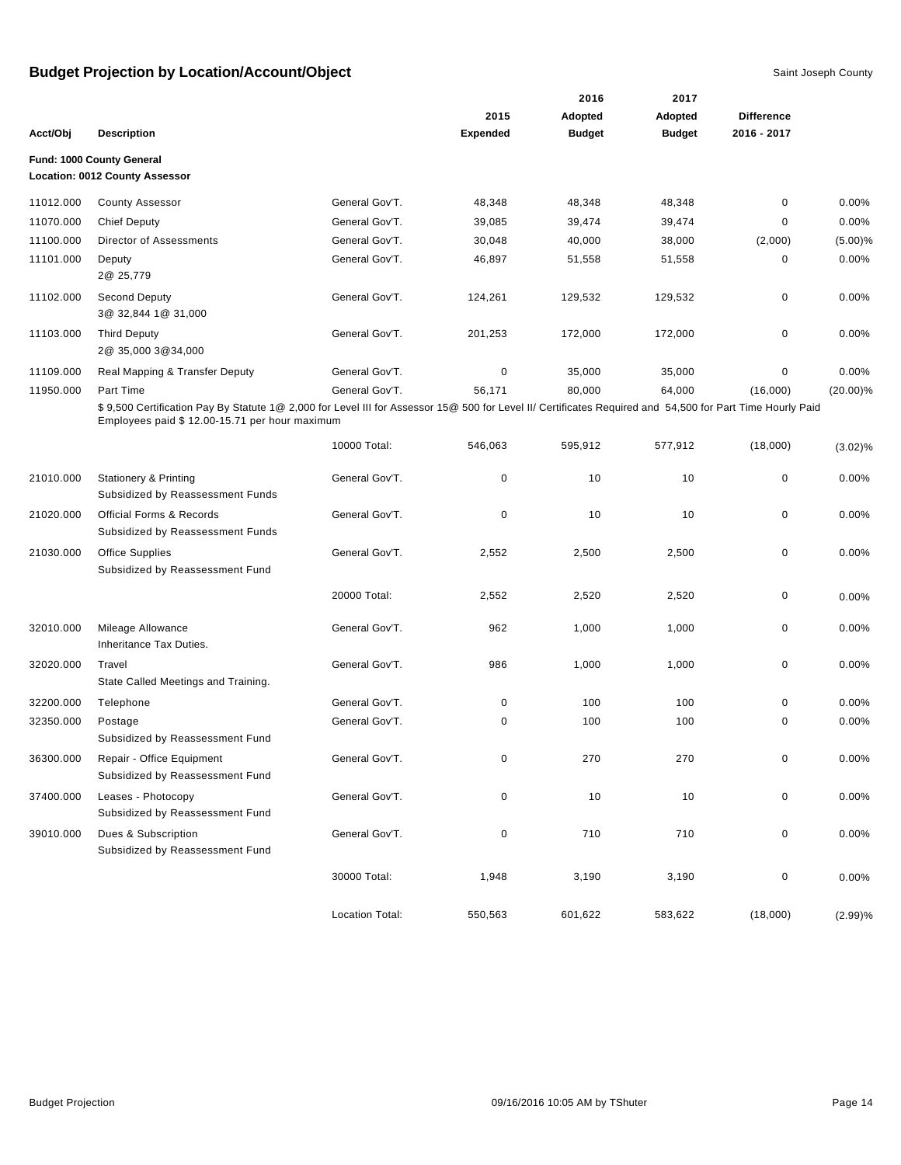|           |                                                                                                                                                                                                             |                 | 2015            | 2016<br>Adopted | 2017<br>Adopted | <b>Difference</b> |             |
|-----------|-------------------------------------------------------------------------------------------------------------------------------------------------------------------------------------------------------------|-----------------|-----------------|-----------------|-----------------|-------------------|-------------|
| Acct/Obj  | <b>Description</b>                                                                                                                                                                                          |                 | <b>Expended</b> | <b>Budget</b>   | <b>Budget</b>   | 2016 - 2017       |             |
|           | Fund: 1000 County General<br><b>Location: 0012 County Assessor</b>                                                                                                                                          |                 |                 |                 |                 |                   |             |
| 11012.000 | <b>County Assessor</b>                                                                                                                                                                                      | General Gov'T.  | 48,348          | 48,348          | 48,348          | $\mathbf 0$       | 0.00%       |
| 11070.000 | <b>Chief Deputy</b>                                                                                                                                                                                         | General Gov'T.  | 39,085          | 39,474          | 39,474          | 0                 | 0.00%       |
| 11100.000 | Director of Assessments                                                                                                                                                                                     | General Gov'T.  | 30,048          | 40,000          | 38,000          | (2,000)           | (5.00)%     |
| 11101.000 | Deputy<br>2@ 25,779                                                                                                                                                                                         | General Gov'T.  | 46,897          | 51,558          | 51,558          | $\mathbf 0$       | 0.00%       |
| 11102.000 | <b>Second Deputy</b><br>3@ 32,844 1@ 31,000                                                                                                                                                                 | General Gov'T.  | 124,261         | 129,532         | 129,532         | 0                 | 0.00%       |
| 11103.000 | <b>Third Deputy</b><br>2@ 35,000 3@34,000                                                                                                                                                                   | General Gov'T.  | 201,253         | 172,000         | 172,000         | 0                 | 0.00%       |
| 11109.000 | Real Mapping & Transfer Deputy                                                                                                                                                                              | General Gov'T.  | $\pmb{0}$       | 35,000          | 35,000          | 0                 | 0.00%       |
| 11950.000 | Part Time                                                                                                                                                                                                   | General Gov'T.  | 56,171          | 80,000          | 64,000          | (16,000)          | $(20.00)\%$ |
|           | \$9,500 Certification Pay By Statute 1@ 2,000 for Level III for Assessor 15@ 500 for Level II/ Certificates Required and 54,500 for Part Time Hourly Paid<br>Employees paid \$ 12.00-15.71 per hour maximum |                 |                 |                 |                 |                   |             |
|           |                                                                                                                                                                                                             | 10000 Total:    | 546,063         | 595,912         | 577,912         | (18,000)          | $(3.02)\%$  |
| 21010.000 | <b>Stationery &amp; Printing</b><br>Subsidized by Reassessment Funds                                                                                                                                        | General Gov'T.  | 0               | 10              | 10              | 0                 | 0.00%       |
| 21020.000 | <b>Official Forms &amp; Records</b><br>Subsidized by Reassessment Funds                                                                                                                                     | General Gov'T.  | $\mathbf 0$     | 10              | 10              | 0                 | 0.00%       |
| 21030.000 | <b>Office Supplies</b><br>Subsidized by Reassessment Fund                                                                                                                                                   | General Gov'T.  | 2,552           | 2,500           | 2,500           | $\mathbf 0$       | 0.00%       |
|           |                                                                                                                                                                                                             | 20000 Total:    | 2,552           | 2,520           | 2,520           | 0                 | 0.00%       |
| 32010.000 | Mileage Allowance<br>Inheritance Tax Duties.                                                                                                                                                                | General Gov'T.  | 962             | 1,000           | 1,000           | 0                 | 0.00%       |
| 32020.000 | Travel<br>State Called Meetings and Training.                                                                                                                                                               | General Gov'T.  | 986             | 1,000           | 1,000           | $\mathbf 0$       | 0.00%       |
| 32200.000 | Telephone                                                                                                                                                                                                   | General Gov'T.  | 0               | 100             | 100             | 0                 | 0.00%       |
| 32350.000 | Postage<br>Subsidized by Reassessment Fund                                                                                                                                                                  | General Gov'T.  | 0               | 100             | 100             | 0                 | 0.00%       |
| 36300.000 | Repair - Office Equipment<br>Subsidized by Reassessment Fund                                                                                                                                                | General Gov'T.  | $\pmb{0}$       | 270             | 270             | 0                 | 0.00%       |
| 37400.000 | Leases - Photocopy<br>Subsidized by Reassessment Fund                                                                                                                                                       | General Gov'T.  | 0               | 10              | 10              | 0                 | 0.00%       |
| 39010.000 | Dues & Subscription<br>Subsidized by Reassessment Fund                                                                                                                                                      | General Gov'T.  | $\pmb{0}$       | 710             | 710             | 0                 | 0.00%       |
|           |                                                                                                                                                                                                             | 30000 Total:    | 1,948           | 3,190           | 3,190           | 0                 | 0.00%       |
|           |                                                                                                                                                                                                             | Location Total: | 550,563         | 601,622         | 583,622         | (18,000)          | (2.99)%     |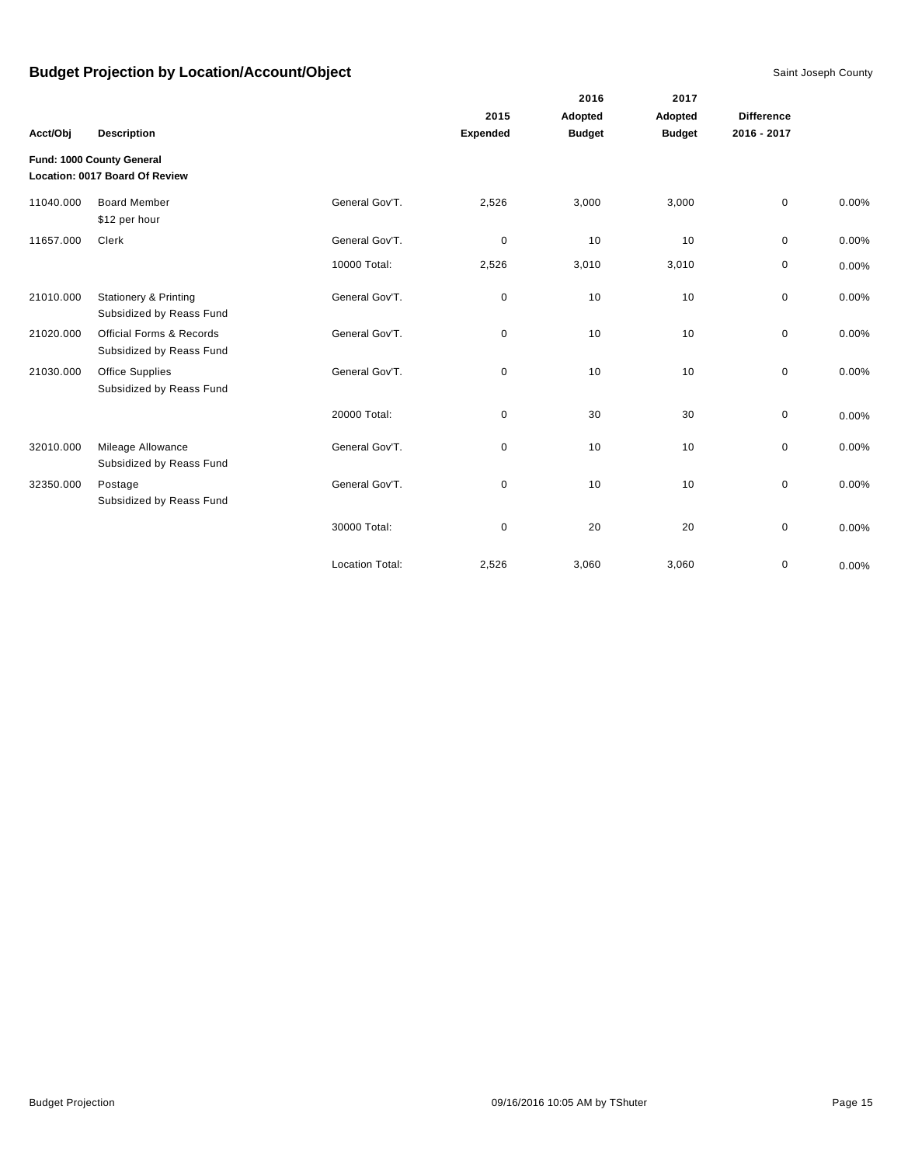|           |                                                                 |                        | 2015            | 2016<br>Adopted | 2017<br>Adopted | <b>Difference</b> |       |
|-----------|-----------------------------------------------------------------|------------------------|-----------------|-----------------|-----------------|-------------------|-------|
| Acct/Obj  | <b>Description</b>                                              |                        | <b>Expended</b> | <b>Budget</b>   | <b>Budget</b>   | 2016 - 2017       |       |
|           | Fund: 1000 County General<br>Location: 0017 Board Of Review     |                        |                 |                 |                 |                   |       |
| 11040.000 | <b>Board Member</b><br>\$12 per hour                            | General Gov'T.         | 2,526           | 3,000           | 3,000           | $\mathbf 0$       | 0.00% |
| 11657.000 | Clerk                                                           | General Gov'T.         | $\mathbf 0$     | 10              | 10              | $\mathbf 0$       | 0.00% |
|           |                                                                 | 10000 Total:           | 2,526           | 3,010           | 3,010           | 0                 | 0.00% |
| 21010.000 | <b>Stationery &amp; Printing</b><br>Subsidized by Reass Fund    | General Gov'T.         | 0               | 10              | 10              | 0                 | 0.00% |
| 21020.000 | <b>Official Forms &amp; Records</b><br>Subsidized by Reass Fund | General Gov'T.         | 0               | 10              | 10              | 0                 | 0.00% |
| 21030.000 | Office Supplies<br>Subsidized by Reass Fund                     | General Gov'T.         | 0               | 10              | 10              | 0                 | 0.00% |
|           |                                                                 | 20000 Total:           | 0               | 30              | 30              | $\mathbf 0$       | 0.00% |
| 32010.000 | Mileage Allowance<br>Subsidized by Reass Fund                   | General Gov'T.         | 0               | 10              | 10              | 0                 | 0.00% |
| 32350.000 | Postage<br>Subsidized by Reass Fund                             | General Gov'T.         | 0               | 10              | 10              | 0                 | 0.00% |
|           |                                                                 | 30000 Total:           | 0               | 20              | 20              | $\mathbf 0$       | 0.00% |
|           |                                                                 | <b>Location Total:</b> | 2,526           | 3,060           | 3,060           | 0                 | 0.00% |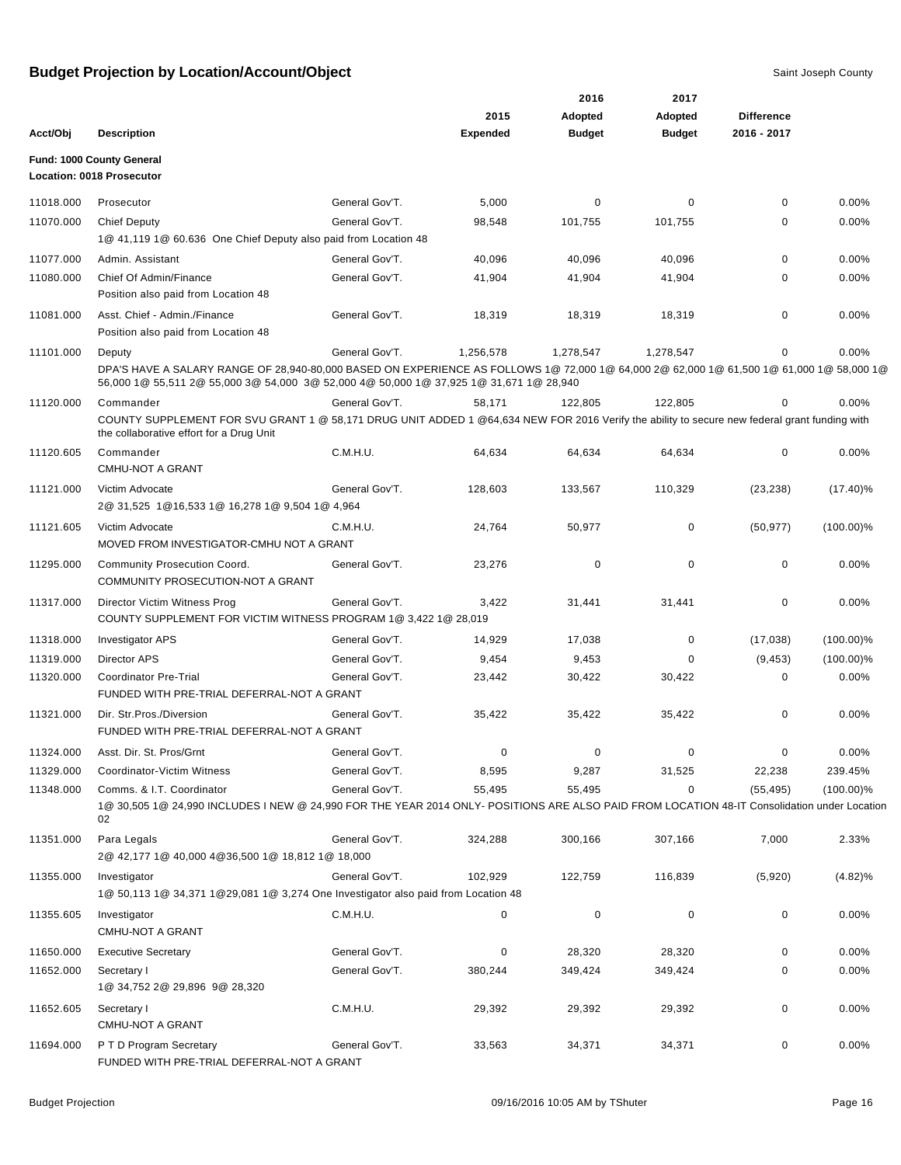|           |                                                                                                                                                                                                                                    |                |                 | 2016          | 2017          |                   |              |
|-----------|------------------------------------------------------------------------------------------------------------------------------------------------------------------------------------------------------------------------------------|----------------|-----------------|---------------|---------------|-------------------|--------------|
|           |                                                                                                                                                                                                                                    |                | 2015            | Adopted       | Adopted       | <b>Difference</b> |              |
| Acct/Obj  | <b>Description</b>                                                                                                                                                                                                                 |                | <b>Expended</b> | <b>Budget</b> | <b>Budget</b> | 2016 - 2017       |              |
|           | <b>Fund: 1000 County General</b><br>Location: 0018 Prosecutor                                                                                                                                                                      |                |                 |               |               |                   |              |
| 11018.000 | Prosecutor                                                                                                                                                                                                                         | General Gov'T. | 5,000           | 0             | 0             | 0                 | 0.00%        |
| 11070.000 | <b>Chief Deputy</b><br>1@ 41,119 1@ 60.636 One Chief Deputy also paid from Location 48                                                                                                                                             | General Gov'T. | 98,548          | 101,755       | 101,755       | 0                 | 0.00%        |
| 11077.000 | Admin, Assistant                                                                                                                                                                                                                   | General Gov'T. | 40,096          | 40,096        | 40,096        | $\mathbf 0$       | 0.00%        |
| 11080.000 | Chief Of Admin/Finance<br>Position also paid from Location 48                                                                                                                                                                      | General Gov'T. | 41,904          | 41,904        | 41,904        | 0                 | 0.00%        |
| 11081.000 | Asst. Chief - Admin./Finance<br>Position also paid from Location 48                                                                                                                                                                | General Gov'T. | 18,319          | 18,319        | 18,319        | 0                 | 0.00%        |
| 11101.000 | Deputy                                                                                                                                                                                                                             | General Gov'T. | 1,256,578       | 1,278,547     | 1,278,547     | 0                 | 0.00%        |
|           | DPA'S HAVE A SALARY RANGE OF 28,940-80,000 BASED ON EXPERIENCE AS FOLLOWS 1@ 72,000 1@ 64,000 2@ 62,000 1@ 61,500 1@ 61,000 1@ 58,000 1@<br>56,000 1@ 55,511 2@ 55,000 3@ 54,000 3@ 52,000 4@ 50,000 1@ 37,925 1@ 31,671 1@ 28,940 |                |                 |               |               |                   |              |
| 11120.000 | Commander                                                                                                                                                                                                                          | General Gov'T. | 58,171          | 122,805       | 122,805       | 0                 | 0.00%        |
|           | COUNTY SUPPLEMENT FOR SVU GRANT 1 @ 58,171 DRUG UNIT ADDED 1 @64,634 NEW FOR 2016 Verify the ability to secure new federal grant funding with<br>the collaborative effort for a Drug Unit                                          |                |                 |               |               |                   |              |
| 11120.605 | Commander<br><b>CMHU-NOT A GRANT</b>                                                                                                                                                                                               | C.M.H.U.       | 64,634          | 64,634        | 64,634        | 0                 | 0.00%        |
| 11121.000 | Victim Advocate<br>2@ 31,525 1@16,533 1@ 16,278 1@ 9,504 1@ 4,964                                                                                                                                                                  | General Gov'T. | 128,603         | 133,567       | 110,329       | (23, 238)         | $(17.40)\%$  |
| 11121.605 | Victim Advocate<br>MOVED FROM INVESTIGATOR-CMHU NOT A GRANT                                                                                                                                                                        | C.M.H.U.       | 24,764          | 50,977        | 0             | (50, 977)         | $(100.00)\%$ |
| 11295.000 | Community Prosecution Coord.<br>COMMUNITY PROSECUTION-NOT A GRANT                                                                                                                                                                  | General Gov'T. | 23,276          | $\mathbf 0$   | 0             | 0                 | 0.00%        |
| 11317.000 | Director Victim Witness Prog<br>COUNTY SUPPLEMENT FOR VICTIM WITNESS PROGRAM 1@ 3,422 1@ 28,019                                                                                                                                    | General Gov'T. | 3,422           | 31,441        | 31,441        | 0                 | 0.00%        |
| 11318.000 | Investigator APS                                                                                                                                                                                                                   | General Gov'T. | 14,929          | 17,038        | 0             | (17,038)          | $(100.00)\%$ |
| 11319.000 | <b>Director APS</b>                                                                                                                                                                                                                | General Gov'T. | 9,454           | 9,453         | 0             | (9, 453)          | $(100.00)\%$ |
| 11320.000 | Coordinator Pre-Trial<br>FUNDED WITH PRE-TRIAL DEFERRAL-NOT A GRANT                                                                                                                                                                | General Gov'T. | 23,442          | 30,422        | 30,422        | 0                 | 0.00%        |
| 11321.000 | Dir. Str. Pros./Diversion<br>FUNDED WITH PRE-TRIAL DEFERRAL-NOT A GRANT                                                                                                                                                            | General Gov'T. | 35,422          | 35,422        | 35,422        | 0                 | 0.00%        |
| 11324.000 | Asst. Dir. St. Pros/Grnt                                                                                                                                                                                                           | General Gov'T. |                 |               | 0             |                   | 0.00%        |
| 11329.000 | Coordinator-Victim Witness                                                                                                                                                                                                         | General Gov'T. | 8,595           | 9,287         | 31,525        | 22,238            | 239.45%      |
| 11348.000 | Comms. & I.T. Coordinator                                                                                                                                                                                                          | General Gov'T. | 55,495          | 55,495        | 0             | (55, 495)         | $(100.00)\%$ |
|           | 1@ 30,505 1@ 24,990 INCLUDES I NEW @ 24,990 FOR THE YEAR 2014 ONLY- POSITIONS ARE ALSO PAID FROM LOCATION 48-IT Consolidation under Location<br>02                                                                                 |                |                 |               |               |                   |              |
| 11351.000 | Para Legals<br>2@ 42,177 1@ 40,000 4@36,500 1@ 18,812 1@ 18,000                                                                                                                                                                    | General Gov'T. | 324,288         | 300,166       | 307,166       | 7,000             | 2.33%        |
| 11355.000 | Investigator<br>1@ 50,113 1@ 34,371 1@29,081 1@ 3,274 One Investigator also paid from Location 48                                                                                                                                  | General Gov'T. | 102,929         | 122,759       | 116,839       | (5,920)           | $(4.82)\%$   |
| 11355.605 | Investigator<br><b>CMHU-NOT A GRANT</b>                                                                                                                                                                                            | C.M.H.U.       | 0               | $\pmb{0}$     | 0             | 0                 | 0.00%        |
| 11650.000 | <b>Executive Secretary</b>                                                                                                                                                                                                         | General Gov'T. | $\pmb{0}$       | 28,320        | 28,320        | 0                 | 0.00%        |
| 11652.000 | Secretary I<br>1@ 34,752 2@ 29,896 9@ 28,320                                                                                                                                                                                       | General Gov'T. | 380,244         | 349,424       | 349,424       | 0                 | 0.00%        |
| 11652.605 | Secretary I<br><b>CMHU-NOT A GRANT</b>                                                                                                                                                                                             | C.M.H.U.       | 29,392          | 29,392        | 29,392        | 0                 | 0.00%        |
| 11694.000 | P T D Program Secretary<br>FUNDED WITH PRE-TRIAL DEFERRAL-NOT A GRANT                                                                                                                                                              | General Gov'T. | 33,563          | 34,371        | 34,371        | 0                 | 0.00%        |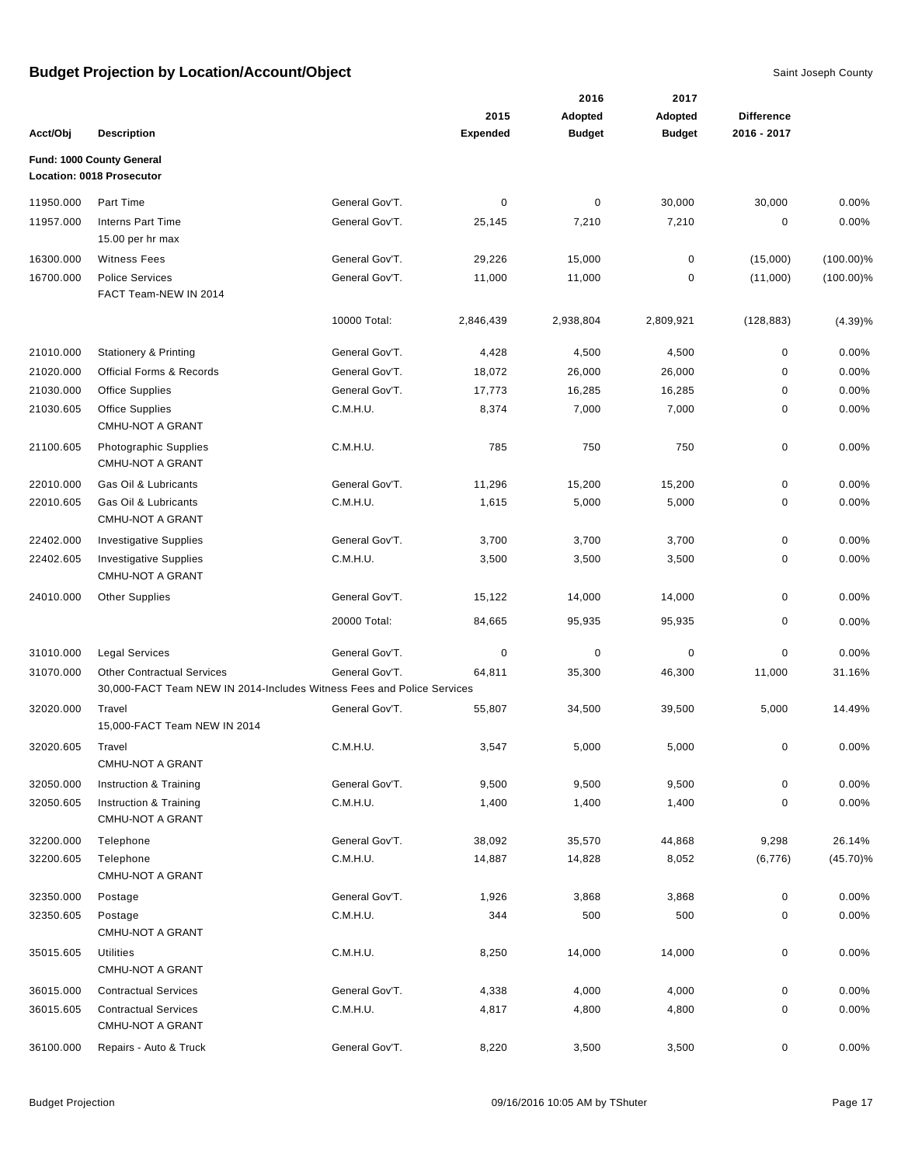|           |                                                                                                             |                |                 | 2016          | 2017          |                   |              |
|-----------|-------------------------------------------------------------------------------------------------------------|----------------|-----------------|---------------|---------------|-------------------|--------------|
|           |                                                                                                             |                | 2015            | Adopted       | Adopted       | <b>Difference</b> |              |
| Acct/Obj  | <b>Description</b>                                                                                          |                | <b>Expended</b> | <b>Budget</b> | <b>Budget</b> | 2016 - 2017       |              |
|           | Fund: 1000 County General                                                                                   |                |                 |               |               |                   |              |
|           | Location: 0018 Prosecutor                                                                                   |                |                 |               |               |                   |              |
| 11950.000 | Part Time                                                                                                   | General Gov'T. | 0               | 0             | 30,000        | 30,000            | 0.00%        |
| 11957.000 | <b>Interns Part Time</b><br>15.00 per hr max                                                                | General Gov'T. | 25,145          | 7,210         | 7,210         | 0                 | 0.00%        |
| 16300.000 | <b>Witness Fees</b>                                                                                         | General Gov'T. | 29,226          | 15,000        | $\mathbf 0$   | (15,000)          | $(100.00)\%$ |
| 16700.000 | <b>Police Services</b><br>FACT Team-NEW IN 2014                                                             | General Gov'T. | 11,000          | 11,000        | 0             | (11,000)          | $(100.00)\%$ |
|           |                                                                                                             | 10000 Total:   | 2,846,439       | 2,938,804     | 2,809,921     | (128, 883)        | (4.39)%      |
| 21010.000 | <b>Stationery &amp; Printing</b>                                                                            | General Gov'T. | 4,428           | 4,500         | 4,500         | 0                 | 0.00%        |
| 21020.000 | <b>Official Forms &amp; Records</b>                                                                         | General Gov'T. | 18,072          | 26,000        | 26,000        | $\mathbf 0$       | 0.00%        |
| 21030.000 | <b>Office Supplies</b>                                                                                      | General Gov'T. | 17,773          | 16,285        | 16,285        | 0                 | 0.00%        |
| 21030.605 | <b>Office Supplies</b>                                                                                      | C.M.H.U.       | 8,374           | 7,000         | 7,000         | 0                 | 0.00%        |
|           | <b>CMHU-NOT A GRANT</b>                                                                                     |                |                 |               |               |                   |              |
| 21100.605 | Photographic Supplies<br>CMHU-NOT A GRANT                                                                   | C.M.H.U.       | 785             | 750           | 750           | 0                 | 0.00%        |
| 22010.000 | Gas Oil & Lubricants                                                                                        | General Gov'T. | 11,296          | 15,200        | 15,200        | 0                 | 0.00%        |
| 22010.605 | Gas Oil & Lubricants<br><b>CMHU-NOT A GRANT</b>                                                             | C.M.H.U.       | 1,615           | 5,000         | 5,000         | 0                 | 0.00%        |
| 22402.000 | <b>Investigative Supplies</b>                                                                               | General Gov'T. | 3,700           | 3,700         | 3,700         | 0                 | 0.00%        |
| 22402.605 | <b>Investigative Supplies</b><br><b>CMHU-NOT A GRANT</b>                                                    | C.M.H.U.       | 3,500           | 3,500         | 3,500         | 0                 | 0.00%        |
| 24010.000 | <b>Other Supplies</b>                                                                                       | General Gov'T. | 15,122          | 14,000        | 14,000        | 0                 | 0.00%        |
|           |                                                                                                             | 20000 Total:   | 84,665          | 95,935        | 95,935        | 0                 | 0.00%        |
| 31010.000 | <b>Legal Services</b>                                                                                       | General Gov'T. | 0               | 0             | $\mathbf 0$   | 0                 | 0.00%        |
| 31070.000 | <b>Other Contractual Services</b><br>30,000-FACT Team NEW IN 2014-Includes Witness Fees and Police Services | General Gov'T. | 64,811          | 35,300        | 46,300        | 11,000            | 31.16%       |
| 32020.000 | Travel                                                                                                      | General Gov'T. | 55,807          | 34,500        | 39,500        | 5,000             | 14.49%       |
|           | 15,000-FACT Team NEW IN 2014                                                                                |                |                 |               |               |                   |              |
| 32020.605 | Travel<br>CMHU-NOT A GRANT                                                                                  | C.M.H.U.       | 3,547           | 5,000         | 5,000         | 0                 | 0.00%        |
| 32050.000 | Instruction & Training                                                                                      | General Gov'T. | 9,500           | 9,500         | 9,500         | 0                 | 0.00%        |
| 32050.605 | Instruction & Training<br>CMHU-NOT A GRANT                                                                  | C.M.H.U.       | 1,400           | 1,400         | 1,400         | 0                 | 0.00%        |
| 32200.000 | Telephone                                                                                                   | General Gov'T. | 38,092          | 35,570        | 44,868        | 9,298             | 26.14%       |
| 32200.605 | Telephone<br><b>CMHU-NOT A GRANT</b>                                                                        | C.M.H.U.       | 14,887          | 14,828        | 8,052         | (6, 776)          | $(45.70)\%$  |
| 32350.000 | Postage                                                                                                     | General Gov'T. | 1,926           | 3,868         | 3,868         | 0                 | 0.00%        |
| 32350.605 | Postage<br><b>CMHU-NOT A GRANT</b>                                                                          | C.M.H.U.       | 344             | 500           | 500           | 0                 | 0.00%        |
| 35015.605 | <b>Utilities</b><br><b>CMHU-NOT A GRANT</b>                                                                 | C.M.H.U.       | 8,250           | 14,000        | 14,000        | 0                 | 0.00%        |
| 36015.000 | <b>Contractual Services</b>                                                                                 | General Gov'T. | 4,338           | 4,000         | 4,000         | 0                 | 0.00%        |
| 36015.605 | <b>Contractual Services</b><br><b>CMHU-NOT A GRANT</b>                                                      | C.M.H.U.       | 4,817           | 4,800         | 4,800         | 0                 | 0.00%        |
| 36100.000 | Repairs - Auto & Truck                                                                                      | General Gov'T. | 8,220           | 3,500         | 3,500         | 0                 | 0.00%        |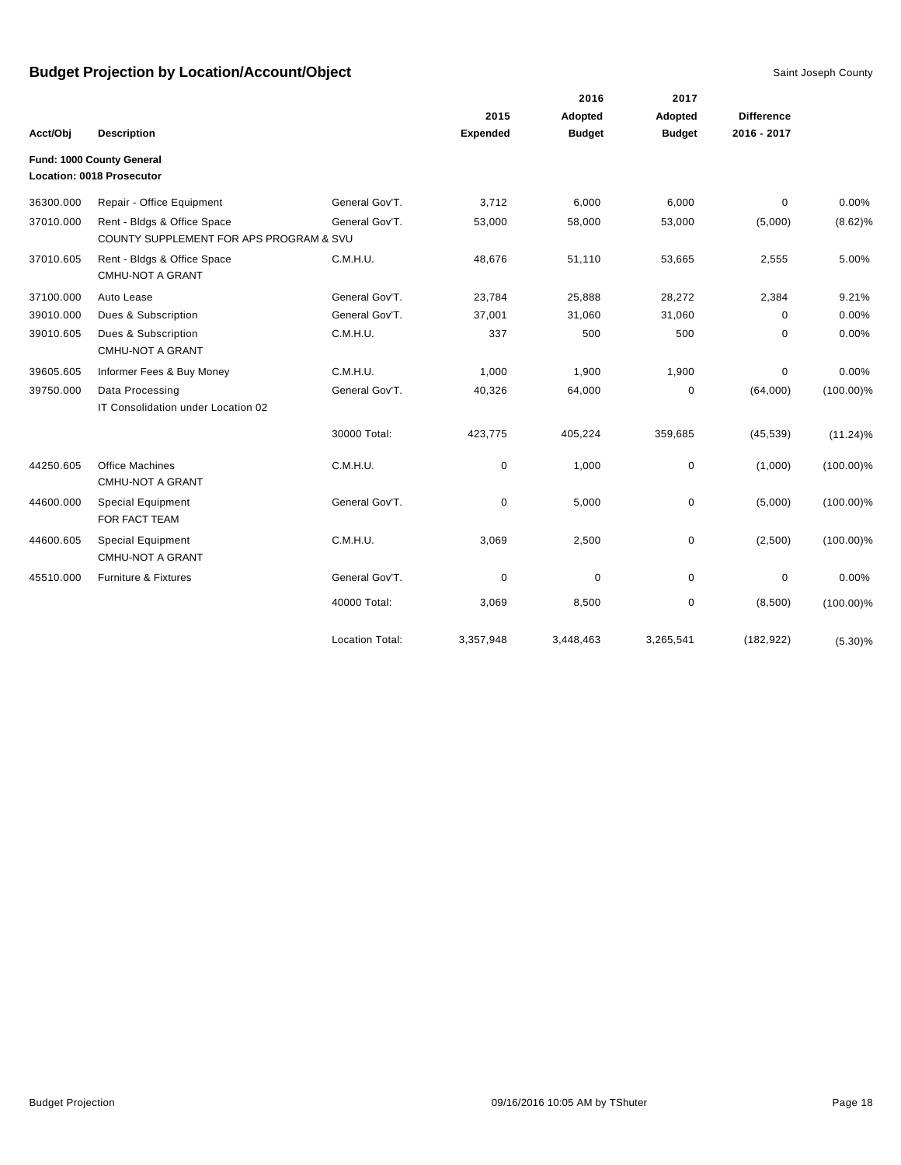|           |                                                                        |                        |                 | 2016          | 2017          |                   |              |
|-----------|------------------------------------------------------------------------|------------------------|-----------------|---------------|---------------|-------------------|--------------|
|           |                                                                        |                        | 2015            | Adopted       | Adopted       | <b>Difference</b> |              |
| Acct/Obj  | <b>Description</b>                                                     |                        | <b>Expended</b> | <b>Budget</b> | <b>Budget</b> | 2016 - 2017       |              |
|           | Fund: 1000 County General                                              |                        |                 |               |               |                   |              |
|           | Location: 0018 Prosecutor                                              |                        |                 |               |               |                   |              |
| 36300.000 | Repair - Office Equipment                                              | General Gov'T.         | 3,712           | 6,000         | 6,000         | $\mathbf 0$       | 0.00%        |
| 37010.000 | Rent - Bldgs & Office Space<br>COUNTY SUPPLEMENT FOR APS PROGRAM & SVU | General Gov'T.         | 53,000          | 58,000        | 53,000        | (5,000)           | $(8.62)\%$   |
| 37010.605 | Rent - Bldgs & Office Space<br><b>CMHU-NOT A GRANT</b>                 | C.M.H.U.               | 48,676          | 51,110        | 53,665        | 2,555             | 5.00%        |
| 37100.000 | Auto Lease                                                             | General Gov'T.         | 23,784          | 25,888        | 28,272        | 2,384             | 9.21%        |
| 39010.000 | Dues & Subscription                                                    | General Gov'T.         | 37,001          | 31,060        | 31,060        | 0                 | 0.00%        |
| 39010.605 | Dues & Subscription<br><b>CMHU-NOT A GRANT</b>                         | C.M.H.U.               | 337             | 500           | 500           | 0                 | 0.00%        |
| 39605.605 | Informer Fees & Buy Money                                              | C.M.H.U.               | 1,000           | 1,900         | 1,900         | 0                 | 0.00%        |
| 39750.000 | Data Processing<br>IT Consolidation under Location 02                  | General Gov'T.         | 40,326          | 64,000        | 0             | (64,000)          | $(100.00)\%$ |
|           |                                                                        | 30000 Total:           | 423,775         | 405,224       | 359,685       | (45, 539)         | $(11.24)\%$  |
| 44250.605 | <b>Office Machines</b><br><b>CMHU-NOT A GRANT</b>                      | C.M.H.U.               | 0               | 1,000         | $\pmb{0}$     | (1,000)           | $(100.00)\%$ |
| 44600.000 | <b>Special Equipment</b><br>FOR FACT TEAM                              | General Gov'T.         | $\mathbf 0$     | 5,000         | $\mathbf 0$   | (5,000)           | $(100.00)\%$ |
| 44600.605 | <b>Special Equipment</b><br><b>CMHU-NOT A GRANT</b>                    | C.M.H.U.               | 3,069           | 2,500         | $\mathbf 0$   | (2,500)           | $(100.00)\%$ |
| 45510.000 | Furniture & Fixtures                                                   | General Gov'T.         | $\mathbf 0$     | $\pmb{0}$     | $\mathbf 0$   | $\pmb{0}$         | 0.00%        |
|           |                                                                        | 40000 Total:           | 3,069           | 8,500         | $\pmb{0}$     | (8,500)           | $(100.00)\%$ |
|           |                                                                        | <b>Location Total:</b> | 3,357,948       | 3,448,463     | 3,265,541     | (182, 922)        | $(5.30)\%$   |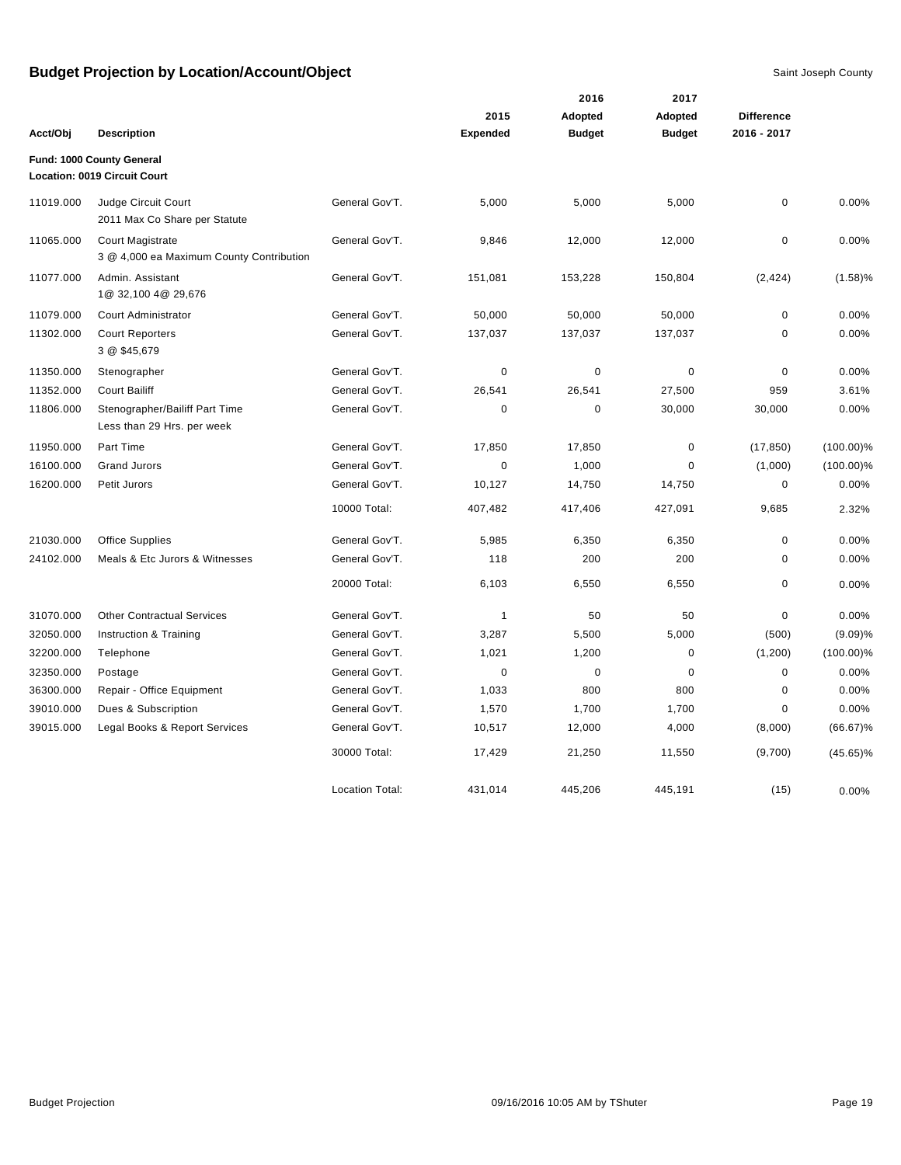|           |                                                              |                        |                 | 2016          | 2017          |                   |              |
|-----------|--------------------------------------------------------------|------------------------|-----------------|---------------|---------------|-------------------|--------------|
|           |                                                              |                        | 2015            | Adopted       | Adopted       | <b>Difference</b> |              |
| Acct/Obj  | <b>Description</b>                                           |                        | <b>Expended</b> | <b>Budget</b> | <b>Budget</b> | 2016 - 2017       |              |
|           | Fund: 1000 County General<br>Location: 0019 Circuit Court    |                        |                 |               |               |                   |              |
| 11019.000 | Judge Circuit Court<br>2011 Max Co Share per Statute         | General Gov'T.         | 5,000           | 5,000         | 5,000         | $\mathbf 0$       | 0.00%        |
| 11065.000 | Court Magistrate<br>3 @ 4,000 ea Maximum County Contribution | General Gov'T.         | 9,846           | 12,000        | 12,000        | $\pmb{0}$         | 0.00%        |
| 11077.000 | Admin. Assistant<br>1@ 32,100 4@ 29,676                      | General Gov'T.         | 151,081         | 153,228       | 150,804       | (2, 424)          | (1.58)%      |
| 11079.000 | Court Administrator                                          | General Gov'T.         | 50,000          | 50,000        | 50,000        | $\pmb{0}$         | 0.00%        |
| 11302.000 | <b>Court Reporters</b><br>3 @ \$45,679                       | General Gov'T.         | 137,037         | 137,037       | 137,037       | $\mathbf 0$       | 0.00%        |
| 11350.000 | Stenographer                                                 | General Gov'T.         | 0               | $\pmb{0}$     | $\pmb{0}$     | $\pmb{0}$         | 0.00%        |
| 11352.000 | <b>Court Bailiff</b>                                         | General Gov'T.         | 26,541          | 26,541        | 27,500        | 959               | 3.61%        |
| 11806.000 | Stenographer/Bailiff Part Time<br>Less than 29 Hrs. per week | General Gov'T.         | 0               | $\mathbf 0$   | 30,000        | 30,000            | 0.00%        |
| 11950.000 | Part Time                                                    | General Gov'T.         | 17,850          | 17,850        | $\pmb{0}$     | (17, 850)         | $(100.00)\%$ |
| 16100.000 | <b>Grand Jurors</b>                                          | General Gov'T.         | $\mathbf 0$     | 1,000         | $\mathbf 0$   | (1,000)           | $(100.00)\%$ |
| 16200.000 | Petit Jurors                                                 | General Gov'T.         | 10,127          | 14,750        | 14,750        | $\pmb{0}$         | 0.00%        |
|           |                                                              | 10000 Total:           | 407,482         | 417,406       | 427,091       | 9,685             | 2.32%        |
| 21030.000 | <b>Office Supplies</b>                                       | General Gov'T.         | 5,985           | 6,350         | 6,350         | $\mathbf 0$       | 0.00%        |
| 24102.000 | Meals & Etc Jurors & Witnesses                               | General Gov'T.         | 118             | 200           | 200           | $\mathbf 0$       | 0.00%        |
|           |                                                              | 20000 Total:           | 6,103           | 6,550         | 6,550         | $\mathbf 0$       | 0.00%        |
| 31070.000 | <b>Other Contractual Services</b>                            | General Gov'T.         | 1               | 50            | 50            | $\pmb{0}$         | 0.00%        |
| 32050.000 | Instruction & Training                                       | General Gov'T.         | 3,287           | 5,500         | 5,000         | (500)             | (9.09)%      |
| 32200.000 | Telephone                                                    | General Gov'T.         | 1,021           | 1,200         | $\mathbf 0$   | (1,200)           | $(100.00)\%$ |
| 32350.000 | Postage                                                      | General Gov'T.         | $\mathbf 0$     | $\mathbf 0$   | $\mathbf 0$   | $\mathbf 0$       | 0.00%        |
| 36300.000 | Repair - Office Equipment                                    | General Gov'T.         | 1,033           | 800           | 800           | $\mathbf 0$       | 0.00%        |
| 39010.000 | Dues & Subscription                                          | General Gov'T.         | 1,570           | 1,700         | 1,700         | $\mathbf 0$       | 0.00%        |
| 39015.000 | Legal Books & Report Services                                | General Gov'T.         | 10,517          | 12,000        | 4,000         | (8,000)           | $(66.67)\%$  |
|           |                                                              | 30000 Total:           | 17,429          | 21,250        | 11,550        | (9,700)           | $(45.65)\%$  |
|           |                                                              | <b>Location Total:</b> | 431,014         | 445,206       | 445.191       | (15)              | 0.00%        |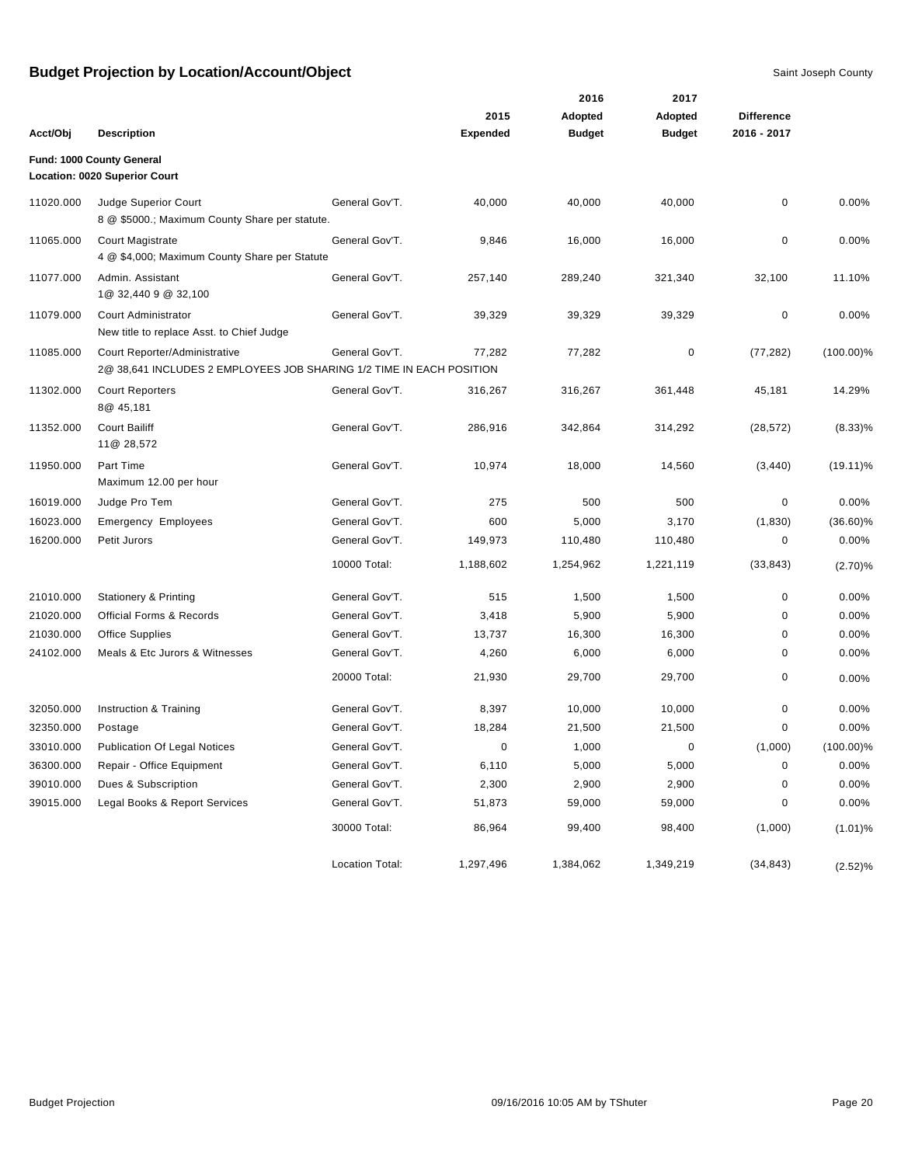|           |                                                                                                       |                        |                 | 2016          | 2017          |                   |              |
|-----------|-------------------------------------------------------------------------------------------------------|------------------------|-----------------|---------------|---------------|-------------------|--------------|
|           |                                                                                                       |                        | 2015            | Adopted       | Adopted       | <b>Difference</b> |              |
| Acct/Obj  | <b>Description</b>                                                                                    |                        | <b>Expended</b> | <b>Budget</b> | <b>Budget</b> | 2016 - 2017       |              |
|           | Fund: 1000 County General                                                                             |                        |                 |               |               |                   |              |
|           | Location: 0020 Superior Court                                                                         |                        |                 |               |               |                   |              |
| 11020.000 | Judge Superior Court<br>8 @ \$5000.; Maximum County Share per statute.                                | General Gov'T.         | 40,000          | 40,000        | 40,000        | 0                 | 0.00%        |
| 11065.000 | Court Magistrate<br>4 @ \$4,000; Maximum County Share per Statute                                     | General Gov'T.         | 9,846           | 16,000        | 16,000        | $\mathbf 0$       | 0.00%        |
| 11077.000 | Admin, Assistant<br>1@ 32,440 9 @ 32,100                                                              | General Gov'T.         | 257,140         | 289,240       | 321,340       | 32,100            | 11.10%       |
| 11079.000 | Court Administrator<br>New title to replace Asst. to Chief Judge                                      | General Gov'T.         | 39,329          | 39,329        | 39,329        | 0                 | 0.00%        |
| 11085.000 | Court Reporter/Administrative<br>2@ 38,641 INCLUDES 2 EMPLOYEES JOB SHARING 1/2 TIME IN EACH POSITION | General Gov'T.         | 77,282          | 77,282        | 0             | (77, 282)         | $(100.00)\%$ |
| 11302.000 | <b>Court Reporters</b><br>8@ 45,181                                                                   | General Gov'T.         | 316,267         | 316,267       | 361,448       | 45,181            | 14.29%       |
| 11352.000 | <b>Court Bailiff</b><br>11@ 28,572                                                                    | General Gov'T.         | 286,916         | 342,864       | 314,292       | (28, 572)         | $(8.33)\%$   |
| 11950.000 | Part Time<br>Maximum 12.00 per hour                                                                   | General Gov'T.         | 10,974          | 18,000        | 14,560        | (3, 440)          | $(19.11)\%$  |
| 16019.000 | Judge Pro Tem                                                                                         | General Gov'T.         | 275             | 500           | 500           | 0                 | 0.00%        |
| 16023.000 | <b>Emergency Employees</b>                                                                            | General Gov'T.         | 600             | 5,000         | 3,170         | (1,830)           | $(36.60)\%$  |
| 16200.000 | Petit Jurors                                                                                          | General Gov'T.         | 149,973         | 110,480       | 110,480       | 0                 | 0.00%        |
|           |                                                                                                       | 10000 Total:           | 1,188,602       | 1,254,962     | 1,221,119     | (33, 843)         | (2.70)%      |
| 21010.000 | <b>Stationery &amp; Printing</b>                                                                      | General Gov'T.         | 515             | 1,500         | 1,500         | $\mathbf 0$       | 0.00%        |
| 21020.000 | Official Forms & Records                                                                              | General Gov'T.         | 3,418           | 5,900         | 5,900         | 0                 | 0.00%        |
| 21030.000 | <b>Office Supplies</b>                                                                                | General Gov'T.         | 13,737          | 16,300        | 16,300        | 0                 | 0.00%        |
| 24102.000 | Meals & Etc Jurors & Witnesses                                                                        | General Gov'T.         | 4,260           | 6,000         | 6,000         | 0                 | 0.00%        |
|           |                                                                                                       | 20000 Total:           | 21,930          | 29,700        | 29,700        | 0                 | 0.00%        |
| 32050.000 | Instruction & Training                                                                                | General Gov'T.         | 8,397           | 10,000        | 10,000        | $\mathbf 0$       | 0.00%        |
| 32350.000 | Postage                                                                                               | General Gov'T.         | 18,284          | 21,500        | 21,500        | 0                 | 0.00%        |
| 33010.000 | <b>Publication Of Legal Notices</b>                                                                   | General Gov'T.         | 0               | 1,000         | 0             | (1,000)           | $(100.00)\%$ |
| 36300.000 | Repair - Office Equipment                                                                             | General Gov'T.         | 6,110           | 5,000         | 5,000         | $\pmb{0}$         | 0.00%        |
| 39010.000 | Dues & Subscription                                                                                   | General Gov'T.         | 2,300           | 2,900         | 2,900         | 0                 | 0.00%        |
| 39015.000 | Legal Books & Report Services                                                                         | General Gov'T.         | 51,873          | 59,000        | 59,000        | 0                 | 0.00%        |
|           |                                                                                                       | 30000 Total:           | 86,964          | 99,400        | 98,400        | (1,000)           | $(1.01)\%$   |
|           |                                                                                                       | <b>Location Total:</b> | 1,297,496       | 1,384,062     | 1,349,219     | (34, 843)         | (2.52)%      |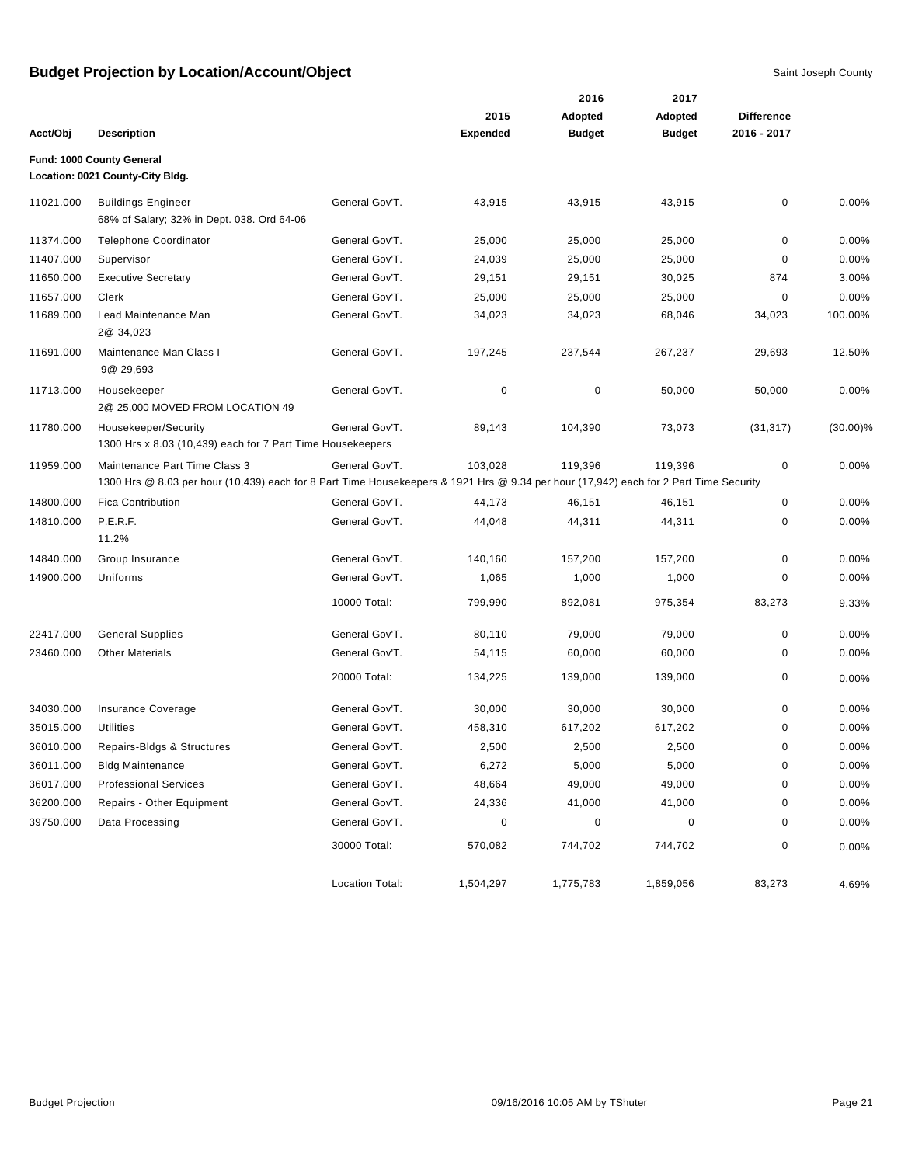|           |                                                                                                                                                                        |                        |                 | 2016          | 2017          |                   |             |
|-----------|------------------------------------------------------------------------------------------------------------------------------------------------------------------------|------------------------|-----------------|---------------|---------------|-------------------|-------------|
|           |                                                                                                                                                                        |                        | 2015            | Adopted       | Adopted       | <b>Difference</b> |             |
| Acct/Obj  | <b>Description</b>                                                                                                                                                     |                        | <b>Expended</b> | <b>Budget</b> | <b>Budget</b> | 2016 - 2017       |             |
|           | Fund: 1000 County General                                                                                                                                              |                        |                 |               |               |                   |             |
|           | Location: 0021 County-City Bldg.                                                                                                                                       |                        |                 |               |               |                   |             |
| 11021.000 | <b>Buildings Engineer</b><br>68% of Salary; 32% in Dept. 038. Ord 64-06                                                                                                | General Gov'T.         | 43,915          | 43,915        | 43,915        | 0                 | 0.00%       |
| 11374.000 | <b>Telephone Coordinator</b>                                                                                                                                           | General Gov'T.         | 25,000          | 25,000        | 25,000        | 0                 | 0.00%       |
| 11407.000 | Supervisor                                                                                                                                                             | General Gov'T.         | 24,039          | 25,000        | 25,000        | 0                 | 0.00%       |
| 11650.000 | <b>Executive Secretary</b>                                                                                                                                             | General Gov'T.         | 29,151          | 29,151        | 30,025        | 874               | 3.00%       |
| 11657.000 | Clerk                                                                                                                                                                  | General Gov'T.         | 25,000          | 25,000        | 25,000        | $\mathbf 0$       | 0.00%       |
| 11689.000 | Lead Maintenance Man<br>2@ 34,023                                                                                                                                      | General Gov'T.         | 34,023          | 34,023        | 68,046        | 34,023            | 100.00%     |
| 11691.000 | Maintenance Man Class I<br>9@ 29,693                                                                                                                                   | General Gov'T.         | 197,245         | 237,544       | 267,237       | 29,693            | 12.50%      |
| 11713.000 | Housekeeper<br>2@ 25,000 MOVED FROM LOCATION 49                                                                                                                        | General Gov'T.         | 0               | $\pmb{0}$     | 50,000        | 50,000            | 0.00%       |
| 11780.000 | Housekeeper/Security<br>1300 Hrs x 8.03 (10,439) each for 7 Part Time Housekeepers                                                                                     | General Gov'T.         | 89,143          | 104,390       | 73,073        | (31, 317)         | $(30.00)\%$ |
| 11959.000 | Maintenance Part Time Class 3<br>1300 Hrs @ 8.03 per hour (10,439) each for 8 Part Time Housekeepers & 1921 Hrs @ 9.34 per hour (17,942) each for 2 Part Time Security | General Gov'T.         | 103,028         | 119,396       | 119,396       | 0                 | 0.00%       |
| 14800.000 | <b>Fica Contribution</b>                                                                                                                                               | General Gov'T.         | 44,173          | 46,151        | 46,151        | $\mathbf 0$       | 0.00%       |
| 14810.000 | P.E.R.F.<br>11.2%                                                                                                                                                      | General Gov'T.         | 44,048          | 44,311        | 44,311        | 0                 | 0.00%       |
| 14840.000 | Group Insurance                                                                                                                                                        | General Gov'T.         | 140,160         | 157,200       | 157,200       | 0                 | 0.00%       |
| 14900.000 | Uniforms                                                                                                                                                               | General Gov'T.         | 1,065           | 1,000         | 1,000         | 0                 | 0.00%       |
|           |                                                                                                                                                                        | 10000 Total:           | 799,990         | 892,081       | 975,354       | 83,273            | 9.33%       |
| 22417.000 | <b>General Supplies</b>                                                                                                                                                | General Gov'T.         | 80,110          | 79,000        | 79,000        | 0                 | 0.00%       |
| 23460.000 | <b>Other Materials</b>                                                                                                                                                 | General Gov'T.         | 54,115          | 60,000        | 60,000        | 0                 | 0.00%       |
|           |                                                                                                                                                                        | 20000 Total:           | 134,225         | 139,000       | 139,000       | 0                 | 0.00%       |
| 34030.000 | Insurance Coverage                                                                                                                                                     | General Gov'T.         | 30,000          | 30,000        | 30,000        | 0                 | 0.00%       |
| 35015.000 | <b>Utilities</b>                                                                                                                                                       | General Gov'T.         | 458,310         | 617,202       | 617,202       | 0                 | 0.00%       |
| 36010.000 | Repairs-Bldgs & Structures                                                                                                                                             | General Gov'T.         | 2,500           | 2,500         | 2,500         | 0                 | 0.00%       |
| 36011.000 | <b>Bldg Maintenance</b>                                                                                                                                                | General Gov'T.         | 6,272           | 5,000         | 5,000         | 0                 | 0.00%       |
| 36017.000 | <b>Professional Services</b>                                                                                                                                           | General Gov'T.         | 48,664          | 49,000        | 49,000        | 0                 | 0.00%       |
| 36200.000 | Repairs - Other Equipment                                                                                                                                              | General Gov'T.         | 24,336          | 41,000        | 41,000        | 0                 | 0.00%       |
| 39750.000 | Data Processing                                                                                                                                                        | General Gov'T.         | 0               | $\pmb{0}$     | 0             | 0                 | 0.00%       |
|           |                                                                                                                                                                        | 30000 Total:           | 570,082         | 744,702       | 744,702       | 0                 | 0.00%       |
|           |                                                                                                                                                                        | <b>Location Total:</b> | 1,504,297       | 1,775,783     | 1,859,056     | 83,273            | 4.69%       |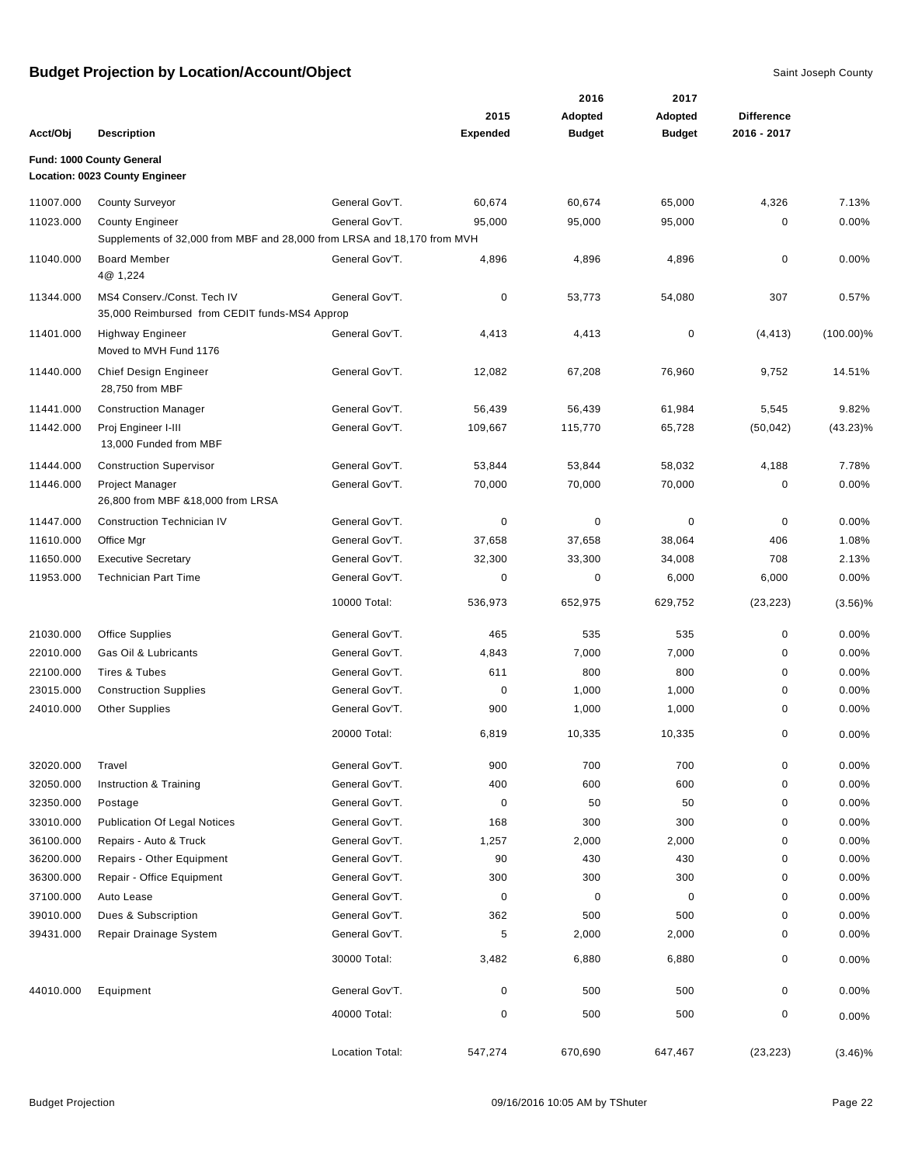|           |                                                                                                   |                 | 2015            | 2016<br>Adopted | 2017<br>Adopted | <b>Difference</b> |              |
|-----------|---------------------------------------------------------------------------------------------------|-----------------|-----------------|-----------------|-----------------|-------------------|--------------|
| Acct/Obj  | <b>Description</b>                                                                                |                 | <b>Expended</b> | <b>Budget</b>   | <b>Budget</b>   | 2016 - 2017       |              |
|           | Fund: 1000 County General<br><b>Location: 0023 County Engineer</b>                                |                 |                 |                 |                 |                   |              |
| 11007.000 | <b>County Surveyor</b>                                                                            | General Gov'T.  | 60,674          | 60,674          | 65,000          | 4,326             | 7.13%        |
| 11023.000 | <b>County Engineer</b><br>Supplements of 32,000 from MBF and 28,000 from LRSA and 18,170 from MVH | General Gov'T.  | 95,000          | 95,000          | 95,000          | 0                 | 0.00%        |
| 11040.000 | <b>Board Member</b><br>4@ 1,224                                                                   | General Gov'T.  | 4,896           | 4,896           | 4,896           | 0                 | 0.00%        |
| 11344.000 | MS4 Conserv./Const. Tech IV<br>35,000 Reimbursed from CEDIT funds-MS4 Approp                      | General Gov'T.  | $\mathbf 0$     | 53,773          | 54,080          | 307               | 0.57%        |
| 11401.000 | <b>Highway Engineer</b><br>Moved to MVH Fund 1176                                                 | General Gov'T.  | 4,413           | 4,413           | 0               | (4, 413)          | $(100.00)\%$ |
| 11440.000 | Chief Design Engineer<br>28,750 from MBF                                                          | General Gov'T.  | 12,082          | 67,208          | 76,960          | 9,752             | 14.51%       |
| 11441.000 | <b>Construction Manager</b>                                                                       | General Gov'T.  | 56,439          | 56,439          | 61,984          | 5,545             | 9.82%        |
| 11442.000 | Proj Engineer I-III<br>13,000 Funded from MBF                                                     | General Gov'T.  | 109,667         | 115,770         | 65,728          | (50, 042)         | $(43.23)\%$  |
| 11444.000 | <b>Construction Supervisor</b>                                                                    | General Gov'T.  | 53,844          | 53,844          | 58,032          | 4,188             | 7.78%        |
| 11446.000 | Project Manager<br>26,800 from MBF &18,000 from LRSA                                              | General Gov'T.  | 70,000          | 70,000          | 70,000          | $\mathbf 0$       | 0.00%        |
| 11447.000 | <b>Construction Technician IV</b>                                                                 | General Gov'T.  | $\mathbf 0$     | 0               | $\mathbf 0$     | $\mathbf 0$       | 0.00%        |
| 11610.000 | Office Mgr                                                                                        | General Gov'T.  | 37,658          | 37,658          | 38,064          | 406               | 1.08%        |
| 11650.000 | <b>Executive Secretary</b>                                                                        | General Gov'T.  | 32,300          | 33,300          | 34,008          | 708               | 2.13%        |
| 11953.000 | <b>Technician Part Time</b>                                                                       | General Gov'T.  | 0               | 0               | 6,000           | 6,000             | 0.00%        |
|           |                                                                                                   | 10000 Total:    | 536,973         | 652,975         | 629,752         | (23, 223)         | (3.56)%      |
| 21030.000 | <b>Office Supplies</b>                                                                            | General Gov'T.  | 465             | 535             | 535             | $\mathbf 0$       | 0.00%        |
| 22010.000 | Gas Oil & Lubricants                                                                              | General Gov'T.  | 4,843           | 7,000           | 7,000           | $\pmb{0}$         | 0.00%        |
| 22100.000 | Tires & Tubes                                                                                     | General Gov'T.  | 611             | 800             | 800             | $\pmb{0}$         | 0.00%        |
| 23015.000 | <b>Construction Supplies</b>                                                                      | General Gov'T.  | 0               | 1,000           | 1,000           | 0                 | 0.00%        |
| 24010.000 | <b>Other Supplies</b>                                                                             | General Gov'T.  | 900             | 1,000           | 1,000           | 0                 | 0.00%        |
|           |                                                                                                   | 20000 Total:    | 6,819           | 10,335          | 10,335          | $\mathbf 0$       | 0.00%        |
| 32020.000 | Travel                                                                                            | General Gov'T.  | 900             | 700             | 700             | $\pmb{0}$         | 0.00%        |
| 32050.000 | Instruction & Training                                                                            | General Gov'T.  | 400             | 600             | 600             | $\pmb{0}$         | 0.00%        |
| 32350.000 | Postage                                                                                           | General Gov'T.  | $\pmb{0}$       | 50              | 50              | 0                 | 0.00%        |
| 33010.000 | <b>Publication Of Legal Notices</b>                                                               | General Gov'T.  | 168             | 300             | 300             | $\pmb{0}$         | 0.00%        |
| 36100.000 | Repairs - Auto & Truck                                                                            | General Gov'T.  | 1,257           | 2,000           | 2,000           | $\pmb{0}$         | 0.00%        |
| 36200.000 | Repairs - Other Equipment                                                                         | General Gov'T.  | 90              | 430             | 430             | 0                 | 0.00%        |
| 36300.000 | Repair - Office Equipment                                                                         | General Gov'T.  | 300             | 300             | 300             | 0                 | 0.00%        |
| 37100.000 | Auto Lease                                                                                        | General Gov'T.  | $\pmb{0}$       | $\pmb{0}$       | $\mathbf 0$     | 0                 | 0.00%        |
| 39010.000 | Dues & Subscription                                                                               | General Gov'T.  | 362             | 500             | 500             | $\pmb{0}$         | 0.00%        |
| 39431.000 | Repair Drainage System                                                                            | General Gov'T.  | 5               | 2,000           | 2,000           | 0                 | 0.00%        |
|           |                                                                                                   | 30000 Total:    | 3,482           | 6,880           | 6,880           | 0                 | 0.00%        |
| 44010.000 | Equipment                                                                                         | General Gov'T.  | 0               | 500             | 500             | 0                 | 0.00%        |
|           |                                                                                                   | 40000 Total:    | $\pmb{0}$       | 500             | 500             | 0                 | 0.00%        |
|           |                                                                                                   | Location Total: | 547,274         | 670,690         | 647,467         | (23, 223)         | $(3.46)\%$   |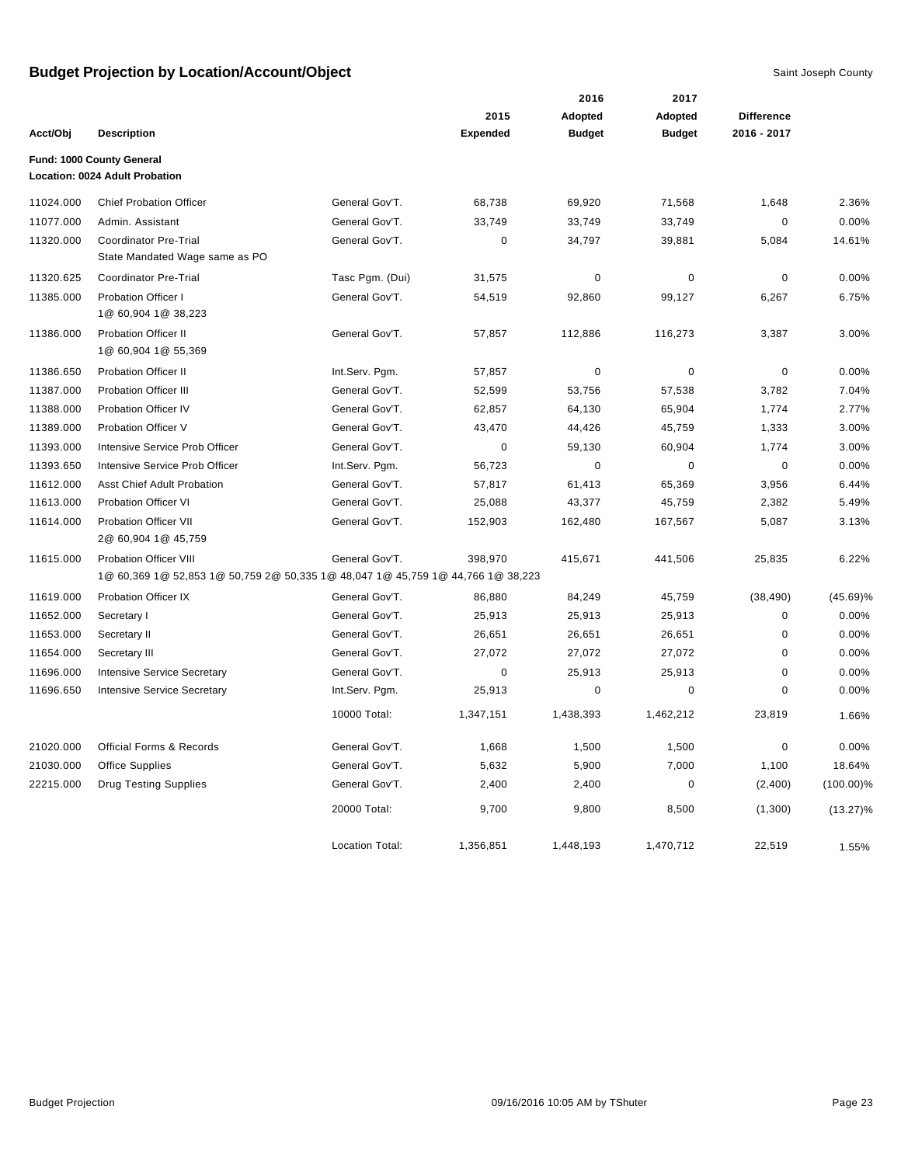|           |                                                                                                                  |                        |                 | 2016          | 2017          |                   |              |
|-----------|------------------------------------------------------------------------------------------------------------------|------------------------|-----------------|---------------|---------------|-------------------|--------------|
|           |                                                                                                                  |                        | 2015            | Adopted       | Adopted       | <b>Difference</b> |              |
| Acct/Obj  | <b>Description</b>                                                                                               |                        | <b>Expended</b> | <b>Budget</b> | <b>Budget</b> | 2016 - 2017       |              |
|           | Fund: 1000 County General<br>Location: 0024 Adult Probation                                                      |                        |                 |               |               |                   |              |
| 11024.000 | <b>Chief Probation Officer</b>                                                                                   | General Gov'T.         | 68,738          | 69,920        | 71,568        | 1,648             | 2.36%        |
| 11077.000 | Admin, Assistant                                                                                                 | General Gov'T.         | 33,749          | 33,749        | 33,749        | $\mathbf 0$       | 0.00%        |
| 11320.000 | <b>Coordinator Pre-Trial</b><br>State Mandated Wage same as PO                                                   | General Gov'T.         | $\mathbf 0$     | 34,797        | 39,881        | 5,084             | 14.61%       |
| 11320.625 | <b>Coordinator Pre-Trial</b>                                                                                     | Tasc Pgm. (Dui)        | 31,575          | 0             | 0             | 0                 | 0.00%        |
| 11385.000 | <b>Probation Officer I</b><br>1@ 60,904 1@ 38,223                                                                | General Gov'T.         | 54,519          | 92,860        | 99,127        | 6,267             | 6.75%        |
| 11386.000 | <b>Probation Officer II</b><br>1@ 60,904 1@ 55,369                                                               | General Gov'T.         | 57,857          | 112,886       | 116,273       | 3,387             | 3.00%        |
| 11386.650 | <b>Probation Officer II</b>                                                                                      | Int.Serv. Pqm.         | 57,857          | $\pmb{0}$     | $\mathbf 0$   | $\mathbf 0$       | 0.00%        |
| 11387.000 | <b>Probation Officer III</b>                                                                                     | General Gov'T.         | 52,599          | 53,756        | 57,538        | 3,782             | 7.04%        |
| 11388.000 | <b>Probation Officer IV</b>                                                                                      | General Gov'T.         | 62,857          | 64,130        | 65,904        | 1,774             | 2.77%        |
| 11389.000 | Probation Officer V                                                                                              | General Gov'T.         | 43,470          | 44,426        | 45,759        | 1,333             | 3.00%        |
| 11393.000 | Intensive Service Prob Officer                                                                                   | General Gov'T.         | 0               | 59,130        | 60,904        | 1,774             | 3.00%        |
| 11393.650 | Intensive Service Prob Officer                                                                                   | Int.Serv. Pqm.         | 56,723          | $\mathbf 0$   | $\mathbf 0$   | $\mathbf 0$       | 0.00%        |
| 11612.000 | <b>Asst Chief Adult Probation</b>                                                                                | General Gov'T.         | 57,817          | 61,413        | 65,369        | 3,956             | 6.44%        |
| 11613.000 | <b>Probation Officer VI</b>                                                                                      | General Gov'T.         | 25,088          | 43,377        | 45,759        | 2,382             | 5.49%        |
| 11614.000 | <b>Probation Officer VII</b><br>2@ 60,904 1@ 45,759                                                              | General Gov'T.         | 152,903         | 162,480       | 167,567       | 5,087             | 3.13%        |
| 11615.000 | <b>Probation Officer VIII</b><br>1@ 60,369 1@ 52,853 1@ 50,759 2@ 50,335 1@ 48,047 1@ 45,759 1@ 44,766 1@ 38,223 | General Gov'T.         | 398,970         | 415,671       | 441,506       | 25,835            | 6.22%        |
| 11619.000 | <b>Probation Officer IX</b>                                                                                      | General Gov'T.         | 86,880          | 84,249        | 45,759        | (38, 490)         | $(45.69)\%$  |
| 11652.000 | Secretary I                                                                                                      | General Gov'T.         | 25,913          | 25,913        | 25,913        | 0                 | 0.00%        |
| 11653.000 | Secretary II                                                                                                     | General Gov'T.         | 26,651          | 26,651        | 26,651        | 0                 | 0.00%        |
| 11654.000 | Secretary III                                                                                                    | General Gov'T.         | 27,072          | 27,072        | 27,072        | $\mathbf 0$       | 0.00%        |
| 11696.000 | <b>Intensive Service Secretary</b>                                                                               | General Gov'T.         | 0               | 25,913        | 25,913        | 0                 | 0.00%        |
| 11696.650 | <b>Intensive Service Secretary</b>                                                                               | Int.Serv. Pgm.         | 25,913          | 0             | $\mathbf 0$   | 0                 | 0.00%        |
|           |                                                                                                                  | 10000 Total:           | 1,347,151       | 1,438,393     | 1,462,212     | 23,819            | 1.66%        |
| 21020.000 | <b>Official Forms &amp; Records</b>                                                                              | General Gov'T.         | 1,668           | 1,500         | 1,500         | 0                 | 0.00%        |
| 21030.000 | <b>Office Supplies</b>                                                                                           | General Gov'T.         | 5,632           | 5,900         | 7,000         | 1,100             | 18.64%       |
| 22215.000 | <b>Drug Testing Supplies</b>                                                                                     | General Gov'T.         | 2,400           | 2,400         | 0             | (2,400)           | $(100.00)\%$ |
|           |                                                                                                                  | 20000 Total:           | 9,700           | 9,800         | 8,500         | (1,300)           | $(13.27)\%$  |
|           |                                                                                                                  | <b>Location Total:</b> | 1,356,851       | 1,448,193     | 1,470,712     | 22,519            | 1.55%        |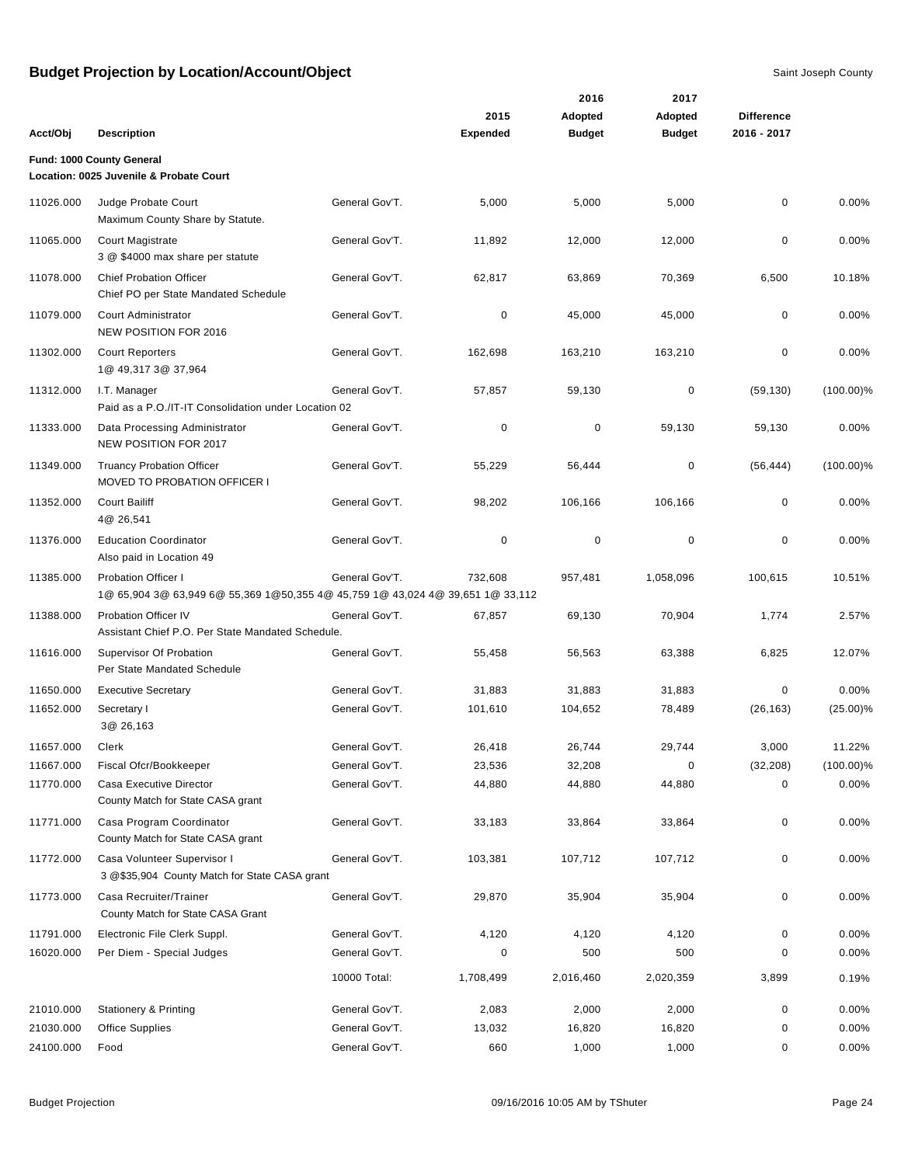|           |                                                                                                              |                |                         | 2016          | 2017          |                   |              |
|-----------|--------------------------------------------------------------------------------------------------------------|----------------|-------------------------|---------------|---------------|-------------------|--------------|
|           |                                                                                                              |                | 2015<br><b>Expended</b> | Adopted       | Adopted       | <b>Difference</b> |              |
| Acct/Obj  | <b>Description</b>                                                                                           |                |                         | <b>Budget</b> | <b>Budget</b> | 2016 - 2017       |              |
|           | Fund: 1000 County General<br>Location: 0025 Juvenile & Probate Court                                         |                |                         |               |               |                   |              |
| 11026.000 | Judge Probate Court<br>Maximum County Share by Statute.                                                      | General Gov'T. | 5,000                   | 5,000         | 5,000         | 0                 | 0.00%        |
| 11065.000 | Court Magistrate<br>3 @ \$4000 max share per statute                                                         | General Gov'T. | 11,892                  | 12,000        | 12,000        | 0                 | 0.00%        |
| 11078.000 | <b>Chief Probation Officer</b><br>Chief PO per State Mandated Schedule                                       | General Gov'T. | 62,817                  | 63,869        | 70,369        | 6,500             | 10.18%       |
| 11079.000 | Court Administrator<br><b>NEW POSITION FOR 2016</b>                                                          | General Gov'T. | 0                       | 45,000        | 45,000        | 0                 | 0.00%        |
| 11302.000 | <b>Court Reporters</b><br>1@ 49,317 3@ 37,964                                                                | General Gov'T. | 162,698                 | 163,210       | 163,210       | 0                 | 0.00%        |
| 11312.000 | I.T. Manager<br>Paid as a P.O./IT-IT Consolidation under Location 02                                         | General Gov'T. | 57,857                  | 59,130        | 0             | (59, 130)         | $(100.00)\%$ |
| 11333.000 | Data Processing Administrator<br>NEW POSITION FOR 2017                                                       | General Gov'T. | 0                       | $\pmb{0}$     | 59,130        | 59,130            | 0.00%        |
| 11349.000 | <b>Truancy Probation Officer</b><br>MOVED TO PROBATION OFFICER I                                             | General Gov'T. | 55,229                  | 56,444        | 0             | (56, 444)         | $(100.00)\%$ |
| 11352.000 | <b>Court Bailiff</b><br>4@ 26,541                                                                            | General Gov'T. | 98,202                  | 106,166       | 106,166       | 0                 | 0.00%        |
| 11376.000 | <b>Education Coordinator</b><br>Also paid in Location 49                                                     | General Gov'T. | 0                       | $\mathbf 0$   | 0             | 0                 | 0.00%        |
| 11385.000 | <b>Probation Officer I</b><br>1@ 65,904 3@ 63,949 6@ 55,369 1@50,355 4@ 45,759 1@ 43,024 4@ 39,651 1@ 33,112 | General Gov'T. | 732,608                 | 957,481       | 1,058,096     | 100,615           | 10.51%       |
| 11388.000 | <b>Probation Officer IV</b><br>Assistant Chief P.O. Per State Mandated Schedule.                             | General Gov'T. | 67,857                  | 69,130        | 70,904        | 1,774             | 2.57%        |
| 11616.000 | Supervisor Of Probation<br>Per State Mandated Schedule                                                       | General Gov'T. | 55,458                  | 56,563        | 63,388        | 6,825             | 12.07%       |
| 11650.000 | <b>Executive Secretary</b>                                                                                   | General Gov'T. | 31,883                  | 31,883        | 31,883        | 0                 | 0.00%        |
| 11652.000 | Secretary I<br>3@ 26,163                                                                                     | General Gov'T. | 101,610                 | 104,652       | 78,489        | (26, 163)         | $(25.00)\%$  |
| 11657.000 | Clerk                                                                                                        | General Gov'T. | 26.418                  | 26,744        | 29,744        | 3,000             | 11.22%       |
| 11667.000 | Fiscal Ofcr/Bookkeeper                                                                                       | General Gov'T. | 23,536                  | 32,208        | 0             | (32, 208)         | $(100.00)\%$ |
| 11770.000 | Casa Executive Director<br>County Match for State CASA grant                                                 | General Gov'T. | 44,880                  | 44,880        | 44,880        | 0                 | $0.00\%$     |
| 11771.000 | Casa Program Coordinator<br>County Match for State CASA grant                                                | General Gov'T. | 33,183                  | 33,864        | 33,864        | 0                 | 0.00%        |
| 11772.000 | Casa Volunteer Supervisor I<br>3 @\$35,904 County Match for State CASA grant                                 | General Gov'T. | 103,381                 | 107,712       | 107,712       | 0                 | 0.00%        |
| 11773.000 | Casa Recruiter/Trainer<br>County Match for State CASA Grant                                                  | General Gov'T. | 29,870                  | 35,904        | 35,904        | 0                 | 0.00%        |
| 11791.000 | Electronic File Clerk Suppl.                                                                                 | General Gov'T. | 4,120                   | 4,120         | 4,120         | 0                 | 0.00%        |
| 16020.000 | Per Diem - Special Judges                                                                                    | General Gov'T. | 0                       | 500           | 500           | 0                 | 0.00%        |
|           |                                                                                                              | 10000 Total:   | 1,708,499               | 2,016,460     | 2,020,359     | 3,899             | 0.19%        |
| 21010.000 | <b>Stationery &amp; Printing</b>                                                                             | General Gov'T. | 2,083                   | 2,000         | 2,000         | 0                 | 0.00%        |
| 21030.000 | <b>Office Supplies</b>                                                                                       | General Gov'T. | 13,032                  | 16,820        | 16,820        | 0                 | 0.00%        |
| 24100.000 | Food                                                                                                         | General Gov'T. | 660                     | 1,000         | 1,000         | 0                 | 0.00%        |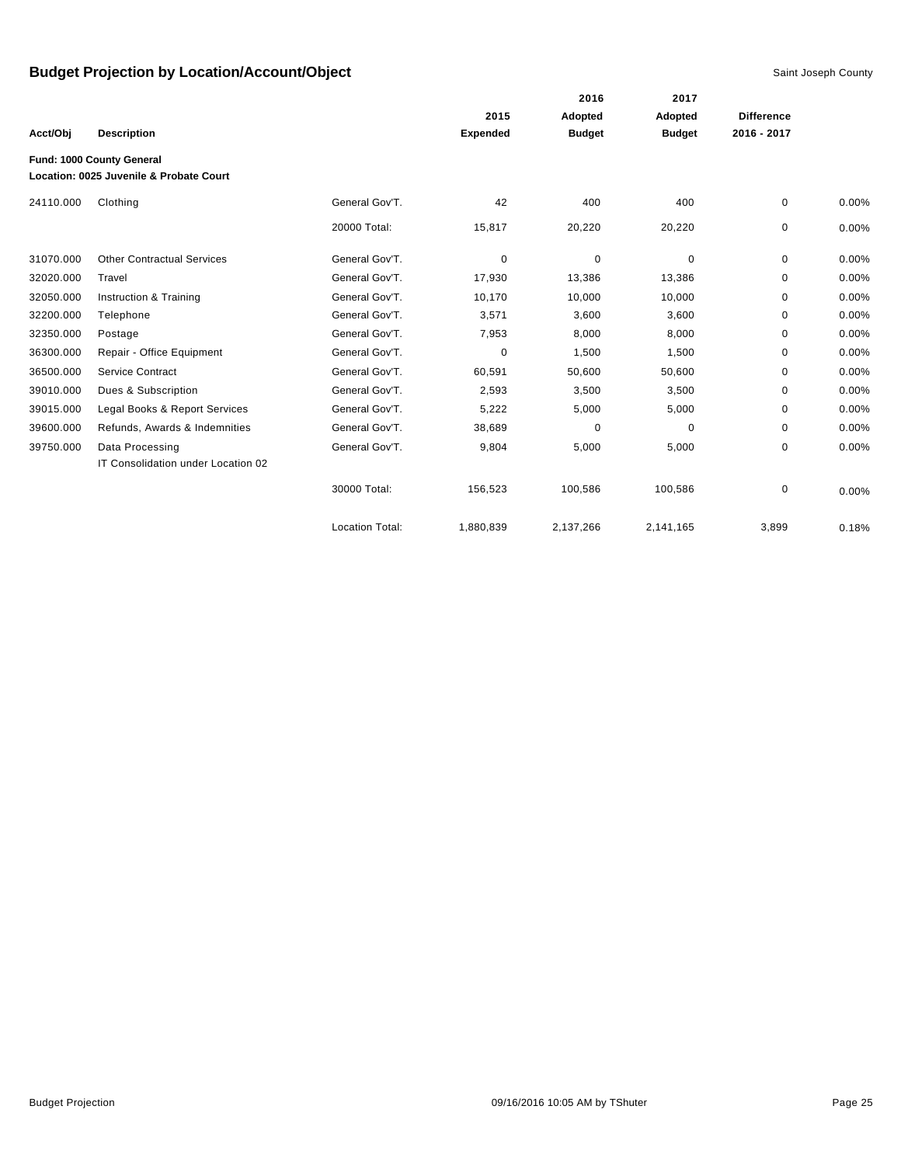|           |                                                                      |                        |                 | 2016          | 2017          |                   |          |
|-----------|----------------------------------------------------------------------|------------------------|-----------------|---------------|---------------|-------------------|----------|
|           |                                                                      |                        | 2015            | Adopted       | Adopted       | <b>Difference</b> |          |
| Acct/Obj  | <b>Description</b>                                                   |                        | <b>Expended</b> | <b>Budget</b> | <b>Budget</b> | 2016 - 2017       |          |
|           | Fund: 1000 County General<br>Location: 0025 Juvenile & Probate Court |                        |                 |               |               |                   |          |
| 24110.000 | Clothing                                                             | General Gov'T.         | 42              | 400           | 400           | 0                 | 0.00%    |
|           |                                                                      | 20000 Total:           | 15,817          | 20,220        | 20,220        | 0                 | 0.00%    |
| 31070.000 | <b>Other Contractual Services</b>                                    | General Gov'T.         | 0               | 0             | 0             | 0                 | $0.00\%$ |
| 32020.000 | Travel                                                               | General Gov'T.         | 17,930          | 13,386        | 13,386        | 0                 | 0.00%    |
| 32050.000 | Instruction & Training                                               | General Gov'T.         | 10,170          | 10,000        | 10,000        | 0                 | 0.00%    |
| 32200.000 | Telephone                                                            | General Gov'T.         | 3,571           | 3,600         | 3,600         | 0                 | 0.00%    |
| 32350.000 | Postage                                                              | General Gov'T.         | 7,953           | 8,000         | 8,000         | 0                 | 0.00%    |
| 36300.000 | Repair - Office Equipment                                            | General Gov'T.         | 0               | 1,500         | 1,500         | 0                 | 0.00%    |
| 36500.000 | Service Contract                                                     | General Gov'T.         | 60,591          | 50,600        | 50,600        | $\Omega$          | 0.00%    |
| 39010.000 | Dues & Subscription                                                  | General Gov'T.         | 2,593           | 3,500         | 3,500         | 0                 | 0.00%    |
| 39015.000 | Legal Books & Report Services                                        | General Gov'T.         | 5,222           | 5,000         | 5,000         | 0                 | 0.00%    |
| 39600.000 | Refunds, Awards & Indemnities                                        | General Gov'T.         | 38,689          | $\mathbf 0$   | $\Omega$      | $\Omega$          | 0.00%    |
| 39750.000 | Data Processing<br>IT Consolidation under Location 02                | General Gov'T.         | 9,804           | 5,000         | 5,000         | 0                 | 0.00%    |
|           |                                                                      | 30000 Total:           | 156,523         | 100,586       | 100,586       | 0                 | 0.00%    |
|           |                                                                      | <b>Location Total:</b> | 1,880,839       | 2,137,266     | 2,141,165     | 3,899             | 0.18%    |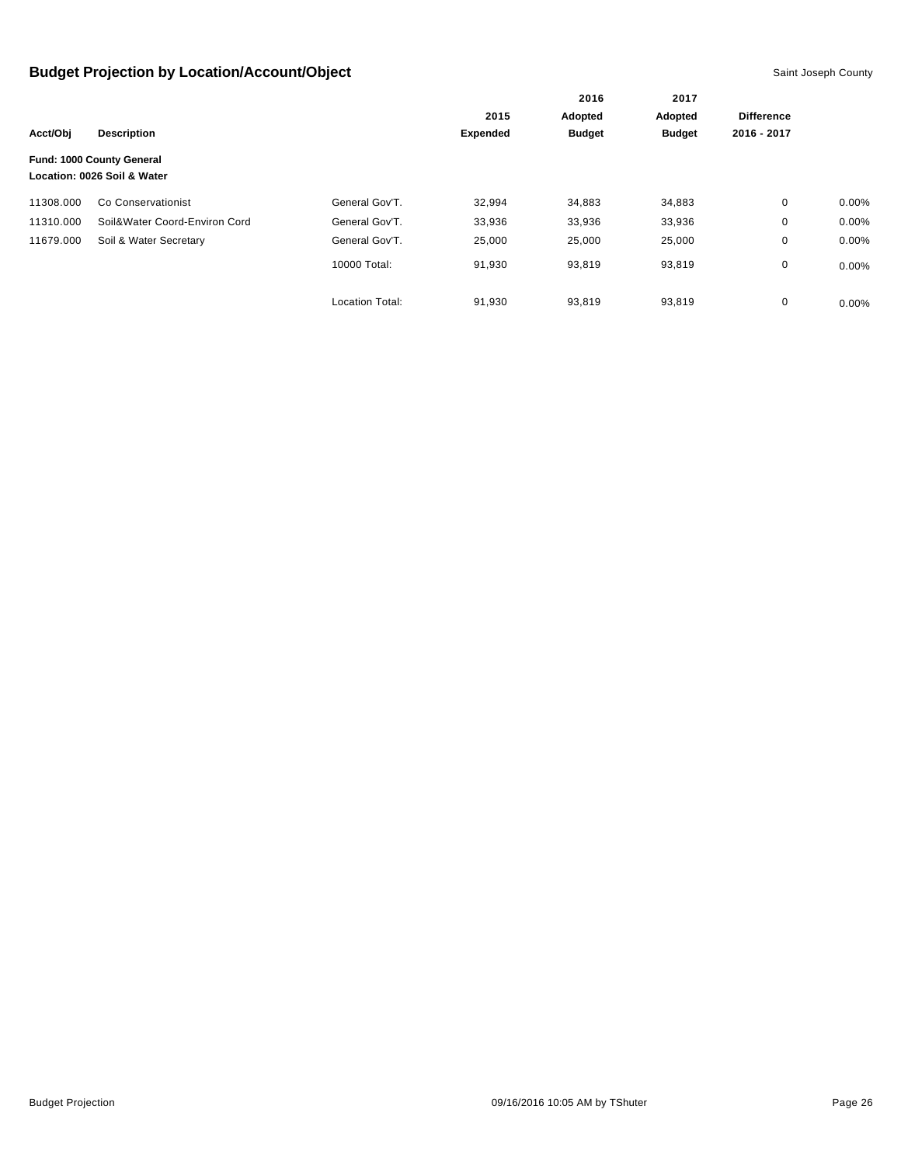|           |                                                          |                        | 2016            | 2017          |               |                   |          |
|-----------|----------------------------------------------------------|------------------------|-----------------|---------------|---------------|-------------------|----------|
|           | <b>Description</b>                                       |                        | 2015            | Adopted       | Adopted       | <b>Difference</b> |          |
| Acct/Obi  |                                                          |                        | <b>Expended</b> | <b>Budget</b> | <b>Budget</b> | 2016 - 2017       |          |
|           | Fund: 1000 County General<br>Location: 0026 Soil & Water |                        |                 |               |               |                   |          |
| 11308.000 | Co Conservationist                                       | General Gov'T.         | 32,994          | 34,883        | 34,883        | 0                 | $0.00\%$ |
| 11310.000 | Soil&Water Coord-Environ Cord                            | General Gov'T.         | 33,936          | 33,936        | 33,936        | 0                 | $0.00\%$ |
| 11679.000 | Soil & Water Secretary                                   | General Gov'T.         | 25,000          | 25,000        | 25,000        | 0                 | 0.00%    |
|           |                                                          | 10000 Total:           | 91,930          | 93,819        | 93,819        | 0                 | $0.00\%$ |
|           |                                                          | <b>Location Total:</b> | 91,930          | 93,819        | 93,819        | 0                 | $0.00\%$ |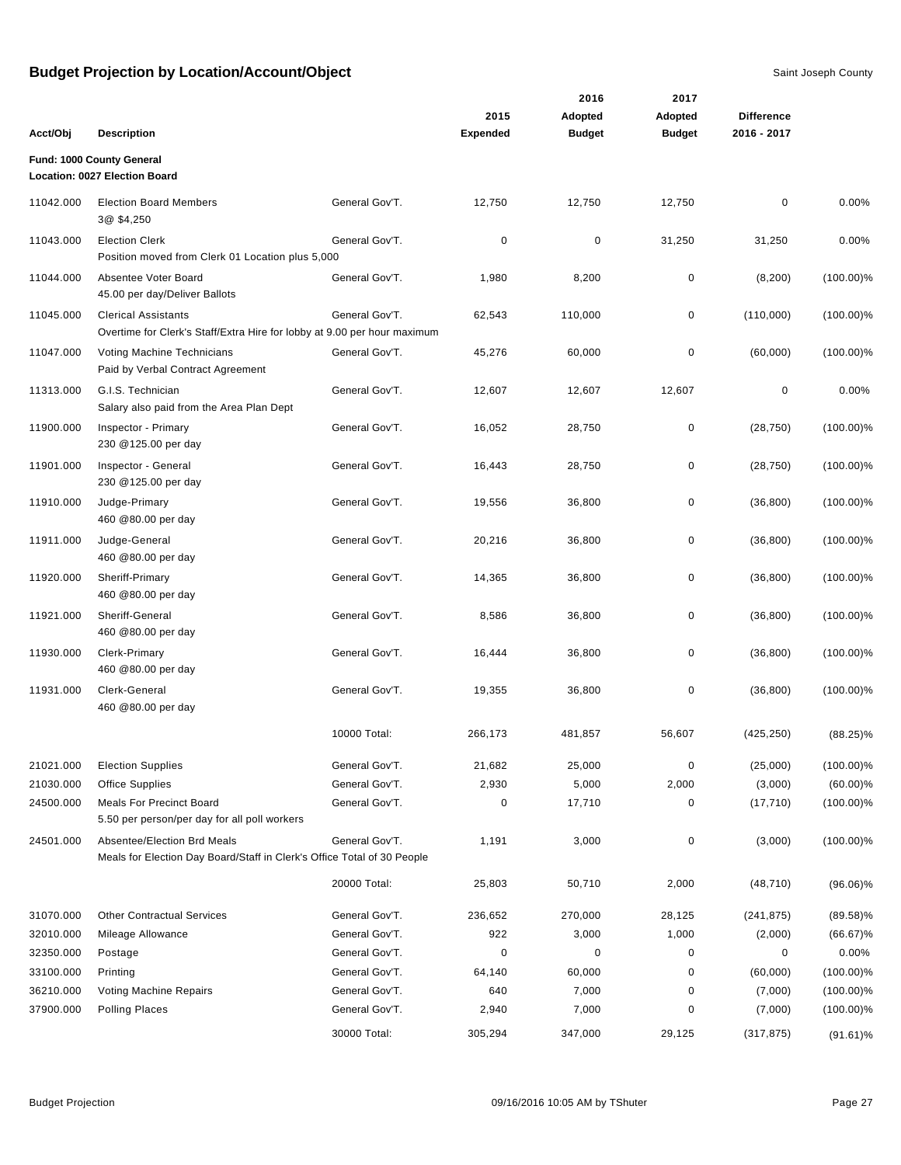| Acct/Obj  | <b>Description</b>                                                                                     |                | 2015<br><b>Expended</b> | 2016<br>Adopted<br><b>Budget</b> | 2017<br>Adopted<br><b>Budget</b> | <b>Difference</b><br>2016 - 2017 |              |
|-----------|--------------------------------------------------------------------------------------------------------|----------------|-------------------------|----------------------------------|----------------------------------|----------------------------------|--------------|
|           | Fund: 1000 County General<br><b>Location: 0027 Election Board</b>                                      |                |                         |                                  |                                  |                                  |              |
| 11042.000 | <b>Election Board Members</b><br>3@ \$4,250                                                            | General Gov'T. | 12,750                  | 12,750                           | 12,750                           | 0                                | 0.00%        |
| 11043.000 | <b>Election Clerk</b><br>Position moved from Clerk 01 Location plus 5,000                              | General Gov'T. | 0                       | $\mathbf 0$                      | 31,250                           | 31,250                           | 0.00%        |
| 11044.000 | Absentee Voter Board<br>45.00 per day/Deliver Ballots                                                  | General Gov'T. | 1,980                   | 8,200                            | 0                                | (8, 200)                         | $(100.00)\%$ |
| 11045.000 | <b>Clerical Assistants</b><br>Overtime for Clerk's Staff/Extra Hire for lobby at 9.00 per hour maximum | General Gov'T. | 62,543                  | 110,000                          | 0                                | (110,000)                        | $(100.00)\%$ |
| 11047.000 | Voting Machine Technicians<br>Paid by Verbal Contract Agreement                                        | General Gov'T. | 45,276                  | 60,000                           | 0                                | (60,000)                         | $(100.00)\%$ |
| 11313.000 | G.I.S. Technician<br>Salary also paid from the Area Plan Dept                                          | General Gov'T. | 12,607                  | 12,607                           | 12,607                           | 0                                | 0.00%        |
| 11900.000 | Inspector - Primary<br>230 @125.00 per day                                                             | General Gov'T. | 16,052                  | 28,750                           | 0                                | (28, 750)                        | $(100.00)\%$ |
| 11901.000 | Inspector - General<br>230 @125.00 per day                                                             | General Gov'T. | 16,443                  | 28,750                           | $\mathbf 0$                      | (28, 750)                        | $(100.00)\%$ |
| 11910.000 | Judge-Primary<br>460 @80.00 per day                                                                    | General Gov'T. | 19,556                  | 36,800                           | 0                                | (36, 800)                        | $(100.00)\%$ |
| 11911.000 | Judge-General<br>460 @80.00 per day                                                                    | General Gov'T. | 20,216                  | 36,800                           | 0                                | (36, 800)                        | $(100.00)\%$ |
| 11920.000 | Sheriff-Primary<br>460 @80.00 per day                                                                  | General Gov'T. | 14,365                  | 36,800                           | 0                                | (36, 800)                        | $(100.00)\%$ |
| 11921.000 | Sheriff-General<br>460 @80.00 per day                                                                  | General Gov'T. | 8,586                   | 36,800                           | 0                                | (36, 800)                        | $(100.00)\%$ |
| 11930.000 | Clerk-Primary<br>460 @80.00 per day                                                                    | General Gov'T. | 16,444                  | 36,800                           | 0                                | (36, 800)                        | $(100.00)\%$ |
| 11931.000 | Clerk-General<br>460 @80.00 per day                                                                    | General Gov'T. | 19,355                  | 36,800                           | 0                                | (36, 800)                        | $(100.00)\%$ |
|           |                                                                                                        | 10000 Total:   | 266,173                 | 481,857                          | 56,607                           | (425, 250)                       | $(88.25)\%$  |
| 21021.000 | <b>Election Supplies</b>                                                                               | General Gov'T. | 21,682                  | 25,000                           | $\mathbf 0$                      | (25,000)                         | $(100.00)\%$ |
| 21030.000 | Office Supplies                                                                                        | General Gov'T. | 2,930                   | 5,000                            | 2,000                            | (3,000)                          | $(60.00)\%$  |
| 24500.000 | <b>Meals For Precinct Board</b><br>5.50 per person/per day for all poll workers                        | General Gov'T. | 0                       | 17,710                           | 0                                | (17, 710)                        | $(100.00)\%$ |
| 24501.000 | Absentee/Election Brd Meals<br>Meals for Election Day Board/Staff in Clerk's Office Total of 30 People | General Gov'T. | 1,191                   | 3,000                            | 0                                | (3,000)                          | $(100.00)\%$ |
|           |                                                                                                        | 20000 Total:   | 25,803                  | 50,710                           | 2,000                            | (48, 710)                        | $(96.06)\%$  |
| 31070.000 | <b>Other Contractual Services</b>                                                                      | General Gov'T. | 236,652                 | 270,000                          | 28,125                           | (241, 875)                       | $(89.58)\%$  |
| 32010.000 | Mileage Allowance                                                                                      | General Gov'T. | 922                     | 3,000                            | 1,000                            | (2,000)                          | $(66.67)\%$  |
| 32350.000 | Postage                                                                                                | General Gov'T. | 0                       | 0                                | 0                                | 0                                | 0.00%        |
| 33100.000 | Printing                                                                                               | General Gov'T. | 64,140                  | 60,000                           | 0                                | (60,000)                         | $(100.00)\%$ |
| 36210.000 | Voting Machine Repairs                                                                                 | General Gov'T. | 640                     | 7,000                            | 0                                | (7,000)                          | $(100.00)\%$ |
| 37900.000 | <b>Polling Places</b>                                                                                  | General Gov'T. | 2,940                   | 7,000                            | 0                                | (7,000)                          | $(100.00)\%$ |
|           |                                                                                                        | 30000 Total:   | 305,294                 | 347,000                          | 29,125                           | (317, 875)                       | $(91.61)\%$  |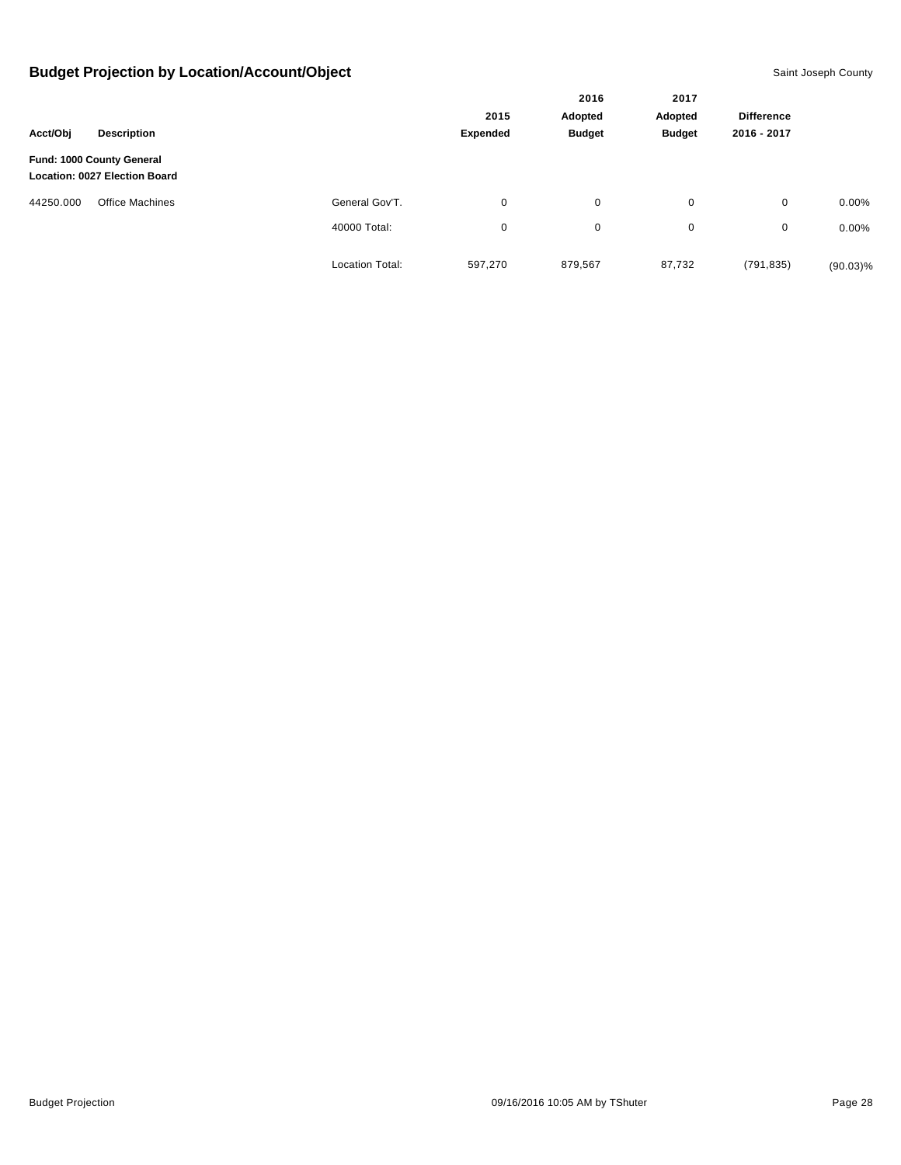|           |                                                            |                        |                 | 2016          |                   |             |             |
|-----------|------------------------------------------------------------|------------------------|-----------------|---------------|-------------------|-------------|-------------|
|           |                                                            | 2015                   | Adopted         | Adopted       | <b>Difference</b> |             |             |
| Acct/Obj  | <b>Description</b>                                         |                        | <b>Expended</b> | <b>Budget</b> | <b>Budget</b>     | 2016 - 2017 |             |
|           | Fund: 1000 County General<br>Location: 0027 Election Board |                        |                 |               |                   |             |             |
| 44250.000 | <b>Office Machines</b>                                     | General Gov'T.         | $\mathbf 0$     | 0             | 0                 | 0           | $0.00\%$    |
|           |                                                            | 40000 Total:           | $\mathbf 0$     | $\mathbf 0$   | $\mathbf 0$       | 0           | $0.00\%$    |
|           |                                                            | <b>Location Total:</b> | 597,270         | 879,567       | 87,732            | (791, 835)  | $(90.03)\%$ |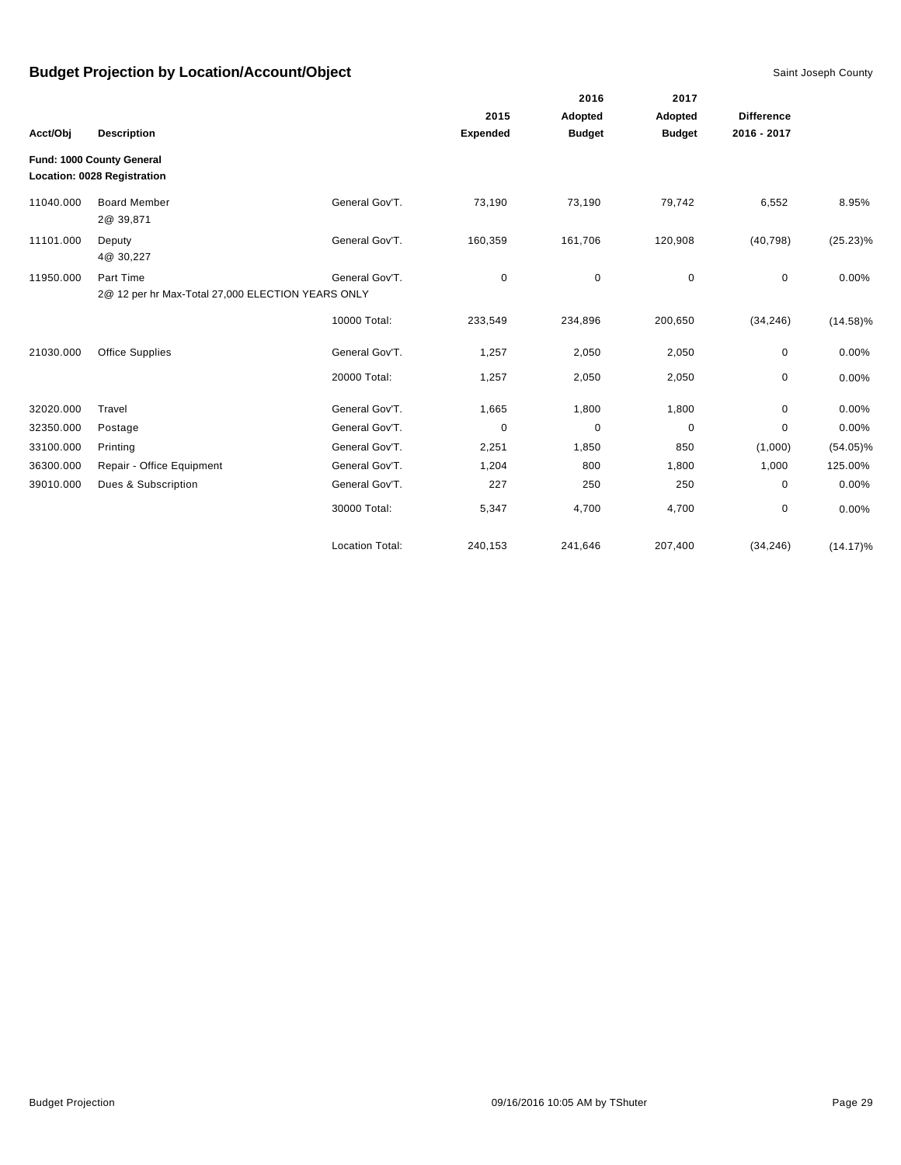|           |                                                   |                        |          | 2016          | 2017          |                   |             |
|-----------|---------------------------------------------------|------------------------|----------|---------------|---------------|-------------------|-------------|
|           |                                                   |                        | 2015     | Adopted       | Adopted       | <b>Difference</b> |             |
| Acct/Obj  | <b>Description</b>                                |                        | Expended | <b>Budget</b> | <b>Budget</b> | 2016 - 2017       |             |
|           | Fund: 1000 County General                         |                        |          |               |               |                   |             |
|           | Location: 0028 Registration                       |                        |          |               |               |                   |             |
| 11040.000 | <b>Board Member</b><br>2@ 39,871                  | General Gov'T.         | 73,190   | 73,190        | 79,742        | 6,552             | 8.95%       |
| 11101.000 | Deputy<br>4@ 30,227                               | General Gov'T.         | 160,359  | 161,706       | 120,908       | (40, 798)         | $(25.23)\%$ |
| 11950.000 | Part Time                                         | General Gov'T.         | 0        | 0             | $\mathbf 0$   | 0                 | 0.00%       |
|           | 2@ 12 per hr Max-Total 27,000 ELECTION YEARS ONLY |                        |          |               |               |                   |             |
|           |                                                   | 10000 Total:           | 233,549  | 234,896       | 200,650       | (34, 246)         | $(14.58)\%$ |
| 21030.000 | <b>Office Supplies</b>                            | General Gov'T.         | 1,257    | 2,050         | 2,050         | $\pmb{0}$         | 0.00%       |
|           |                                                   | 20000 Total:           | 1,257    | 2,050         | 2,050         | $\mathbf 0$       | 0.00%       |
| 32020.000 | Travel                                            | General Gov'T.         | 1,665    | 1,800         | 1,800         | 0                 | 0.00%       |
| 32350.000 | Postage                                           | General Gov'T.         | 0        | 0             | 0             | 0                 | 0.00%       |
| 33100.000 | Printing                                          | General Gov'T.         | 2,251    | 1,850         | 850           | (1,000)           | $(54.05)\%$ |
| 36300.000 | Repair - Office Equipment                         | General Gov'T.         | 1,204    | 800           | 1,800         | 1,000             | 125.00%     |
| 39010.000 | Dues & Subscription                               | General Gov'T.         | 227      | 250           | 250           | 0                 | 0.00%       |
|           |                                                   | 30000 Total:           | 5,347    | 4,700         | 4,700         | $\mathbf 0$       | 0.00%       |
|           |                                                   | <b>Location Total:</b> | 240,153  | 241,646       | 207,400       | (34, 246)         | $(14.17)\%$ |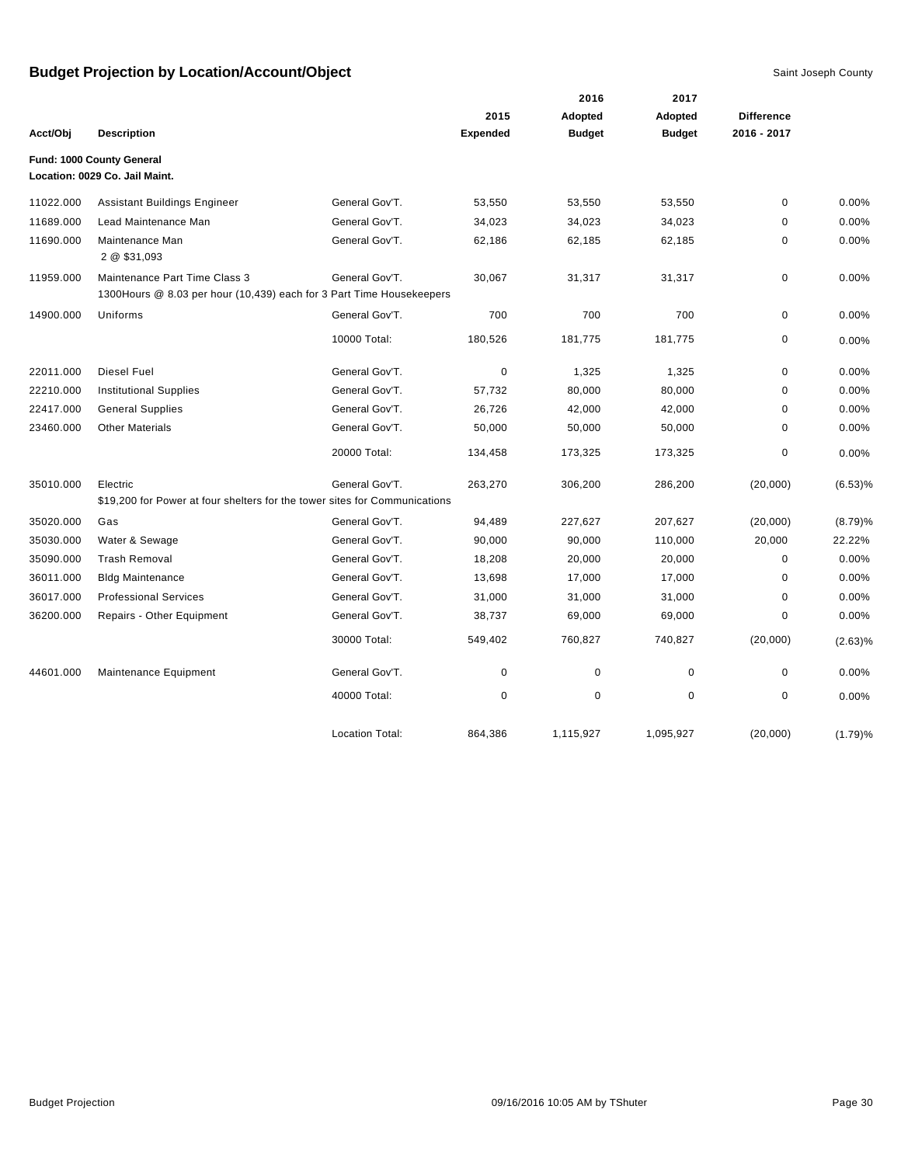|           |                                                                            |                        |                 | 2016          | 2017          |                   |         |
|-----------|----------------------------------------------------------------------------|------------------------|-----------------|---------------|---------------|-------------------|---------|
|           |                                                                            |                        | 2015            | Adopted       | Adopted       | <b>Difference</b> |         |
| Acct/Obj  | <b>Description</b>                                                         |                        | <b>Expended</b> | <b>Budget</b> | <b>Budget</b> | 2016 - 2017       |         |
|           | Fund: 1000 County General                                                  |                        |                 |               |               |                   |         |
|           | Location: 0029 Co. Jail Maint.                                             |                        |                 |               |               |                   |         |
| 11022.000 | <b>Assistant Buildings Engineer</b>                                        | General Gov'T.         | 53,550          | 53,550        | 53,550        | $\mathbf 0$       | 0.00%   |
| 11689.000 | Lead Maintenance Man                                                       | General Gov'T.         | 34,023          | 34,023        | 34,023        | 0                 | 0.00%   |
| 11690.000 | Maintenance Man<br>2 @ \$31,093                                            | General Gov'T.         | 62,186          | 62,185        | 62,185        | 0                 | 0.00%   |
| 11959.000 | Maintenance Part Time Class 3                                              | General Gov'T.         | 30,067          | 31,317        | 31,317        | 0                 | 0.00%   |
|           | 1300 Hours @ 8.03 per hour (10,439) each for 3 Part Time Housekeepers      |                        |                 |               |               |                   |         |
| 14900.000 | Uniforms                                                                   | General Gov'T.         | 700             | 700           | 700           | 0                 | 0.00%   |
|           |                                                                            | 10000 Total:           | 180,526         | 181,775       | 181,775       | 0                 | 0.00%   |
| 22011.000 | <b>Diesel Fuel</b>                                                         | General Gov'T.         | $\mathbf 0$     | 1,325         | 1,325         | 0                 | 0.00%   |
| 22210.000 | <b>Institutional Supplies</b>                                              | General Gov'T.         | 57,732          | 80,000        | 80,000        | 0                 | 0.00%   |
| 22417.000 | <b>General Supplies</b>                                                    | General Gov'T.         | 26,726          | 42,000        | 42,000        | 0                 | 0.00%   |
| 23460.000 | <b>Other Materials</b>                                                     | General Gov'T.         | 50,000          | 50,000        | 50,000        | 0                 | 0.00%   |
|           |                                                                            | 20000 Total:           | 134,458         | 173,325       | 173,325       | 0                 | 0.00%   |
| 35010.000 | Electric                                                                   | General Gov'T.         | 263,270         | 306,200       | 286,200       | (20,000)          | (6.53)% |
|           | \$19,200 for Power at four shelters for the tower sites for Communications |                        |                 |               |               |                   |         |
| 35020.000 | Gas                                                                        | General Gov'T.         | 94,489          | 227,627       | 207,627       | (20,000)          | (8.79)% |
| 35030.000 | Water & Sewage                                                             | General Gov'T.         | 90,000          | 90,000        | 110,000       | 20,000            | 22.22%  |
| 35090.000 | <b>Trash Removal</b>                                                       | General Gov'T.         | 18,208          | 20,000        | 20,000        | 0                 | 0.00%   |
| 36011.000 | <b>Bldg Maintenance</b>                                                    | General Gov'T.         | 13,698          | 17,000        | 17,000        | 0                 | 0.00%   |
| 36017.000 | <b>Professional Services</b>                                               | General Gov'T.         | 31,000          | 31,000        | 31,000        | 0                 | 0.00%   |
| 36200.000 | Repairs - Other Equipment                                                  | General Gov'T.         | 38,737          | 69,000        | 69,000        | 0                 | 0.00%   |
|           |                                                                            | 30000 Total:           | 549,402         | 760,827       | 740,827       | (20,000)          | (2.63)% |
| 44601.000 | Maintenance Equipment                                                      | General Gov'T.         | 0               | $\mathbf 0$   | $\mathbf 0$   | 0                 | 0.00%   |
|           |                                                                            | 40000 Total:           | $\mathbf 0$     | $\mathbf 0$   | 0             | 0                 | 0.00%   |
|           |                                                                            | <b>Location Total:</b> | 864,386         | 1,115,927     | 1,095,927     | (20,000)          | (1.79)% |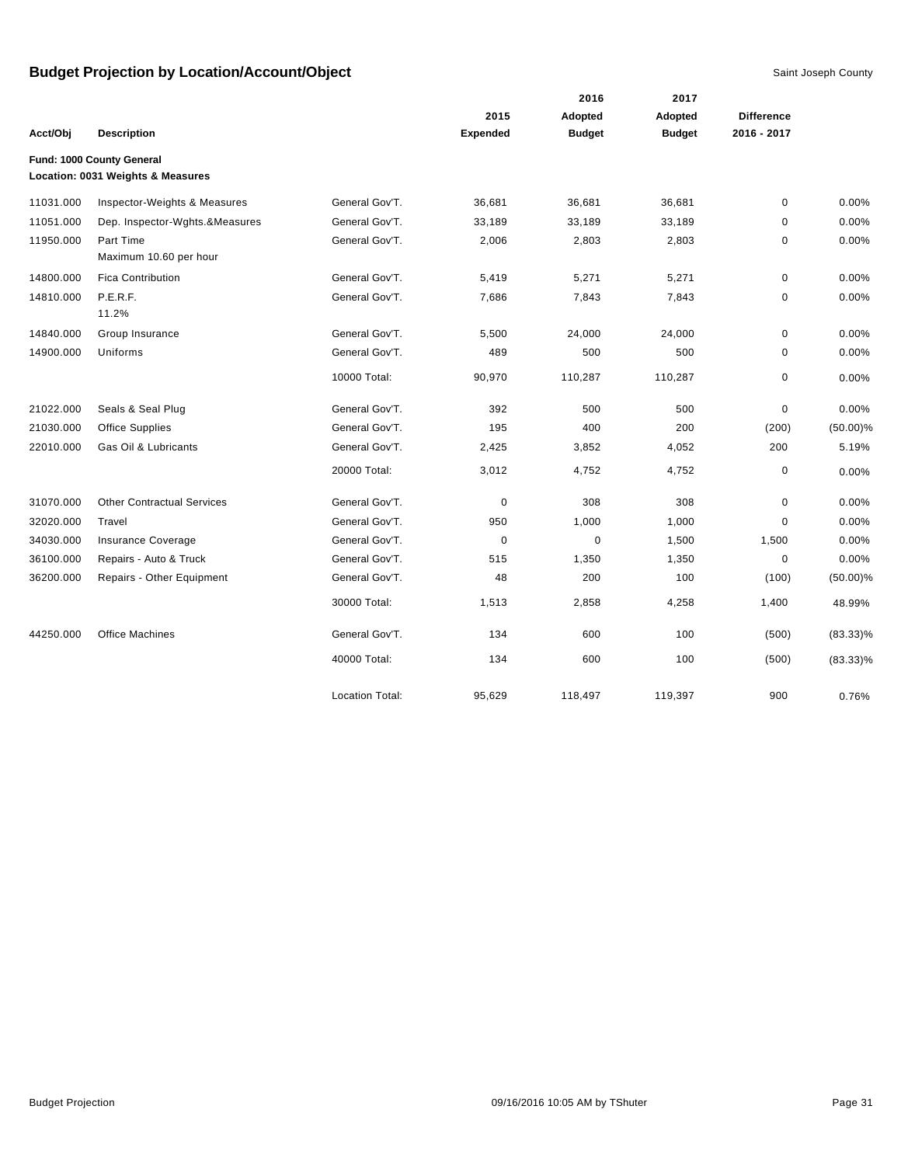|           |                                                                |                        |                 | 2016          | 2017          |                   |             |
|-----------|----------------------------------------------------------------|------------------------|-----------------|---------------|---------------|-------------------|-------------|
|           |                                                                |                        | 2015            | Adopted       | Adopted       | <b>Difference</b> |             |
| Acct/Obj  | <b>Description</b>                                             |                        | <b>Expended</b> | <b>Budget</b> | <b>Budget</b> | 2016 - 2017       |             |
|           | Fund: 1000 County General<br>Location: 0031 Weights & Measures |                        |                 |               |               |                   |             |
| 11031.000 | Inspector-Weights & Measures                                   | General Gov'T.         | 36,681          | 36,681        | 36,681        | $\pmb{0}$         | 0.00%       |
| 11051.000 | Dep. Inspector-Wghts.&Measures                                 | General Gov'T.         | 33,189          | 33,189        | 33,189        | 0                 | 0.00%       |
| 11950.000 | Part Time<br>Maximum 10.60 per hour                            | General Gov'T.         | 2,006           | 2,803         | 2,803         | 0                 | 0.00%       |
| 14800.000 | <b>Fica Contribution</b>                                       | General Gov'T.         | 5,419           | 5,271         | 5,271         | $\mathbf 0$       | 0.00%       |
| 14810.000 | P.E.R.F.<br>11.2%                                              | General Gov'T.         | 7,686           | 7,843         | 7,843         | 0                 | 0.00%       |
| 14840.000 | Group Insurance                                                | General Gov'T.         | 5,500           | 24,000        | 24,000        | 0                 | 0.00%       |
| 14900.000 | Uniforms                                                       | General Gov'T.         | 489             | 500           | 500           | $\mathbf 0$       | 0.00%       |
|           |                                                                | 10000 Total:           | 90,970          | 110,287       | 110,287       | 0                 | 0.00%       |
| 21022.000 | Seals & Seal Plug                                              | General Gov'T.         | 392             | 500           | 500           | $\mathbf 0$       | 0.00%       |
| 21030.000 | <b>Office Supplies</b>                                         | General Gov'T.         | 195             | 400           | 200           | (200)             | $(50.00)\%$ |
| 22010.000 | Gas Oil & Lubricants                                           | General Gov'T.         | 2,425           | 3,852         | 4,052         | 200               | 5.19%       |
|           |                                                                | 20000 Total:           | 3,012           | 4,752         | 4,752         | $\mathbf 0$       | 0.00%       |
| 31070.000 | <b>Other Contractual Services</b>                              | General Gov'T.         | $\mathbf 0$     | 308           | 308           | $\mathbf 0$       | 0.00%       |
| 32020.000 | Travel                                                         | General Gov'T.         | 950             | 1,000         | 1,000         | $\mathbf 0$       | 0.00%       |
| 34030.000 | Insurance Coverage                                             | General Gov'T.         | $\mathbf 0$     | $\pmb{0}$     | 1,500         | 1,500             | 0.00%       |
| 36100.000 | Repairs - Auto & Truck                                         | General Gov'T.         | 515             | 1,350         | 1,350         | $\mathbf 0$       | 0.00%       |
| 36200.000 | Repairs - Other Equipment                                      | General Gov'T.         | 48              | 200           | 100           | (100)             | $(50.00)\%$ |
|           |                                                                | 30000 Total:           | 1,513           | 2,858         | 4,258         | 1,400             | 48.99%      |
| 44250.000 | <b>Office Machines</b>                                         | General Gov'T.         | 134             | 600           | 100           | (500)             | $(83.33)\%$ |
|           |                                                                | 40000 Total:           | 134             | 600           | 100           | (500)             | $(83.33)\%$ |
|           |                                                                | <b>Location Total:</b> | 95,629          | 118,497       | 119,397       | 900               | 0.76%       |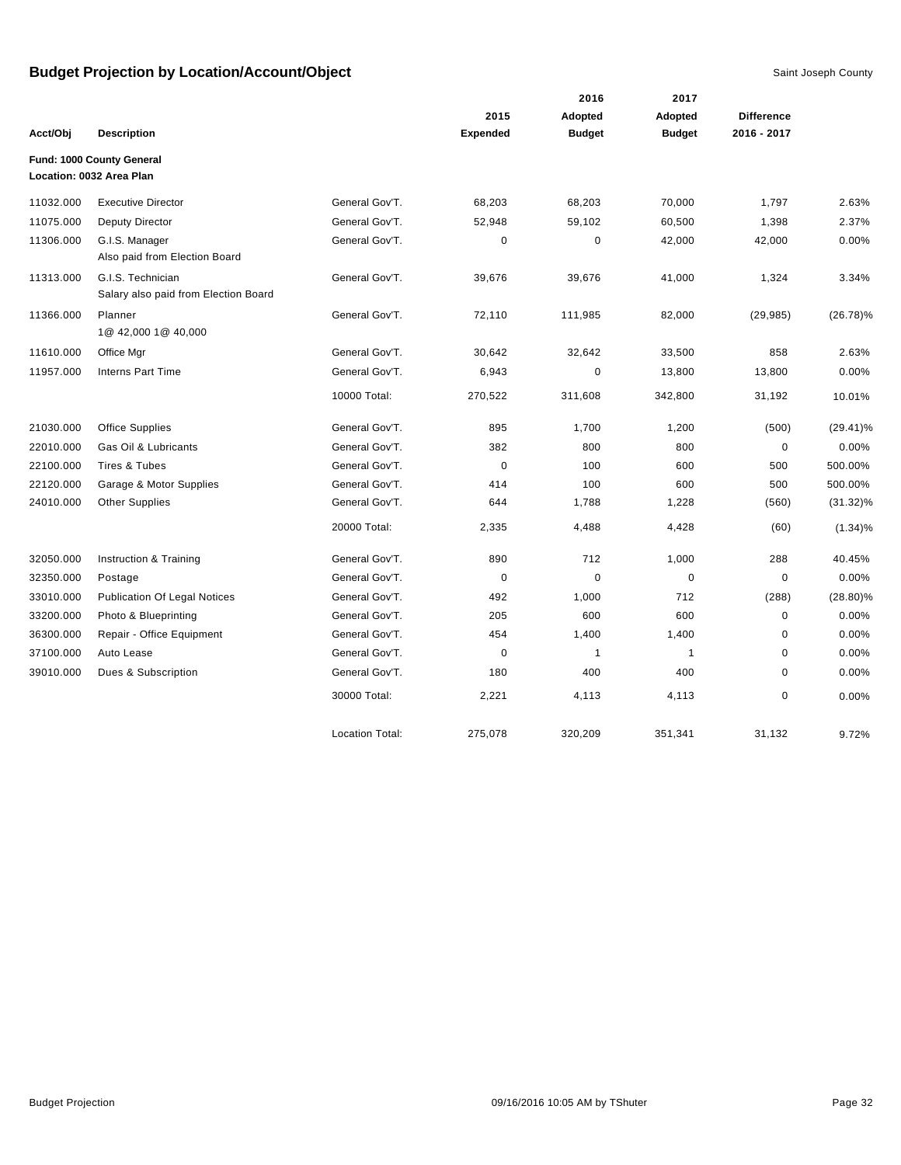|           |                                                           |                        |                 | 2016          | 2017           |                   |             |
|-----------|-----------------------------------------------------------|------------------------|-----------------|---------------|----------------|-------------------|-------------|
|           |                                                           |                        | 2015            | Adopted       | <b>Adopted</b> | <b>Difference</b> |             |
| Acct/Obj  | <b>Description</b>                                        |                        | <b>Expended</b> | <b>Budget</b> | <b>Budget</b>  | 2016 - 2017       |             |
|           | Fund: 1000 County General                                 |                        |                 |               |                |                   |             |
|           | Location: 0032 Area Plan                                  |                        |                 |               |                |                   |             |
| 11032.000 | <b>Executive Director</b>                                 | General Gov'T.         | 68,203          | 68,203        | 70,000         | 1,797             | 2.63%       |
| 11075.000 | Deputy Director                                           | General Gov'T.         | 52,948          | 59,102        | 60,500         | 1,398             | 2.37%       |
| 11306.000 | G.I.S. Manager<br>Also paid from Election Board           | General Gov'T.         | $\pmb{0}$       | $\pmb{0}$     | 42,000         | 42,000            | 0.00%       |
| 11313.000 | G.I.S. Technician<br>Salary also paid from Election Board | General Gov'T.         | 39,676          | 39,676        | 41,000         | 1,324             | 3.34%       |
| 11366.000 | Planner<br>1@ 42,000 1@ 40,000                            | General Gov'T.         | 72,110          | 111,985       | 82,000         | (29, 985)         | $(26.78)\%$ |
| 11610.000 | Office Mgr                                                | General Gov'T.         | 30,642          | 32,642        | 33,500         | 858               | 2.63%       |
| 11957.000 | <b>Interns Part Time</b>                                  | General Gov'T.         | 6,943           | $\pmb{0}$     | 13,800         | 13,800            | 0.00%       |
|           |                                                           | 10000 Total:           | 270,522         | 311,608       | 342,800        | 31,192            | 10.01%      |
| 21030.000 | <b>Office Supplies</b>                                    | General Gov'T.         | 895             | 1,700         | 1,200          | (500)             | $(29.41)\%$ |
| 22010.000 | Gas Oil & Lubricants                                      | General Gov'T.         | 382             | 800           | 800            | $\mathbf 0$       | 0.00%       |
| 22100.000 | Tires & Tubes                                             | General Gov'T.         | $\mathbf 0$     | 100           | 600            | 500               | 500.00%     |
| 22120.000 | Garage & Motor Supplies                                   | General Gov'T.         | 414             | 100           | 600            | 500               | 500.00%     |
| 24010.000 | <b>Other Supplies</b>                                     | General Gov'T.         | 644             | 1,788         | 1,228          | (560)             | $(31.32)\%$ |
|           |                                                           | 20000 Total:           | 2,335           | 4,488         | 4,428          | (60)              | $(1.34)\%$  |
| 32050.000 | Instruction & Training                                    | General Gov'T.         | 890             | 712           | 1,000          | 288               | 40.45%      |
| 32350.000 | Postage                                                   | General Gov'T.         | $\mathbf 0$     | $\mathbf 0$   | $\mathbf 0$    | $\mathbf 0$       | 0.00%       |
| 33010.000 | <b>Publication Of Legal Notices</b>                       | General Gov'T.         | 492             | 1,000         | 712            | (288)             | $(28.80)\%$ |
| 33200.000 | Photo & Blueprinting                                      | General Gov'T.         | 205             | 600           | 600            | $\mathbf 0$       | 0.00%       |
| 36300.000 | Repair - Office Equipment                                 | General Gov'T.         | 454             | 1,400         | 1,400          | $\mathbf 0$       | 0.00%       |
| 37100.000 | Auto Lease                                                | General Gov'T.         | $\mathbf 0$     | $\mathbf{1}$  | $\mathbf{1}$   | $\mathbf 0$       | 0.00%       |
| 39010.000 | Dues & Subscription                                       | General Gov'T.         | 180             | 400           | 400            | $\mathbf 0$       | 0.00%       |
|           |                                                           | 30000 Total:           | 2,221           | 4,113         | 4,113          | $\mathbf 0$       | 0.00%       |
|           |                                                           | <b>Location Total:</b> | 275,078         | 320,209       | 351,341        | 31,132            | 9.72%       |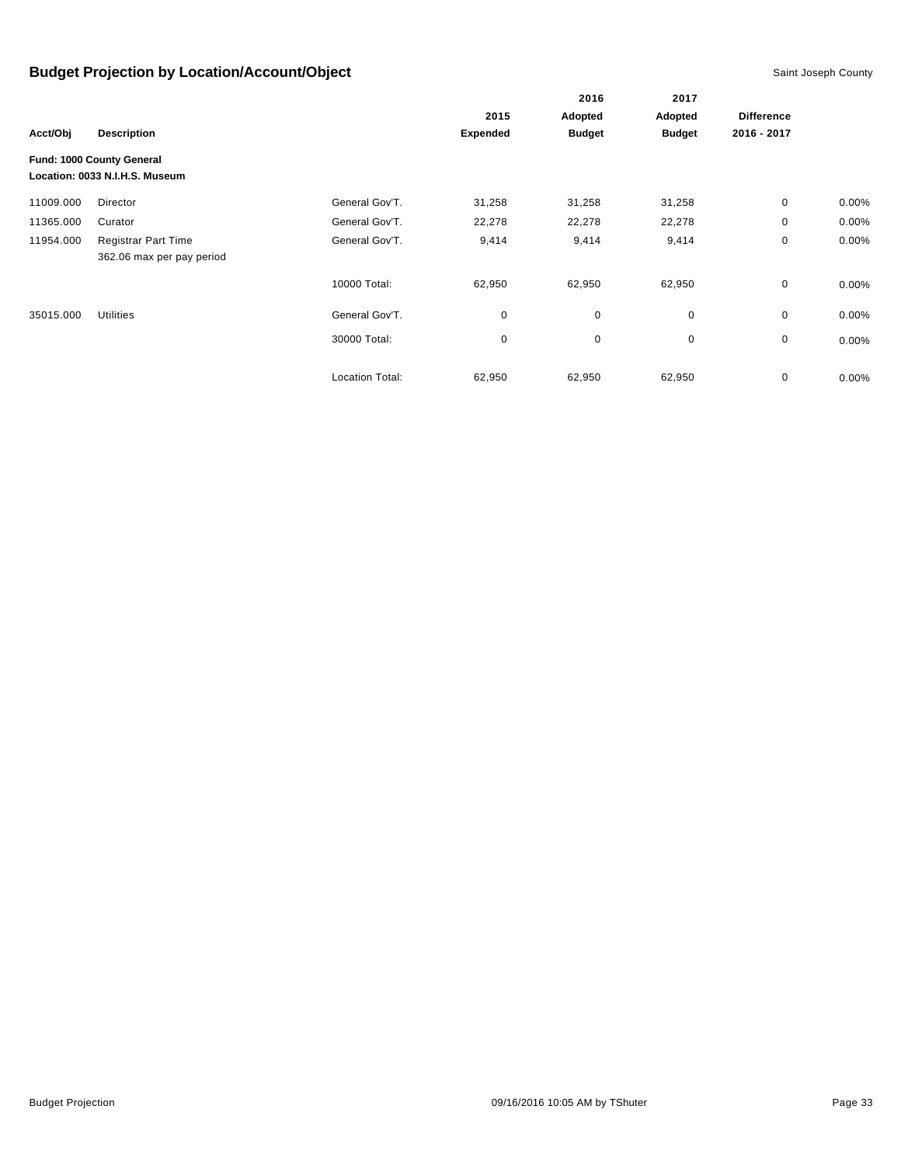|           |                                                             |                        |                 | 2016          | 2017          |                   |          |
|-----------|-------------------------------------------------------------|------------------------|-----------------|---------------|---------------|-------------------|----------|
|           |                                                             | 2015                   |                 | Adopted       | Adopted       | <b>Difference</b> |          |
| Acct/Obj  | <b>Description</b>                                          |                        | <b>Expended</b> | <b>Budget</b> | <b>Budget</b> | 2016 - 2017       |          |
|           | Fund: 1000 County General<br>Location: 0033 N.I.H.S. Museum |                        |                 |               |               |                   |          |
| 11009.000 | Director                                                    | General Gov'T.         | 31,258          | 31,258        | 31,258        | 0                 | $0.00\%$ |
| 11365.000 | Curator                                                     | General Gov'T.         | 22,278          | 22,278        | 22,278        | 0                 | 0.00%    |
| 11954.000 | <b>Registrar Part Time</b><br>362.06 max per pay period     | General Gov'T.         | 9,414           | 9,414         | 9,414         | 0                 | 0.00%    |
|           |                                                             | 10000 Total:           | 62,950          | 62,950        | 62,950        | $\mathbf 0$       | $0.00\%$ |
| 35015.000 | <b>Utilities</b>                                            | General Gov'T.         | 0               | $\mathbf 0$   | 0             | 0                 | 0.00%    |
|           |                                                             | 30000 Total:           | 0               | $\pmb{0}$     | 0             | 0                 | $0.00\%$ |
|           |                                                             | <b>Location Total:</b> | 62,950          | 62,950        | 62,950        | 0                 | 0.00%    |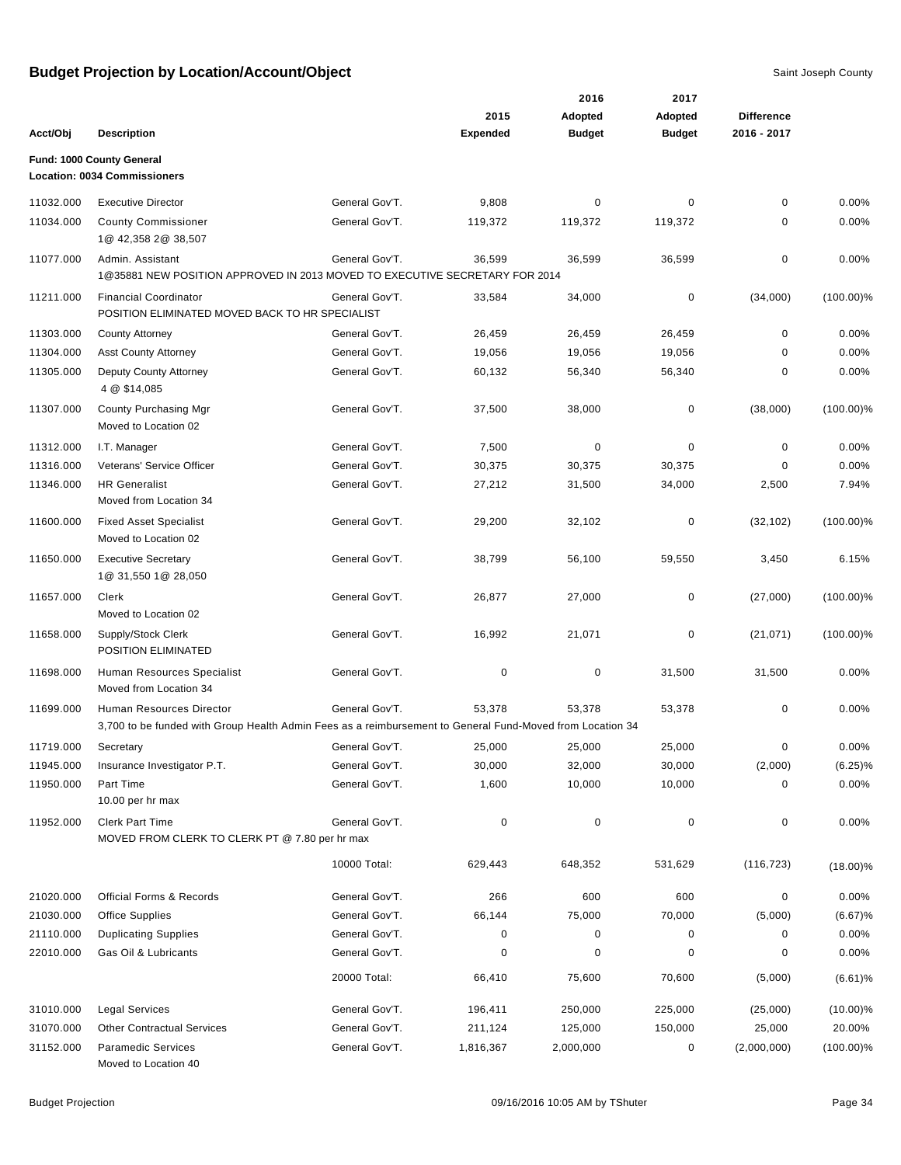|           |                                                                                                                                       |                |                 | 2016           | 2017          |                   |              |
|-----------|---------------------------------------------------------------------------------------------------------------------------------------|----------------|-----------------|----------------|---------------|-------------------|--------------|
|           |                                                                                                                                       |                | 2015            | <b>Adopted</b> | Adopted       | <b>Difference</b> |              |
| Acct/Obj  | <b>Description</b>                                                                                                                    |                | <b>Expended</b> | <b>Budget</b>  | <b>Budget</b> | 2016 - 2017       |              |
|           | Fund: 1000 County General<br><b>Location: 0034 Commissioners</b>                                                                      |                |                 |                |               |                   |              |
| 11032.000 | <b>Executive Director</b>                                                                                                             | General Gov'T. | 9,808           | 0              | 0             | 0                 | 0.00%        |
| 11034.000 | <b>County Commissioner</b><br>1@ 42,358 2@ 38,507                                                                                     | General Gov'T. | 119,372         | 119,372        | 119,372       | 0                 | 0.00%        |
| 11077.000 | Admin. Assistant<br>1@35881 NEW POSITION APPROVED IN 2013 MOVED TO EXECUTIVE SECRETARY FOR 2014                                       | General Gov'T. | 36,599          | 36,599         | 36,599        | 0                 | 0.00%        |
| 11211.000 | <b>Financial Coordinator</b><br>POSITION ELIMINATED MOVED BACK TO HR SPECIALIST                                                       | General Gov'T. | 33,584          | 34,000         | $\mathbf 0$   | (34,000)          | $(100.00)\%$ |
| 11303.000 | <b>County Attorney</b>                                                                                                                | General Gov'T. | 26,459          | 26,459         | 26,459        | 0                 | 0.00%        |
| 11304.000 | <b>Asst County Attorney</b>                                                                                                           | General Gov'T. | 19,056          | 19,056         | 19,056        | 0                 | 0.00%        |
| 11305.000 | Deputy County Attorney<br>4 @ \$14,085                                                                                                | General Gov'T. | 60,132          | 56,340         | 56,340        | 0                 | 0.00%        |
| 11307.000 | County Purchasing Mgr<br>Moved to Location 02                                                                                         | General Gov'T. | 37,500          | 38,000         | 0             | (38,000)          | $(100.00)\%$ |
| 11312.000 | I.T. Manager                                                                                                                          | General Gov'T. | 7,500           | 0              | $\mathbf 0$   | $\mathbf 0$       | 0.00%        |
| 11316.000 | Veterans' Service Officer                                                                                                             | General Gov'T. | 30,375          | 30,375         | 30,375        | 0                 | 0.00%        |
| 11346.000 | <b>HR Generalist</b><br>Moved from Location 34                                                                                        | General Gov'T. | 27,212          | 31,500         | 34,000        | 2,500             | 7.94%        |
| 11600.000 | <b>Fixed Asset Specialist</b><br>Moved to Location 02                                                                                 | General Gov'T. | 29,200          | 32,102         | $\mathbf 0$   | (32, 102)         | $(100.00)\%$ |
| 11650.000 | <b>Executive Secretary</b><br>1@ 31,550 1@ 28,050                                                                                     | General Gov'T. | 38,799          | 56,100         | 59,550        | 3,450             | 6.15%        |
| 11657.000 | Clerk<br>Moved to Location 02                                                                                                         | General Gov'T. | 26,877          | 27,000         | $\mathbf 0$   | (27,000)          | $(100.00)\%$ |
| 11658.000 | Supply/Stock Clerk<br>POSITION ELIMINATED                                                                                             | General Gov'T. | 16,992          | 21,071         | 0             | (21, 071)         | $(100.00)\%$ |
| 11698.000 | Human Resources Specialist<br>Moved from Location 34                                                                                  | General Gov'T. | 0               | $\pmb{0}$      | 31,500        | 31,500            | 0.00%        |
| 11699.000 | Human Resources Director<br>3,700 to be funded with Group Health Admin Fees as a reimbursement to General Fund-Moved from Location 34 | General Gov'T. | 53,378          | 53,378         | 53,378        | 0                 | 0.00%        |
| 11719.000 | Secretary                                                                                                                             | General Gov'T. | 25,000          | 25,000         | 25,000        | 0                 | 0.00%        |
| 11945.000 | Insurance Investigator P.T.                                                                                                           | General Gov'T. | 30,000          | 32,000         | 30,000        | (2,000)           | $(6.25)\%$   |
| 11950.000 | Part Time<br>10.00 per hr max                                                                                                         | General Gov'T. | 1,600           | 10,000         | 10,000        | 0                 | 0.00%        |
| 11952.000 | <b>Clerk Part Time</b><br>MOVED FROM CLERK TO CLERK PT @ 7.80 per hr max                                                              | General Gov'T. | 0               | 0              | $\pmb{0}$     | 0                 | 0.00%        |
|           |                                                                                                                                       | 10000 Total:   | 629,443         | 648,352        | 531,629       | (116, 723)        | $(18.00)\%$  |
| 21020.000 | Official Forms & Records                                                                                                              | General Gov'T. | 266             | 600            | 600           | 0                 | 0.00%        |
| 21030.000 | <b>Office Supplies</b>                                                                                                                | General Gov'T. | 66,144          | 75,000         | 70,000        | (5,000)           | (6.67)%      |
| 21110.000 | <b>Duplicating Supplies</b>                                                                                                           | General Gov'T. | 0               | 0              | 0             | 0                 | 0.00%        |
| 22010.000 | Gas Oil & Lubricants                                                                                                                  | General Gov'T. | 0               | 0              | $\Omega$      | 0                 | 0.00%        |
|           |                                                                                                                                       | 20000 Total:   | 66,410          | 75,600         | 70,600        | (5,000)           | (6.61)%      |
| 31010.000 | <b>Legal Services</b>                                                                                                                 | General Gov'T. | 196,411         | 250,000        | 225,000       | (25,000)          | $(10.00)\%$  |
| 31070.000 | <b>Other Contractual Services</b>                                                                                                     | General Gov'T. | 211,124         | 125,000        | 150,000       | 25,000            | 20.00%       |
| 31152.000 | <b>Paramedic Services</b><br>Moved to Location 40                                                                                     | General Gov'T. | 1,816,367       | 2,000,000      | 0             | (2,000,000)       | $(100.00)\%$ |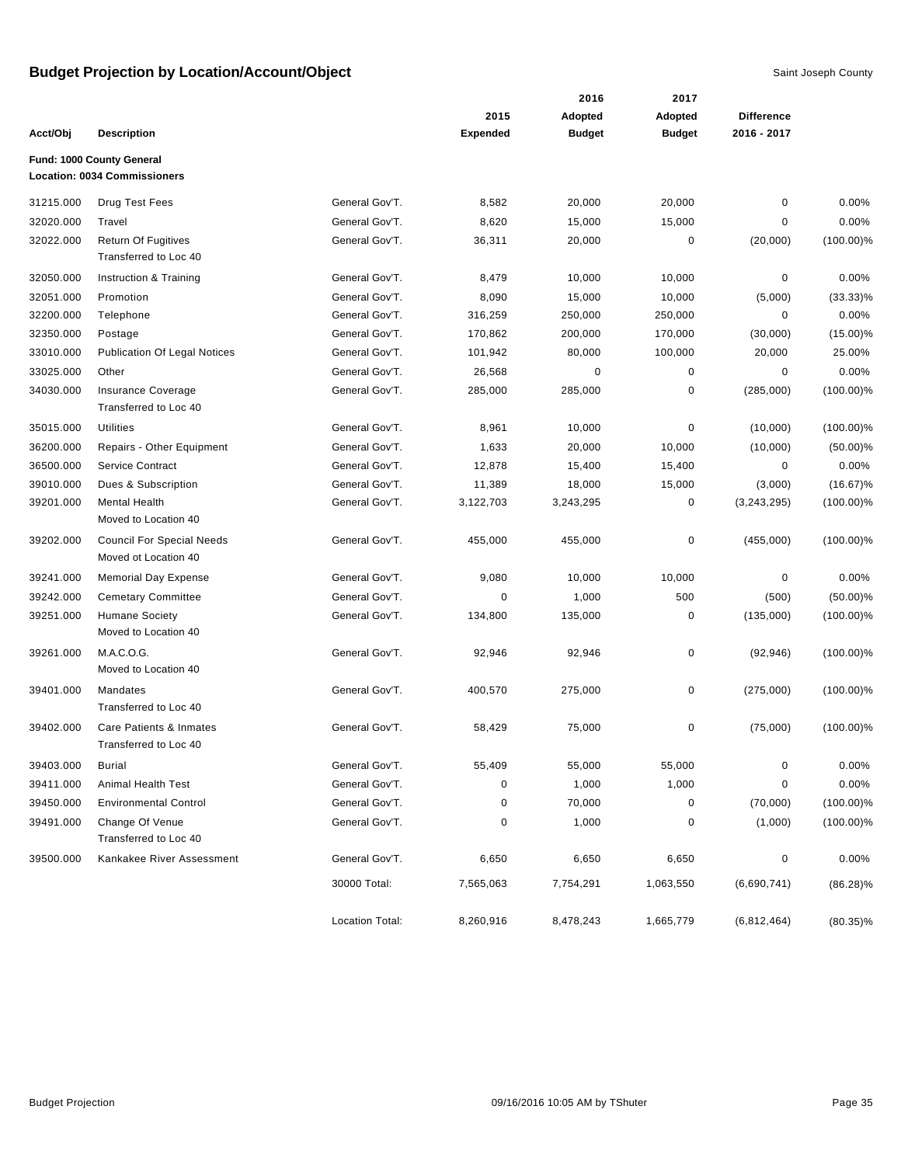|           |                                                          |                 |                 | 2016          | 2017          |                   |              |
|-----------|----------------------------------------------------------|-----------------|-----------------|---------------|---------------|-------------------|--------------|
|           |                                                          |                 | 2015            | Adopted       | Adopted       | <b>Difference</b> |              |
| Acct/Obj  | <b>Description</b>                                       |                 | <b>Expended</b> | <b>Budget</b> | <b>Budget</b> | 2016 - 2017       |              |
|           | Fund: 1000 County General                                |                 |                 |               |               |                   |              |
|           | <b>Location: 0034 Commissioners</b>                      |                 |                 |               |               |                   |              |
| 31215.000 | Drug Test Fees                                           | General Gov'T.  | 8,582           | 20,000        | 20,000        | $\mathbf 0$       | 0.00%        |
| 32020.000 | Travel                                                   | General Gov'T.  | 8,620           | 15,000        | 15,000        | 0                 | 0.00%        |
| 32022.000 | <b>Return Of Fugitives</b><br>Transferred to Loc 40      | General Gov'T.  | 36,311          | 20,000        | 0             | (20,000)          | $(100.00)\%$ |
| 32050.000 | Instruction & Training                                   | General Gov'T.  | 8,479           | 10,000        | 10,000        | $\pmb{0}$         | 0.00%        |
| 32051.000 | Promotion                                                | General Gov'T.  | 8,090           | 15,000        | 10,000        | (5,000)           | $(33.33)\%$  |
| 32200.000 | Telephone                                                | General Gov'T.  | 316,259         | 250,000       | 250,000       | 0                 | 0.00%        |
| 32350.000 | Postage                                                  | General Gov'T.  | 170,862         | 200,000       | 170,000       | (30,000)          | $(15.00)\%$  |
| 33010.000 | <b>Publication Of Legal Notices</b>                      | General Gov'T.  | 101,942         | 80,000        | 100,000       | 20,000            | 25.00%       |
| 33025.000 | Other                                                    | General Gov'T.  | 26,568          | 0             | 0             | 0                 | 0.00%        |
| 34030.000 | Insurance Coverage<br>Transferred to Loc 40              | General Gov'T.  | 285,000         | 285,000       | $\pmb{0}$     | (285,000)         | $(100.00)\%$ |
| 35015.000 | <b>Utilities</b>                                         | General Gov'T.  | 8,961           | 10,000        | $\pmb{0}$     | (10,000)          | $(100.00)\%$ |
| 36200.000 | Repairs - Other Equipment                                | General Gov'T.  | 1,633           | 20,000        | 10,000        | (10,000)          | $(50.00)\%$  |
| 36500.000 | Service Contract                                         | General Gov'T.  | 12,878          | 15,400        | 15,400        | 0                 | 0.00%        |
| 39010.000 | Dues & Subscription                                      | General Gov'T.  | 11,389          | 18,000        | 15,000        | (3,000)           | $(16.67)\%$  |
| 39201.000 | <b>Mental Health</b><br>Moved to Location 40             | General Gov'T.  | 3,122,703       | 3,243,295     | 0             | (3,243,295)       | $(100.00)\%$ |
| 39202.000 | <b>Council For Special Needs</b><br>Moved ot Location 40 | General Gov'T.  | 455,000         | 455,000       | $\pmb{0}$     | (455,000)         | $(100.00)\%$ |
| 39241.000 | <b>Memorial Day Expense</b>                              | General Gov'T.  | 9,080           | 10,000        | 10,000        | $\pmb{0}$         | 0.00%        |
| 39242.000 | <b>Cemetary Committee</b>                                | General Gov'T.  | 0               | 1,000         | 500           | (500)             | $(50.00)\%$  |
| 39251.000 | <b>Humane Society</b><br>Moved to Location 40            | General Gov'T.  | 134,800         | 135,000       | 0             | (135,000)         | $(100.00)\%$ |
| 39261.000 | M.A.C.O.G.<br>Moved to Location 40                       | General Gov'T.  | 92,946          | 92,946        | $\pmb{0}$     | (92, 946)         | $(100.00)\%$ |
| 39401.000 | Mandates<br>Transferred to Loc 40                        | General Gov'T.  | 400,570         | 275,000       | 0             | (275,000)         | $(100.00)\%$ |
| 39402.000 | Care Patients & Inmates<br>Transferred to Loc 40         | General Gov'T.  | 58,429          | 75,000        | 0             | (75,000)          | $(100.00)\%$ |
| 39403.000 | <b>Burial</b>                                            | General Gov'T.  | 55,409          | 55,000        | 55,000        | $\pmb{0}$         | 0.00%        |
| 39411.000 | Animal Health Test                                       | General Gov'T.  | 0               | 1,000         | 1,000         | 0                 | 0.00%        |
| 39450.000 | <b>Environmental Control</b>                             | General Gov'T.  | 0               | 70,000        | 0             | (70,000)          | $(100.00)\%$ |
| 39491.000 | Change Of Venue<br>Transferred to Loc 40                 | General Gov'T.  | 0               | 1,000         | $\pmb{0}$     | (1,000)           | $(100.00)\%$ |
| 39500.000 | Kankakee River Assessment                                | General Gov'T.  | 6,650           | 6,650         | 6,650         | 0                 | 0.00%        |
|           |                                                          | 30000 Total:    | 7,565,063       | 7,754,291     | 1,063,550     | (6,690,741)       | $(86.28)\%$  |
|           |                                                          | Location Total: | 8,260,916       | 8,478,243     | 1,665,779     | (6,812,464)       | $(80.35)\%$  |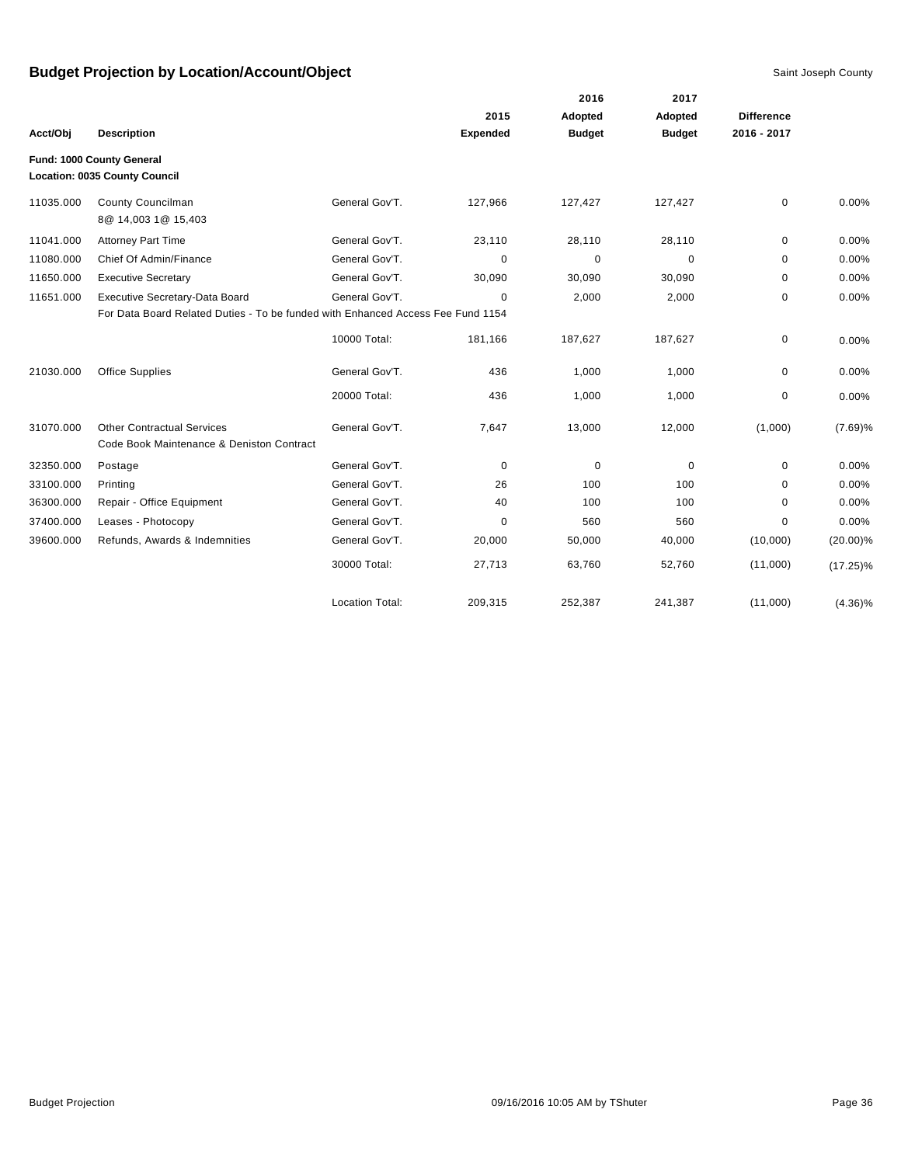|           |                                                                                 |                        |                 | 2016          | 2017          |                   |             |
|-----------|---------------------------------------------------------------------------------|------------------------|-----------------|---------------|---------------|-------------------|-------------|
|           |                                                                                 |                        | 2015            | Adopted       | Adopted       | <b>Difference</b> |             |
| Acct/Obj  | <b>Description</b>                                                              |                        | <b>Expended</b> | <b>Budget</b> | <b>Budget</b> | 2016 - 2017       |             |
|           | Fund: 1000 County General<br><b>Location: 0035 County Council</b>               |                        |                 |               |               |                   |             |
| 11035.000 | County Councilman<br>8@ 14,003 1@ 15,403                                        | General Gov'T.         | 127,966         | 127,427       | 127,427       | 0                 | 0.00%       |
| 11041.000 | <b>Attorney Part Time</b>                                                       | General Gov'T.         | 23,110          | 28,110        | 28,110        | 0                 | 0.00%       |
| 11080.000 | Chief Of Admin/Finance                                                          | General Gov'T.         | $\mathbf 0$     | $\pmb{0}$     | 0             | 0                 | 0.00%       |
| 11650.000 | <b>Executive Secretary</b>                                                      | General Gov'T.         | 30,090          | 30,090        | 30,090        | 0                 | 0.00%       |
| 11651.000 | Executive Secretary-Data Board                                                  | General Gov'T.         | 0               | 2,000         | 2,000         | 0                 | 0.00%       |
|           | For Data Board Related Duties - To be funded with Enhanced Access Fee Fund 1154 |                        |                 |               |               |                   |             |
|           |                                                                                 | 10000 Total:           | 181,166         | 187,627       | 187,627       | 0                 | 0.00%       |
| 21030.000 | <b>Office Supplies</b>                                                          | General Gov'T.         | 436             | 1,000         | 1,000         | 0                 | 0.00%       |
|           |                                                                                 | 20000 Total:           | 436             | 1,000         | 1,000         | 0                 | 0.00%       |
| 31070.000 | <b>Other Contractual Services</b><br>Code Book Maintenance & Deniston Contract  | General Gov'T.         | 7,647           | 13,000        | 12,000        | (1,000)           | (7.69)%     |
| 32350.000 | Postage                                                                         | General Gov'T.         | 0               | $\pmb{0}$     | $\mathbf 0$   | 0                 | 0.00%       |
| 33100.000 | Printing                                                                        | General Gov'T.         | 26              | 100           | 100           | 0                 | 0.00%       |
| 36300.000 | Repair - Office Equipment                                                       | General Gov'T.         | 40              | 100           | 100           | 0                 | 0.00%       |
| 37400.000 | Leases - Photocopy                                                              | General Gov'T.         | 0               | 560           | 560           | 0                 | 0.00%       |
| 39600.000 | Refunds, Awards & Indemnities                                                   | General Gov'T.         | 20,000          | 50,000        | 40,000        | (10,000)          | $(20.00)\%$ |
|           |                                                                                 | 30000 Total:           | 27,713          | 63,760        | 52,760        | (11,000)          | $(17.25)\%$ |
|           |                                                                                 | <b>Location Total:</b> | 209,315         | 252,387       | 241,387       | (11,000)          | $(4.36)\%$  |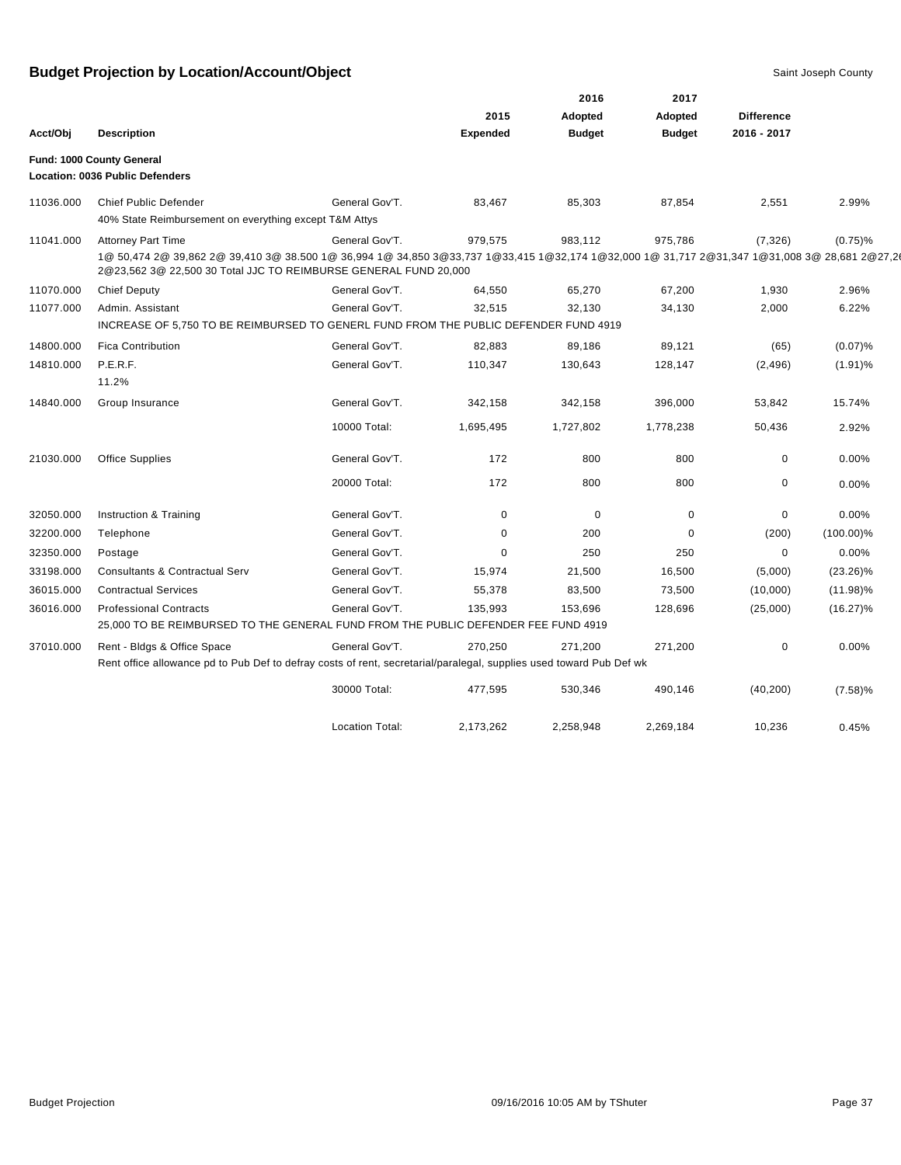|           |                                                                                                                                                                                                                   |                        |                 | 2016          | 2017          |                   |              |
|-----------|-------------------------------------------------------------------------------------------------------------------------------------------------------------------------------------------------------------------|------------------------|-----------------|---------------|---------------|-------------------|--------------|
|           |                                                                                                                                                                                                                   |                        | 2015            | Adopted       | Adopted       | <b>Difference</b> |              |
| Acct/Obj  | <b>Description</b>                                                                                                                                                                                                |                        | <b>Expended</b> | <b>Budget</b> | <b>Budget</b> | 2016 - 2017       |              |
|           | Fund: 1000 County General                                                                                                                                                                                         |                        |                 |               |               |                   |              |
|           | Location: 0036 Public Defenders                                                                                                                                                                                   |                        |                 |               |               |                   |              |
| 11036.000 | <b>Chief Public Defender</b><br>40% State Reimbursement on everything except T&M Attys                                                                                                                            | General Gov'T.         | 83,467          | 85,303        | 87,854        | 2,551             | 2.99%        |
| 11041.000 | <b>Attorney Part Time</b>                                                                                                                                                                                         | General Gov'T.         | 979,575         | 983,112       | 975,786       | (7, 326)          | $(0.75)\%$   |
|           | 1@ 50,474 2@ 39,862 2@ 39,410 3@ 38.500 1@ 36,994 1@ 34,850 3@33,737 1@33,415 1@32,174 1@32,000 1@ 31,717 2@31,347 1@31,008 3@ 28,681 2@27,2(<br>2@23,562 3@ 22,500 30 Total JJC TO REIMBURSE GENERAL FUND 20,000 |                        |                 |               |               |                   |              |
| 11070.000 | <b>Chief Deputy</b>                                                                                                                                                                                               | General Gov'T.         | 64,550          | 65,270        | 67,200        | 1,930             | 2.96%        |
| 11077.000 | Admin. Assistant                                                                                                                                                                                                  | General Gov'T.         | 32,515          | 32,130        | 34,130        | 2,000             | 6.22%        |
|           | INCREASE OF 5,750 TO BE REIMBURSED TO GENERL FUND FROM THE PUBLIC DEFENDER FUND 4919                                                                                                                              |                        |                 |               |               |                   |              |
| 14800.000 | <b>Fica Contribution</b>                                                                                                                                                                                          | General Gov'T.         | 82,883          | 89,186        | 89,121        | (65)              | (0.07)%      |
| 14810.000 | P.E.R.F.<br>11.2%                                                                                                                                                                                                 | General Gov'T.         | 110,347         | 130,643       | 128,147       | (2, 496)          | $(1.91)\%$   |
| 14840.000 | Group Insurance                                                                                                                                                                                                   | General Gov'T.         | 342,158         | 342,158       | 396,000       | 53,842            | 15.74%       |
|           |                                                                                                                                                                                                                   | 10000 Total:           | 1,695,495       | 1,727,802     | 1,778,238     | 50,436            | 2.92%        |
| 21030.000 | <b>Office Supplies</b>                                                                                                                                                                                            | General Gov'T.         | 172             | 800           | 800           | 0                 | 0.00%        |
|           |                                                                                                                                                                                                                   | 20000 Total:           | 172             | 800           | 800           | 0                 | 0.00%        |
| 32050.000 | Instruction & Training                                                                                                                                                                                            | General Gov'T.         | 0               | 0             | 0             | 0                 | 0.00%        |
| 32200.000 | Telephone                                                                                                                                                                                                         | General Gov'T.         | 0               | 200           | 0             | (200)             | $(100.00)\%$ |
| 32350.000 | Postage                                                                                                                                                                                                           | General Gov'T.         | 0               | 250           | 250           | 0                 | 0.00%        |
| 33198.000 | <b>Consultants &amp; Contractual Serv</b>                                                                                                                                                                         | General Gov'T.         | 15,974          | 21,500        | 16,500        | (5,000)           | $(23.26)\%$  |
| 36015.000 | <b>Contractual Services</b>                                                                                                                                                                                       | General Gov'T.         | 55,378          | 83,500        | 73,500        | (10,000)          | $(11.98)\%$  |
| 36016.000 | <b>Professional Contracts</b><br>25,000 TO BE REIMBURSED TO THE GENERAL FUND FROM THE PUBLIC DEFENDER FEE FUND 4919                                                                                               | General Gov'T.         | 135,993         | 153,696       | 128,696       | (25,000)          | $(16.27)\%$  |
| 37010.000 | Rent - Bldgs & Office Space<br>Rent office allowance pd to Pub Def to defray costs of rent, secretarial/paralegal, supplies used toward Pub Def wk                                                                | General Gov'T.         | 270,250         | 271,200       | 271,200       | 0                 | 0.00%        |
|           |                                                                                                                                                                                                                   | 30000 Total:           | 477,595         | 530,346       | 490,146       | (40, 200)         | (7.58)%      |
|           |                                                                                                                                                                                                                   | <b>Location Total:</b> | 2,173,262       | 2,258,948     | 2,269,184     | 10,236            | 0.45%        |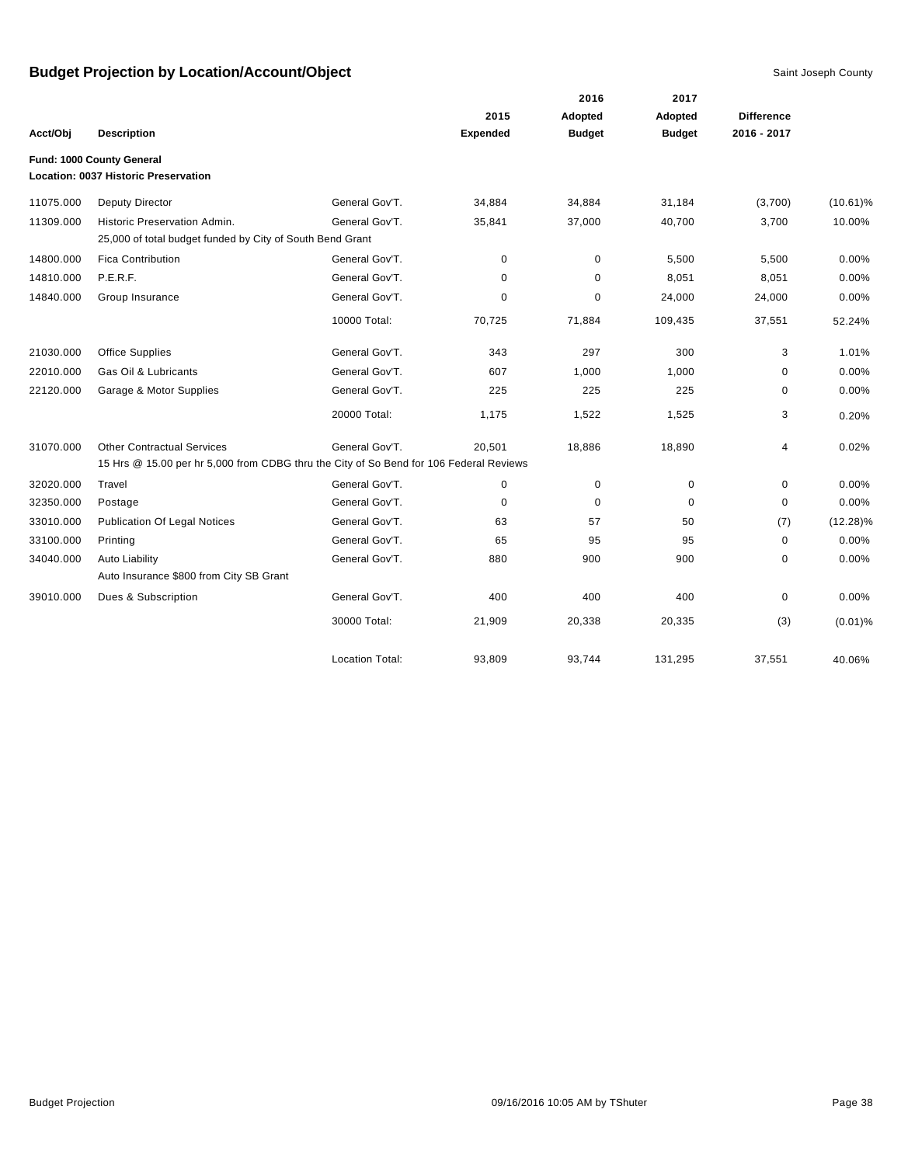|           |                                                                                        |                        |                 | 2016          | 2017          |                   |             |
|-----------|----------------------------------------------------------------------------------------|------------------------|-----------------|---------------|---------------|-------------------|-------------|
|           |                                                                                        |                        | 2015            | Adopted       | Adopted       | <b>Difference</b> |             |
| Acct/Obj  | <b>Description</b>                                                                     |                        | <b>Expended</b> | <b>Budget</b> | <b>Budget</b> | 2016 - 2017       |             |
|           | Fund: 1000 County General                                                              |                        |                 |               |               |                   |             |
|           | Location: 0037 Historic Preservation                                                   |                        |                 |               |               |                   |             |
| 11075.000 | <b>Deputy Director</b>                                                                 | General Gov'T.         | 34,884          | 34,884        | 31,184        | (3,700)           | $(10.61)\%$ |
| 11309.000 | Historic Preservation Admin.                                                           | General Gov'T.         | 35,841          | 37,000        | 40,700        | 3,700             | 10.00%      |
|           | 25,000 of total budget funded by City of South Bend Grant                              |                        |                 |               |               |                   |             |
| 14800.000 | <b>Fica Contribution</b>                                                               | General Gov'T.         | $\mathbf 0$     | $\mathbf 0$   | 5,500         | 5,500             | 0.00%       |
| 14810.000 | P.E.R.F.                                                                               | General Gov'T.         | $\mathbf 0$     | 0             | 8,051         | 8,051             | 0.00%       |
| 14840.000 | Group Insurance                                                                        | General Gov'T.         | 0               | $\mathbf 0$   | 24,000        | 24,000            | 0.00%       |
|           |                                                                                        | 10000 Total:           | 70,725          | 71,884        | 109,435       | 37,551            | 52.24%      |
| 21030.000 | <b>Office Supplies</b>                                                                 | General Gov'T.         | 343             | 297           | 300           | 3                 | 1.01%       |
| 22010.000 | Gas Oil & Lubricants                                                                   | General Gov'T.         | 607             | 1,000         | 1,000         | $\mathbf 0$       | 0.00%       |
| 22120.000 | Garage & Motor Supplies                                                                | General Gov'T.         | 225             | 225           | 225           | $\mathbf 0$       | 0.00%       |
|           |                                                                                        | 20000 Total:           | 1,175           | 1,522         | 1,525         | 3                 | 0.20%       |
| 31070.000 | <b>Other Contractual Services</b>                                                      | General Gov'T.         | 20,501          | 18,886        | 18,890        | 4                 | 0.02%       |
|           | 15 Hrs @ 15.00 per hr 5,000 from CDBG thru the City of So Bend for 106 Federal Reviews |                        |                 |               |               |                   |             |
| 32020.000 | Travel                                                                                 | General Gov'T.         | 0               | $\mathbf 0$   | 0             | $\mathbf 0$       | 0.00%       |
| 32350.000 | Postage                                                                                | General Gov'T.         | $\mathbf 0$     | $\mathbf 0$   | $\mathbf 0$   | $\mathbf 0$       | 0.00%       |
| 33010.000 | <b>Publication Of Legal Notices</b>                                                    | General Gov'T.         | 63              | 57            | 50            | (7)               | $(12.28)\%$ |
| 33100.000 | Printing                                                                               | General Gov'T.         | 65              | 95            | 95            | 0                 | 0.00%       |
| 34040.000 | <b>Auto Liability</b>                                                                  | General Gov'T.         | 880             | 900           | 900           | 0                 | 0.00%       |
|           | Auto Insurance \$800 from City SB Grant                                                |                        |                 |               |               |                   |             |
| 39010.000 | Dues & Subscription                                                                    | General Gov'T.         | 400             | 400           | 400           | 0                 | 0.00%       |
|           |                                                                                        | 30000 Total:           | 21,909          | 20,338        | 20,335        | (3)               | $(0.01)$ %  |
|           |                                                                                        | <b>Location Total:</b> | 93,809          | 93,744        | 131,295       | 37,551            | 40.06%      |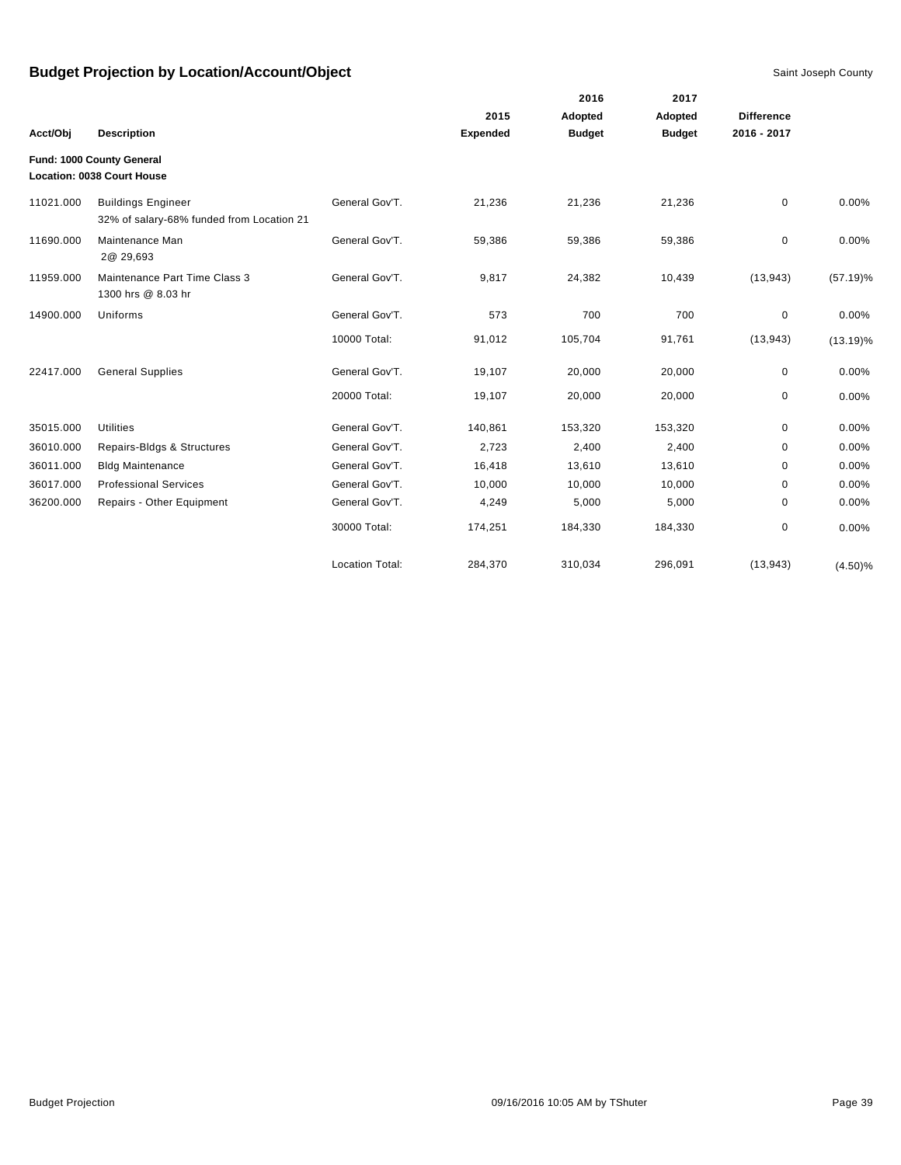|           |                                                                        |                        |                 | 2016          | 2017          |                   |             |
|-----------|------------------------------------------------------------------------|------------------------|-----------------|---------------|---------------|-------------------|-------------|
|           |                                                                        |                        | 2015            | Adopted       | Adopted       | <b>Difference</b> |             |
| Acct/Obj  | <b>Description</b>                                                     |                        | <b>Expended</b> | <b>Budget</b> | <b>Budget</b> | 2016 - 2017       |             |
|           | Fund: 1000 County General                                              |                        |                 |               |               |                   |             |
|           | Location: 0038 Court House                                             |                        |                 |               |               |                   |             |
| 11021.000 | <b>Buildings Engineer</b><br>32% of salary-68% funded from Location 21 | General Gov'T.         | 21,236          | 21,236        | 21,236        | $\mathbf 0$       | 0.00%       |
| 11690.000 | Maintenance Man<br>2@ 29,693                                           | General Gov'T.         | 59,386          | 59,386        | 59,386        | $\mathbf 0$       | 0.00%       |
| 11959.000 | Maintenance Part Time Class 3<br>1300 hrs @ 8.03 hr                    | General Gov'T.         | 9,817           | 24,382        | 10,439        | (13, 943)         | $(57.19)\%$ |
| 14900.000 | Uniforms                                                               | General Gov'T.         | 573             | 700           | 700           | $\mathbf 0$       | 0.00%       |
|           |                                                                        | 10000 Total:           | 91,012          | 105,704       | 91,761        | (13, 943)         | $(13.19)\%$ |
| 22417.000 | <b>General Supplies</b>                                                | General Gov'T.         | 19,107          | 20,000        | 20,000        | 0                 | 0.00%       |
|           |                                                                        | 20000 Total:           | 19,107          | 20,000        | 20,000        | 0                 | 0.00%       |
| 35015.000 | <b>Utilities</b>                                                       | General Gov'T.         | 140,861         | 153,320       | 153,320       | $\mathbf 0$       | 0.00%       |
| 36010.000 | Repairs-Bldgs & Structures                                             | General Gov'T.         | 2,723           | 2,400         | 2,400         | 0                 | 0.00%       |
| 36011.000 | <b>Bldg Maintenance</b>                                                | General Gov'T.         | 16,418          | 13,610        | 13,610        | 0                 | 0.00%       |
| 36017.000 | <b>Professional Services</b>                                           | General Gov'T.         | 10,000          | 10,000        | 10,000        | 0                 | 0.00%       |
| 36200.000 | Repairs - Other Equipment                                              | General Gov'T.         | 4,249           | 5,000         | 5,000         | 0                 | 0.00%       |
|           |                                                                        | 30000 Total:           | 174,251         | 184,330       | 184,330       | 0                 | 0.00%       |
|           |                                                                        | <b>Location Total:</b> | 284,370         | 310,034       | 296,091       | (13, 943)         | $(4.50)\%$  |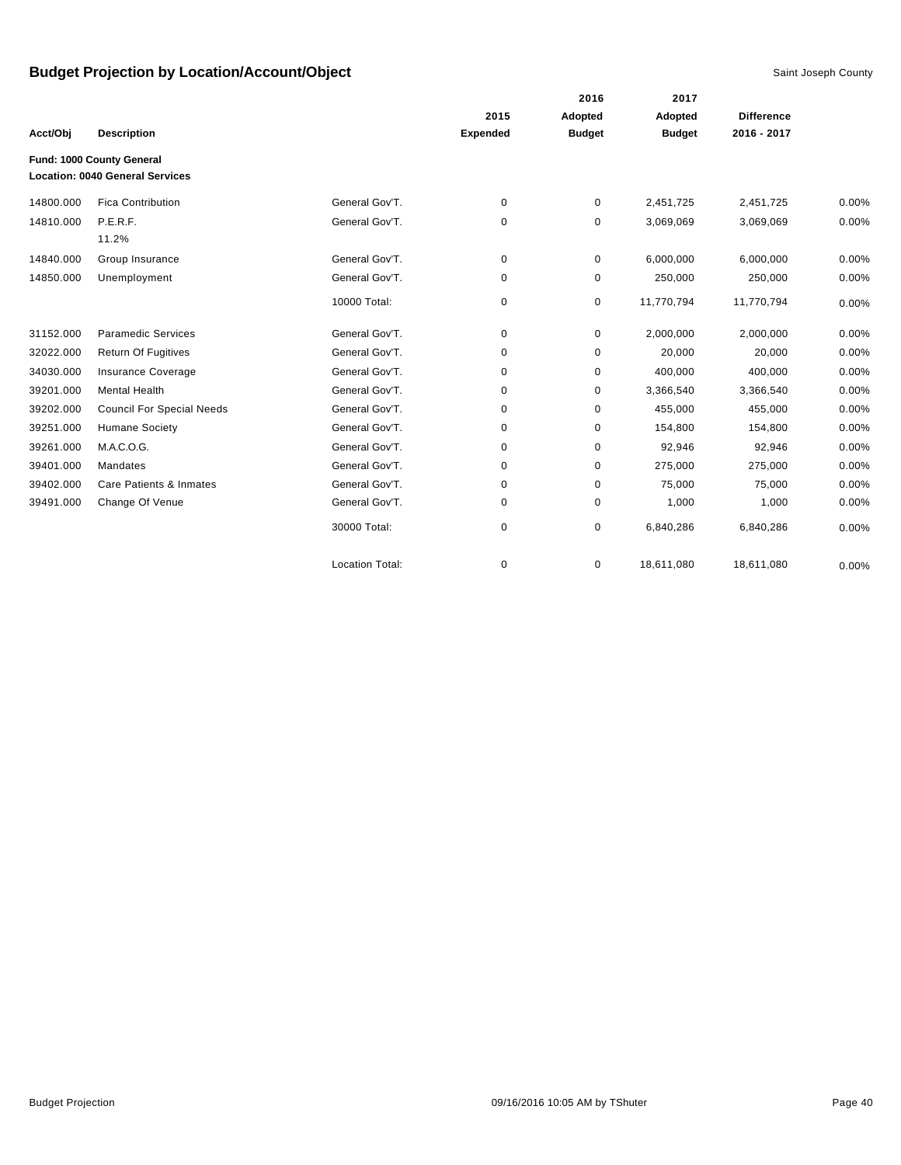|           |                                        |                        |                 | 2016          | 2017          |                   |       |
|-----------|----------------------------------------|------------------------|-----------------|---------------|---------------|-------------------|-------|
|           |                                        |                        | 2015            | Adopted       | Adopted       | <b>Difference</b> |       |
| Acct/Obj  | <b>Description</b>                     |                        | <b>Expended</b> | <b>Budget</b> | <b>Budget</b> | 2016 - 2017       |       |
|           | Fund: 1000 County General              |                        |                 |               |               |                   |       |
|           | <b>Location: 0040 General Services</b> |                        |                 |               |               |                   |       |
| 14800.000 | <b>Fica Contribution</b>               | General Gov'T.         | $\mathbf 0$     | 0             | 2,451,725     | 2,451,725         | 0.00% |
| 14810.000 | P.E.R.F.                               | General Gov'T.         | 0               | 0             | 3,069,069     | 3,069,069         | 0.00% |
|           | 11.2%                                  |                        |                 |               |               |                   |       |
| 14840.000 | Group Insurance                        | General Gov'T.         | 0               | 0             | 6,000,000     | 6,000,000         | 0.00% |
| 14850.000 | Unemployment                           | General Gov'T.         | 0               | 0             | 250,000       | 250,000           | 0.00% |
|           |                                        | 10000 Total:           | 0               | 0             | 11,770,794    | 11,770,794        | 0.00% |
| 31152.000 | <b>Paramedic Services</b>              | General Gov'T.         | 0               | 0             | 2,000,000     | 2,000,000         | 0.00% |
| 32022.000 | <b>Return Of Fugitives</b>             | General Gov'T.         | 0               | 0             | 20,000        | 20,000            | 0.00% |
| 34030.000 | <b>Insurance Coverage</b>              | General Gov'T.         | $\mathbf 0$     | 0             | 400,000       | 400,000           | 0.00% |
| 39201.000 | <b>Mental Health</b>                   | General Gov'T.         | 0               | 0             | 3,366,540     | 3,366,540         | 0.00% |
| 39202.000 | <b>Council For Special Needs</b>       | General Gov'T.         | 0               | 0             | 455,000       | 455,000           | 0.00% |
| 39251.000 | <b>Humane Society</b>                  | General Gov'T.         | 0               | 0             | 154,800       | 154,800           | 0.00% |
| 39261.000 | M.A.C.O.G.                             | General Gov'T.         | 0               | 0             | 92,946        | 92,946            | 0.00% |
| 39401.000 | Mandates                               | General Gov'T.         | $\mathbf 0$     | 0             | 275,000       | 275,000           | 0.00% |
| 39402.000 | Care Patients & Inmates                | General Gov'T.         | 0               | 0             | 75,000        | 75,000            | 0.00% |
| 39491.000 | Change Of Venue                        | General Gov'T.         | 0               | 0             | 1,000         | 1,000             | 0.00% |
|           |                                        | 30000 Total:           | 0               | 0             | 6,840,286     | 6,840,286         | 0.00% |
|           |                                        | <b>Location Total:</b> | 0               | 0             | 18,611,080    | 18,611,080        | 0.00% |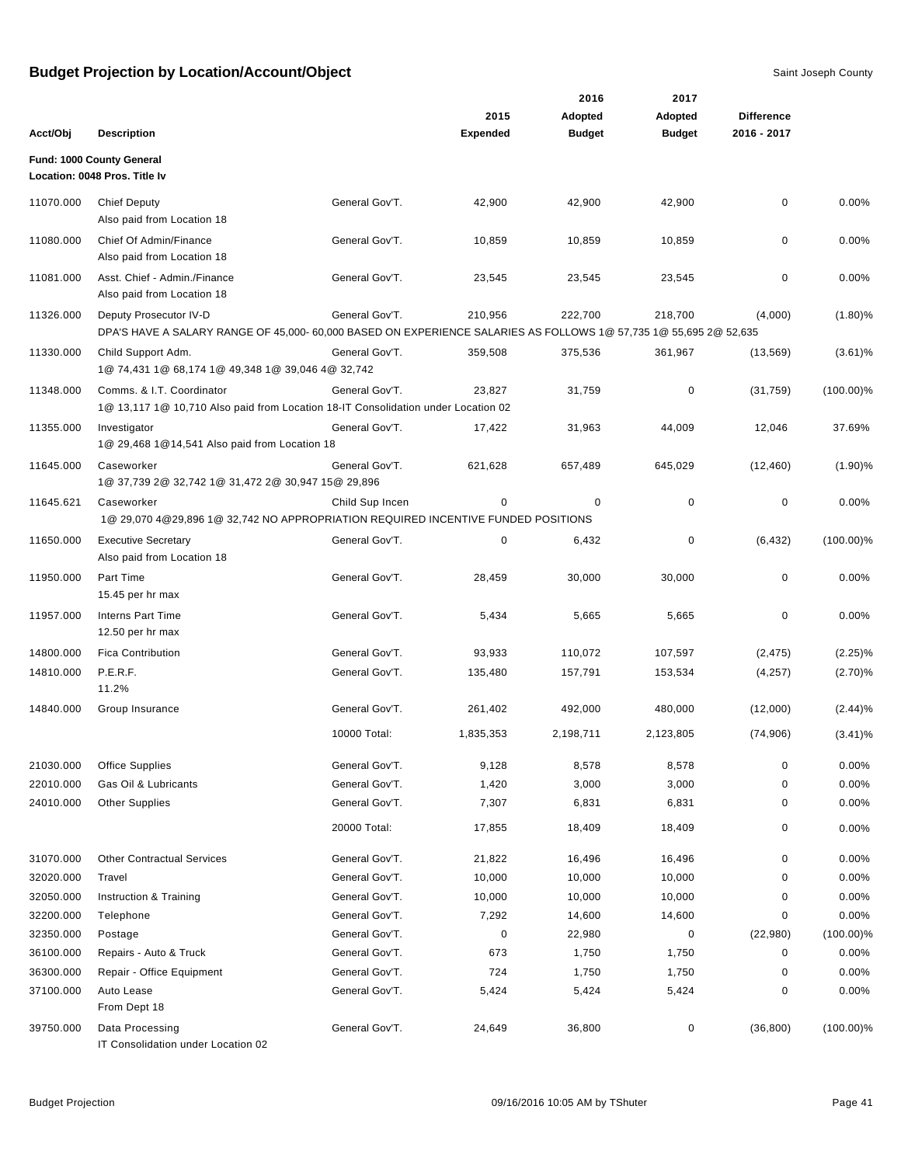|           |                                                                                                                                             |                 |                 | 2016          | 2017          |                   |              |
|-----------|---------------------------------------------------------------------------------------------------------------------------------------------|-----------------|-----------------|---------------|---------------|-------------------|--------------|
|           |                                                                                                                                             |                 | 2015            | Adopted       | Adopted       | <b>Difference</b> |              |
| Acct/Obj  | <b>Description</b>                                                                                                                          |                 | <b>Expended</b> | <b>Budget</b> | <b>Budget</b> | 2016 - 2017       |              |
|           | Fund: 1000 County General<br>Location: 0048 Pros. Title Iv                                                                                  |                 |                 |               |               |                   |              |
| 11070.000 | <b>Chief Deputy</b><br>Also paid from Location 18                                                                                           | General Gov'T.  | 42,900          | 42,900        | 42,900        | 0                 | 0.00%        |
| 11080.000 | Chief Of Admin/Finance<br>Also paid from Location 18                                                                                        | General Gov'T.  | 10,859          | 10,859        | 10,859        | 0                 | 0.00%        |
| 11081.000 | Asst. Chief - Admin./Finance<br>Also paid from Location 18                                                                                  | General Gov'T.  | 23,545          | 23,545        | 23,545        | 0                 | 0.00%        |
| 11326.000 | Deputy Prosecutor IV-D<br>DPA'S HAVE A SALARY RANGE OF 45,000- 60,000 BASED ON EXPERIENCE SALARIES AS FOLLOWS 1@ 57,735 1@ 55,695 2@ 52,635 | General Gov'T.  | 210,956         | 222,700       | 218,700       | (4,000)           | $(1.80)$ %   |
| 11330.000 | Child Support Adm.<br>1@ 74,431 1@ 68,174 1@ 49,348 1@ 39,046 4@ 32,742                                                                     | General Gov'T.  | 359,508         | 375,536       | 361,967       | (13, 569)         | $(3.61)\%$   |
| 11348.000 | Comms. & I.T. Coordinator<br>1@ 13,117 1@ 10,710 Also paid from Location 18-IT Consolidation under Location 02                              | General Gov'T.  | 23,827          | 31,759        | 0             | (31, 759)         | $(100.00)\%$ |
| 11355.000 | Investigator<br>1@ 29,468 1@ 14,541 Also paid from Location 18                                                                              | General Gov'T.  | 17,422          | 31,963        | 44,009        | 12,046            | 37.69%       |
| 11645.000 | Caseworker<br>1@ 37,739 2@ 32,742 1@ 31,472 2@ 30,947 15@ 29,896                                                                            | General Gov'T.  | 621,628         | 657,489       | 645,029       | (12, 460)         | (1.90)%      |
| 11645.621 | Caseworker<br>1@ 29,070 4@29,896 1@ 32,742 NO APPROPRIATION REQUIRED INCENTIVE FUNDED POSITIONS                                             | Child Sup Incen | 0               | 0             | 0             | $\mathbf 0$       | 0.00%        |
| 11650.000 | <b>Executive Secretary</b><br>Also paid from Location 18                                                                                    | General Gov'T.  | 0               | 6,432         | 0             | (6, 432)          | $(100.00)\%$ |
| 11950.000 | Part Time<br>15.45 per hr max                                                                                                               | General Gov'T.  | 28,459          | 30,000        | 30,000        | 0                 | 0.00%        |
| 11957.000 | <b>Interns Part Time</b><br>12.50 per hr max                                                                                                | General Gov'T.  | 5,434           | 5,665         | 5,665         | 0                 | 0.00%        |
| 14800.000 | <b>Fica Contribution</b>                                                                                                                    | General Gov'T.  | 93,933          | 110,072       | 107,597       | (2, 475)          | $(2.25)\%$   |
| 14810.000 | P.E.R.F.<br>11.2%                                                                                                                           | General Gov'T.  | 135,480         | 157,791       | 153,534       | (4,257)           | (2.70)%      |
| 14840.000 | Group Insurance                                                                                                                             | General Gov'T.  | 261,402         | 492,000       | 480,000       | (12,000)          | (2.44)%      |
|           |                                                                                                                                             | 10000 Total:    | 1,835,353       | 2,198,711     | 2,123,805     | (74,906)          | $(3.41)\%$   |
| 21030.000 | <b>Office Supplies</b>                                                                                                                      | General Gov'T.  | 9,128           | 8,578         | 8,578         | $\pmb{0}$         | 0.00%        |
| 22010.000 | Gas Oil & Lubricants                                                                                                                        | General Gov'T.  | 1,420           | 3,000         | 3,000         | 0                 | 0.00%        |
| 24010.000 | <b>Other Supplies</b>                                                                                                                       | General Gov'T.  | 7,307           | 6,831         | 6,831         | 0                 | 0.00%        |
|           |                                                                                                                                             | 20000 Total:    | 17,855          | 18,409        | 18,409        | 0                 | 0.00%        |
| 31070.000 | <b>Other Contractual Services</b>                                                                                                           | General Gov'T.  | 21,822          | 16,496        | 16,496        | 0                 | 0.00%        |
| 32020.000 | Travel                                                                                                                                      | General Gov'T.  | 10,000          | 10,000        | 10,000        | 0                 | 0.00%        |
| 32050.000 | Instruction & Training                                                                                                                      | General Gov'T.  | 10,000          | 10,000        | 10,000        | 0                 | 0.00%        |
| 32200.000 | Telephone                                                                                                                                   | General Gov'T.  | 7,292           | 14,600        | 14,600        | 0                 | 0.00%        |
| 32350.000 | Postage                                                                                                                                     | General Gov'T.  | 0               | 22,980        | 0             | (22,980)          | $(100.00)\%$ |
| 36100.000 | Repairs - Auto & Truck                                                                                                                      | General Gov'T.  | 673             | 1,750         | 1,750         | 0                 | 0.00%        |
| 36300.000 | Repair - Office Equipment                                                                                                                   | General Gov'T.  | 724             | 1,750         | 1,750         | 0                 | 0.00%        |
| 37100.000 | Auto Lease<br>From Dept 18                                                                                                                  | General Gov'T.  | 5,424           | 5,424         | 5,424         | 0                 | 0.00%        |
| 39750.000 | Data Processing<br>IT Consolidation under Location 02                                                                                       | General Gov'T.  | 24,649          | 36,800        | 0             | (36, 800)         | $(100.00)\%$ |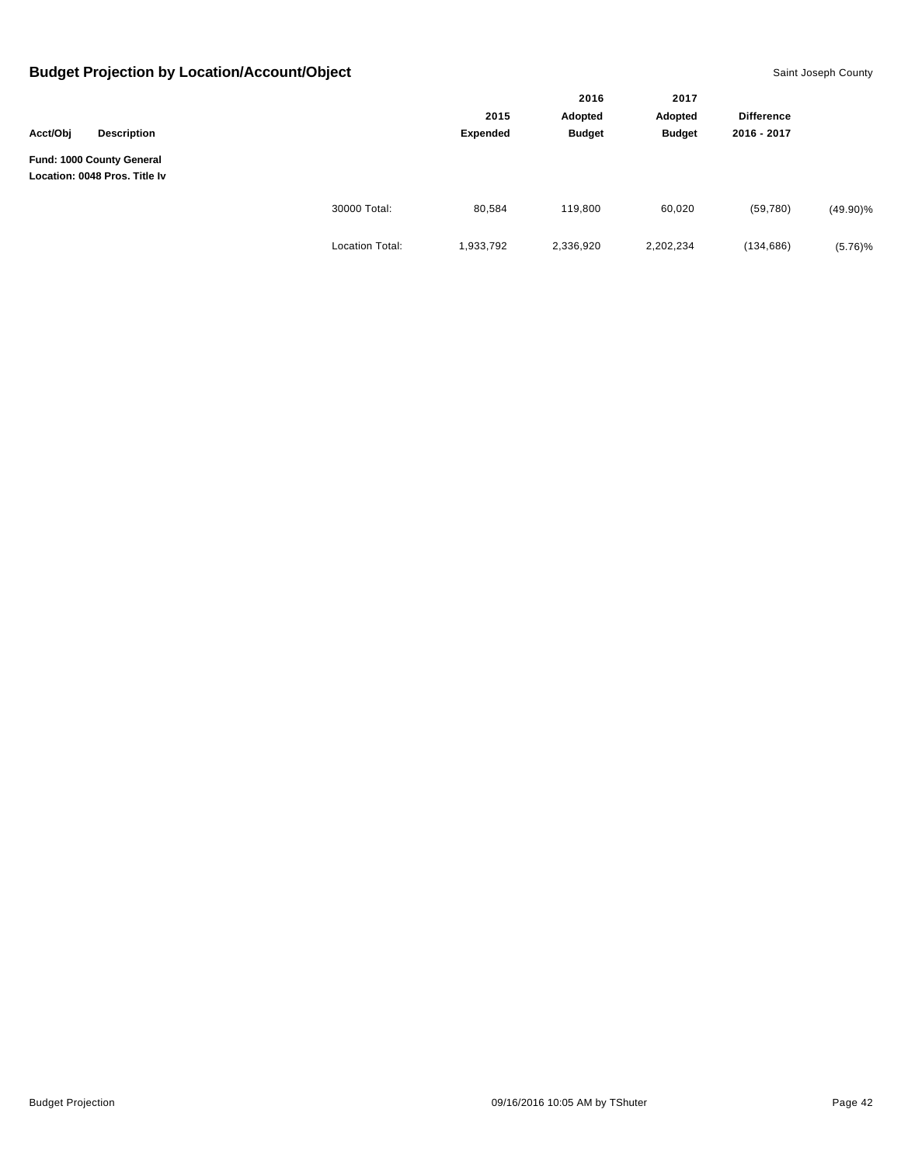| Acct/Obj<br><b>Description</b> |                                                            |                        |                  | 2016<br>Adopted<br><b>Budget</b> | 2017<br>Adopted<br><b>Budget</b> | <b>Difference</b><br>2016 - 2017 |             |
|--------------------------------|------------------------------------------------------------|------------------------|------------------|----------------------------------|----------------------------------|----------------------------------|-------------|
|                                | Fund: 1000 County General<br>Location: 0048 Pros. Title Iv |                        | 2015<br>Expended |                                  |                                  |                                  |             |
|                                |                                                            |                        |                  |                                  |                                  |                                  |             |
|                                |                                                            |                        |                  |                                  |                                  |                                  |             |
|                                |                                                            | 30000 Total:           | 80,584           | 119,800                          | 60,020                           | (59,780)                         | $(49.90)\%$ |
|                                |                                                            | <b>Location Total:</b> | 1,933,792        | 2,336,920                        | 2,202,234                        | (134, 686)                       | $(5.76)\%$  |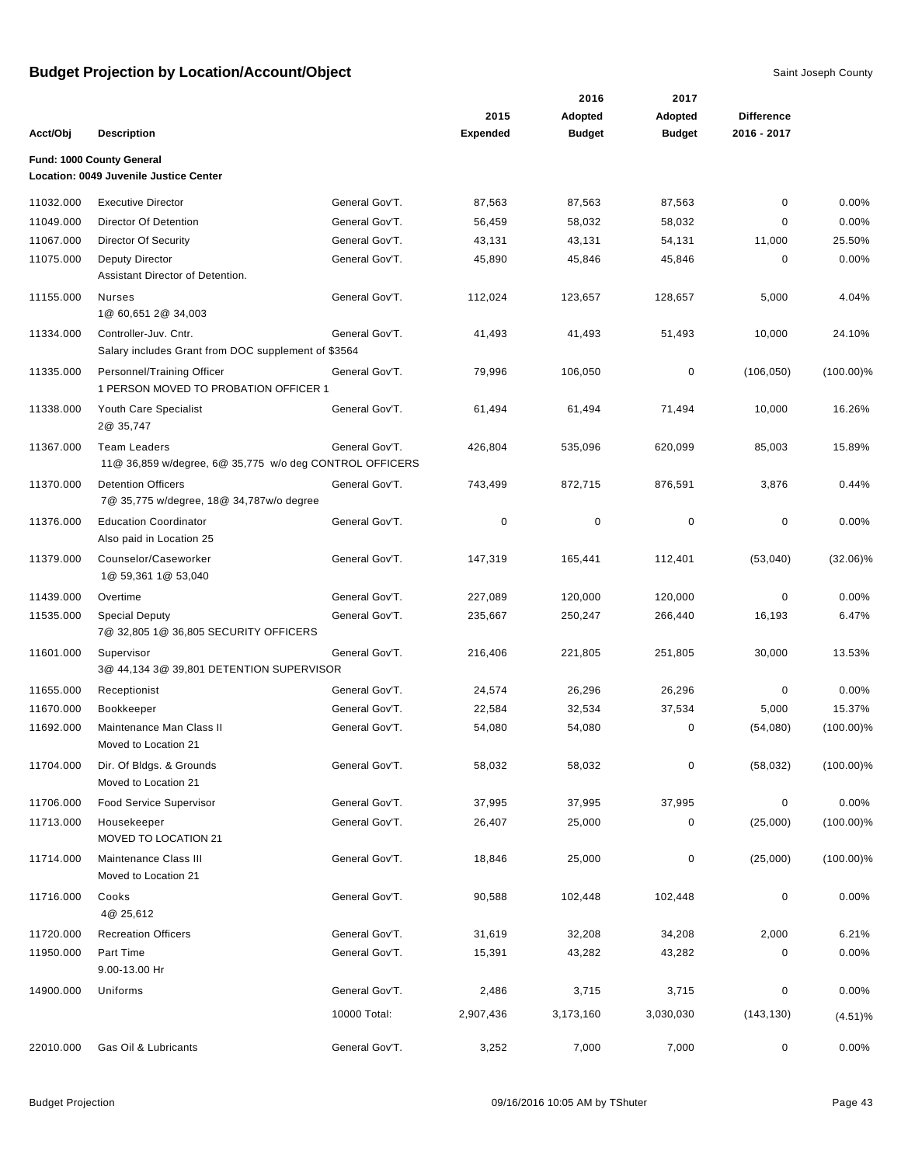| Acct/Obj  | <b>Description</b>                                                             |                | 2015<br><b>Expended</b> | 2016<br>Adopted<br><b>Budget</b> | 2017<br>Adopted<br><b>Budget</b> | <b>Difference</b><br>2016 - 2017 |              |
|-----------|--------------------------------------------------------------------------------|----------------|-------------------------|----------------------------------|----------------------------------|----------------------------------|--------------|
|           |                                                                                |                |                         |                                  |                                  |                                  |              |
|           | Fund: 1000 County General<br>Location: 0049 Juvenile Justice Center            |                |                         |                                  |                                  |                                  |              |
| 11032.000 | <b>Executive Director</b>                                                      | General Gov'T. | 87,563                  | 87,563                           | 87,563                           | 0                                | 0.00%        |
| 11049.000 | Director Of Detention                                                          | General Gov'T. | 56,459                  | 58,032                           | 58,032                           | 0                                | 0.00%        |
| 11067.000 | <b>Director Of Security</b>                                                    | General Gov'T. | 43,131                  | 43,131                           | 54,131                           | 11,000                           | 25.50%       |
| 11075.000 | <b>Deputy Director</b><br>Assistant Director of Detention.                     | General Gov'T. | 45,890                  | 45,846                           | 45,846                           | 0                                | 0.00%        |
| 11155.000 | <b>Nurses</b><br>1@ 60,651 2@ 34,003                                           | General Gov'T. | 112,024                 | 123,657                          | 128,657                          | 5,000                            | 4.04%        |
| 11334.000 | Controller-Juv. Cntr.<br>Salary includes Grant from DOC supplement of \$3564   | General Gov'T. | 41,493                  | 41,493                           | 51,493                           | 10,000                           | 24.10%       |
| 11335.000 | Personnel/Training Officer<br>1 PERSON MOVED TO PROBATION OFFICER 1            | General Gov'T. | 79,996                  | 106,050                          | 0                                | (106, 050)                       | $(100.00)\%$ |
| 11338.000 | Youth Care Specialist<br>2@ 35,747                                             | General Gov'T. | 61,494                  | 61,494                           | 71,494                           | 10,000                           | 16.26%       |
| 11367.000 | <b>Team Leaders</b><br>11@ 36,859 w/degree, 6@ 35,775 w/o deg CONTROL OFFICERS | General Gov'T. | 426,804                 | 535,096                          | 620,099                          | 85,003                           | 15.89%       |
| 11370.000 | <b>Detention Officers</b><br>7@ 35,775 w/degree, 18@ 34,787w/o degree          | General Gov'T. | 743,499                 | 872,715                          | 876,591                          | 3,876                            | 0.44%        |
| 11376.000 | <b>Education Coordinator</b><br>Also paid in Location 25                       | General Gov'T. | 0                       | $\mathbf 0$                      | 0                                | 0                                | 0.00%        |
| 11379.000 | Counselor/Caseworker<br>1@ 59,361 1@ 53,040                                    | General Gov'T. | 147,319                 | 165,441                          | 112,401                          | (53,040)                         | $(32.06)\%$  |
| 11439.000 | Overtime                                                                       | General Gov'T. | 227,089                 | 120,000                          | 120,000                          | 0                                | 0.00%        |
| 11535.000 | <b>Special Deputy</b><br>7@ 32,805 1@ 36,805 SECURITY OFFICERS                 | General Gov'T. | 235,667                 | 250,247                          | 266,440                          | 16,193                           | 6.47%        |
| 11601.000 | Supervisor<br>3@ 44,134 3@ 39,801 DETENTION SUPERVISOR                         | General Gov'T. | 216,406                 | 221,805                          | 251,805                          | 30,000                           | 13.53%       |
| 11655.000 | Receptionist                                                                   | General Gov'T. | 24,574                  | 26,296                           | 26,296                           | 0                                | 0.00%        |
| 11670.000 | Bookkeeper                                                                     | General Gov'T. | 22,584                  | 32,534                           | 37,534                           | 5,000                            | 15.37%       |
| 11692.000 | Maintenance Man Class II<br>Moved to Location 21                               | General Gov'T. | 54,080                  | 54,080                           | 0                                | (54,080)                         | $(100.00)\%$ |
| 11704.000 | Dir. Of Bldgs. & Grounds<br>Moved to Location 21                               | General Gov'T. | 58,032                  | 58,032                           | 0                                | (58, 032)                        | $(100.00)\%$ |
| 11706.000 | <b>Food Service Supervisor</b>                                                 | General Gov'T. | 37,995                  | 37,995                           | 37,995                           | 0                                | 0.00%        |
| 11713.000 | Housekeeper<br>MOVED TO LOCATION 21                                            | General Gov'T. | 26,407                  | 25,000                           | 0                                | (25,000)                         | $(100.00)\%$ |
| 11714.000 | Maintenance Class III<br>Moved to Location 21                                  | General Gov'T. | 18,846                  | 25,000                           | 0                                | (25,000)                         | $(100.00)\%$ |
| 11716.000 | Cooks<br>4@ 25,612                                                             | General Gov'T. | 90,588                  | 102,448                          | 102,448                          | 0                                | 0.00%        |
| 11720.000 | <b>Recreation Officers</b>                                                     | General Gov'T. | 31,619                  | 32,208                           | 34,208                           | 2,000                            | 6.21%        |
| 11950.000 | Part Time<br>9.00-13.00 Hr                                                     | General Gov'T. | 15,391                  | 43,282                           | 43,282                           | 0                                | 0.00%        |
| 14900.000 | Uniforms                                                                       | General Gov'T. | 2,486                   | 3,715                            | 3,715                            | 0                                | 0.00%        |
|           |                                                                                | 10000 Total:   | 2,907,436               | 3,173,160                        | 3,030,030                        | (143, 130)                       | (4.51)%      |
| 22010.000 | Gas Oil & Lubricants                                                           | General Gov'T. | 3,252                   | 7,000                            | 7,000                            | 0                                | 0.00%        |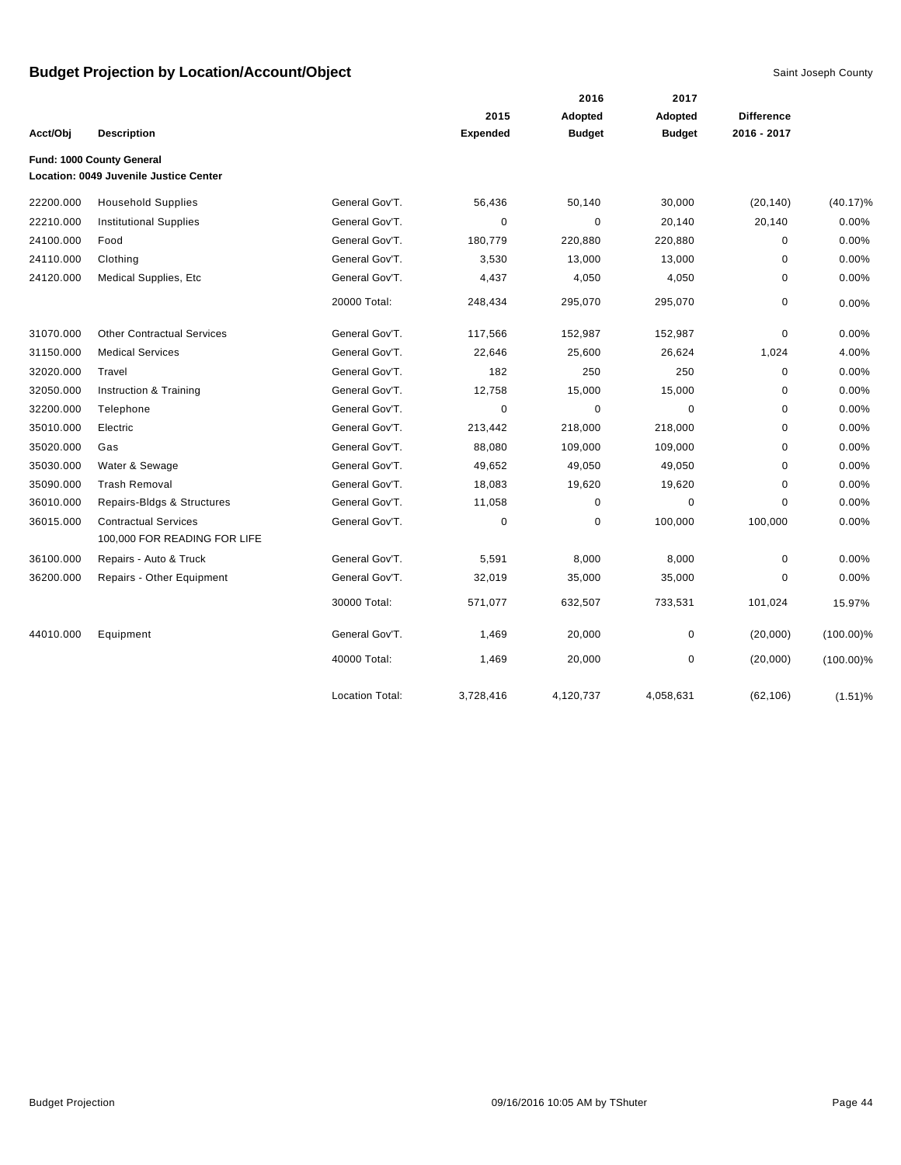|           |                                                                     |                        |                 | 2016          | 2017<br>Adopted |                   |              |
|-----------|---------------------------------------------------------------------|------------------------|-----------------|---------------|-----------------|-------------------|--------------|
|           |                                                                     |                        | 2015            | Adopted       |                 | <b>Difference</b> |              |
| Acct/Obj  | <b>Description</b>                                                  |                        | <b>Expended</b> | <b>Budget</b> | <b>Budget</b>   | 2016 - 2017       |              |
|           | Fund: 1000 County General<br>Location: 0049 Juvenile Justice Center |                        |                 |               |                 |                   |              |
|           |                                                                     |                        |                 |               |                 |                   |              |
| 22200.000 | <b>Household Supplies</b>                                           | General Gov'T.         | 56,436          | 50,140        | 30,000          | (20, 140)         | $(40.17)\%$  |
| 22210.000 | <b>Institutional Supplies</b>                                       | General Gov'T.         | 0               | 0             | 20,140          | 20,140            | 0.00%        |
| 24100.000 | Food                                                                | General Gov'T.         | 180,779         | 220,880       | 220,880         | 0                 | 0.00%        |
| 24110.000 | Clothing                                                            | General Gov'T.         | 3,530           | 13,000        | 13,000          | $\mathbf 0$       | 0.00%        |
| 24120.000 | Medical Supplies, Etc                                               | General Gov'T.         | 4,437           | 4,050         | 4,050           | $\mathbf 0$       | 0.00%        |
|           |                                                                     | 20000 Total:           | 248,434         | 295,070       | 295,070         | $\pmb{0}$         | 0.00%        |
| 31070.000 | <b>Other Contractual Services</b>                                   | General Gov'T.         | 117,566         | 152,987       | 152,987         | 0                 | 0.00%        |
| 31150.000 | <b>Medical Services</b>                                             | General Gov'T.         | 22,646          | 25,600        | 26,624          | 1,024             | 4.00%        |
| 32020.000 | Travel                                                              | General Gov'T.         | 182             | 250           | 250             | 0                 | 0.00%        |
| 32050.000 | Instruction & Training                                              | General Gov'T.         | 12,758          | 15,000        | 15,000          | 0                 | 0.00%        |
| 32200.000 | Telephone                                                           | General Gov'T.         | $\mathbf 0$     | 0             | 0               | 0                 | 0.00%        |
| 35010.000 | Electric                                                            | General Gov'T.         | 213,442         | 218,000       | 218,000         | 0                 | 0.00%        |
| 35020.000 | Gas                                                                 | General Gov'T.         | 88,080          | 109,000       | 109,000         | 0                 | 0.00%        |
| 35030.000 | Water & Sewage                                                      | General Gov'T.         | 49,652          | 49,050        | 49,050          | 0                 | 0.00%        |
| 35090.000 | <b>Trash Removal</b>                                                | General Gov'T.         | 18,083          | 19,620        | 19,620          | 0                 | 0.00%        |
| 36010.000 | Repairs-Bldgs & Structures                                          | General Gov'T.         | 11,058          | 0             | $\mathbf 0$     | $\mathbf 0$       | 0.00%        |
| 36015.000 | <b>Contractual Services</b><br>100,000 FOR READING FOR LIFE         | General Gov'T.         | 0               | 0             | 100,000         | 100,000           | 0.00%        |
| 36100.000 | Repairs - Auto & Truck                                              | General Gov'T.         | 5,591           | 8,000         | 8,000           | $\mathbf 0$       | 0.00%        |
| 36200.000 | Repairs - Other Equipment                                           | General Gov'T.         | 32,019          | 35,000        | 35,000          | 0                 | 0.00%        |
|           |                                                                     | 30000 Total:           | 571,077         | 632,507       | 733,531         | 101,024           | 15.97%       |
| 44010.000 | Equipment                                                           | General Gov'T.         | 1,469           | 20,000        | 0               | (20,000)          | $(100.00)\%$ |
|           |                                                                     | 40000 Total:           | 1,469           | 20,000        | 0               | (20,000)          | $(100.00)\%$ |
|           |                                                                     | <b>Location Total:</b> | 3,728,416       | 4,120,737     | 4,058,631       | (62, 106)         | $(1.51)\%$   |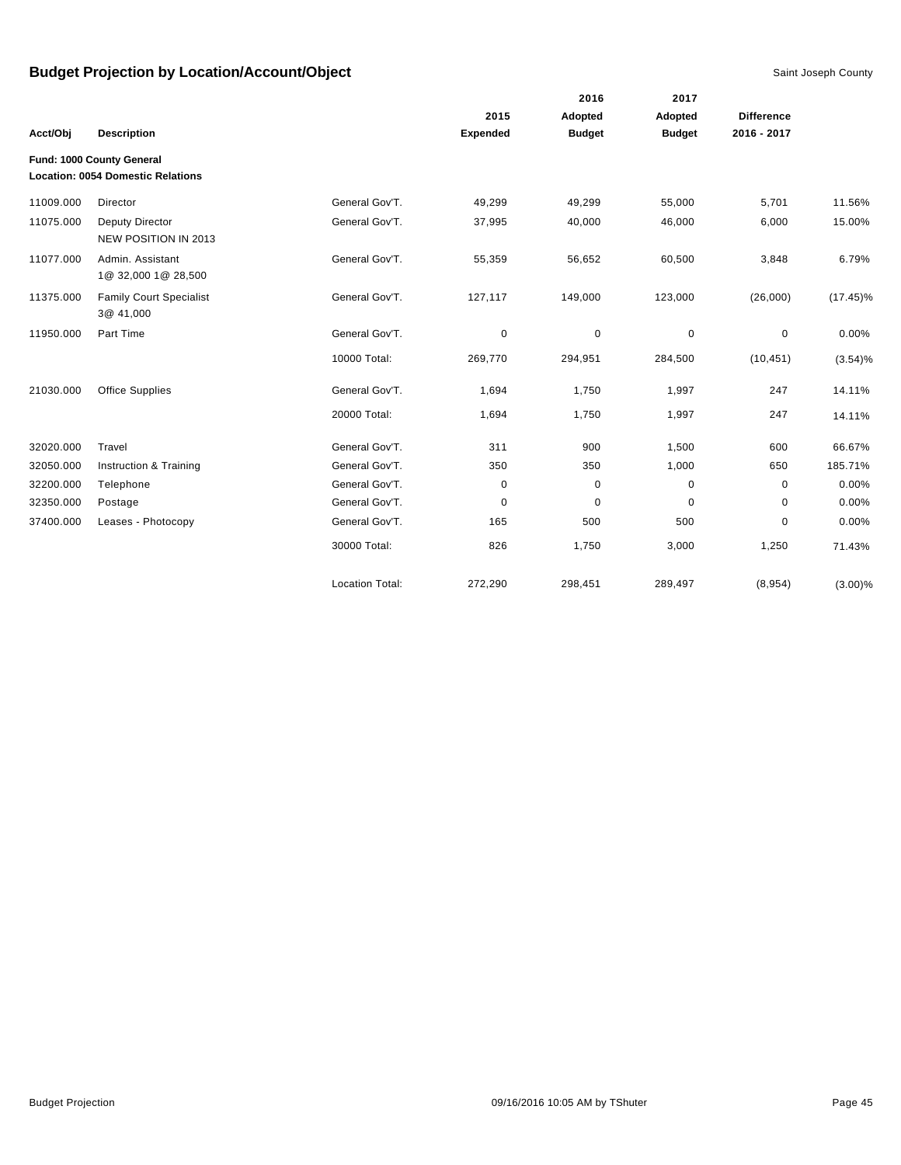|           |                                                                       |                        |                 | 2016          | 2017          |                   |             |
|-----------|-----------------------------------------------------------------------|------------------------|-----------------|---------------|---------------|-------------------|-------------|
|           |                                                                       |                        | 2015            | Adopted       | Adopted       | <b>Difference</b> |             |
| Acct/Obj  | <b>Description</b>                                                    |                        | <b>Expended</b> | <b>Budget</b> | <b>Budget</b> | 2016 - 2017       |             |
|           | Fund: 1000 County General<br><b>Location: 0054 Domestic Relations</b> |                        |                 |               |               |                   |             |
| 11009.000 | Director                                                              | General Gov'T.         | 49,299          | 49,299        | 55,000        | 5,701             | 11.56%      |
| 11075.000 | Deputy Director<br>NEW POSITION IN 2013                               | General Gov'T.         | 37,995          | 40,000        | 46,000        | 6,000             | 15.00%      |
| 11077.000 | Admin. Assistant<br>1@ 32,000 1@ 28,500                               | General Gov'T.         | 55,359          | 56,652        | 60,500        | 3,848             | 6.79%       |
| 11375.000 | <b>Family Court Specialist</b><br>3@ 41,000                           | General Gov'T.         | 127,117         | 149,000       | 123,000       | (26,000)          | $(17.45)\%$ |
| 11950.000 | Part Time                                                             | General Gov'T.         | 0               | $\mathbf 0$   | 0             | 0                 | 0.00%       |
|           |                                                                       | 10000 Total:           | 269,770         | 294,951       | 284,500       | (10, 451)         | (3.54)%     |
| 21030.000 | <b>Office Supplies</b>                                                | General Gov'T.         | 1,694           | 1,750         | 1,997         | 247               | 14.11%      |
|           |                                                                       | 20000 Total:           | 1,694           | 1,750         | 1,997         | 247               | 14.11%      |
| 32020.000 | Travel                                                                | General Gov'T.         | 311             | 900           | 1,500         | 600               | 66.67%      |
| 32050.000 | Instruction & Training                                                | General Gov'T.         | 350             | 350           | 1,000         | 650               | 185.71%     |
| 32200.000 | Telephone                                                             | General Gov'T.         | 0               | 0             | 0             | $\mathbf 0$       | 0.00%       |
| 32350.000 | Postage                                                               | General Gov'T.         | 0               | 0             | 0             | 0                 | 0.00%       |
| 37400.000 | Leases - Photocopy                                                    | General Gov'T.         | 165             | 500           | 500           | 0                 | 0.00%       |
|           |                                                                       | 30000 Total:           | 826             | 1,750         | 3,000         | 1,250             | 71.43%      |
|           |                                                                       | <b>Location Total:</b> | 272,290         | 298,451       | 289,497       | (8,954)           | $(3.00)\%$  |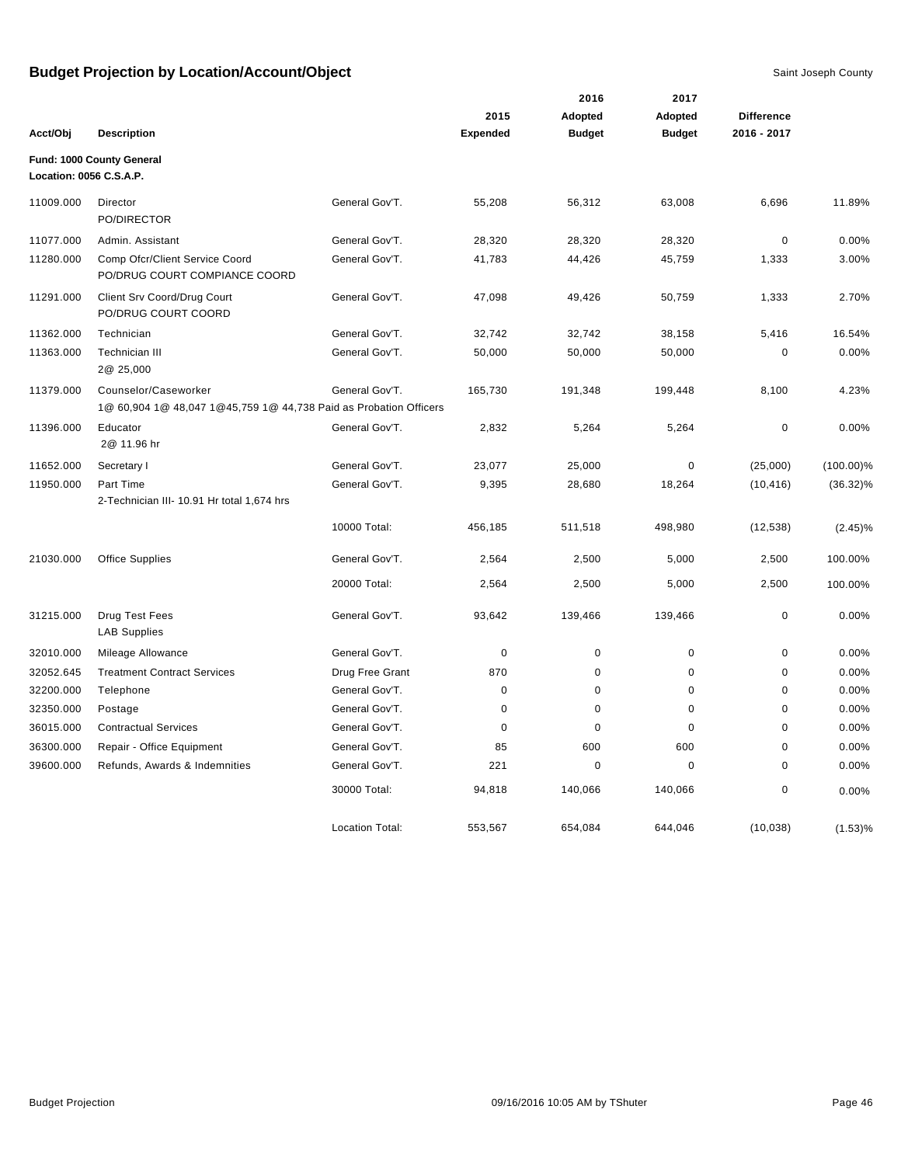|                         |                                                                                           |                        |                 | 2016          | 2017          |                   |              |
|-------------------------|-------------------------------------------------------------------------------------------|------------------------|-----------------|---------------|---------------|-------------------|--------------|
|                         |                                                                                           |                        | 2015            | Adopted       | Adopted       | <b>Difference</b> |              |
| Acct/Obj                | <b>Description</b>                                                                        |                        | <b>Expended</b> | <b>Budget</b> | <b>Budget</b> | 2016 - 2017       |              |
| Location: 0056 C.S.A.P. | Fund: 1000 County General                                                                 |                        |                 |               |               |                   |              |
| 11009.000               | Director<br>PO/DIRECTOR                                                                   | General Gov'T.         | 55,208          | 56,312        | 63,008        | 6,696             | 11.89%       |
| 11077.000               | Admin. Assistant                                                                          | General Gov'T.         | 28,320          | 28,320        | 28,320        | 0                 | 0.00%        |
| 11280.000               | Comp Ofcr/Client Service Coord<br>PO/DRUG COURT COMPIANCE COORD                           | General Gov'T.         | 41,783          | 44,426        | 45,759        | 1,333             | 3.00%        |
| 11291.000               | Client Srv Coord/Drug Court<br>PO/DRUG COURT COORD                                        | General Gov'T.         | 47,098          | 49,426        | 50,759        | 1,333             | 2.70%        |
| 11362.000               | Technician                                                                                | General Gov'T.         | 32,742          | 32,742        | 38,158        | 5,416             | 16.54%       |
| 11363.000               | <b>Technician III</b><br>2@ 25,000                                                        | General Gov'T.         | 50,000          | 50,000        | 50,000        | 0                 | 0.00%        |
| 11379.000               | Counselor/Caseworker<br>1@ 60,904 1@ 48,047 1@45,759 1@ 44,738 Paid as Probation Officers | General Gov'T.         | 165,730         | 191,348       | 199,448       | 8,100             | 4.23%        |
| 11396.000               | Educator<br>2@ 11.96 hr                                                                   | General Gov'T.         | 2,832           | 5,264         | 5,264         | 0                 | 0.00%        |
| 11652.000               | Secretary I                                                                               | General Gov'T.         | 23,077          | 25,000        | $\pmb{0}$     | (25,000)          | $(100.00)\%$ |
| 11950.000               | Part Time                                                                                 | General Gov'T.         | 9,395           | 28,680        | 18,264        | (10, 416)         | $(36.32)\%$  |
|                         | 2-Technician III- 10.91 Hr total 1,674 hrs                                                |                        |                 |               |               |                   |              |
|                         |                                                                                           | 10000 Total:           | 456,185         | 511,518       | 498,980       | (12, 538)         | $(2.45)\%$   |
| 21030.000               | <b>Office Supplies</b>                                                                    | General Gov'T.         | 2,564           | 2,500         | 5,000         | 2,500             | 100.00%      |
|                         |                                                                                           | 20000 Total:           | 2,564           | 2,500         | 5,000         | 2,500             | 100.00%      |
| 31215.000               | Drug Test Fees<br><b>LAB Supplies</b>                                                     | General Gov'T.         | 93,642          | 139,466       | 139,466       | 0                 | $0.00\%$     |
| 32010.000               | Mileage Allowance                                                                         | General Gov'T.         | $\mathbf 0$     | $\mathbf 0$   | $\pmb{0}$     | 0                 | 0.00%        |
| 32052.645               | <b>Treatment Contract Services</b>                                                        | Drug Free Grant        | 870             | 0             | 0             | 0                 | 0.00%        |
| 32200.000               | Telephone                                                                                 | General Gov'T.         | $\mathbf 0$     | 0             | 0             | 0                 | 0.00%        |
| 32350.000               | Postage                                                                                   | General Gov'T.         | $\mathbf 0$     | 0             | $\pmb{0}$     | 0                 | 0.00%        |
| 36015.000               | <b>Contractual Services</b>                                                               | General Gov'T.         | $\mathbf 0$     | $\mathbf 0$   | $\mathbf 0$   | 0                 | 0.00%        |
| 36300.000               | Repair - Office Equipment                                                                 | General Gov'T.         | 85              | 600           | 600           | 0                 | 0.00%        |
| 39600.000               | Refunds, Awards & Indemnities                                                             | General Gov'T.         | 221             | 0             | $\mathbf 0$   | 0                 | 0.00%        |
|                         |                                                                                           | 30000 Total:           | 94,818          | 140,066       | 140,066       | 0                 | 0.00%        |
|                         |                                                                                           | <b>Location Total:</b> | 553,567         | 654,084       | 644,046       | (10, 038)         | (1.53)%      |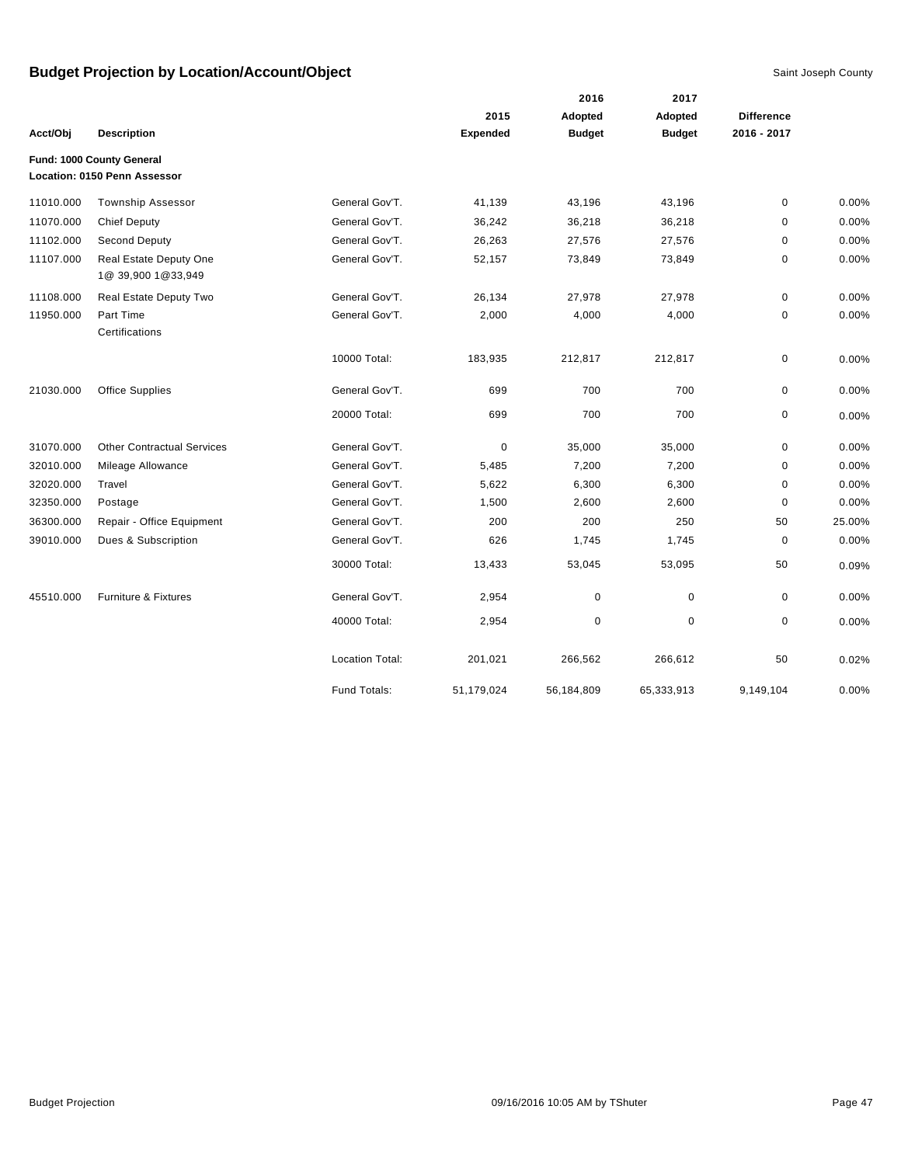|           |                                              |                 |                 | 2016          | 2017          |                   |        |
|-----------|----------------------------------------------|-----------------|-----------------|---------------|---------------|-------------------|--------|
|           |                                              |                 | 2015            | Adopted       | Adopted       | <b>Difference</b> |        |
| Acct/Obj  | <b>Description</b>                           |                 | <b>Expended</b> | <b>Budget</b> | <b>Budget</b> | 2016 - 2017       |        |
|           | Fund: 1000 County General                    |                 |                 |               |               |                   |        |
|           | Location: 0150 Penn Assessor                 |                 |                 |               |               |                   |        |
| 11010.000 | <b>Township Assessor</b>                     | General Gov'T.  | 41,139          | 43,196        | 43,196        | $\mathbf 0$       | 0.00%  |
| 11070.000 | <b>Chief Deputy</b>                          | General Gov'T.  | 36,242          | 36,218        | 36,218        | 0                 | 0.00%  |
| 11102.000 | Second Deputy                                | General Gov'T.  | 26,263          | 27,576        | 27,576        | 0                 | 0.00%  |
| 11107.000 | Real Estate Deputy One<br>1@ 39,900 1@33,949 | General Gov'T.  | 52,157          | 73,849        | 73,849        | 0                 | 0.00%  |
| 11108.000 | Real Estate Deputy Two                       | General Gov'T.  | 26,134          | 27,978        | 27,978        | 0                 | 0.00%  |
| 11950.000 | Part Time<br>Certifications                  | General Gov'T.  | 2,000           | 4,000         | 4,000         | 0                 | 0.00%  |
|           |                                              | 10000 Total:    | 183,935         | 212,817       | 212,817       | 0                 | 0.00%  |
| 21030.000 | <b>Office Supplies</b>                       | General Gov'T.  | 699             | 700           | 700           | $\mathbf 0$       | 0.00%  |
|           |                                              | 20000 Total:    | 699             | 700           | 700           | 0                 | 0.00%  |
| 31070.000 | <b>Other Contractual Services</b>            | General Gov'T.  | 0               | 35,000        | 35,000        | 0                 | 0.00%  |
| 32010.000 | Mileage Allowance                            | General Gov'T.  | 5,485           | 7,200         | 7,200         | 0                 | 0.00%  |
| 32020.000 | Travel                                       | General Gov'T.  | 5,622           | 6,300         | 6,300         | $\mathbf 0$       | 0.00%  |
| 32350.000 | Postage                                      | General Gov'T.  | 1,500           | 2,600         | 2,600         | $\mathbf 0$       | 0.00%  |
| 36300.000 | Repair - Office Equipment                    | General Gov'T.  | 200             | 200           | 250           | 50                | 25.00% |
| 39010.000 | Dues & Subscription                          | General Gov'T.  | 626             | 1,745         | 1,745         | $\mathbf 0$       | 0.00%  |
|           |                                              | 30000 Total:    | 13,433          | 53,045        | 53,095        | 50                | 0.09%  |
| 45510.000 | Furniture & Fixtures                         | General Gov'T.  | 2,954           | $\pmb{0}$     | $\pmb{0}$     | $\pmb{0}$         | 0.00%  |
|           |                                              | 40000 Total:    | 2,954           | $\pmb{0}$     | $\mathbf 0$   | $\mathbf 0$       | 0.00%  |
|           |                                              | Location Total: | 201,021         | 266,562       | 266,612       | 50                | 0.02%  |
|           |                                              | Fund Totals:    | 51,179,024      | 56,184,809    | 65,333,913    | 9,149,104         | 0.00%  |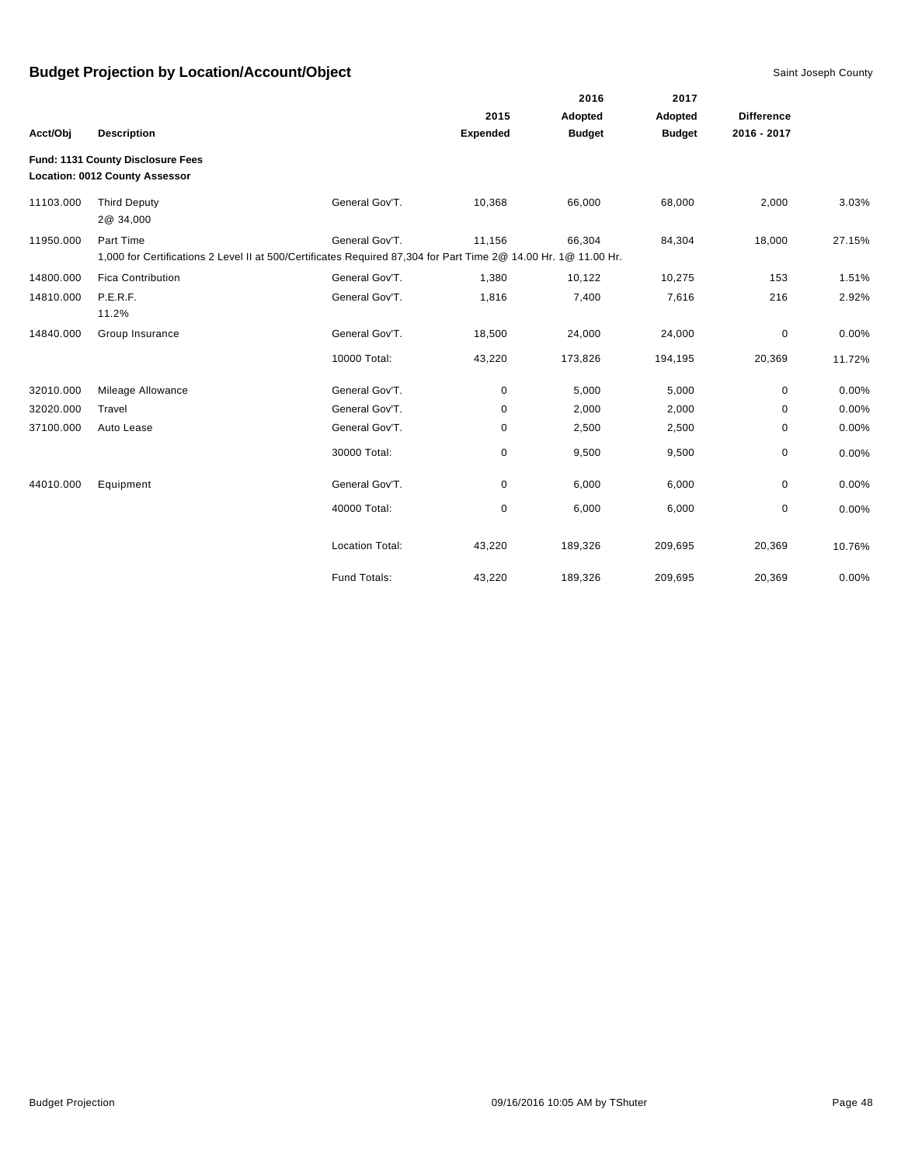|           |                                                                     |                                                                                                                 |                 | 2016          | 2017          |                   |        |
|-----------|---------------------------------------------------------------------|-----------------------------------------------------------------------------------------------------------------|-----------------|---------------|---------------|-------------------|--------|
|           |                                                                     |                                                                                                                 | 2015            | Adopted       | Adopted       | <b>Difference</b> |        |
| Acct/Obj  | <b>Description</b>                                                  |                                                                                                                 | <b>Expended</b> | <b>Budget</b> | <b>Budget</b> | 2016 - 2017       |        |
|           | Fund: 1131 County Disclosure Fees<br>Location: 0012 County Assessor |                                                                                                                 |                 |               |               |                   |        |
| 11103.000 | <b>Third Deputy</b><br>2@ 34,000                                    | General Gov'T.                                                                                                  | 10,368          | 66,000        | 68,000        | 2,000             | 3.03%  |
| 11950.000 | Part Time                                                           | General Gov'T.                                                                                                  | 11,156          | 66,304        | 84,304        | 18,000            | 27.15% |
|           |                                                                     | 1,000 for Certifications 2 Level II at 500/Certificates Required 87,304 for Part Time 2@ 14.00 Hr. 1@ 11.00 Hr. |                 |               |               |                   |        |
| 14800.000 | <b>Fica Contribution</b>                                            | General Gov'T.                                                                                                  | 1,380           | 10,122        | 10,275        | 153               | 1.51%  |
| 14810.000 | P.E.R.F.                                                            | General Gov'T.                                                                                                  | 1,816           | 7,400         | 7,616         | 216               | 2.92%  |
|           | 11.2%                                                               |                                                                                                                 |                 |               |               |                   |        |
| 14840.000 | Group Insurance                                                     | General Gov'T.                                                                                                  | 18,500          | 24,000        | 24,000        | 0                 | 0.00%  |
|           |                                                                     | 10000 Total:                                                                                                    | 43,220          | 173,826       | 194,195       | 20,369            | 11.72% |
| 32010.000 | Mileage Allowance                                                   | General Gov'T.                                                                                                  | 0               | 5,000         | 5,000         | 0                 | 0.00%  |
| 32020.000 | Travel                                                              | General Gov'T.                                                                                                  | 0               | 2,000         | 2,000         | 0                 | 0.00%  |
| 37100.000 | Auto Lease                                                          | General Gov'T.                                                                                                  | 0               | 2,500         | 2,500         | 0                 | 0.00%  |
|           |                                                                     | 30000 Total:                                                                                                    | 0               | 9,500         | 9,500         | 0                 | 0.00%  |
| 44010.000 | Equipment                                                           | General Gov'T.                                                                                                  | 0               | 6,000         | 6,000         | $\mathbf 0$       | 0.00%  |
|           |                                                                     | 40000 Total:                                                                                                    | 0               | 6,000         | 6,000         | 0                 | 0.00%  |
|           |                                                                     | <b>Location Total:</b>                                                                                          | 43,220          | 189,326       | 209,695       | 20,369            | 10.76% |
|           |                                                                     | Fund Totals:                                                                                                    | 43,220          | 189,326       | 209,695       | 20,369            | 0.00%  |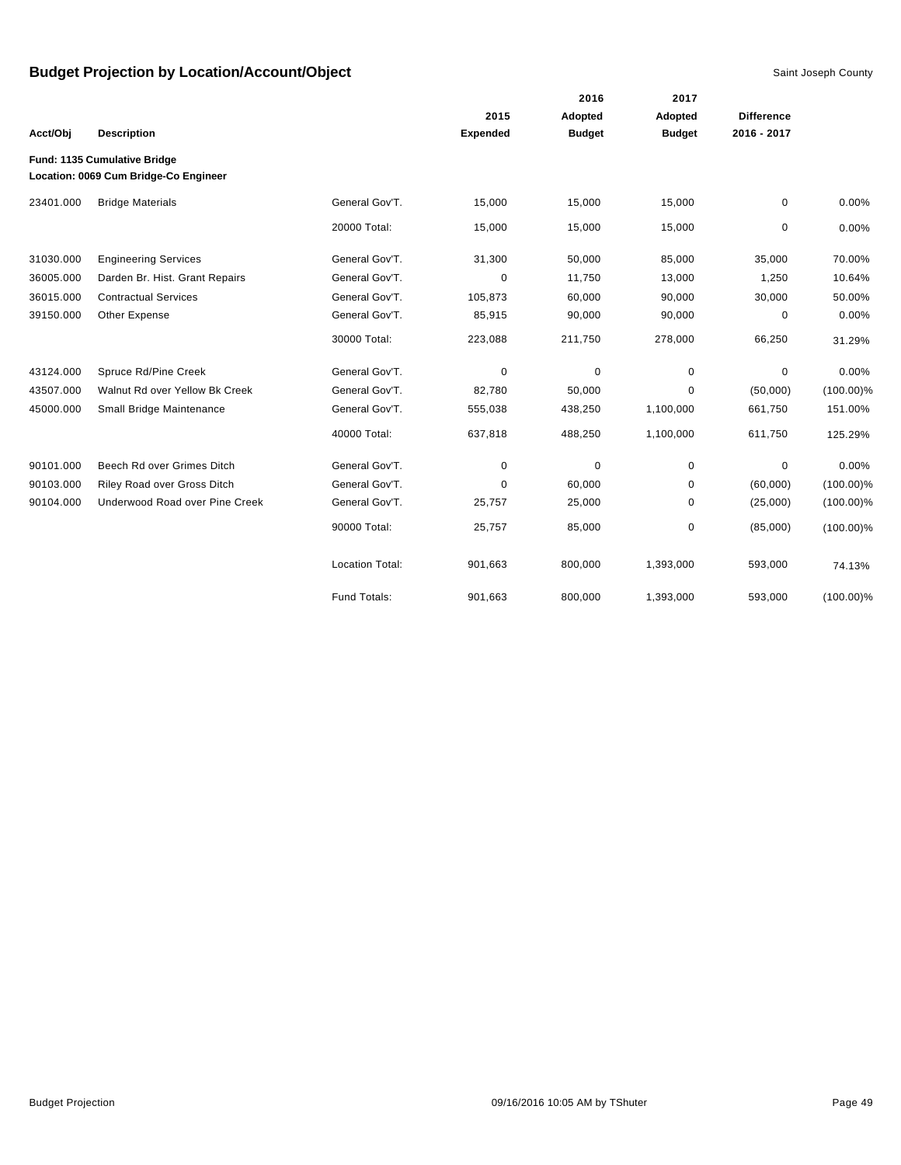|           |                                                                       |                        |                 | 2016          | 2017          |                   |              |
|-----------|-----------------------------------------------------------------------|------------------------|-----------------|---------------|---------------|-------------------|--------------|
|           |                                                                       |                        | 2015            | Adopted       | Adopted       | <b>Difference</b> |              |
| Acct/Obj  | <b>Description</b>                                                    |                        | <b>Expended</b> | <b>Budget</b> | <b>Budget</b> | 2016 - 2017       |              |
|           | Fund: 1135 Cumulative Bridge<br>Location: 0069 Cum Bridge-Co Engineer |                        |                 |               |               |                   |              |
| 23401.000 | <b>Bridge Materials</b>                                               | General Gov'T.         | 15,000          | 15,000        | 15,000        | 0                 | 0.00%        |
|           |                                                                       | 20000 Total:           | 15,000          | 15,000        | 15,000        | 0                 | 0.00%        |
| 31030.000 | <b>Engineering Services</b>                                           | General Gov'T.         | 31,300          | 50,000        | 85,000        | 35,000            | 70.00%       |
| 36005.000 | Darden Br. Hist. Grant Repairs                                        | General Gov'T.         | 0               | 11,750        | 13,000        | 1,250             | 10.64%       |
| 36015.000 | <b>Contractual Services</b>                                           | General Gov'T.         | 105,873         | 60,000        | 90,000        | 30,000            | 50.00%       |
| 39150.000 | Other Expense                                                         | General Gov'T.         | 85,915          | 90,000        | 90,000        | 0                 | 0.00%        |
|           |                                                                       | 30000 Total:           | 223,088         | 211,750       | 278,000       | 66,250            | 31.29%       |
| 43124.000 | Spruce Rd/Pine Creek                                                  | General Gov'T.         | 0               | $\mathbf 0$   | $\mathbf 0$   | $\mathbf 0$       | 0.00%        |
| 43507.000 | Walnut Rd over Yellow Bk Creek                                        | General Gov'T.         | 82,780          | 50,000        | 0             | (50,000)          | $(100.00)\%$ |
| 45000.000 | Small Bridge Maintenance                                              | General Gov'T.         | 555,038         | 438,250       | 1,100,000     | 661,750           | 151.00%      |
|           |                                                                       | 40000 Total:           | 637,818         | 488,250       | 1,100,000     | 611,750           | 125.29%      |
| 90101.000 | Beech Rd over Grimes Ditch                                            | General Gov'T.         | 0               | $\mathbf 0$   | $\mathbf 0$   | 0                 | 0.00%        |
| 90103.000 | Riley Road over Gross Ditch                                           | General Gov'T.         | 0               | 60,000        | 0             | (60,000)          | $(100.00)\%$ |
| 90104.000 | Underwood Road over Pine Creek                                        | General Gov'T.         | 25,757          | 25,000        | 0             | (25,000)          | $(100.00)\%$ |
|           |                                                                       | 90000 Total:           | 25,757          | 85,000        | 0             | (85,000)          | $(100.00)\%$ |
|           |                                                                       | <b>Location Total:</b> | 901,663         | 800,000       | 1,393,000     | 593,000           | 74.13%       |
|           |                                                                       | Fund Totals:           | 901,663         | 800,000       | 1,393,000     | 593,000           | $(100.00)\%$ |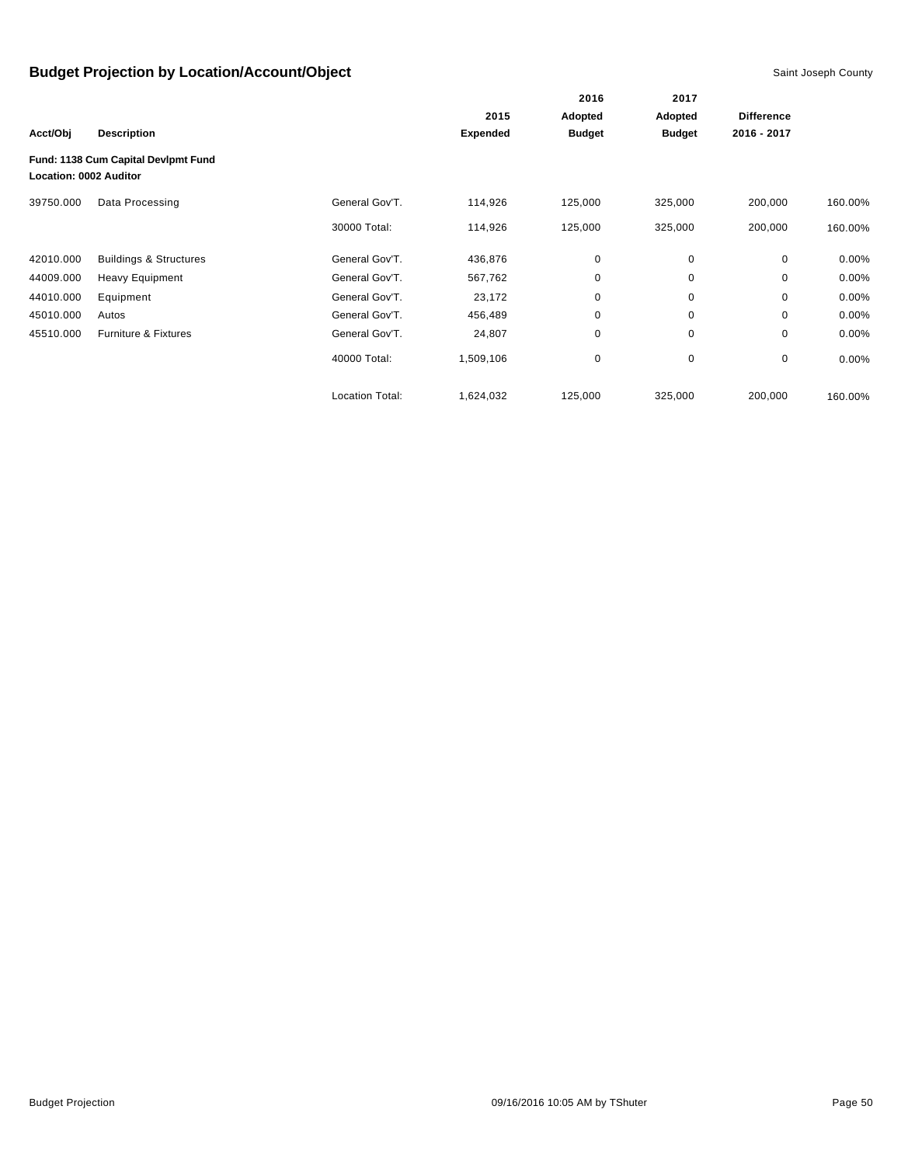|                        |                                     |                 |                 | 2016          | 2017          | <b>Difference</b><br>2016 - 2017 |          |
|------------------------|-------------------------------------|-----------------|-----------------|---------------|---------------|----------------------------------|----------|
|                        |                                     |                 | 2015            | Adopted       | Adopted       |                                  |          |
| Acct/Obj               | <b>Description</b>                  |                 | <b>Expended</b> | <b>Budget</b> | <b>Budget</b> |                                  |          |
| Location: 0002 Auditor | Fund: 1138 Cum Capital Devlpmt Fund |                 |                 |               |               |                                  |          |
| 39750.000              | Data Processing                     | General Gov'T.  | 114,926         | 125,000       | 325,000       | 200,000                          | 160.00%  |
|                        |                                     | 30000 Total:    | 114,926         | 125,000       | 325,000       | 200,000                          | 160.00%  |
| 42010.000              | <b>Buildings &amp; Structures</b>   | General Gov'T.  | 436,876         | 0             | 0             | 0                                | $0.00\%$ |
| 44009.000              | <b>Heavy Equipment</b>              | General Gov'T.  | 567,762         | 0             | 0             | 0                                | $0.00\%$ |
| 44010.000              | Equipment                           | General Gov'T.  | 23,172          | 0             | 0             | $\Omega$                         | $0.00\%$ |
| 45010.000              | Autos                               | General Gov'T.  | 456,489         | 0             | 0             | 0                                | 0.00%    |
| 45510.000              | <b>Furniture &amp; Fixtures</b>     | General Gov'T.  | 24,807          | 0             | 0             | 0                                | $0.00\%$ |
|                        |                                     | 40000 Total:    | 1,509,106       | $\pmb{0}$     | 0             | 0                                | $0.00\%$ |
|                        |                                     | Location Total: | 1,624,032       | 125,000       | 325,000       | 200,000                          | 160.00%  |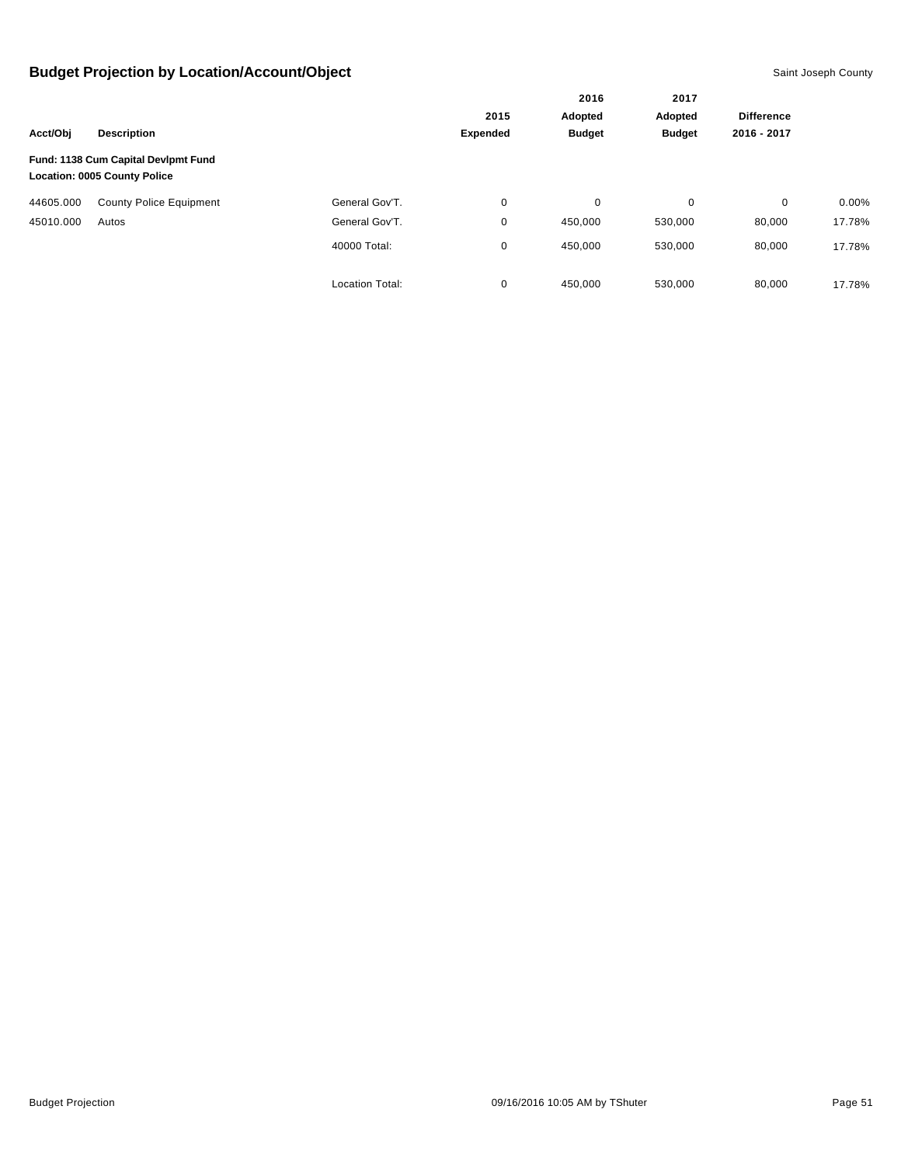|           |                                                                            | 2016                   | 2017            |               |               |                   |          |
|-----------|----------------------------------------------------------------------------|------------------------|-----------------|---------------|---------------|-------------------|----------|
|           |                                                                            |                        | 2015            | Adopted       | Adopted       | <b>Difference</b> |          |
| Acct/Obj  | <b>Description</b>                                                         |                        | <b>Expended</b> | <b>Budget</b> | <b>Budget</b> | 2016 - 2017       |          |
|           | Fund: 1138 Cum Capital Devlpmt Fund<br><b>Location: 0005 County Police</b> |                        |                 |               |               |                   |          |
| 44605.000 | <b>County Police Equipment</b>                                             | General Gov'T.         | 0               | 0             | 0             | 0                 | $0.00\%$ |
| 45010.000 | Autos                                                                      | General Gov'T.         | 0               | 450,000       | 530,000       | 80,000            | 17.78%   |
|           |                                                                            | 40000 Total:           | 0               | 450,000       | 530,000       | 80,000            | 17.78%   |
|           |                                                                            | <b>Location Total:</b> | 0               | 450.000       | 530,000       | 80,000            | 17.78%   |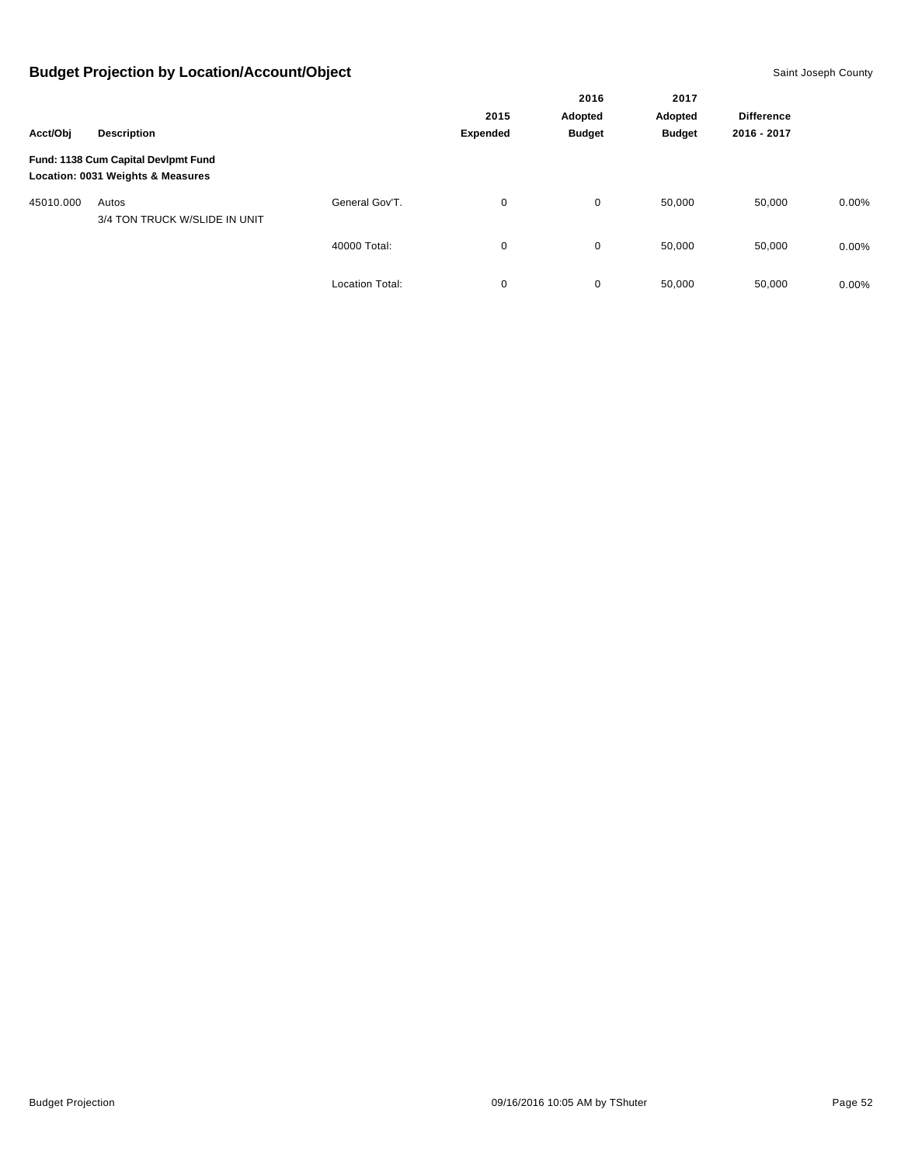|           |                                                                          |                        | 2016            | 2017          |               |                   |          |
|-----------|--------------------------------------------------------------------------|------------------------|-----------------|---------------|---------------|-------------------|----------|
|           |                                                                          |                        | 2015            | Adopted       | Adopted       | <b>Difference</b> |          |
| Acct/Obj  | <b>Description</b>                                                       |                        | <b>Expended</b> | <b>Budget</b> | <b>Budget</b> | 2016 - 2017       |          |
|           | Fund: 1138 Cum Capital Devlpmt Fund<br>Location: 0031 Weights & Measures |                        |                 |               |               |                   |          |
| 45010.000 | Autos<br>3/4 TON TRUCK W/SLIDE IN UNIT                                   | General Gov'T.         | 0               | 0             | 50,000        | 50,000            | $0.00\%$ |
|           |                                                                          | 40000 Total:           | 0               | $\mathbf 0$   | 50,000        | 50,000            | $0.00\%$ |
|           |                                                                          | <b>Location Total:</b> | 0               | 0             | 50,000        | 50,000            | $0.00\%$ |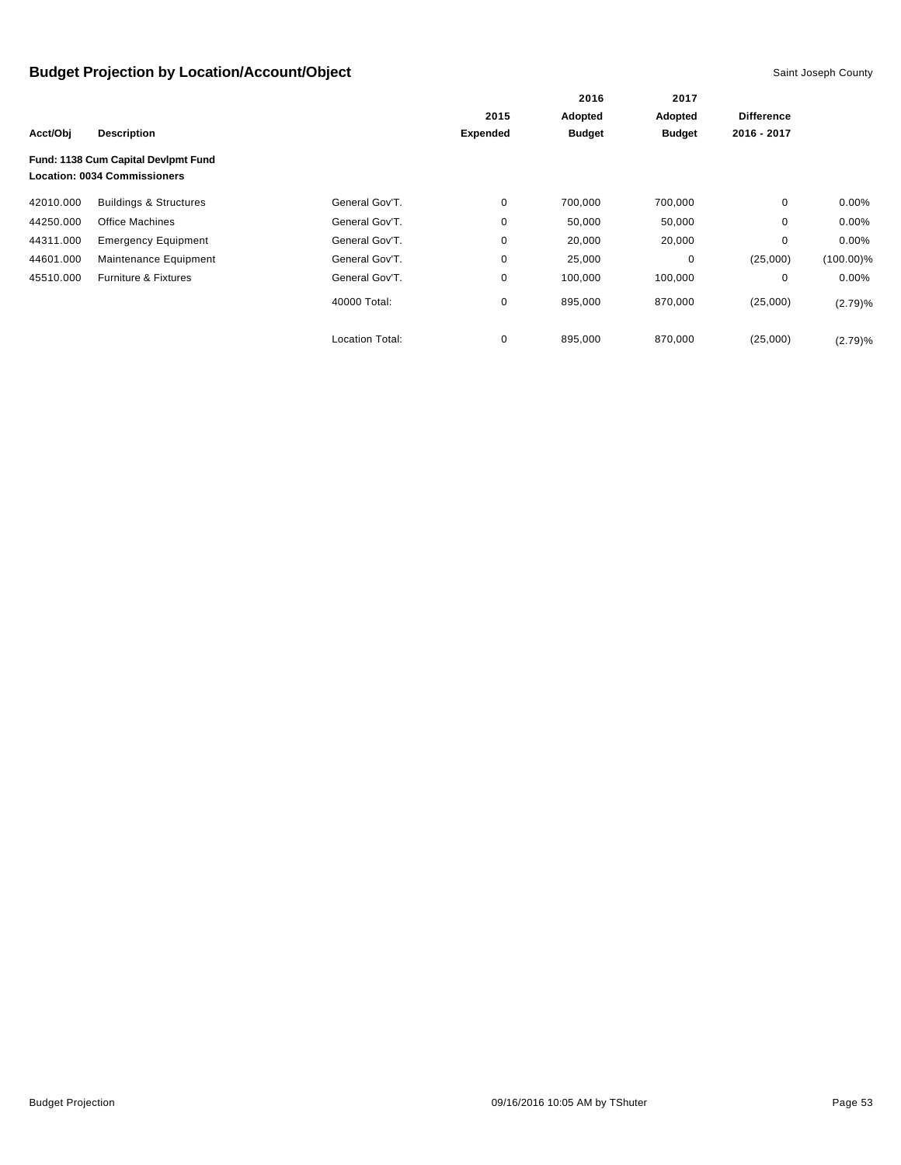|           |                                                                            |                        |                 | 2016<br>Adopted | 2017<br>Adopted | <b>Difference</b> |              |
|-----------|----------------------------------------------------------------------------|------------------------|-----------------|-----------------|-----------------|-------------------|--------------|
|           |                                                                            |                        | 2015            |                 |                 |                   |              |
| Acct/Obj  | <b>Description</b>                                                         |                        | <b>Expended</b> | <b>Budget</b>   | <b>Budget</b>   | 2016 - 2017       |              |
|           | Fund: 1138 Cum Capital Devlpmt Fund<br><b>Location: 0034 Commissioners</b> |                        |                 |                 |                 |                   |              |
| 42010.000 | <b>Buildings &amp; Structures</b>                                          | General Gov'T.         | 0               | 700,000         | 700,000         | 0                 | $0.00\%$     |
| 44250.000 | Office Machines                                                            | General Gov'T.         | 0               | 50,000          | 50,000          | $\mathbf 0$       | $0.00\%$     |
| 44311.000 | <b>Emergency Equipment</b>                                                 | General Gov'T.         | 0               | 20,000          | 20,000          | 0                 | $0.00\%$     |
| 44601.000 | Maintenance Equipment                                                      | General Gov'T.         | 0               | 25,000          | 0               | (25,000)          | $(100.00)\%$ |
| 45510.000 | Furniture & Fixtures                                                       | General Gov'T.         | 0               | 100,000         | 100,000         | 0                 | $0.00\%$     |
|           |                                                                            | 40000 Total:           | 0               | 895,000         | 870,000         | (25,000)          | (2.79)%      |
|           |                                                                            | <b>Location Total:</b> | 0               | 895,000         | 870,000         | (25,000)          | (2.79)%      |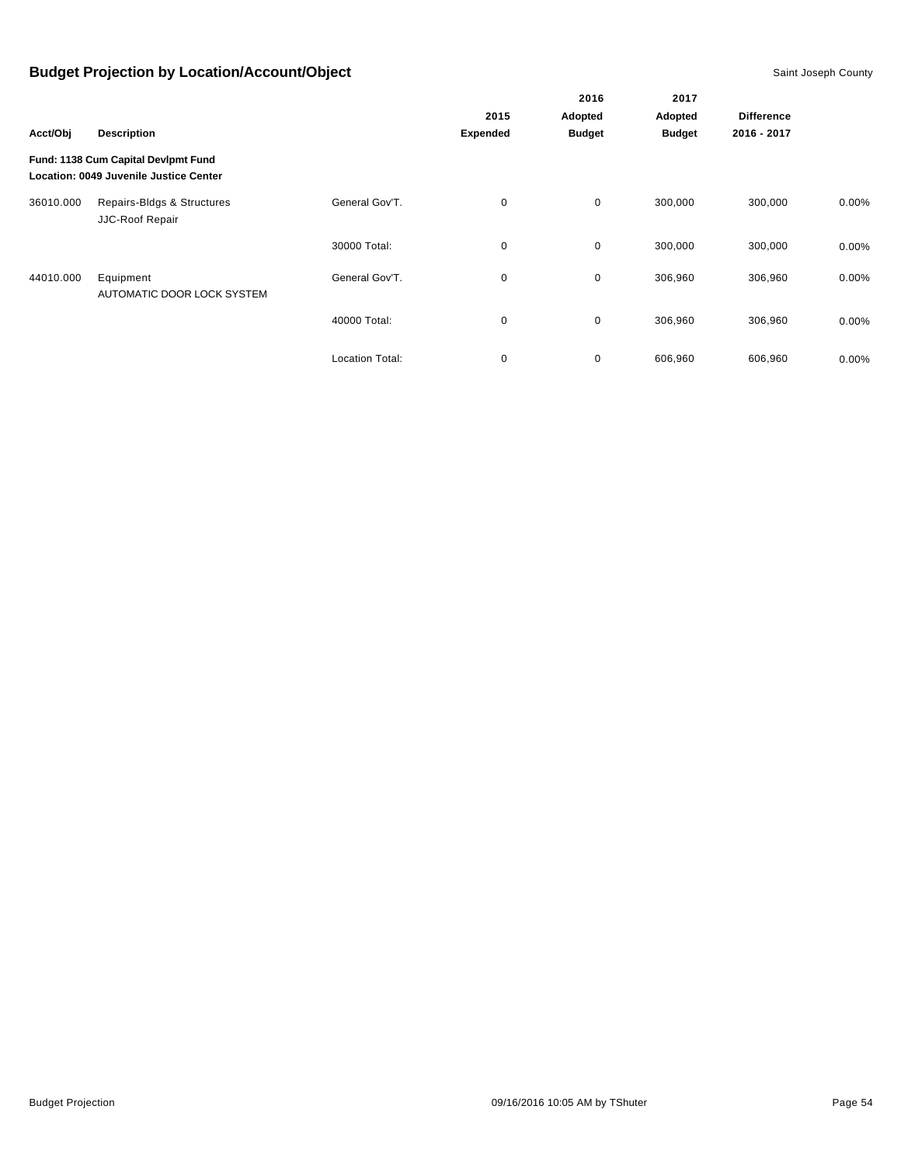|           |                                                                               |                        |                 | 2016          | 2017          |                   |          |
|-----------|-------------------------------------------------------------------------------|------------------------|-----------------|---------------|---------------|-------------------|----------|
|           |                                                                               | 2015                   |                 | Adopted       | Adopted       | <b>Difference</b> |          |
| Acct/Obj  | <b>Description</b>                                                            |                        | <b>Expended</b> | <b>Budget</b> | <b>Budget</b> | 2016 - 2017       |          |
|           | Fund: 1138 Cum Capital Devlpmt Fund<br>Location: 0049 Juvenile Justice Center |                        |                 |               |               |                   |          |
| 36010.000 | Repairs-Bldgs & Structures<br>JJC-Roof Repair                                 | General Gov'T.         | 0               | $\mathbf 0$   | 300,000       | 300,000           | $0.00\%$ |
|           |                                                                               | 30000 Total:           | 0               | $\mathbf 0$   | 300,000       | 300,000           | $0.00\%$ |
| 44010.000 | Equipment<br>AUTOMATIC DOOR LOCK SYSTEM                                       | General Gov'T.         | 0               | $\mathbf 0$   | 306,960       | 306,960           | $0.00\%$ |
|           |                                                                               | 40000 Total:           | 0               | $\mathbf 0$   | 306,960       | 306,960           | $0.00\%$ |
|           |                                                                               | <b>Location Total:</b> | 0               | 0             | 606,960       | 606,960           | 0.00%    |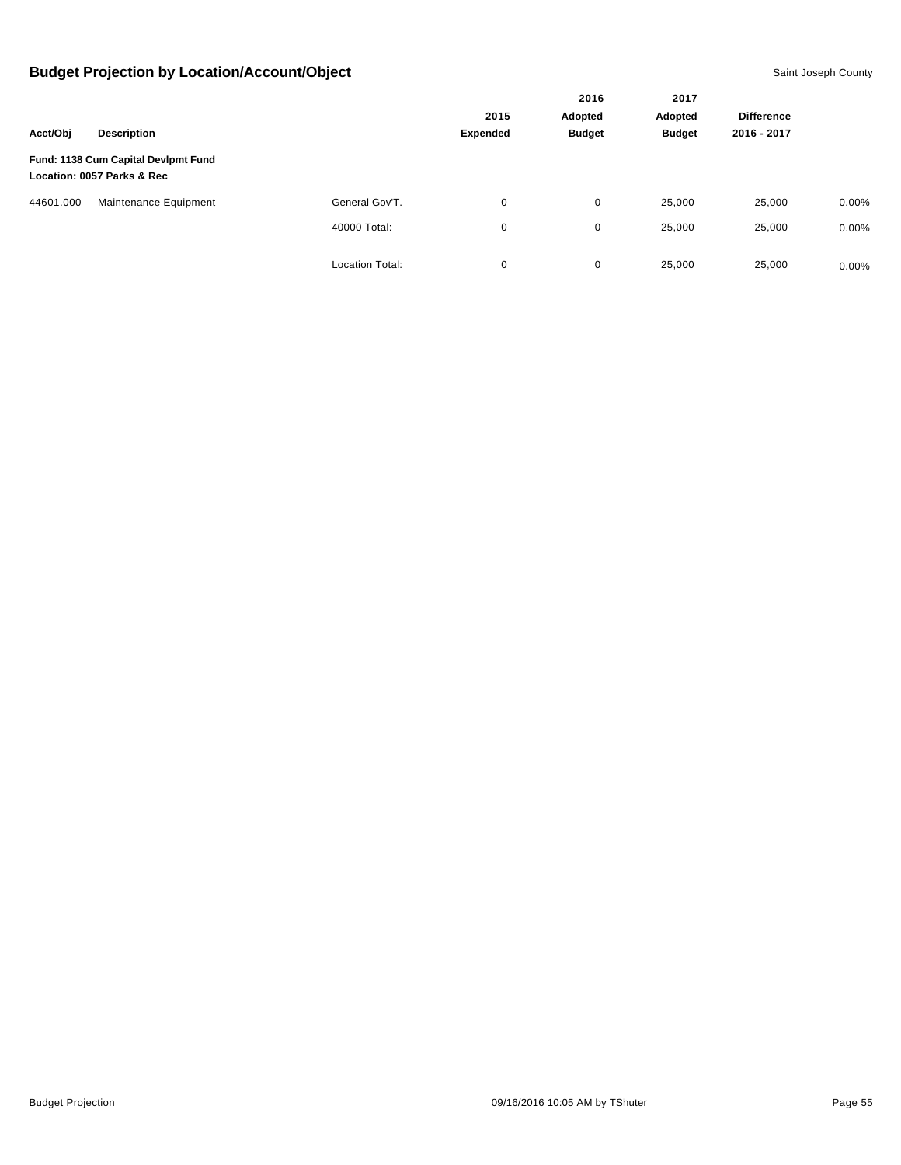|           |                                                                   |                        |                 | 2016<br>Adopted | 2017<br>Adopted | <b>Difference</b> |          |
|-----------|-------------------------------------------------------------------|------------------------|-----------------|-----------------|-----------------|-------------------|----------|
|           |                                                                   |                        | 2015            |                 |                 |                   |          |
| Acct/Obj  | <b>Description</b>                                                |                        | <b>Expended</b> | <b>Budget</b>   | <b>Budget</b>   | 2016 - 2017       |          |
|           | Fund: 1138 Cum Capital Devlpmt Fund<br>Location: 0057 Parks & Rec |                        |                 |                 |                 |                   |          |
| 44601.000 | Maintenance Equipment                                             | General Gov'T.         | 0               | 0               | 25,000          | 25,000            | 0.00%    |
|           |                                                                   | 40000 Total:           | 0               | 0               | 25,000          | 25,000            | 0.00%    |
|           |                                                                   | <b>Location Total:</b> | 0               | 0               | 25,000          | 25,000            | $0.00\%$ |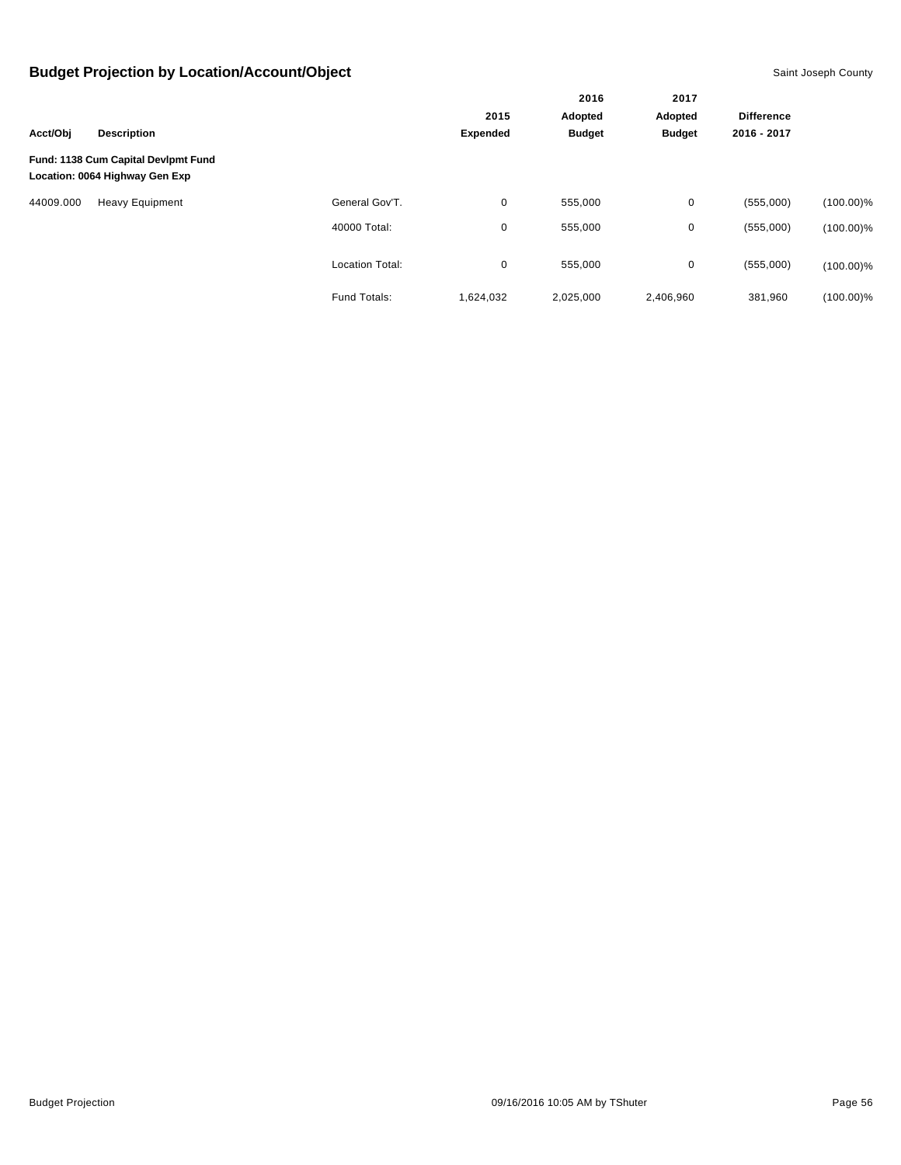|           |                                                                       |                        |                 | 2016<br>Adopted<br><b>Budget</b> | 2017<br>Adopted | <b>Difference</b><br>2016 - 2017 |              |
|-----------|-----------------------------------------------------------------------|------------------------|-----------------|----------------------------------|-----------------|----------------------------------|--------------|
|           | <b>Description</b>                                                    |                        | 2015            |                                  |                 |                                  |              |
| Acct/Obj  |                                                                       |                        | <b>Expended</b> |                                  | <b>Budget</b>   |                                  |              |
|           | Fund: 1138 Cum Capital Devlpmt Fund<br>Location: 0064 Highway Gen Exp |                        |                 |                                  |                 |                                  |              |
| 44009.000 | <b>Heavy Equipment</b>                                                | General Gov'T.         | 0               | 555,000                          | 0               | (555,000)                        | $(100.00)\%$ |
|           |                                                                       | 40000 Total:           | 0               | 555,000                          | 0               | (555,000)                        | $(100.00)\%$ |
|           |                                                                       | <b>Location Total:</b> | 0               | 555,000                          | 0               | (555,000)                        | $(100.00)\%$ |
|           |                                                                       | Fund Totals:           | 1,624,032       | 2,025,000                        | 2,406,960       | 381,960                          | $(100.00)\%$ |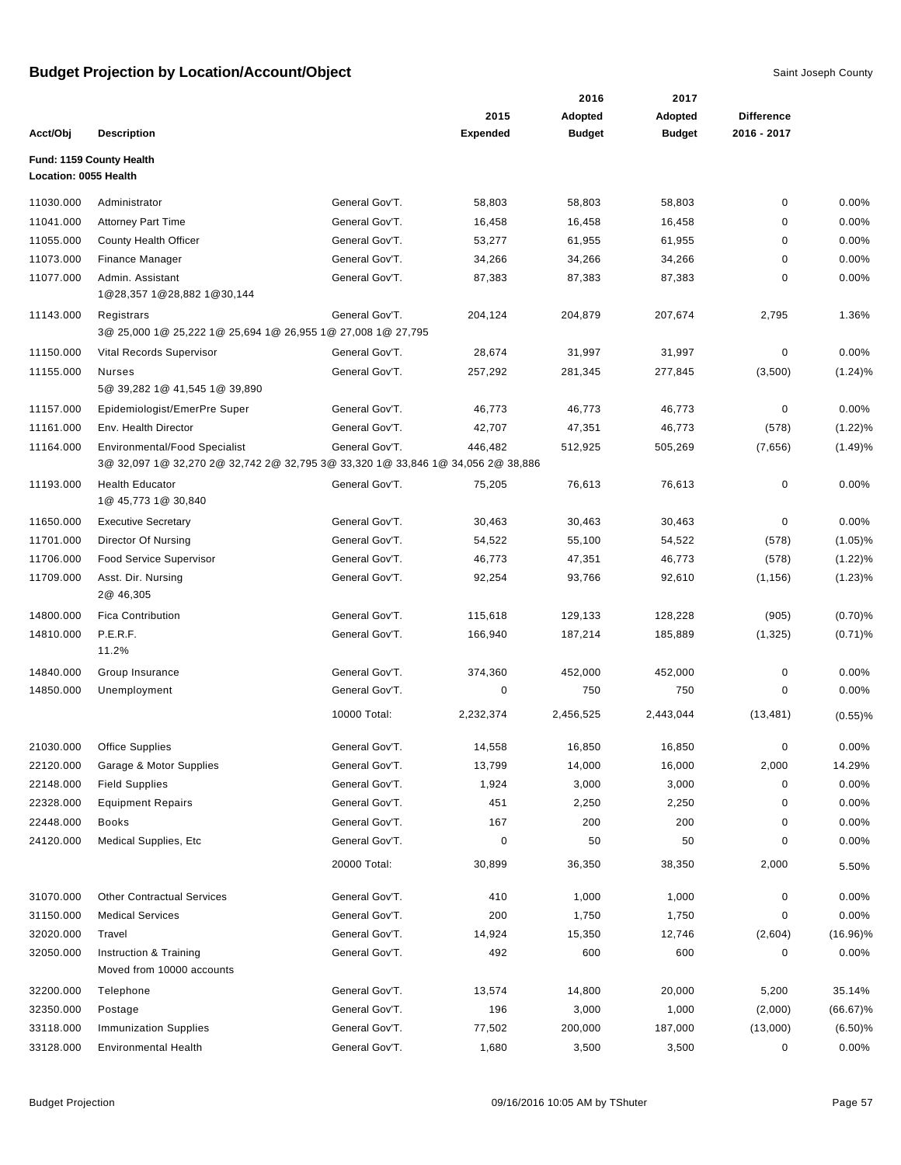|                       |                                                                                                                         |                |                  | 2016             | 2017             |                   |                          |
|-----------------------|-------------------------------------------------------------------------------------------------------------------------|----------------|------------------|------------------|------------------|-------------------|--------------------------|
|                       |                                                                                                                         |                | 2015             | Adopted          | Adopted          | <b>Difference</b> |                          |
| Acct/Obj              | <b>Description</b>                                                                                                      |                | <b>Expended</b>  | <b>Budget</b>    | <b>Budget</b>    | 2016 - 2017       |                          |
| Location: 0055 Health | Fund: 1159 County Health                                                                                                |                |                  |                  |                  |                   |                          |
| 11030.000             | Administrator                                                                                                           | General Gov'T. | 58,803           | 58,803           | 58,803           | 0                 | 0.00%                    |
| 11041.000             | <b>Attorney Part Time</b>                                                                                               | General Gov'T. | 16,458           | 16,458           | 16,458           | 0                 | 0.00%                    |
| 11055.000             | County Health Officer                                                                                                   | General Gov'T. | 53,277           | 61,955           | 61,955           | 0                 | 0.00%                    |
| 11073.000             | <b>Finance Manager</b>                                                                                                  | General Gov'T. | 34,266           | 34,266           | 34,266           | 0                 | 0.00%                    |
| 11077.000             | Admin. Assistant<br>1@28,357 1@28,882 1@30,144                                                                          | General Gov'T. | 87,383           | 87,383           | 87,383           | 0                 | 0.00%                    |
| 11143.000             | Registrars<br>3@ 25,000 1@ 25,222 1@ 25,694 1@ 26,955 1@ 27,008 1@ 27,795                                               | General Gov'T. | 204,124          | 204,879          | 207,674          | 2,795             | 1.36%                    |
| 11150.000             | Vital Records Supervisor                                                                                                | General Gov'T. | 28,674           | 31,997           | 31,997           | 0                 | 0.00%                    |
| 11155.000             | <b>Nurses</b><br>5@ 39,282 1@ 41,545 1@ 39,890                                                                          | General Gov'T. | 257,292          | 281,345          | 277,845          | (3,500)           | (1.24)%                  |
| 11157.000             | Epidemiologist/EmerPre Super                                                                                            | General Gov'T. | 46,773           | 46,773           | 46,773           | 0                 | 0.00%                    |
| 11161.000             | Env. Health Director                                                                                                    | General Gov'T. | 42,707           | 47,351           | 46,773           | (578)             | $(1.22)\%$               |
| 11164.000             | <b>Environmental/Food Specialist</b><br>3@ 32,097 1@ 32,270 2@ 32,742 2@ 32,795 3@ 33,320 1@ 33,846 1@ 34,056 2@ 38,886 | General Gov'T. | 446,482          | 512,925          | 505,269          | (7,656)           | (1.49)%                  |
| 11193.000             | <b>Health Educator</b><br>1@ 45,773 1@ 30,840                                                                           | General Gov'T. | 75,205           | 76,613           | 76,613           | 0                 | 0.00%                    |
| 11650.000             | <b>Executive Secretary</b>                                                                                              | General Gov'T. |                  |                  |                  | 0                 | 0.00%                    |
| 11701.000             |                                                                                                                         | General Gov'T. | 30,463<br>54,522 | 30,463<br>55,100 | 30,463           |                   |                          |
| 11706.000             | Director Of Nursing<br><b>Food Service Supervisor</b>                                                                   | General Gov'T. | 46,773           | 47,351           | 54,522<br>46,773 | (578)<br>(578)    | $(1.05)$ %<br>$(1.22)\%$ |
| 11709.000             | Asst. Dir. Nursing<br>2@ 46,305                                                                                         | General Gov'T. | 92,254           | 93,766           | 92,610           | (1, 156)          | $(1.23)\%$               |
| 14800.000             | <b>Fica Contribution</b>                                                                                                | General Gov'T. | 115,618          | 129,133          | 128,228          | (905)             | (0.70)%                  |
| 14810.000             | P.E.R.F.<br>11.2%                                                                                                       | General Gov'T. | 166,940          | 187,214          | 185,889          | (1, 325)          | $(0.71)$ %               |
| 14840.000             | Group Insurance                                                                                                         | General Gov'T. | 374,360          | 452,000          | 452,000          | 0                 | 0.00%                    |
| 14850.000             | Unemployment                                                                                                            | General Gov'T. | 0                | 750              | 750              | 0                 | 0.00%                    |
|                       |                                                                                                                         | 10000 Total:   | 2,232,374        | 2,456,525        | 2,443,044        | (13, 481)         | $(0.55)$ %               |
| 21030.000             | <b>Office Supplies</b>                                                                                                  | General Gov'T. | 14,558           | 16,850           | 16,850           | 0                 | 0.00%                    |
| 22120.000             | Garage & Motor Supplies                                                                                                 | General Gov'T. | 13,799           | 14,000           | 16,000           | 2,000             | 14.29%                   |
| 22148.000             | <b>Field Supplies</b>                                                                                                   | General Gov'T. | 1,924            | 3,000            | 3,000            | 0                 | 0.00%                    |
| 22328.000             | <b>Equipment Repairs</b>                                                                                                | General Gov'T. | 451              | 2,250            | 2,250            | 0                 | 0.00%                    |
| 22448.000             | Books                                                                                                                   | General Gov'T. | 167              | 200              | 200              | 0                 | 0.00%                    |
| 24120.000             | Medical Supplies, Etc.                                                                                                  | General Gov'T. | 0                | 50               | 50               | 0                 | 0.00%                    |
|                       |                                                                                                                         | 20000 Total:   | 30,899           | 36,350           | 38,350           | 2,000             | 5.50%                    |
| 31070.000             | <b>Other Contractual Services</b>                                                                                       | General Gov'T. | 410              | 1,000            | 1,000            | 0                 | 0.00%                    |
| 31150.000             | <b>Medical Services</b>                                                                                                 | General Gov'T. | 200              | 1,750            | 1,750            | 0                 | 0.00%                    |
| 32020.000             | Travel                                                                                                                  | General Gov'T. | 14,924           | 15,350           | 12,746           | (2,604)           | $(16.96)\%$              |
| 32050.000             | Instruction & Training<br>Moved from 10000 accounts                                                                     | General Gov'T. | 492              | 600              | 600              | 0                 | 0.00%                    |
| 32200.000             | Telephone                                                                                                               | General Gov'T. | 13,574           | 14,800           | 20,000           | 5,200             | 35.14%                   |
| 32350.000             | Postage                                                                                                                 | General Gov'T. | 196              | 3,000            | 1,000            | (2,000)           | $(66.67)\%$              |
| 33118.000             | <b>Immunization Supplies</b>                                                                                            | General Gov'T. | 77,502           | 200,000          | 187,000          | (13,000)          | $(6.50)\%$               |
| 33128.000             | <b>Environmental Health</b>                                                                                             | General Gov'T. | 1,680            | 3,500            | 3,500            | 0                 | 0.00%                    |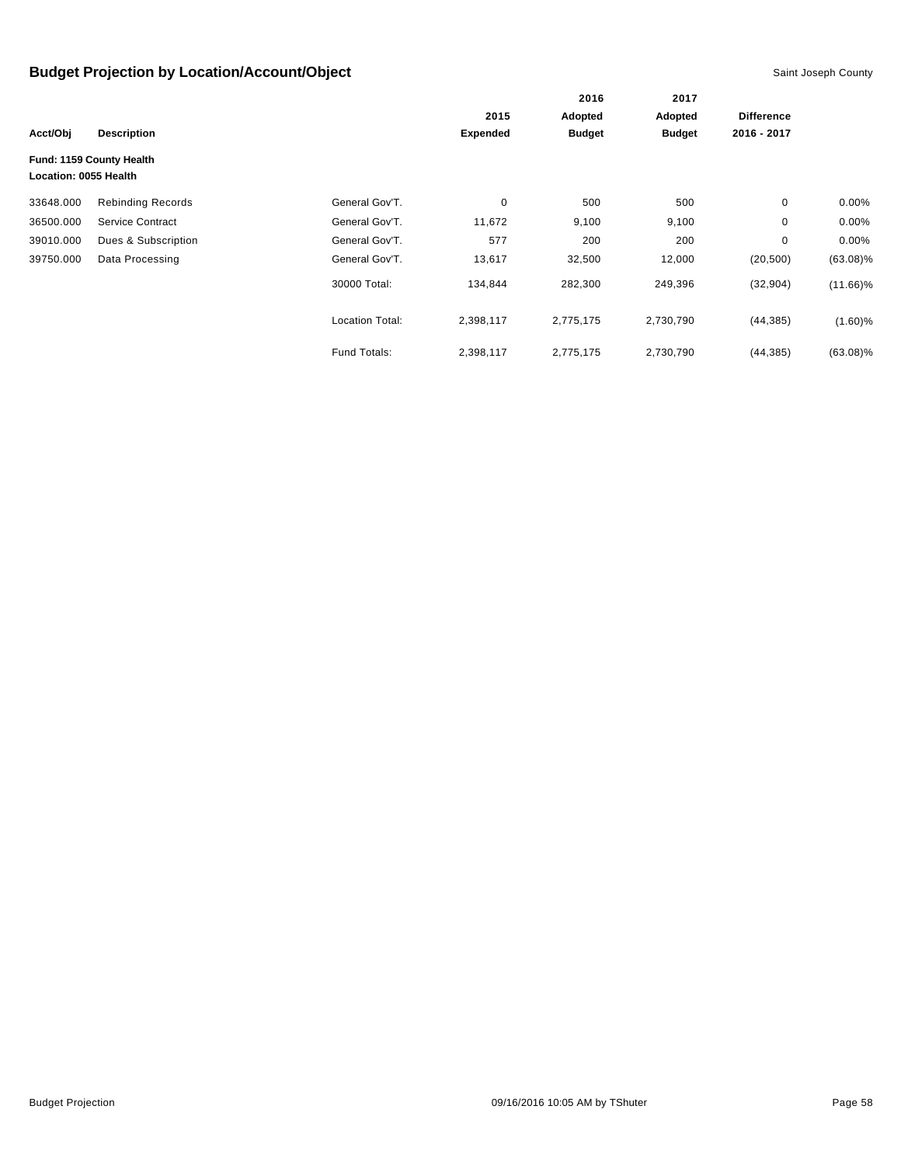|                       |                          |                        |                 | 2016<br>Adopted | 2017          | <b>Difference</b> |             |
|-----------------------|--------------------------|------------------------|-----------------|-----------------|---------------|-------------------|-------------|
|                       |                          |                        | 2015            |                 | Adopted       |                   |             |
| Acct/Obj              | <b>Description</b>       |                        | <b>Expended</b> | <b>Budget</b>   | <b>Budget</b> | 2016 - 2017       |             |
| Location: 0055 Health | Fund: 1159 County Health |                        |                 |                 |               |                   |             |
| 33648.000             | <b>Rebinding Records</b> | General Gov'T.         | $\mathbf 0$     | 500             | 500           | 0                 | $0.00\%$    |
| 36500.000             | Service Contract         | General Gov'T.         | 11,672          | 9,100           | 9,100         | 0                 | $0.00\%$    |
| 39010.000             | Dues & Subscription      | General Gov'T.         | 577             | 200             | 200           | 0                 | $0.00\%$    |
| 39750.000             | Data Processing          | General Gov'T.         | 13,617          | 32,500          | 12,000        | (20, 500)         | $(63.08)\%$ |
|                       |                          | 30000 Total:           | 134,844         | 282,300         | 249,396       | (32, 904)         | $(11.66)\%$ |
|                       |                          | <b>Location Total:</b> | 2,398,117       | 2,775,175       | 2,730,790     | (44, 385)         | $(1.60)\%$  |
|                       |                          | Fund Totals:           | 2,398,117       | 2,775,175       | 2,730,790     | (44, 385)         | $(63.08)\%$ |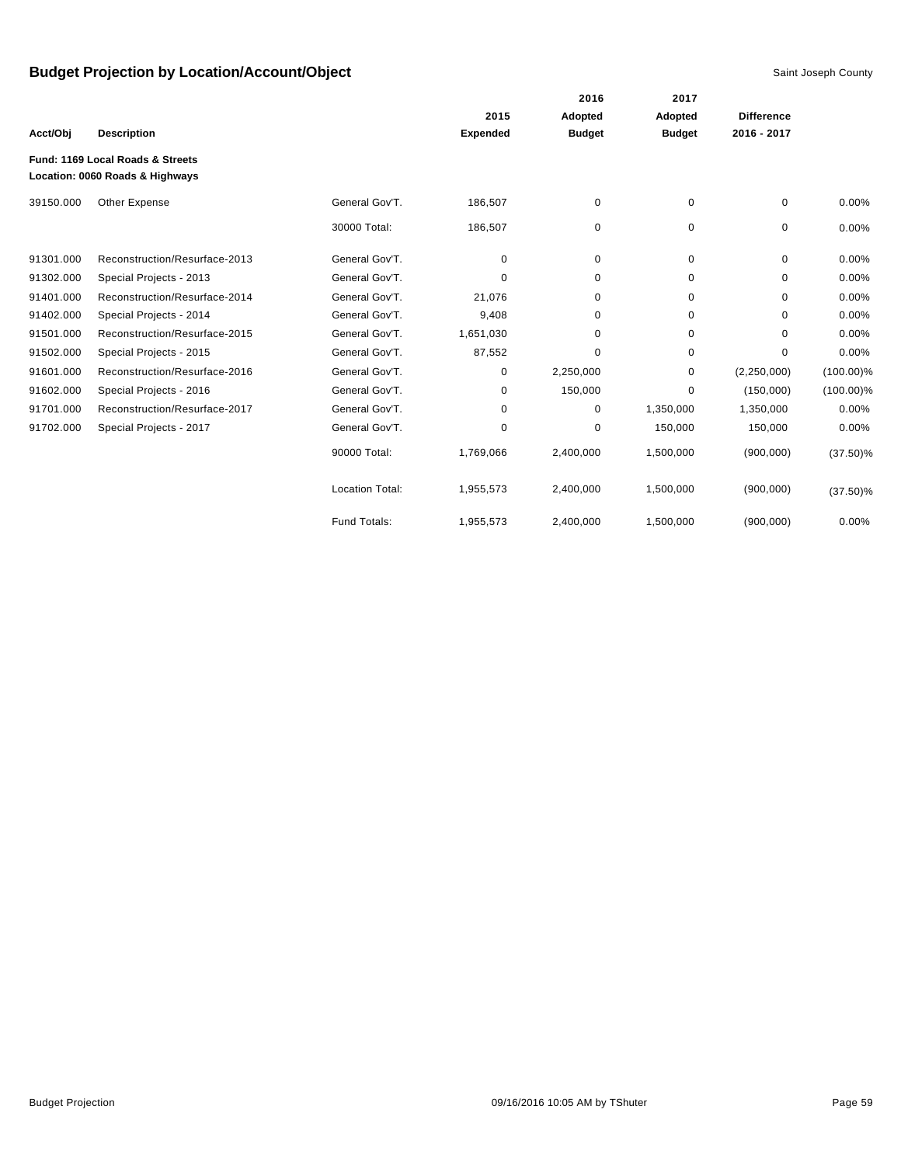|           |                                                                     |                        |                 | 2016          | 2017          |                   |              |
|-----------|---------------------------------------------------------------------|------------------------|-----------------|---------------|---------------|-------------------|--------------|
|           |                                                                     |                        | 2015            | Adopted       | Adopted       | <b>Difference</b> |              |
| Acct/Obj  | <b>Description</b>                                                  |                        | <b>Expended</b> | <b>Budget</b> | <b>Budget</b> | 2016 - 2017       |              |
|           | Fund: 1169 Local Roads & Streets<br>Location: 0060 Roads & Highways |                        |                 |               |               |                   |              |
| 39150.000 | Other Expense                                                       | General Gov'T.         | 186,507         | 0             | 0             | 0                 | 0.00%        |
|           |                                                                     | 30000 Total:           | 186,507         | 0             | 0             | 0                 | 0.00%        |
| 91301.000 | Reconstruction/Resurface-2013                                       | General Gov'T.         | 0               | 0             | $\mathbf 0$   | 0                 | 0.00%        |
| 91302.000 | Special Projects - 2013                                             | General Gov'T.         | 0               | 0             | 0             | 0                 | 0.00%        |
| 91401.000 | Reconstruction/Resurface-2014                                       | General Gov'T.         | 21,076          | 0             | $\mathbf 0$   | 0                 | 0.00%        |
| 91402.000 | Special Projects - 2014                                             | General Gov'T.         | 9,408           | 0             | 0             | $\Omega$          | 0.00%        |
| 91501.000 | Reconstruction/Resurface-2015                                       | General Gov'T.         | 1,651,030       | 0             | 0             | $\Omega$          | 0.00%        |
| 91502.000 | Special Projects - 2015                                             | General Gov'T.         | 87,552          | 0             | 0             | $\Omega$          | 0.00%        |
| 91601.000 | Reconstruction/Resurface-2016                                       | General Gov'T.         | 0               | 2,250,000     | 0             | (2, 250, 000)     | $(100.00)\%$ |
| 91602.000 | Special Projects - 2016                                             | General Gov'T.         | 0               | 150,000       | 0             | (150,000)         | $(100.00)\%$ |
| 91701.000 | Reconstruction/Resurface-2017                                       | General Gov'T.         | 0               | 0             | 1,350,000     | 1,350,000         | 0.00%        |
| 91702.000 | Special Projects - 2017                                             | General Gov'T.         | 0               | 0             | 150,000       | 150,000           | 0.00%        |
|           |                                                                     | 90000 Total:           | 1,769,066       | 2,400,000     | 1,500,000     | (900,000)         | $(37.50)\%$  |
|           |                                                                     | <b>Location Total:</b> | 1,955,573       | 2,400,000     | 1,500,000     | (900,000)         | $(37.50)\%$  |
|           |                                                                     | Fund Totals:           | 1,955,573       | 2,400,000     | 1,500,000     | (900, 000)        | 0.00%        |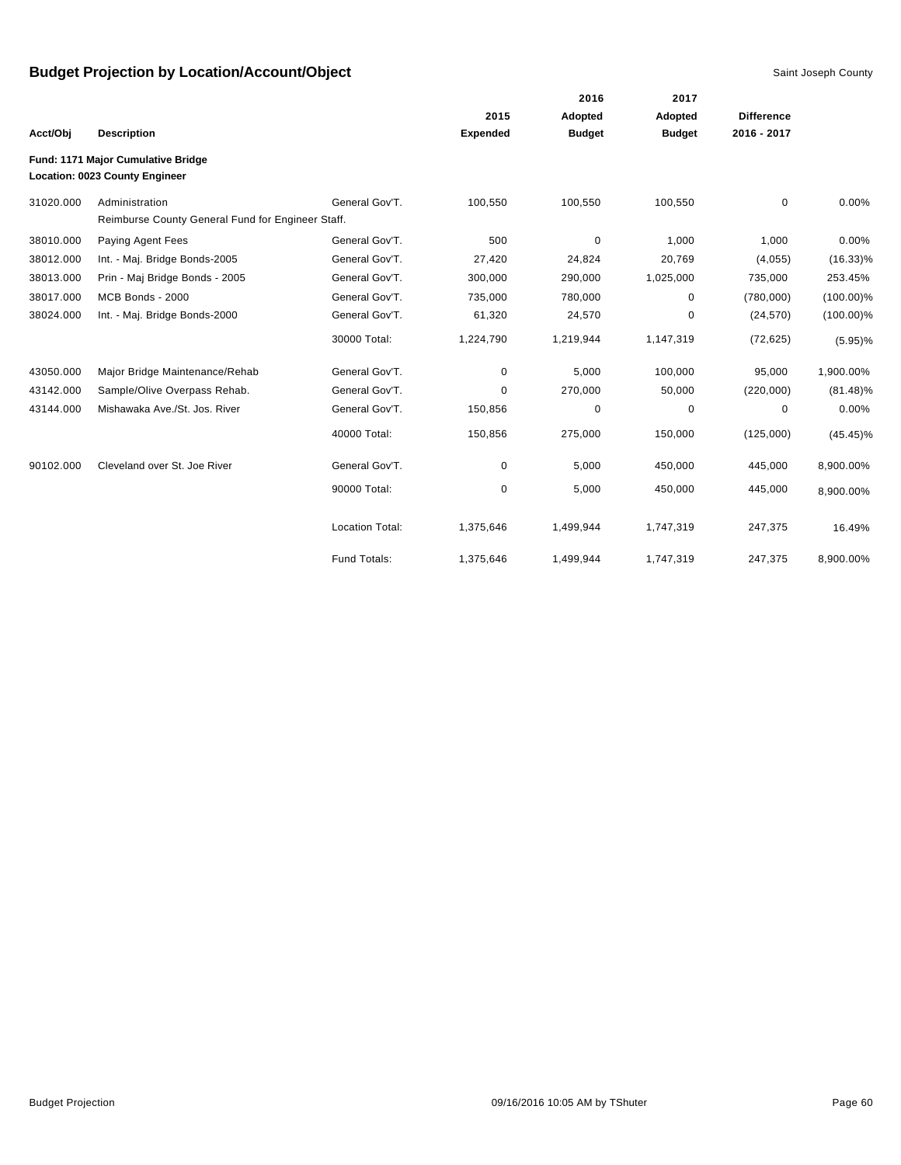|           |                                                   |                        |                 | 2016          | 2017          |                   |              |
|-----------|---------------------------------------------------|------------------------|-----------------|---------------|---------------|-------------------|--------------|
|           |                                                   |                        | 2015            | Adopted       | Adopted       | <b>Difference</b> |              |
| Acct/Obj  | <b>Description</b>                                |                        | <b>Expended</b> | <b>Budget</b> | <b>Budget</b> | 2016 - 2017       |              |
|           | Fund: 1171 Major Cumulative Bridge                |                        |                 |               |               |                   |              |
|           | Location: 0023 County Engineer                    |                        |                 |               |               |                   |              |
| 31020.000 | Administration                                    | General Gov'T.         | 100,550         | 100,550       | 100,550       | $\mathbf 0$       | 0.00%        |
|           | Reimburse County General Fund for Engineer Staff. |                        |                 |               |               |                   |              |
| 38010.000 | Paying Agent Fees                                 | General Gov'T.         | 500             | $\mathbf 0$   | 1,000         | 1,000             | 0.00%        |
| 38012.000 | Int. - Maj. Bridge Bonds-2005                     | General Gov'T.         | 27,420          | 24,824        | 20,769        | (4,055)           | $(16.33)\%$  |
| 38013.000 | Prin - Maj Bridge Bonds - 2005                    | General Gov'T.         | 300,000         | 290,000       | 1,025,000     | 735,000           | 253.45%      |
| 38017.000 | MCB Bonds - 2000                                  | General Gov'T.         | 735,000         | 780,000       | 0             | (780,000)         | $(100.00)\%$ |
| 38024.000 | Int. - Maj. Bridge Bonds-2000                     | General Gov'T.         | 61,320          | 24,570        | 0             | (24, 570)         | $(100.00)\%$ |
|           |                                                   | 30000 Total:           | 1,224,790       | 1,219,944     | 1,147,319     | (72, 625)         | $(5.95)\%$   |
| 43050.000 | Major Bridge Maintenance/Rehab                    | General Gov'T.         | 0               | 5,000         | 100,000       | 95,000            | 1,900.00%    |
| 43142.000 | Sample/Olive Overpass Rehab.                      | General Gov'T.         | $\Omega$        | 270,000       | 50,000        | (220,000)         | $(81.48)\%$  |
| 43144.000 | Mishawaka Ave./St. Jos. River                     | General Gov'T.         | 150,856         | 0             | 0             | 0                 | 0.00%        |
|           |                                                   | 40000 Total:           | 150,856         | 275,000       | 150,000       | (125,000)         | $(45.45)\%$  |
| 90102.000 | Cleveland over St. Joe River                      | General Gov'T.         | 0               | 5,000         | 450,000       | 445,000           | 8,900.00%    |
|           |                                                   | 90000 Total:           | 0               | 5,000         | 450,000       | 445,000           | 8,900.00%    |
|           |                                                   | <b>Location Total:</b> | 1,375,646       | 1,499,944     | 1,747,319     | 247,375           | 16.49%       |
|           |                                                   | Fund Totals:           | 1,375,646       | 1,499,944     | 1,747,319     | 247,375           | 8,900.00%    |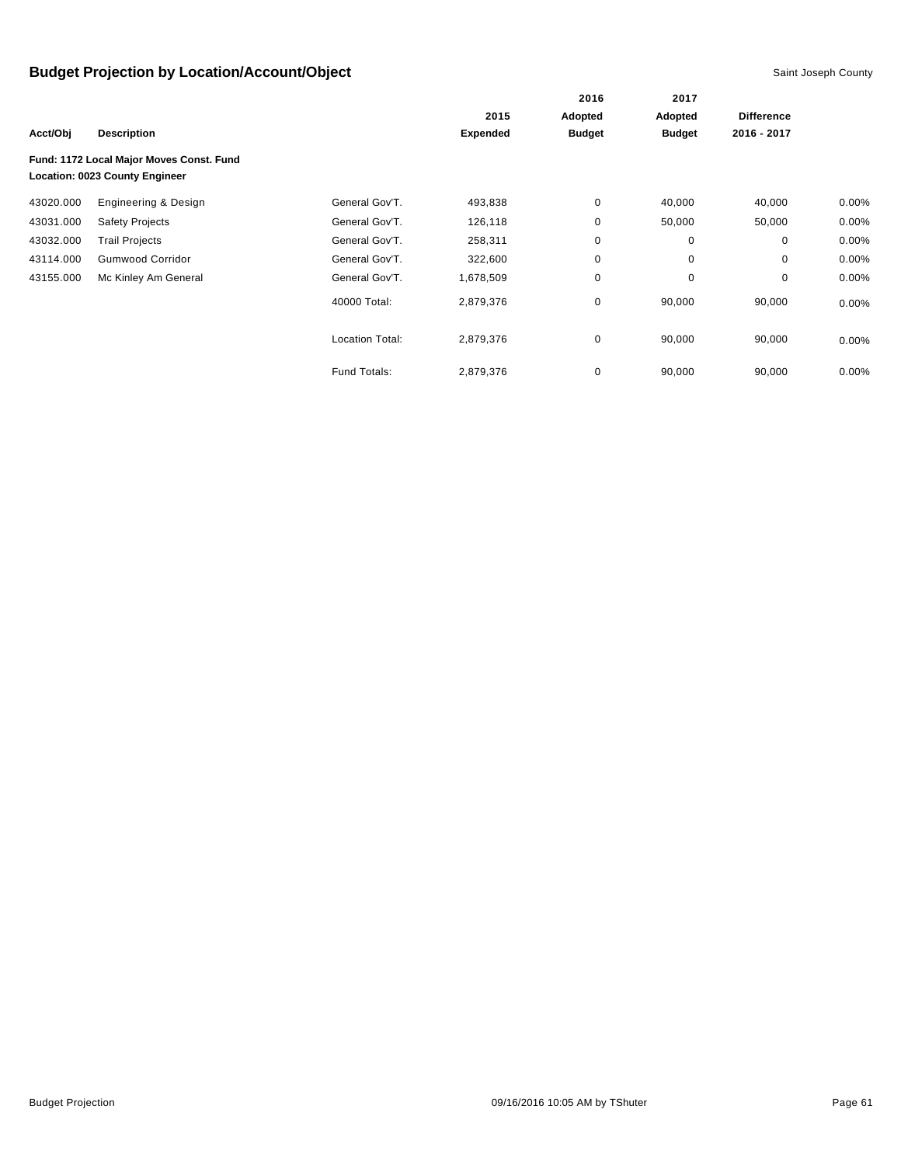|           |                                                                            |                 | 2015            | Adopted       | Adopted       | <b>Difference</b> |          |
|-----------|----------------------------------------------------------------------------|-----------------|-----------------|---------------|---------------|-------------------|----------|
| Acct/Obj  | <b>Description</b>                                                         |                 | <b>Expended</b> | <b>Budget</b> | <b>Budget</b> | 2016 - 2017       |          |
|           | Fund: 1172 Local Major Moves Const. Fund<br>Location: 0023 County Engineer |                 |                 |               |               |                   |          |
| 43020.000 | Engineering & Design                                                       | General Gov'T.  | 493,838         | 0             | 40,000        | 40,000            | $0.00\%$ |
| 43031.000 | <b>Safety Projects</b>                                                     | General Gov'T.  | 126,118         | 0             | 50,000        | 50,000            | $0.00\%$ |
| 43032.000 | <b>Trail Projects</b>                                                      | General Gov'T.  | 258,311         | 0             | 0             | 0                 | 0.00%    |
| 43114.000 | <b>Gumwood Corridor</b>                                                    | General Gov'T.  | 322,600         | $\mathbf 0$   | 0             | 0                 | 0.00%    |
| 43155.000 | Mc Kinley Am General                                                       | General Gov'T.  | 1,678,509       | 0             | 0             | 0                 | $0.00\%$ |
|           |                                                                            | 40000 Total:    | 2,879,376       | 0             | 90,000        | 90,000            | 0.00%    |
|           |                                                                            | Location Total: | 2,879,376       | 0             | 90,000        | 90,000            | $0.00\%$ |
|           |                                                                            | Fund Totals:    | 2,879,376       | 0             | 90,000        | 90,000            | $0.00\%$ |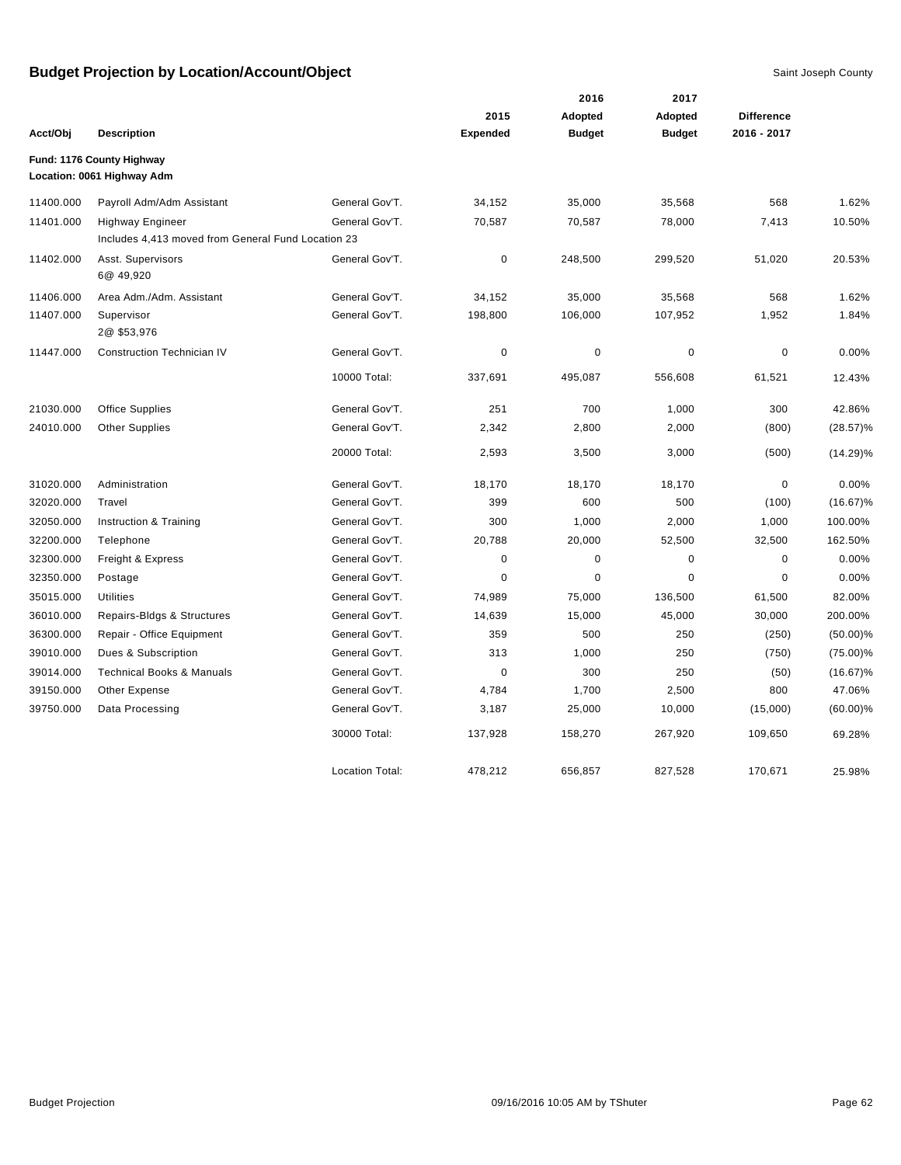|           |                                                                               |                        |                 | 2016          | 2017          |                   |             |
|-----------|-------------------------------------------------------------------------------|------------------------|-----------------|---------------|---------------|-------------------|-------------|
|           |                                                                               |                        | 2015            | Adopted       | Adopted       | <b>Difference</b> |             |
| Acct/Obj  | <b>Description</b>                                                            |                        | <b>Expended</b> | <b>Budget</b> | <b>Budget</b> | 2016 - 2017       |             |
|           | Fund: 1176 County Highway<br>Location: 0061 Highway Adm                       |                        |                 |               |               |                   |             |
| 11400.000 | Payroll Adm/Adm Assistant                                                     | General Gov'T.         | 34,152          | 35,000        | 35,568        | 568               | 1.62%       |
| 11401.000 | <b>Highway Engineer</b><br>Includes 4,413 moved from General Fund Location 23 | General Gov'T.         | 70,587          | 70,587        | 78,000        | 7,413             | 10.50%      |
| 11402.000 | Asst. Supervisors<br>6@ 49,920                                                | General Gov'T.         | $\pmb{0}$       | 248,500       | 299,520       | 51,020            | 20.53%      |
| 11406.000 | Area Adm./Adm. Assistant                                                      | General Gov'T.         | 34,152          | 35,000        | 35,568        | 568               | 1.62%       |
| 11407.000 | Supervisor<br>2@\$53,976                                                      | General Gov'T.         | 198,800         | 106,000       | 107,952       | 1,952             | 1.84%       |
| 11447.000 | <b>Construction Technician IV</b>                                             | General Gov'T.         | $\mathbf 0$     | $\pmb{0}$     | $\mathbf 0$   | $\pmb{0}$         | 0.00%       |
|           |                                                                               | 10000 Total:           | 337,691         | 495,087       | 556,608       | 61,521            | 12.43%      |
| 21030.000 | <b>Office Supplies</b>                                                        | General Gov'T.         | 251             | 700           | 1,000         | 300               | 42.86%      |
| 24010.000 | <b>Other Supplies</b>                                                         | General Gov'T.         | 2,342           | 2,800         | 2,000         | (800)             | $(28.57)\%$ |
|           |                                                                               | 20000 Total:           | 2,593           | 3,500         | 3,000         | (500)             | $(14.29)\%$ |
| 31020.000 | Administration                                                                | General Gov'T.         | 18,170          | 18,170        | 18,170        | $\pmb{0}$         | 0.00%       |
| 32020.000 | Travel                                                                        | General Gov'T.         | 399             | 600           | 500           | (100)             | $(16.67)\%$ |
| 32050.000 | Instruction & Training                                                        | General Gov'T.         | 300             | 1,000         | 2,000         | 1,000             | 100.00%     |
| 32200.000 | Telephone                                                                     | General Gov'T.         | 20,788          | 20,000        | 52,500        | 32,500            | 162.50%     |
| 32300.000 | Freight & Express                                                             | General Gov'T.         | 0               | $\pmb{0}$     | $\mathbf 0$   | $\pmb{0}$         | 0.00%       |
| 32350.000 | Postage                                                                       | General Gov'T.         | 0               | $\mathbf 0$   | $\mathbf 0$   | $\pmb{0}$         | 0.00%       |
| 35015.000 | <b>Utilities</b>                                                              | General Gov'T.         | 74,989          | 75,000        | 136,500       | 61,500            | 82.00%      |
| 36010.000 | Repairs-Bldgs & Structures                                                    | General Gov'T.         | 14,639          | 15,000        | 45,000        | 30,000            | 200.00%     |
| 36300.000 | Repair - Office Equipment                                                     | General Gov'T.         | 359             | 500           | 250           | (250)             | $(50.00)\%$ |
| 39010.000 | Dues & Subscription                                                           | General Gov'T.         | 313             | 1,000         | 250           | (750)             | $(75.00)\%$ |
| 39014.000 | <b>Technical Books &amp; Manuals</b>                                          | General Gov'T.         | $\mathbf 0$     | 300           | 250           | (50)              | $(16.67)\%$ |
| 39150.000 | Other Expense                                                                 | General Gov'T.         | 4,784           | 1,700         | 2,500         | 800               | 47.06%      |
| 39750.000 | Data Processing                                                               | General Gov'T.         | 3,187           | 25,000        | 10,000        | (15,000)          | $(60.00)\%$ |
|           |                                                                               | 30000 Total:           | 137,928         | 158,270       | 267,920       | 109,650           | 69.28%      |
|           |                                                                               | <b>Location Total:</b> | 478.212         | 656.857       | 827.528       | 170.671           | 25.98%      |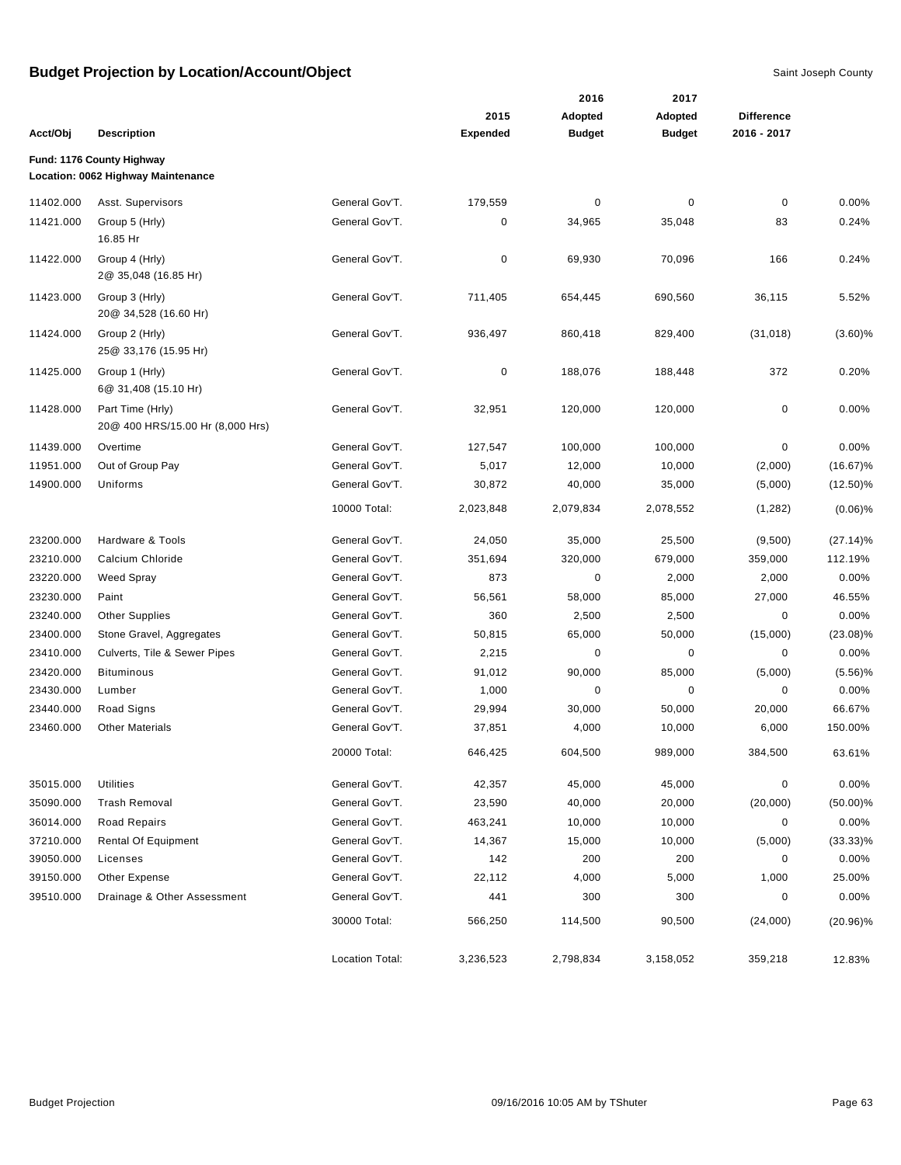|           |                                                                 |                        | 2015            | 2016                     | 2017                     | <b>Difference</b> |             |
|-----------|-----------------------------------------------------------------|------------------------|-----------------|--------------------------|--------------------------|-------------------|-------------|
| Acct/Obj  | <b>Description</b>                                              |                        | <b>Expended</b> | Adopted<br><b>Budget</b> | Adopted<br><b>Budget</b> | 2016 - 2017       |             |
|           |                                                                 |                        |                 |                          |                          |                   |             |
|           | Fund: 1176 County Highway<br>Location: 0062 Highway Maintenance |                        |                 |                          |                          |                   |             |
| 11402.000 | Asst. Supervisors                                               | General Gov'T.         | 179,559         | 0                        | 0                        | $\mathbf 0$       | 0.00%       |
| 11421.000 | Group 5 (Hrly)<br>16.85 Hr                                      | General Gov'T.         | 0               | 34,965                   | 35,048                   | 83                | 0.24%       |
| 11422.000 | Group 4 (Hrly)<br>2@ 35,048 (16.85 Hr)                          | General Gov'T.         | 0               | 69,930                   | 70,096                   | 166               | 0.24%       |
| 11423.000 | Group 3 (Hrly)<br>20@ 34,528 (16.60 Hr)                         | General Gov'T.         | 711,405         | 654,445                  | 690,560                  | 36,115            | 5.52%       |
| 11424.000 | Group 2 (Hrly)<br>25@ 33,176 (15.95 Hr)                         | General Gov'T.         | 936,497         | 860,418                  | 829,400                  | (31, 018)         | (3.60)%     |
| 11425.000 | Group 1 (Hrly)<br>6@ 31,408 (15.10 Hr)                          | General Gov'T.         | 0               | 188,076                  | 188,448                  | 372               | 0.20%       |
| 11428.000 | Part Time (Hrly)<br>20@ 400 HRS/15.00 Hr (8,000 Hrs)            | General Gov'T.         | 32,951          | 120,000                  | 120,000                  | 0                 | 0.00%       |
| 11439.000 | Overtime                                                        | General Gov'T.         | 127,547         | 100,000                  | 100,000                  | 0                 | 0.00%       |
| 11951.000 | Out of Group Pay                                                | General Gov'T.         | 5,017           | 12,000                   | 10,000                   | (2,000)           | $(16.67)\%$ |
| 14900.000 | Uniforms                                                        | General Gov'T.         | 30,872          | 40,000                   | 35,000                   | (5,000)           | $(12.50)\%$ |
|           |                                                                 | 10000 Total:           | 2,023,848       | 2,079,834                | 2,078,552                | (1,282)           | $(0.06)$ %  |
| 23200.000 | Hardware & Tools                                                | General Gov'T.         | 24,050          | 35,000                   | 25,500                   | (9,500)           | $(27.14)\%$ |
| 23210.000 | Calcium Chloride                                                | General Gov'T.         | 351,694         | 320,000                  | 679,000                  | 359,000           | 112.19%     |
| 23220.000 | Weed Spray                                                      | General Gov'T.         | 873             | 0                        | 2,000                    | 2,000             | 0.00%       |
| 23230.000 | Paint                                                           | General Gov'T.         | 56,561          | 58,000                   | 85,000                   | 27,000            | 46.55%      |
| 23240.000 | <b>Other Supplies</b>                                           | General Gov'T.         | 360             | 2,500                    | 2,500                    | 0                 | 0.00%       |
| 23400.000 | Stone Gravel, Aggregates                                        | General Gov'T.         | 50,815          | 65,000                   | 50,000                   | (15,000)          | $(23.08)\%$ |
| 23410.000 | Culverts, Tile & Sewer Pipes                                    | General Gov'T.         | 2,215           | 0                        | 0                        | 0                 | 0.00%       |
| 23420.000 | <b>Bituminous</b>                                               | General Gov'T.         | 91,012          | 90,000                   | 85,000                   | (5,000)           | (5.56)%     |
| 23430.000 | Lumber                                                          | General Gov'T.         | 1,000           | 0                        | $\pmb{0}$                | 0                 | 0.00%       |
| 23440.000 | Road Signs                                                      | General Gov'T.         | 29,994          | 30,000                   | 50,000                   | 20,000            | 66.67%      |
| 23460.000 | <b>Other Materials</b>                                          | General Gov'T.         | 37,851          | 4,000                    | 10,000                   | 6,000             | 150.00%     |
|           |                                                                 | 20000 Total:           | 646,425         | 604,500                  | 989,000                  | 384,500           | 63.61%      |
| 35015.000 | <b>Utilities</b>                                                | General Gov'T.         | 42,357          | 45,000                   | 45,000                   | 0                 | 0.00%       |
| 35090.000 | <b>Trash Removal</b>                                            | General Gov'T.         | 23,590          | 40,000                   | 20,000                   | (20,000)          | $(50.00)\%$ |
| 36014.000 | Road Repairs                                                    | General Gov'T.         | 463,241         | 10,000                   | 10,000                   | 0                 | 0.00%       |
| 37210.000 | <b>Rental Of Equipment</b>                                      | General Gov'T.         | 14,367          | 15,000                   | 10,000                   | (5,000)           | $(33.33)\%$ |
| 39050.000 | Licenses                                                        | General Gov'T.         | 142             | 200                      | 200                      | 0                 | 0.00%       |
| 39150.000 | Other Expense                                                   | General Gov'T.         | 22,112          | 4,000                    | 5,000                    | 1,000             | 25.00%      |
| 39510.000 | Drainage & Other Assessment                                     | General Gov'T.         | 441             | 300                      | 300                      | 0                 | 0.00%       |
|           |                                                                 | 30000 Total:           | 566,250         | 114,500                  | 90,500                   | (24,000)          | $(20.96)\%$ |
|           |                                                                 | <b>Location Total:</b> | 3,236,523       | 2,798,834                | 3,158,052                | 359,218           | 12.83%      |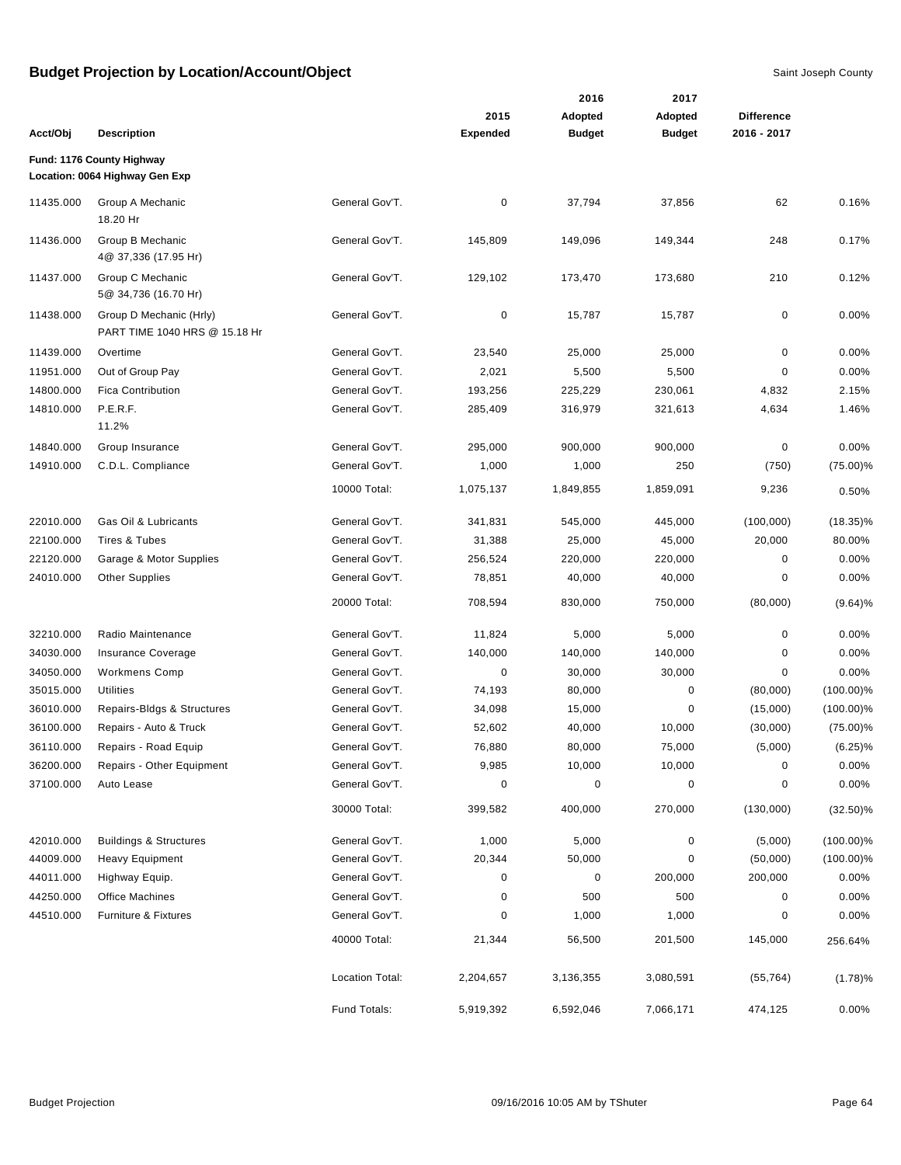|           |                                                             |                 |                 | 2016          | 2017          |                   |              |
|-----------|-------------------------------------------------------------|-----------------|-----------------|---------------|---------------|-------------------|--------------|
|           |                                                             |                 | 2015            | Adopted       | Adopted       | <b>Difference</b> |              |
| Acct/Obj  | <b>Description</b>                                          |                 | <b>Expended</b> | <b>Budget</b> | <b>Budget</b> | 2016 - 2017       |              |
|           | Fund: 1176 County Highway<br>Location: 0064 Highway Gen Exp |                 |                 |               |               |                   |              |
| 11435.000 | Group A Mechanic<br>18.20 Hr                                | General Gov'T.  | 0               | 37,794        | 37,856        | 62                | 0.16%        |
| 11436.000 | Group B Mechanic<br>4@ 37,336 (17.95 Hr)                    | General Gov'T.  | 145,809         | 149,096       | 149,344       | 248               | 0.17%        |
| 11437.000 | Group C Mechanic<br>5@ 34,736 (16.70 Hr)                    | General Gov'T.  | 129,102         | 173,470       | 173,680       | 210               | 0.12%        |
| 11438.000 | Group D Mechanic (Hrly)<br>PART TIME 1040 HRS @ 15.18 Hr    | General Gov'T.  | 0               | 15,787        | 15,787        | 0                 | 0.00%        |
| 11439.000 | Overtime                                                    | General Gov'T.  | 23,540          | 25,000        | 25,000        | $\mathbf 0$       | 0.00%        |
| 11951.000 | Out of Group Pay                                            | General Gov'T.  | 2,021           | 5,500         | 5,500         | 0                 | 0.00%        |
| 14800.000 | <b>Fica Contribution</b>                                    | General Gov'T.  | 193,256         | 225,229       | 230,061       | 4,832             | 2.15%        |
| 14810.000 | P.E.R.F.<br>11.2%                                           | General Gov'T.  | 285,409         | 316,979       | 321,613       | 4,634             | 1.46%        |
| 14840.000 | Group Insurance                                             | General Gov'T.  | 295,000         | 900,000       | 900,000       | 0                 | $0.00\%$     |
| 14910.000 | C.D.L. Compliance                                           | General Gov'T.  | 1,000           | 1,000         | 250           | (750)             | $(75.00)\%$  |
|           |                                                             | 10000 Total:    | 1,075,137       | 1,849,855     | 1,859,091     | 9,236             | 0.50%        |
| 22010.000 | Gas Oil & Lubricants                                        | General Gov'T.  | 341,831         | 545,000       | 445,000       | (100,000)         | $(18.35)\%$  |
| 22100.000 | Tires & Tubes                                               | General Gov'T.  | 31,388          | 25,000        | 45,000        | 20,000            | 80.00%       |
| 22120.000 | Garage & Motor Supplies                                     | General Gov'T.  | 256,524         | 220,000       | 220,000       | 0                 | $0.00\%$     |
| 24010.000 | <b>Other Supplies</b>                                       | General Gov'T.  | 78,851          | 40,000        | 40,000        | 0                 | $0.00\%$     |
|           |                                                             | 20000 Total:    | 708,594         | 830,000       | 750,000       | (80,000)          | (9.64)%      |
| 32210.000 | Radio Maintenance                                           | General Gov'T.  | 11,824          | 5,000         | 5,000         | 0                 | 0.00%        |
| 34030.000 | Insurance Coverage                                          | General Gov'T.  | 140,000         | 140,000       | 140,000       | 0                 | $0.00\%$     |
| 34050.000 | <b>Workmens Comp</b>                                        | General Gov'T.  | 0               | 30,000        | 30,000        | 0                 | 0.00%        |
| 35015.000 | <b>Utilities</b>                                            | General Gov'T.  | 74,193          | 80,000        | 0             | (80,000)          | $(100.00)\%$ |
| 36010.000 | Repairs-Bldgs & Structures                                  | General Gov'T.  | 34,098          | 15,000        | 0             | (15,000)          | $(100.00)\%$ |
| 36100.000 | Repairs - Auto & Truck                                      | General Gov'T.  | 52,602          | 40,000        | 10,000        | (30,000)          | $(75.00)\%$  |
| 36110.000 | Repairs - Road Equip                                        | General Gov'T.  | 76,880          | 80,000        | 75,000        | (5,000)           | $(6.25)\%$   |
| 36200.000 | Repairs - Other Equipment                                   | General Gov'T.  | 9,985           | 10,000        | 10,000        | $\pmb{0}$         | 0.00%        |
| 37100.000 | Auto Lease                                                  | General Gov'T.  | 0               | 0             | 0             | 0                 | $0.00\%$     |
|           |                                                             | 30000 Total:    | 399,582         | 400,000       | 270,000       | (130,000)         | $(32.50)\%$  |
| 42010.000 | <b>Buildings &amp; Structures</b>                           | General Gov'T.  | 1,000           | 5,000         | 0             | (5,000)           | $(100.00)\%$ |
| 44009.000 | <b>Heavy Equipment</b>                                      | General Gov'T.  | 20,344          | 50,000        | 0             | (50,000)          | $(100.00)\%$ |
| 44011.000 | Highway Equip.                                              | General Gov'T.  | 0               | 0             | 200,000       | 200,000           | $0.00\%$     |
| 44250.000 | <b>Office Machines</b>                                      | General Gov'T.  | 0               | 500           | 500           | 0                 | $0.00\%$     |
| 44510.000 | Furniture & Fixtures                                        | General Gov'T.  | 0               | 1,000         | 1,000         | 0                 | $0.00\%$     |
|           |                                                             | 40000 Total:    | 21,344          | 56,500        | 201,500       | 145,000           | 256.64%      |
|           |                                                             | Location Total: | 2,204,657       | 3,136,355     | 3,080,591     | (55, 764)         | (1.78)%      |
|           |                                                             | Fund Totals:    | 5,919,392       | 6,592,046     | 7,066,171     | 474,125           | 0.00%        |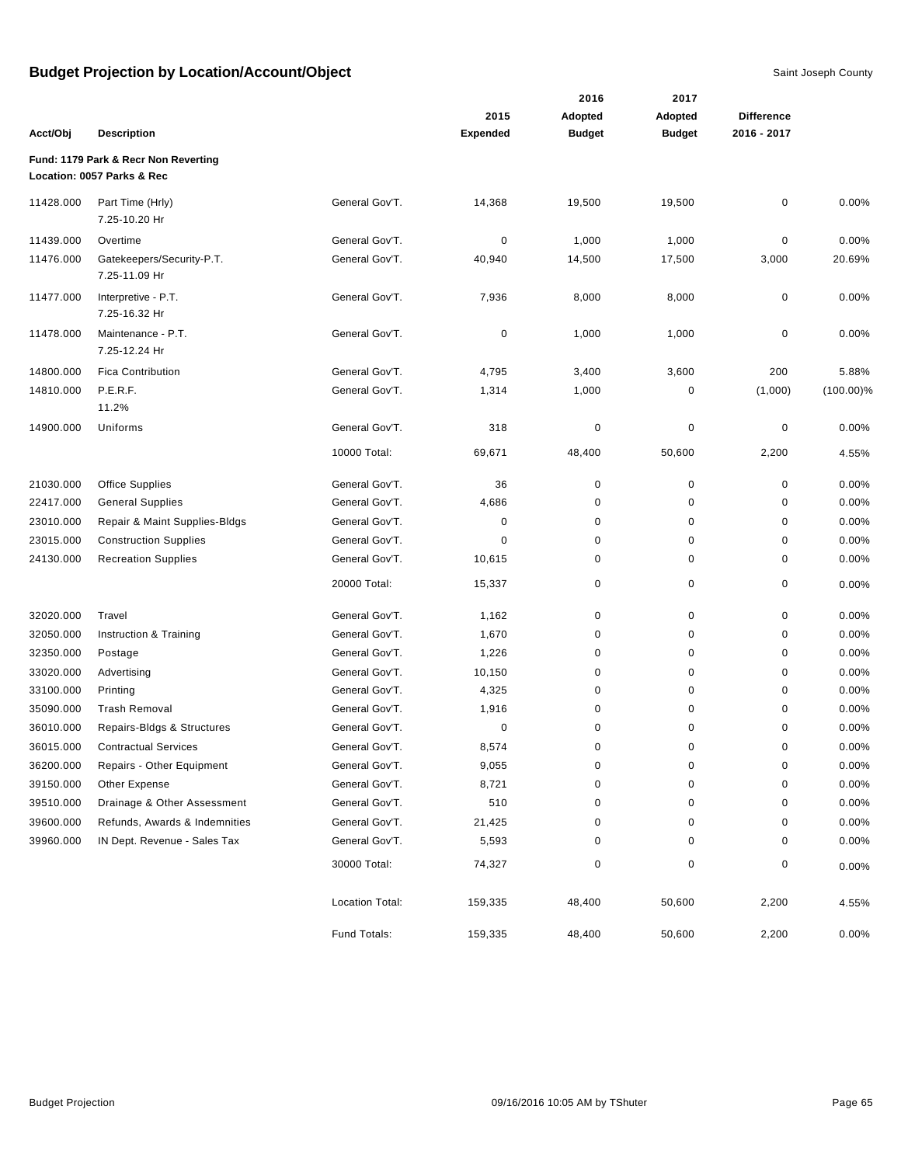|           |                                                                    |                 |                 | 2016          | 2017          |                   |              |
|-----------|--------------------------------------------------------------------|-----------------|-----------------|---------------|---------------|-------------------|--------------|
|           |                                                                    |                 | 2015            | Adopted       | Adopted       | <b>Difference</b> |              |
| Acct/Obj  | <b>Description</b>                                                 |                 | <b>Expended</b> | <b>Budget</b> | <b>Budget</b> | 2016 - 2017       |              |
|           | Fund: 1179 Park & Recr Non Reverting<br>Location: 0057 Parks & Rec |                 |                 |               |               |                   |              |
| 11428.000 | Part Time (Hrly)<br>7.25-10.20 Hr                                  | General Gov'T.  | 14,368          | 19,500        | 19,500        | 0                 | 0.00%        |
| 11439.000 | Overtime                                                           | General Gov'T.  | 0               | 1,000         | 1,000         | 0                 | 0.00%        |
| 11476.000 | Gatekeepers/Security-P.T.<br>7.25-11.09 Hr                         | General Gov'T.  | 40,940          | 14,500        | 17,500        | 3,000             | 20.69%       |
| 11477.000 | Interpretive - P.T.<br>7.25-16.32 Hr                               | General Gov'T.  | 7,936           | 8,000         | 8,000         | 0                 | 0.00%        |
| 11478.000 | Maintenance - P.T.<br>7.25-12.24 Hr                                | General Gov'T.  | $\pmb{0}$       | 1,000         | 1,000         | 0                 | 0.00%        |
| 14800.000 | <b>Fica Contribution</b>                                           | General Gov'T.  | 4,795           | 3,400         | 3,600         | 200               | 5.88%        |
| 14810.000 | P.E.R.F.<br>11.2%                                                  | General Gov'T.  | 1,314           | 1,000         | 0             | (1,000)           | $(100.00)\%$ |
| 14900.000 | Uniforms                                                           | General Gov'T.  | 318             | $\pmb{0}$     | 0             | 0                 | 0.00%        |
|           |                                                                    | 10000 Total:    | 69,671          | 48,400        | 50,600        | 2,200             | 4.55%        |
| 21030.000 | <b>Office Supplies</b>                                             | General Gov'T.  | 36              | $\pmb{0}$     | 0             | $\pmb{0}$         | 0.00%        |
| 22417.000 | <b>General Supplies</b>                                            | General Gov'T.  | 4,686           | 0             | 0             | 0                 | 0.00%        |
| 23010.000 | Repair & Maint Supplies-Bldgs                                      | General Gov'T.  | 0               | 0             | 0             | $\pmb{0}$         | 0.00%        |
| 23015.000 | <b>Construction Supplies</b>                                       | General Gov'T.  | 0               | 0             | 0             | 0                 | 0.00%        |
| 24130.000 | <b>Recreation Supplies</b>                                         | General Gov'T.  | 10,615          | 0             | 0             | 0                 | 0.00%        |
|           |                                                                    | 20000 Total:    | 15,337          | $\pmb{0}$     | 0             | 0                 | 0.00%        |
| 32020.000 | Travel                                                             | General Gov'T.  | 1,162           | 0             | 0             | 0                 | 0.00%        |
| 32050.000 | Instruction & Training                                             | General Gov'T.  | 1,670           | 0             | 0             | 0                 | 0.00%        |
| 32350.000 | Postage                                                            | General Gov'T.  | 1,226           | 0             | 0             | 0                 | 0.00%        |
| 33020.000 | Advertising                                                        | General Gov'T.  | 10,150          | $\pmb{0}$     | 0             | $\pmb{0}$         | 0.00%        |
| 33100.000 | Printing                                                           | General Gov'T.  | 4,325           | 0             | 0             | 0                 | 0.00%        |
| 35090.000 | <b>Trash Removal</b>                                               | General Gov'T.  | 1,916           | 0             | 0             | 0                 | 0.00%        |
| 36010.000 | Repairs-Bldgs & Structures                                         | General Gov'T.  | 0               | 0             | 0             | 0                 | 0.00%        |
| 36015.000 | <b>Contractual Services</b>                                        | General Gov'T.  | 8,574           | $\mathbf 0$   | $\mathbf 0$   | $\mathbf 0$       | 0.00%        |
| 36200.000 | Repairs - Other Equipment                                          | General Gov'T.  | 9,055           | 0             | 0             | $\pmb{0}$         | 0.00%        |
| 39150.000 | Other Expense                                                      | General Gov'T.  | 8,721           | 0             | 0             | 0                 | 0.00%        |
| 39510.000 | Drainage & Other Assessment                                        | General Gov'T.  | 510             | 0             | 0             | 0                 | 0.00%        |
| 39600.000 | Refunds, Awards & Indemnities                                      | General Gov'T.  | 21,425          | 0             | 0             | 0                 | 0.00%        |
| 39960.000 | IN Dept. Revenue - Sales Tax                                       | General Gov'T.  | 5,593           | 0             | 0             | 0                 | 0.00%        |
|           |                                                                    | 30000 Total:    | 74,327          | 0             | 0             | 0                 | 0.00%        |
|           |                                                                    | Location Total: | 159,335         | 48,400        | 50,600        | 2,200             | 4.55%        |
|           |                                                                    | Fund Totals:    | 159,335         | 48,400        | 50,600        | 2,200             | $0.00\%$     |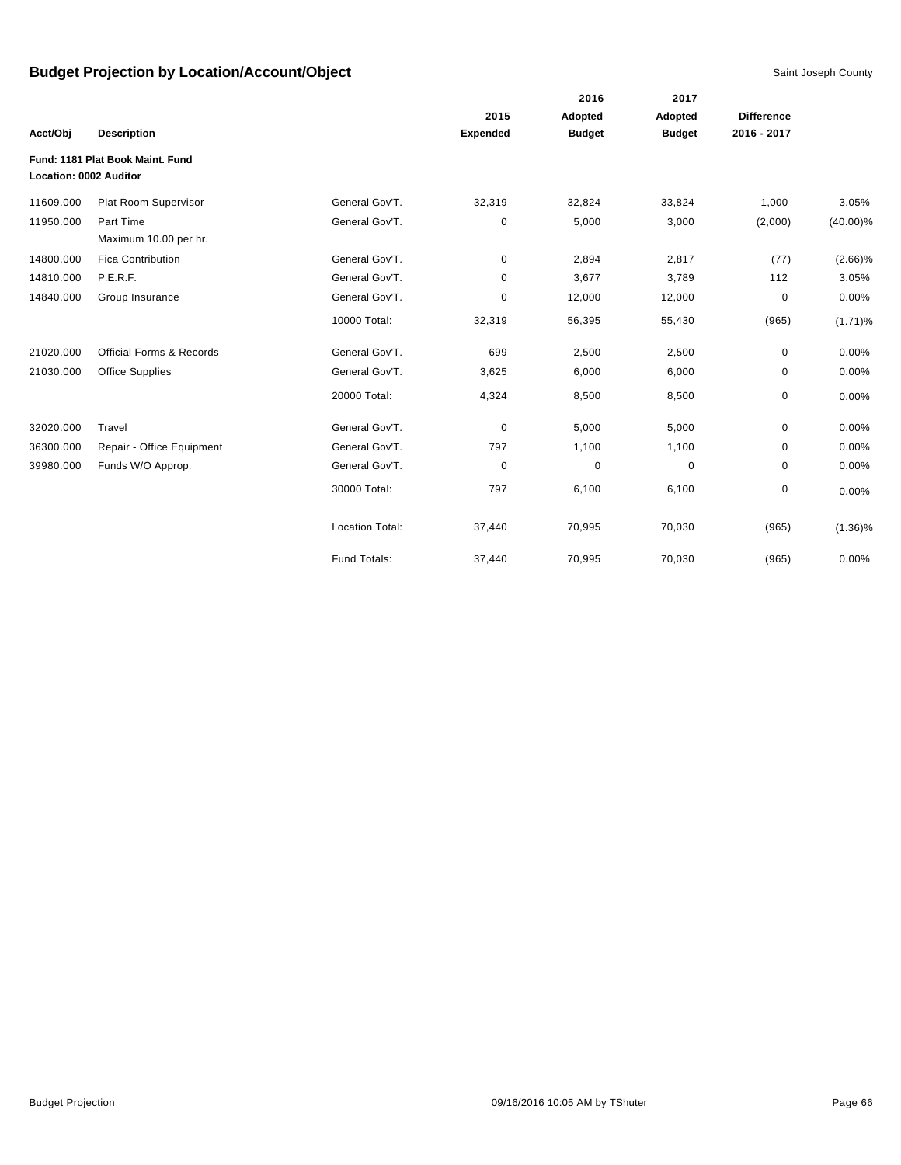|                               |                                     |                        |                 | 2016          | 2017          |                   |             |
|-------------------------------|-------------------------------------|------------------------|-----------------|---------------|---------------|-------------------|-------------|
|                               |                                     |                        | 2015            | Adopted       | Adopted       | <b>Difference</b> |             |
| Acct/Obj                      | <b>Description</b>                  |                        | <b>Expended</b> | <b>Budget</b> | <b>Budget</b> | 2016 - 2017       |             |
|                               | Fund: 1181 Plat Book Maint, Fund    |                        |                 |               |               |                   |             |
| <b>Location: 0002 Auditor</b> |                                     |                        |                 |               |               |                   |             |
| 11609.000                     | Plat Room Supervisor                | General Gov'T.         | 32,319          | 32,824        | 33,824        | 1,000             | 3.05%       |
| 11950.000                     | Part Time                           | General Gov'T.         | 0               | 5,000         | 3,000         | (2,000)           | $(40.00)\%$ |
|                               | Maximum 10.00 per hr.               |                        |                 |               |               |                   |             |
| 14800.000                     | <b>Fica Contribution</b>            | General Gov'T.         | 0               | 2,894         | 2,817         | (77)              | $(2.66)\%$  |
| 14810.000                     | P.E.R.F.                            | General Gov'T.         | 0               | 3,677         | 3,789         | 112               | 3.05%       |
| 14840.000                     | Group Insurance                     | General Gov'T.         | 0               | 12,000        | 12,000        | 0                 | 0.00%       |
|                               |                                     | 10000 Total:           | 32,319          | 56,395        | 55,430        | (965)             | $(1.71)\%$  |
| 21020.000                     | <b>Official Forms &amp; Records</b> | General Gov'T.         | 699             | 2,500         | 2,500         | $\mathbf 0$       | 0.00%       |
| 21030.000                     | Office Supplies                     | General Gov'T.         | 3,625           | 6,000         | 6,000         | $\mathbf 0$       | 0.00%       |
|                               |                                     | 20000 Total:           | 4,324           | 8,500         | 8,500         | $\mathbf 0$       | 0.00%       |
| 32020.000                     | Travel                              | General Gov'T.         | 0               | 5,000         | 5,000         | $\mathbf 0$       | 0.00%       |
| 36300.000                     | Repair - Office Equipment           | General Gov'T.         | 797             | 1,100         | 1,100         | 0                 | 0.00%       |
| 39980.000                     | Funds W/O Approp.                   | General Gov'T.         | $\mathbf 0$     | $\pmb{0}$     | $\mathbf 0$   | $\mathbf 0$       | 0.00%       |
|                               |                                     | 30000 Total:           | 797             | 6,100         | 6,100         | 0                 | 0.00%       |
|                               |                                     | <b>Location Total:</b> | 37,440          | 70,995        | 70,030        | (965)             | $(1.36)\%$  |
|                               |                                     | Fund Totals:           | 37,440          | 70,995        | 70,030        | (965)             | 0.00%       |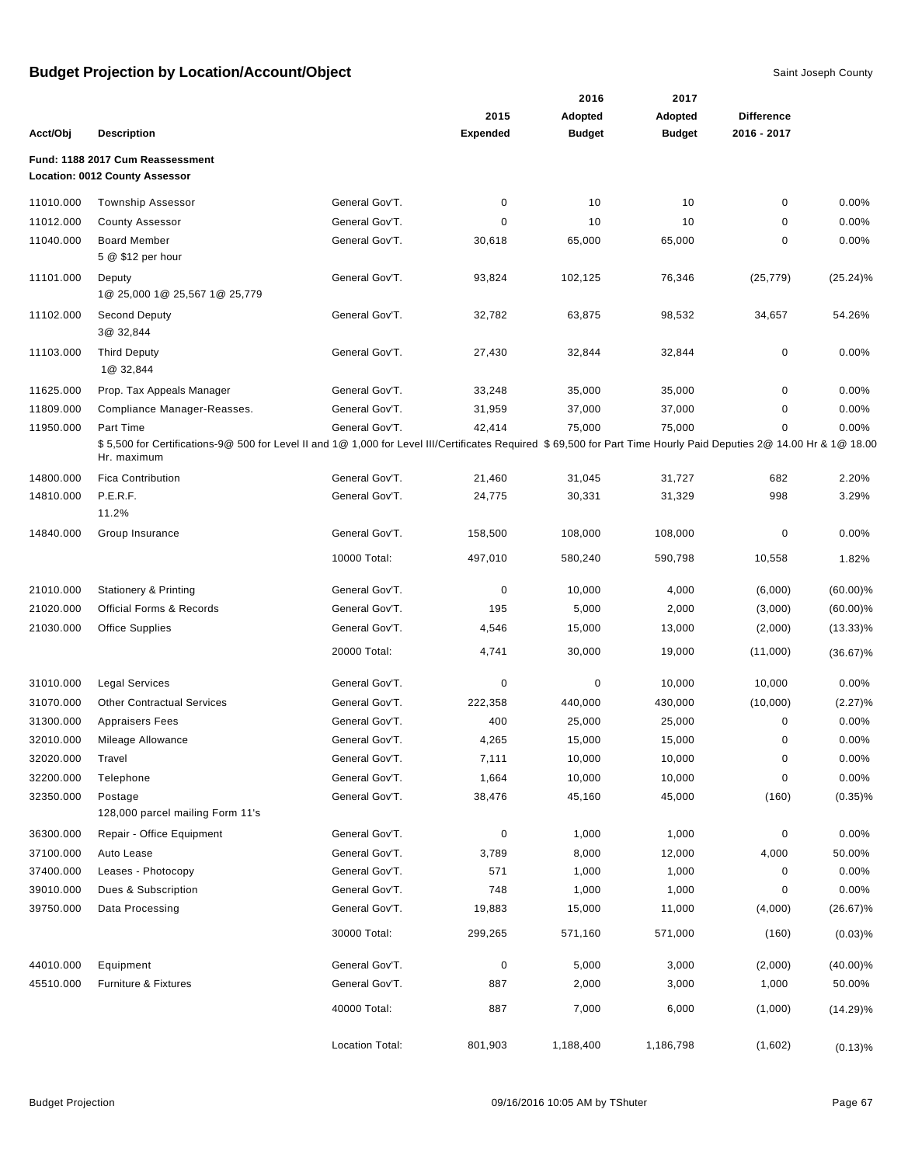|           |                                                                                                                                                                                   |                 |                 | 2016          | 2017          |                   |             |
|-----------|-----------------------------------------------------------------------------------------------------------------------------------------------------------------------------------|-----------------|-----------------|---------------|---------------|-------------------|-------------|
|           |                                                                                                                                                                                   |                 | 2015            | Adopted       | Adopted       | <b>Difference</b> |             |
| Acct/Obj  | <b>Description</b>                                                                                                                                                                |                 | <b>Expended</b> | <b>Budget</b> | <b>Budget</b> | 2016 - 2017       |             |
|           | Fund: 1188 2017 Cum Reassessment<br><b>Location: 0012 County Assessor</b>                                                                                                         |                 |                 |               |               |                   |             |
| 11010.000 | <b>Township Assessor</b>                                                                                                                                                          | General Gov'T.  | 0               | 10            | 10            | $\pmb{0}$         | 0.00%       |
| 11012.000 | <b>County Assessor</b>                                                                                                                                                            | General Gov'T.  | 0               | 10            | 10            | 0                 | 0.00%       |
| 11040.000 | <b>Board Member</b><br>5 @ \$12 per hour                                                                                                                                          | General Gov'T.  | 30,618          | 65,000        | 65,000        | 0                 | $0.00\%$    |
| 11101.000 | Deputy<br>1@ 25,000 1@ 25,567 1@ 25,779                                                                                                                                           | General Gov'T.  | 93,824          | 102,125       | 76,346        | (25, 779)         | $(25.24)\%$ |
| 11102.000 | <b>Second Deputy</b><br>3@ 32,844                                                                                                                                                 | General Gov'T.  | 32,782          | 63,875        | 98,532        | 34,657            | 54.26%      |
| 11103.000 | <b>Third Deputy</b><br>1@ 32,844                                                                                                                                                  | General Gov'T.  | 27,430          | 32,844        | 32,844        | $\pmb{0}$         | 0.00%       |
| 11625.000 | Prop. Tax Appeals Manager                                                                                                                                                         | General Gov'T.  | 33,248          | 35,000        | 35,000        | $\pmb{0}$         | 0.00%       |
| 11809.000 | Compliance Manager-Reasses.                                                                                                                                                       | General Gov'T.  | 31,959          | 37,000        | 37,000        | 0                 | $0.00\%$    |
| 11950.000 | Part Time                                                                                                                                                                         | General Gov'T.  | 42,414          | 75,000        | 75,000        | 0                 | 0.00%       |
|           | \$5,500 for Certifications-9@ 500 for Level II and 1@ 1,000 for Level III/Certificates Required \$69,500 for Part Time Hourly Paid Deputies 2@ 14.00 Hr & 1@ 18.00<br>Hr. maximum |                 |                 |               |               |                   |             |
| 14800.000 | <b>Fica Contribution</b>                                                                                                                                                          | General Gov'T.  | 21,460          | 31,045        | 31,727        | 682               | 2.20%       |
| 14810.000 | P.E.R.F.<br>11.2%                                                                                                                                                                 | General Gov'T.  | 24,775          | 30,331        | 31,329        | 998               | 3.29%       |
| 14840.000 | Group Insurance                                                                                                                                                                   | General Gov'T.  | 158,500         | 108,000       | 108,000       | 0                 | 0.00%       |
|           |                                                                                                                                                                                   | 10000 Total:    | 497,010         | 580,240       | 590,798       | 10,558            | 1.82%       |
| 21010.000 | <b>Stationery &amp; Printing</b>                                                                                                                                                  | General Gov'T.  | $\mathbf 0$     | 10,000        | 4,000         | (6,000)           | $(60.00)\%$ |
| 21020.000 | <b>Official Forms &amp; Records</b>                                                                                                                                               | General Gov'T.  | 195             | 5,000         | 2,000         | (3,000)           | $(60.00)\%$ |
| 21030.000 | <b>Office Supplies</b>                                                                                                                                                            | General Gov'T.  | 4,546           | 15,000        | 13,000        | (2,000)           | $(13.33)\%$ |
|           |                                                                                                                                                                                   | 20000 Total:    | 4,741           | 30,000        | 19,000        | (11,000)          | $(36.67)\%$ |
| 31010.000 | <b>Legal Services</b>                                                                                                                                                             | General Gov'T.  | 0               | 0             | 10,000        | 10,000            | 0.00%       |
| 31070.000 | <b>Other Contractual Services</b>                                                                                                                                                 | General Gov'T.  | 222,358         | 440,000       | 430,000       | (10,000)          | (2.27)%     |
| 31300.000 | <b>Appraisers Fees</b>                                                                                                                                                            | General Gov'T.  | 400             | 25,000        | 25,000        | 0                 | 0.00%       |
| 32010.000 | Mileage Allowance                                                                                                                                                                 | General Gov'T.  | 4,265           | 15,000        | 15,000        | 0                 | 0.00%       |
| 32020.000 | Travel                                                                                                                                                                            | General Gov'T.  | 7,111           | 10,000        | 10,000        | 0                 | 0.00%       |
| 32200.000 | Telephone                                                                                                                                                                         | General Gov'T.  | 1,664           | 10,000        | 10,000        | 0                 | 0.00%       |
| 32350.000 | Postage<br>128,000 parcel mailing Form 11's                                                                                                                                       | General Gov'T.  | 38,476          | 45,160        | 45,000        | (160)             | $(0.35)\%$  |
| 36300.000 | Repair - Office Equipment                                                                                                                                                         | General Gov'T.  | 0               | 1,000         | 1,000         | 0                 | 0.00%       |
| 37100.000 | Auto Lease                                                                                                                                                                        | General Gov'T.  | 3,789           | 8,000         | 12,000        | 4,000             | 50.00%      |
| 37400.000 | Leases - Photocopy                                                                                                                                                                | General Gov'T.  | 571             | 1,000         | 1,000         | 0                 | 0.00%       |
| 39010.000 | Dues & Subscription                                                                                                                                                               | General Gov'T.  | 748             | 1,000         | 1,000         | 0                 | 0.00%       |
| 39750.000 | Data Processing                                                                                                                                                                   | General Gov'T.  | 19,883          | 15,000        | 11,000        | (4,000)           | $(26.67)\%$ |
|           |                                                                                                                                                                                   | 30000 Total:    | 299,265         | 571,160       | 571,000       | (160)             | $(0.03)$ %  |
| 44010.000 | Equipment                                                                                                                                                                         | General Gov'T.  | 0               | 5,000         | 3,000         | (2,000)           | $(40.00)\%$ |
| 45510.000 | Furniture & Fixtures                                                                                                                                                              | General Gov'T.  | 887             | 2,000         | 3,000         | 1,000             | 50.00%      |
|           |                                                                                                                                                                                   | 40000 Total:    | 887             | 7,000         | 6,000         | (1,000)           | $(14.29)\%$ |
|           |                                                                                                                                                                                   | Location Total: | 801,903         | 1,188,400     | 1,186,798     | (1,602)           | (0.13)%     |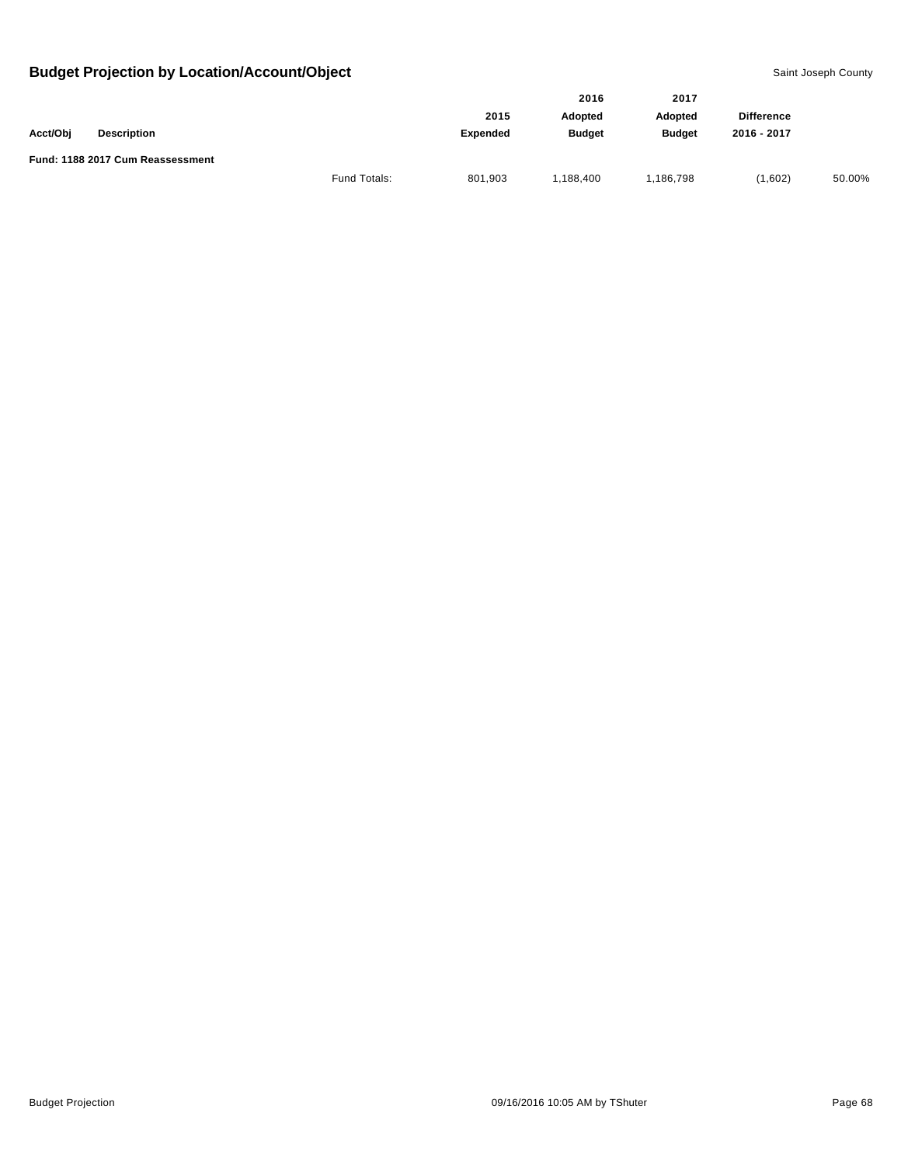|          |                                  |              |                | 2016           | 2017              |             |        |
|----------|----------------------------------|--------------|----------------|----------------|-------------------|-------------|--------|
|          |                                  | 2015         | <b>Adopted</b> | <b>Adopted</b> | <b>Difference</b> |             |        |
| Acct/Obj | <b>Description</b>               |              | Expended       | <b>Budget</b>  | <b>Budget</b>     | 2016 - 2017 |        |
|          | Fund: 1188 2017 Cum Reassessment |              |                |                |                   |             |        |
|          |                                  | Fund Totals: | 801,903        | 188,400        | 1,186,798         | (1,602)     | 50.00% |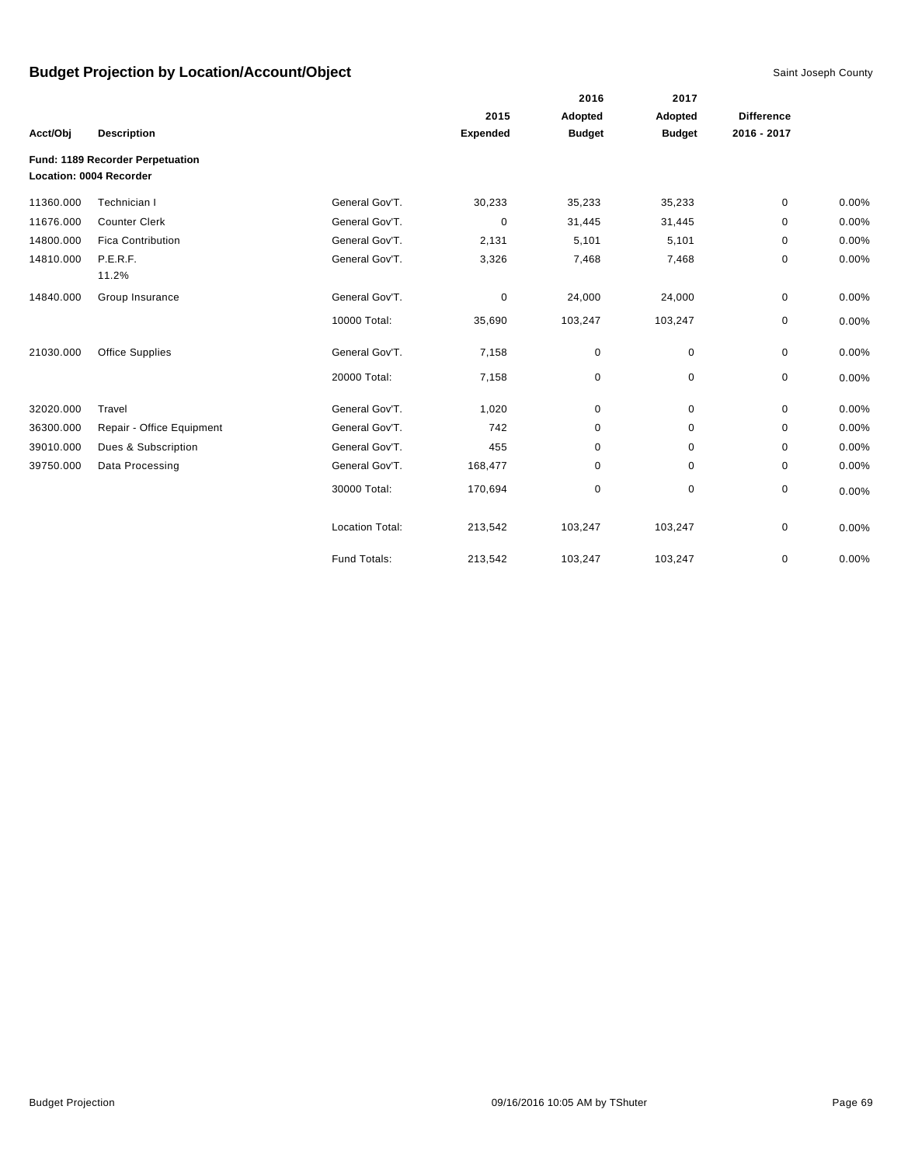|           |                                  |                        |                 | 2016          | 2017          |                   |       |
|-----------|----------------------------------|------------------------|-----------------|---------------|---------------|-------------------|-------|
|           |                                  |                        | 2015            | Adopted       | Adopted       | <b>Difference</b> |       |
| Acct/Obj  | <b>Description</b>               |                        | <b>Expended</b> | <b>Budget</b> | <b>Budget</b> | 2016 - 2017       |       |
|           | Fund: 1189 Recorder Perpetuation |                        |                 |               |               |                   |       |
|           | Location: 0004 Recorder          |                        |                 |               |               |                   |       |
| 11360.000 | Technician I                     | General Gov'T.         | 30,233          | 35,233        | 35,233        | 0                 | 0.00% |
| 11676.000 | <b>Counter Clerk</b>             | General Gov'T.         | 0               | 31,445        | 31,445        | 0                 | 0.00% |
| 14800.000 | <b>Fica Contribution</b>         | General Gov'T.         | 2,131           | 5,101         | 5,101         | 0                 | 0.00% |
| 14810.000 | P.E.R.F.                         | General Gov'T.         | 3,326           | 7,468         | 7,468         | 0                 | 0.00% |
|           | 11.2%                            |                        |                 |               |               |                   |       |
| 14840.000 | Group Insurance                  | General Gov'T.         | 0               | 24,000        | 24,000        | 0                 | 0.00% |
|           |                                  | 10000 Total:           | 35,690          | 103,247       | 103,247       | 0                 | 0.00% |
| 21030.000 | <b>Office Supplies</b>           | General Gov'T.         | 7,158           | 0             | 0             | 0                 | 0.00% |
|           |                                  | 20000 Total:           | 7,158           | 0             | 0             | 0                 | 0.00% |
| 32020.000 | Travel                           | General Gov'T.         | 1,020           | 0             | $\mathbf 0$   | 0                 | 0.00% |
| 36300.000 | Repair - Office Equipment        | General Gov'T.         | 742             | 0             | 0             | 0                 | 0.00% |
| 39010.000 | Dues & Subscription              | General Gov'T.         | 455             | $\mathbf 0$   | $\mathbf 0$   | 0                 | 0.00% |
| 39750.000 | Data Processing                  | General Gov'T.         | 168,477         | 0             | 0             | 0                 | 0.00% |
|           |                                  | 30000 Total:           | 170,694         | 0             | $\mathbf 0$   | 0                 | 0.00% |
|           |                                  | <b>Location Total:</b> | 213,542         | 103,247       | 103,247       | 0                 | 0.00% |
|           |                                  | Fund Totals:           | 213,542         | 103,247       | 103,247       | 0                 | 0.00% |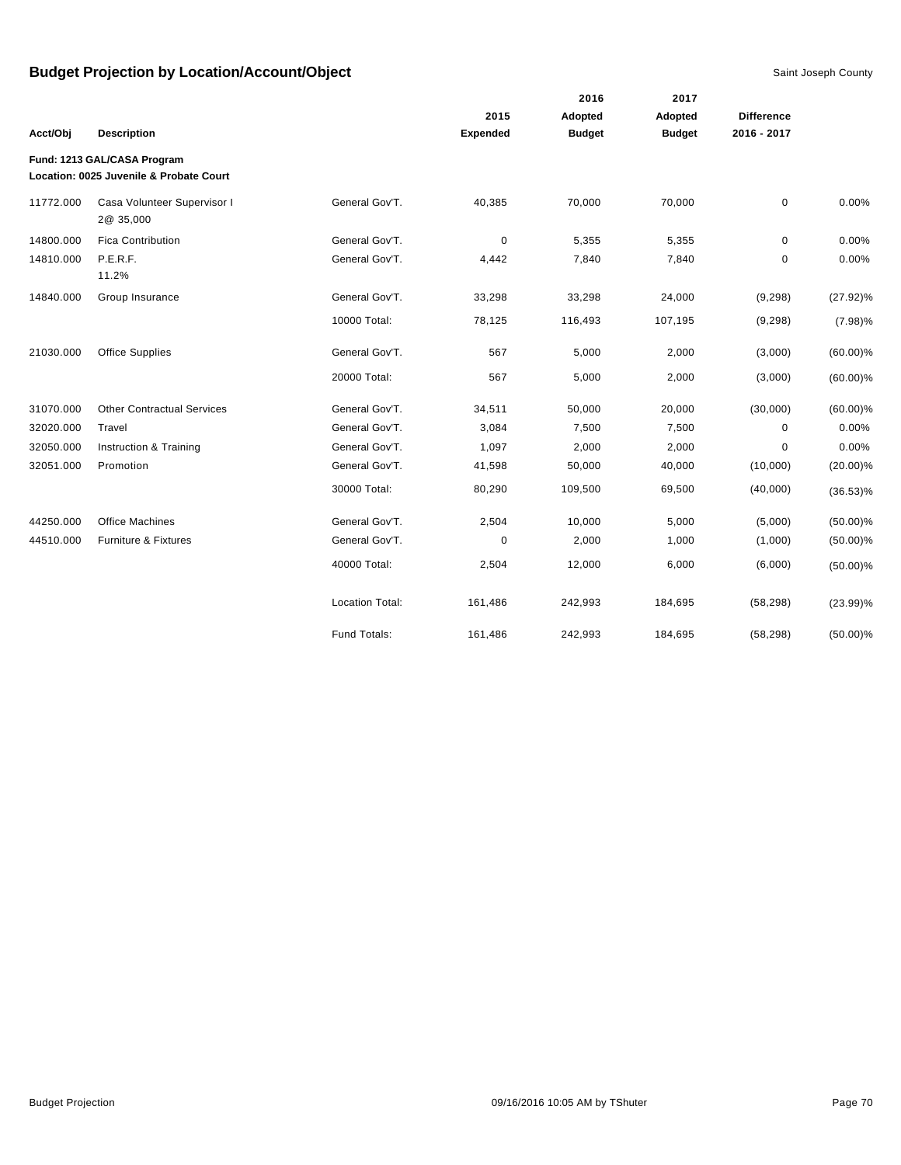|           |                                                                        |                        |                 | 2016          | 2017          |                   |             |
|-----------|------------------------------------------------------------------------|------------------------|-----------------|---------------|---------------|-------------------|-------------|
|           |                                                                        |                        | 2015            | Adopted       | Adopted       | <b>Difference</b> |             |
| Acct/Obj  | <b>Description</b>                                                     |                        | <b>Expended</b> | <b>Budget</b> | <b>Budget</b> | 2016 - 2017       |             |
|           | Fund: 1213 GAL/CASA Program<br>Location: 0025 Juvenile & Probate Court |                        |                 |               |               |                   |             |
| 11772.000 | Casa Volunteer Supervisor I<br>2@ 35,000                               | General Gov'T.         | 40,385          | 70,000        | 70,000        | $\mathbf 0$       | 0.00%       |
| 14800.000 | <b>Fica Contribution</b>                                               | General Gov'T.         | 0               | 5,355         | 5,355         | 0                 | 0.00%       |
| 14810.000 | P.E.R.F.<br>11.2%                                                      | General Gov'T.         | 4,442           | 7,840         | 7,840         | $\mathbf 0$       | 0.00%       |
| 14840.000 | Group Insurance                                                        | General Gov'T.         | 33,298          | 33,298        | 24,000        | (9, 298)          | $(27.92)\%$ |
|           |                                                                        | 10000 Total:           | 78,125          | 116,493       | 107,195       | (9, 298)          | $(7.98)\%$  |
| 21030.000 | <b>Office Supplies</b>                                                 | General Gov'T.         | 567             | 5,000         | 2,000         | (3,000)           | $(60.00)\%$ |
|           |                                                                        | 20000 Total:           | 567             | 5,000         | 2,000         | (3,000)           | $(60.00)\%$ |
| 31070.000 | <b>Other Contractual Services</b>                                      | General Gov'T.         | 34,511          | 50,000        | 20,000        | (30,000)          | $(60.00)\%$ |
| 32020.000 | Travel                                                                 | General Gov'T.         | 3,084           | 7,500         | 7,500         | $\mathbf 0$       | 0.00%       |
| 32050.000 | Instruction & Training                                                 | General Gov'T.         | 1,097           | 2,000         | 2,000         | $\mathbf 0$       | 0.00%       |
| 32051.000 | Promotion                                                              | General Gov'T.         | 41,598          | 50,000        | 40,000        | (10,000)          | $(20.00)\%$ |
|           |                                                                        | 30000 Total:           | 80,290          | 109,500       | 69,500        | (40,000)          | $(36.53)\%$ |
| 44250.000 | <b>Office Machines</b>                                                 | General Gov'T.         | 2,504           | 10,000        | 5,000         | (5,000)           | $(50.00)\%$ |
| 44510.000 | Furniture & Fixtures                                                   | General Gov'T.         | $\mathbf 0$     | 2,000         | 1,000         | (1,000)           | $(50.00)\%$ |
|           |                                                                        | 40000 Total:           | 2,504           | 12,000        | 6,000         | (6,000)           | $(50.00)\%$ |
|           |                                                                        | <b>Location Total:</b> | 161,486         | 242,993       | 184,695       | (58, 298)         | $(23.99)\%$ |
|           |                                                                        | Fund Totals:           | 161,486         | 242,993       | 184,695       | (58, 298)         | $(50.00)\%$ |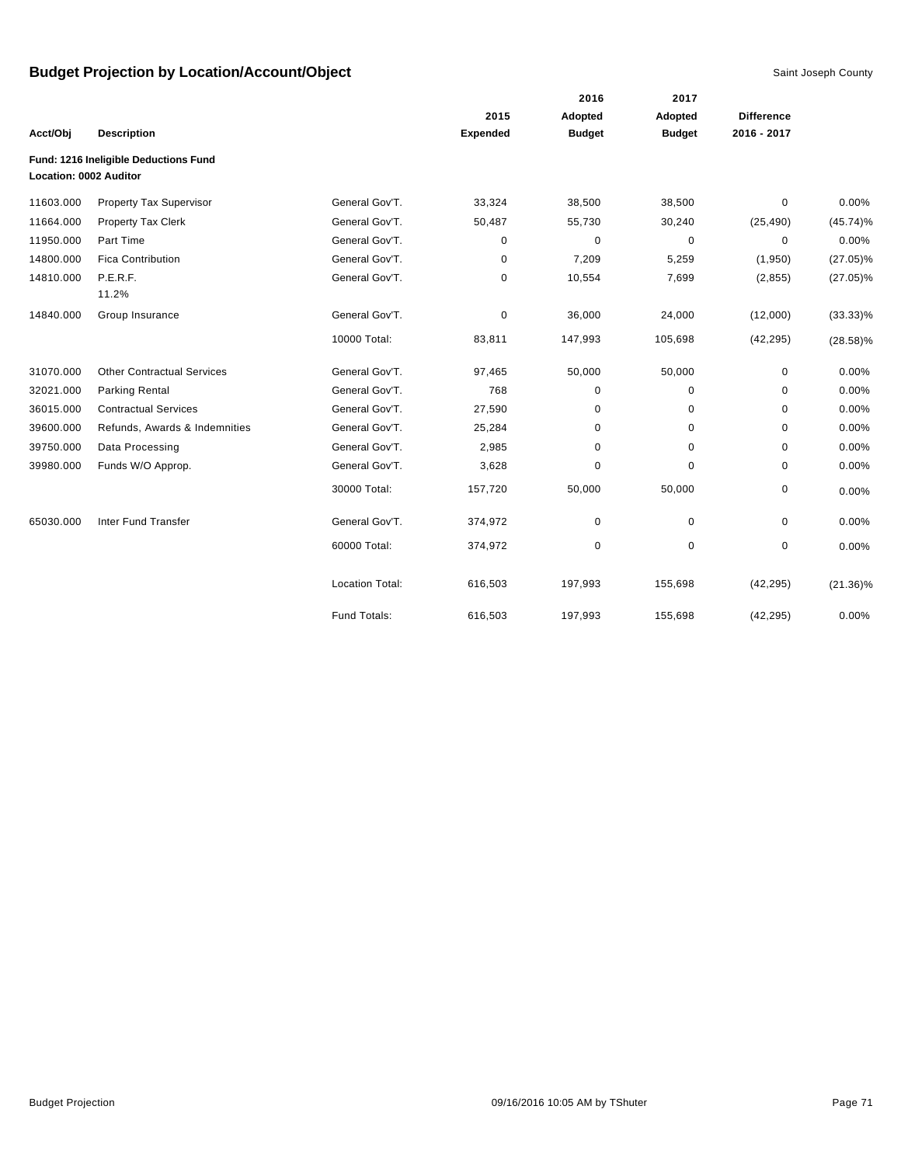|                        |                                       |                        |                 | 2016          | 2017          |                   |             |
|------------------------|---------------------------------------|------------------------|-----------------|---------------|---------------|-------------------|-------------|
|                        |                                       |                        | 2015            | Adopted       | Adopted       | <b>Difference</b> |             |
| Acct/Obj               | <b>Description</b>                    |                        | <b>Expended</b> | <b>Budget</b> | <b>Budget</b> | 2016 - 2017       |             |
| Location: 0002 Auditor | Fund: 1216 Ineligible Deductions Fund |                        |                 |               |               |                   |             |
| 11603.000              | Property Tax Supervisor               | General Gov'T.         | 33,324          | 38,500        | 38,500        | 0                 | 0.00%       |
| 11664.000              | <b>Property Tax Clerk</b>             | General Gov'T.         | 50,487          | 55,730        | 30,240        | (25, 490)         | $(45.74)\%$ |
| 11950.000              | Part Time                             | General Gov'T.         | 0               | 0             | $\pmb{0}$     | $\mathbf 0$       | 0.00%       |
| 14800.000              | <b>Fica Contribution</b>              | General Gov'T.         | 0               | 7,209         | 5,259         | (1,950)           | $(27.05)\%$ |
| 14810.000              | P.E.R.F.<br>11.2%                     | General Gov'T.         | 0               | 10,554        | 7,699         | (2, 855)          | $(27.05)\%$ |
| 14840.000              | Group Insurance                       | General Gov'T.         | 0               | 36,000        | 24,000        | (12,000)          | $(33.33)\%$ |
|                        |                                       | 10000 Total:           | 83,811          | 147,993       | 105,698       | (42, 295)         | $(28.58)\%$ |
| 31070.000              | <b>Other Contractual Services</b>     | General Gov'T.         | 97,465          | 50,000        | 50,000        | 0                 | 0.00%       |
| 32021.000              | Parking Rental                        | General Gov'T.         | 768             | 0             | 0             | 0                 | 0.00%       |
| 36015.000              | <b>Contractual Services</b>           | General Gov'T.         | 27,590          | 0             | 0             | 0                 | 0.00%       |
| 39600.000              | Refunds, Awards & Indemnities         | General Gov'T.         | 25,284          | 0             | 0             | 0                 | 0.00%       |
| 39750.000              | Data Processing                       | General Gov'T.         | 2,985           | 0             | 0             | 0                 | 0.00%       |
| 39980.000              | Funds W/O Approp.                     | General Gov'T.         | 3,628           | 0             | 0             | 0                 | 0.00%       |
|                        |                                       | 30000 Total:           | 157,720         | 50,000        | 50,000        | 0                 | 0.00%       |
| 65030.000              | Inter Fund Transfer                   | General Gov'T.         | 374,972         | 0             | 0             | 0                 | 0.00%       |
|                        |                                       | 60000 Total:           | 374,972         | 0             | 0             | 0                 | 0.00%       |
|                        |                                       | <b>Location Total:</b> | 616,503         | 197,993       | 155,698       | (42, 295)         | $(21.36)\%$ |
|                        |                                       | Fund Totals:           | 616,503         | 197,993       | 155,698       | (42, 295)         | 0.00%       |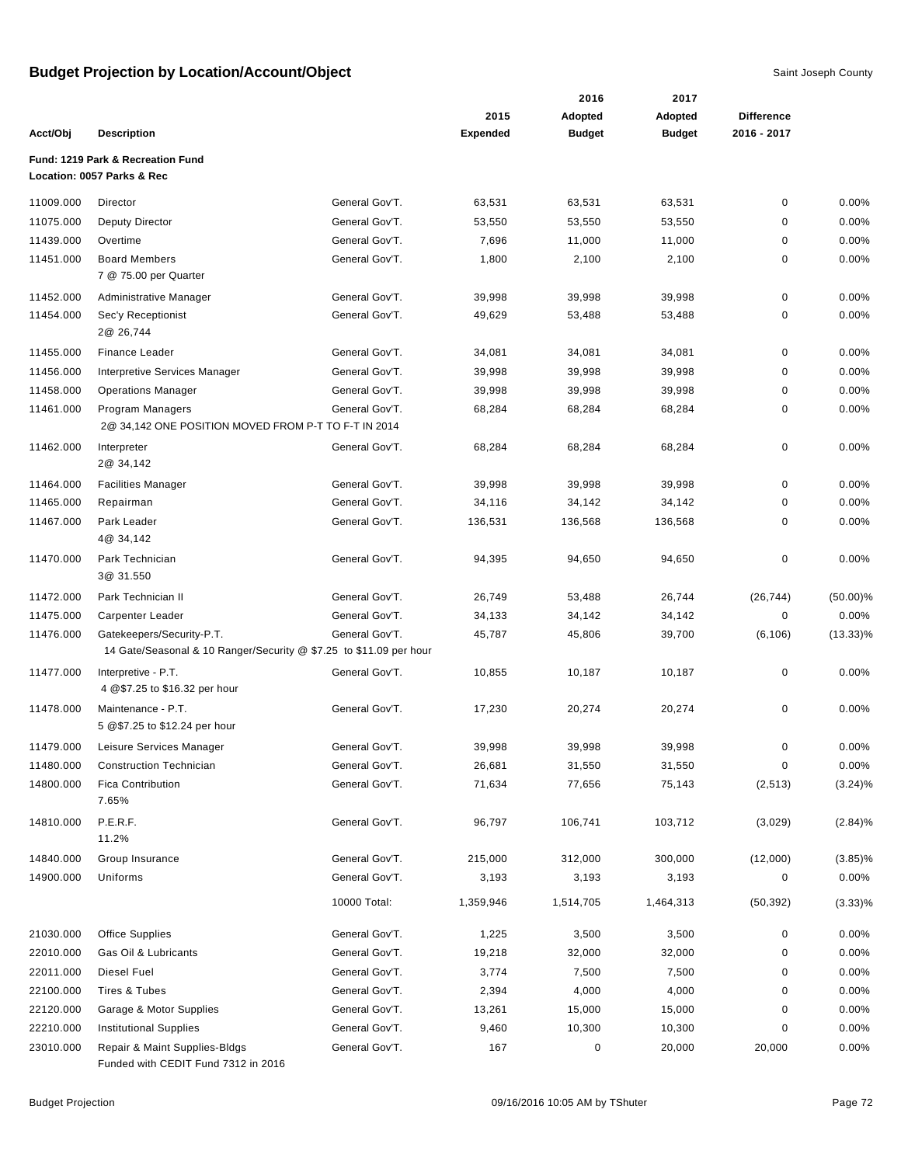|           |                                                                    |                                  |                 | 2016             | 2017             |                   |                     |
|-----------|--------------------------------------------------------------------|----------------------------------|-----------------|------------------|------------------|-------------------|---------------------|
|           |                                                                    |                                  | 2015            | Adopted          | Adopted          | <b>Difference</b> |                     |
| Acct/Obj  | <b>Description</b>                                                 |                                  | <b>Expended</b> | <b>Budget</b>    | <b>Budget</b>    | 2016 - 2017       |                     |
|           | Fund: 1219 Park & Recreation Fund                                  |                                  |                 |                  |                  |                   |                     |
|           | Location: 0057 Parks & Rec                                         |                                  |                 |                  |                  |                   |                     |
| 11009.000 | Director                                                           | General Gov'T.                   | 63,531          | 63,531           | 63,531           | $\pmb{0}$         | 0.00%               |
| 11075.000 | <b>Deputy Director</b>                                             | General Gov'T.                   | 53,550          | 53,550           | 53,550           | 0                 | 0.00%               |
| 11439.000 | Overtime                                                           | General Gov'T.                   | 7,696           | 11,000           | 11,000           | 0                 | 0.00%               |
| 11451.000 | <b>Board Members</b>                                               | General Gov'T.                   | 1,800           | 2,100            | 2,100            | 0                 | 0.00%               |
|           | 7 @ 75.00 per Quarter                                              |                                  |                 |                  |                  |                   |                     |
| 11452.000 | Administrative Manager                                             | General Gov'T.                   | 39,998          | 39,998           | 39,998           | 0                 | 0.00%               |
| 11454.000 | Sec'y Receptionist                                                 | General Gov'T.                   | 49,629          | 53,488           | 53,488           | 0                 | 0.00%               |
|           | 2@ 26,744                                                          |                                  |                 |                  |                  |                   |                     |
| 11455.000 | <b>Finance Leader</b>                                              | General Gov'T.                   | 34,081          | 34,081           | 34,081           | 0                 | 0.00%               |
| 11456.000 | Interpretive Services Manager                                      | General Gov'T.                   | 39,998          | 39,998           | 39,998           | 0                 | 0.00%               |
| 11458.000 | <b>Operations Manager</b>                                          | General Gov'T.                   | 39,998          | 39,998           | 39,998           | 0                 | 0.00%               |
| 11461.000 | Program Managers                                                   | General Gov'T.                   | 68,284          | 68,284           | 68,284           | 0                 | 0.00%               |
|           | 2@ 34,142 ONE POSITION MOVED FROM P-T TO F-T IN 2014               |                                  |                 |                  |                  |                   |                     |
| 11462.000 | Interpreter                                                        | General Gov'T.                   | 68,284          | 68,284           | 68,284           | 0                 | 0.00%               |
|           | 2@ 34,142                                                          |                                  |                 |                  |                  |                   |                     |
| 11464.000 | <b>Facilities Manager</b>                                          | General Gov'T.                   | 39,998          | 39,998           | 39,998           | 0                 | 0.00%               |
| 11465.000 | Repairman                                                          | General Gov'T.                   | 34,116          | 34,142           | 34,142           | 0                 | 0.00%               |
| 11467.000 | Park Leader                                                        | General Gov'T.                   | 136,531         | 136,568          | 136,568          | 0                 | 0.00%               |
|           | 4@ 34,142                                                          |                                  |                 |                  |                  |                   |                     |
| 11470.000 | Park Technician                                                    | General Gov'T.                   | 94,395          | 94,650           | 94,650           | 0                 | 0.00%               |
|           | 3@ 31.550                                                          |                                  |                 |                  |                  |                   |                     |
| 11472.000 | Park Technician II                                                 | General Gov'T.                   | 26,749          | 53,488           | 26,744           | (26, 744)         | $(50.00)\%$         |
| 11475.000 | Carpenter Leader                                                   | General Gov'T.                   | 34,133          | 34,142           | 34,142           | 0                 | 0.00%               |
| 11476.000 | Gatekeepers/Security-P.T.                                          | General Gov'T.                   | 45,787          | 45,806           | 39,700           | (6, 106)          | $(13.33)\%$         |
|           | 14 Gate/Seasonal & 10 Ranger/Security @ \$7.25 to \$11.09 per hour |                                  |                 |                  |                  |                   |                     |
| 11477.000 | Interpretive - P.T.<br>4 @\$7.25 to \$16.32 per hour               | General Gov'T.                   | 10,855          | 10,187           | 10,187           | 0                 | 0.00%               |
|           |                                                                    |                                  |                 |                  |                  |                   |                     |
| 11478.000 | Maintenance - P.T.<br>5 @\$7.25 to \$12.24 per hour                | General Gov'T.                   | 17,230          | 20,274           | 20,274           | 0                 | 0.00%               |
|           |                                                                    |                                  | 39.998          | 39.998           |                  |                   |                     |
| 11479.000 | Leisure Services Manager                                           | General Gov'T.                   |                 |                  | 39,998           | 0                 | 0.00%               |
| 11480.000 | <b>Construction Technician</b><br><b>Fica Contribution</b>         | General Gov'T.<br>General Gov'T. | 26,681          | 31,550<br>77,656 | 31,550<br>75,143 | 0<br>(2, 513)     | 0.00%<br>$(3.24)\%$ |
| 14800.000 | 7.65%                                                              |                                  | 71,634          |                  |                  |                   |                     |
| 14810.000 | P.E.R.F.                                                           | General Gov'T.                   | 96,797          | 106,741          | 103,712          |                   |                     |
|           | 11.2%                                                              |                                  |                 |                  |                  | (3,029)           | (2.84)%             |
| 14840.000 | Group Insurance                                                    | General Gov'T.                   | 215,000         | 312,000          | 300,000          | (12,000)          | $(3.85)\%$          |
| 14900.000 | Uniforms                                                           | General Gov'T.                   | 3,193           | 3,193            | 3,193            | 0                 | 0.00%               |
|           |                                                                    |                                  |                 |                  |                  |                   |                     |
|           |                                                                    | 10000 Total:                     | 1,359,946       | 1,514,705        | 1,464,313        | (50, 392)         | $(3.33)\%$          |
| 21030.000 | <b>Office Supplies</b>                                             | General Gov'T.                   | 1,225           | 3,500            | 3,500            | 0                 | 0.00%               |
| 22010.000 | Gas Oil & Lubricants                                               | General Gov'T.                   | 19,218          | 32,000           | 32,000           | 0                 | 0.00%               |
| 22011.000 | Diesel Fuel                                                        | General Gov'T.                   | 3,774           | 7,500            | 7,500            | 0                 | 0.00%               |
| 22100.000 | Tires & Tubes                                                      | General Gov'T.                   | 2,394           | 4,000            | 4,000            | 0                 | 0.00%               |
| 22120.000 | Garage & Motor Supplies                                            | General Gov'T.                   | 13,261          | 15,000           | 15,000           | 0                 | 0.00%               |
| 22210.000 | <b>Institutional Supplies</b>                                      | General Gov'T.                   | 9,460           | 10,300           | 10,300           | 0                 | 0.00%               |
| 23010.000 | Repair & Maint Supplies-Bldgs                                      | General Gov'T.                   | 167             | $\pmb{0}$        | 20,000           | 20,000            | 0.00%               |
|           | Funded with CEDIT Fund 7312 in 2016                                |                                  |                 |                  |                  |                   |                     |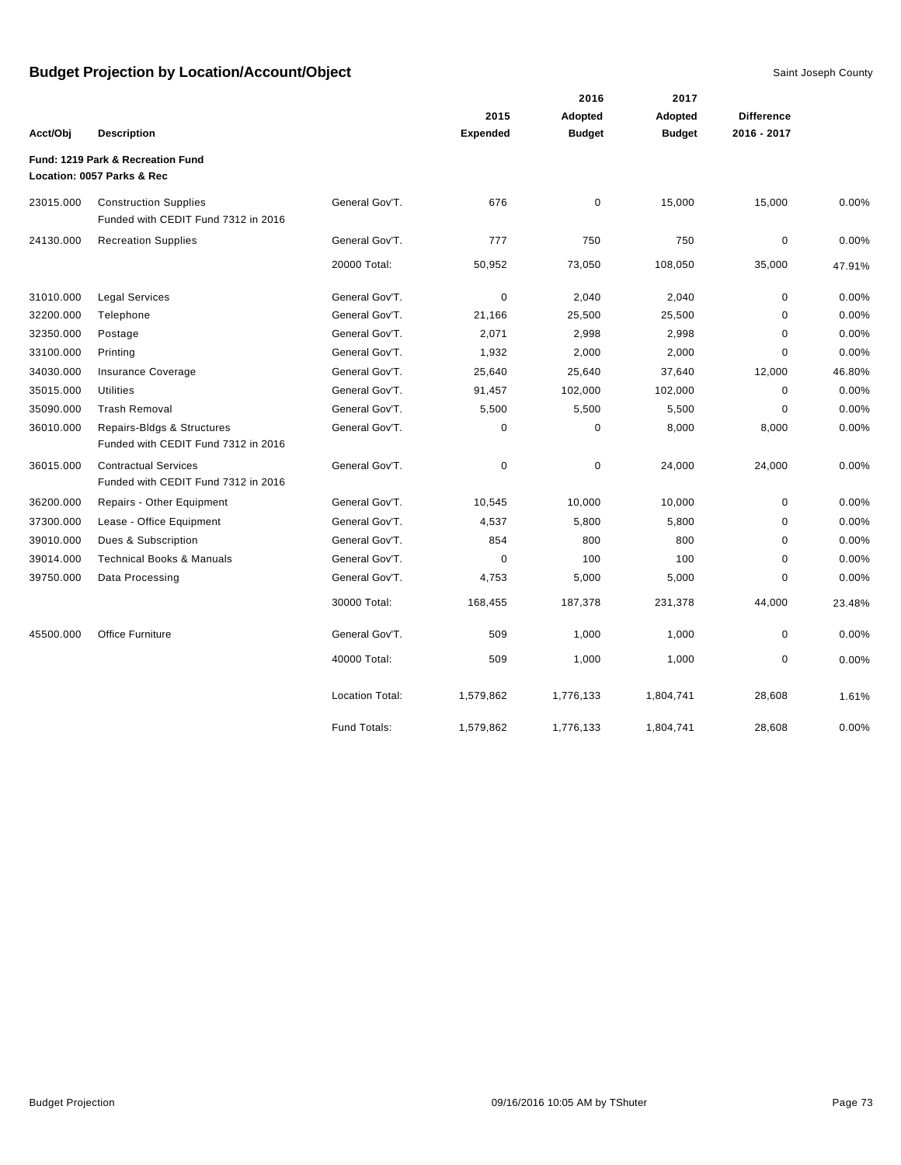|           |                                                                     |                        |                 | 2016          | 2017          |                   |        |
|-----------|---------------------------------------------------------------------|------------------------|-----------------|---------------|---------------|-------------------|--------|
|           |                                                                     |                        | 2015            | Adopted       | Adopted       | <b>Difference</b> |        |
| Acct/Obj  | <b>Description</b>                                                  |                        | <b>Expended</b> | <b>Budget</b> | <b>Budget</b> | 2016 - 2017       |        |
|           | Fund: 1219 Park & Recreation Fund                                   |                        |                 |               |               |                   |        |
|           | Location: 0057 Parks & Rec                                          |                        |                 |               |               |                   |        |
| 23015.000 | <b>Construction Supplies</b><br>Funded with CEDIT Fund 7312 in 2016 | General Gov'T.         | 676             | $\mathbf 0$   | 15,000        | 15,000            | 0.00%  |
| 24130.000 | <b>Recreation Supplies</b>                                          | General Gov'T.         | 777             | 750           | 750           | $\mathbf 0$       | 0.00%  |
|           |                                                                     | 20000 Total:           | 50,952          | 73,050        | 108,050       | 35,000            | 47.91% |
| 31010.000 | <b>Legal Services</b>                                               | General Gov'T.         | 0               | 2,040         | 2,040         | 0                 | 0.00%  |
| 32200.000 | Telephone                                                           | General Gov'T.         | 21,166          | 25,500        | 25,500        | 0                 | 0.00%  |
| 32350.000 | Postage                                                             | General Gov'T.         | 2,071           | 2,998         | 2,998         | $\mathbf 0$       | 0.00%  |
| 33100.000 | Printing                                                            | General Gov'T.         | 1,932           | 2,000         | 2,000         | 0                 | 0.00%  |
| 34030.000 | Insurance Coverage                                                  | General Gov'T.         | 25,640          | 25,640        | 37,640        | 12,000            | 46.80% |
| 35015.000 | Utilities                                                           | General Gov'T.         | 91,457          | 102,000       | 102,000       | 0                 | 0.00%  |
| 35090.000 | <b>Trash Removal</b>                                                | General Gov'T.         | 5,500           | 5,500         | 5,500         | 0                 | 0.00%  |
| 36010.000 | Repairs-Bldgs & Structures<br>Funded with CEDIT Fund 7312 in 2016   | General Gov'T.         | $\mathbf 0$     | $\mathbf 0$   | 8,000         | 8,000             | 0.00%  |
| 36015.000 | <b>Contractual Services</b><br>Funded with CEDIT Fund 7312 in 2016  | General Gov'T.         | $\mathbf 0$     | $\pmb{0}$     | 24,000        | 24,000            | 0.00%  |
| 36200.000 | Repairs - Other Equipment                                           | General Gov'T.         | 10,545          | 10,000        | 10,000        | 0                 | 0.00%  |
| 37300.000 | Lease - Office Equipment                                            | General Gov'T.         | 4,537           | 5,800         | 5,800         | 0                 | 0.00%  |
| 39010.000 | Dues & Subscription                                                 | General Gov'T.         | 854             | 800           | 800           | 0                 | 0.00%  |
| 39014.000 | <b>Technical Books &amp; Manuals</b>                                | General Gov'T.         | 0               | 100           | 100           | $\Omega$          | 0.00%  |
| 39750.000 | Data Processing                                                     | General Gov'T.         | 4,753           | 5,000         | 5,000         | $\Omega$          | 0.00%  |
|           |                                                                     | 30000 Total:           | 168,455         | 187,378       | 231,378       | 44,000            | 23.48% |
| 45500.000 | Office Furniture                                                    | General Gov'T.         | 509             | 1,000         | 1,000         | $\mathbf 0$       | 0.00%  |
|           |                                                                     | 40000 Total:           | 509             | 1,000         | 1,000         | 0                 | 0.00%  |
|           |                                                                     | <b>Location Total:</b> | 1,579,862       | 1,776,133     | 1,804,741     | 28,608            | 1.61%  |
|           |                                                                     | Fund Totals:           | 1,579,862       | 1,776,133     | 1,804,741     | 28,608            | 0.00%  |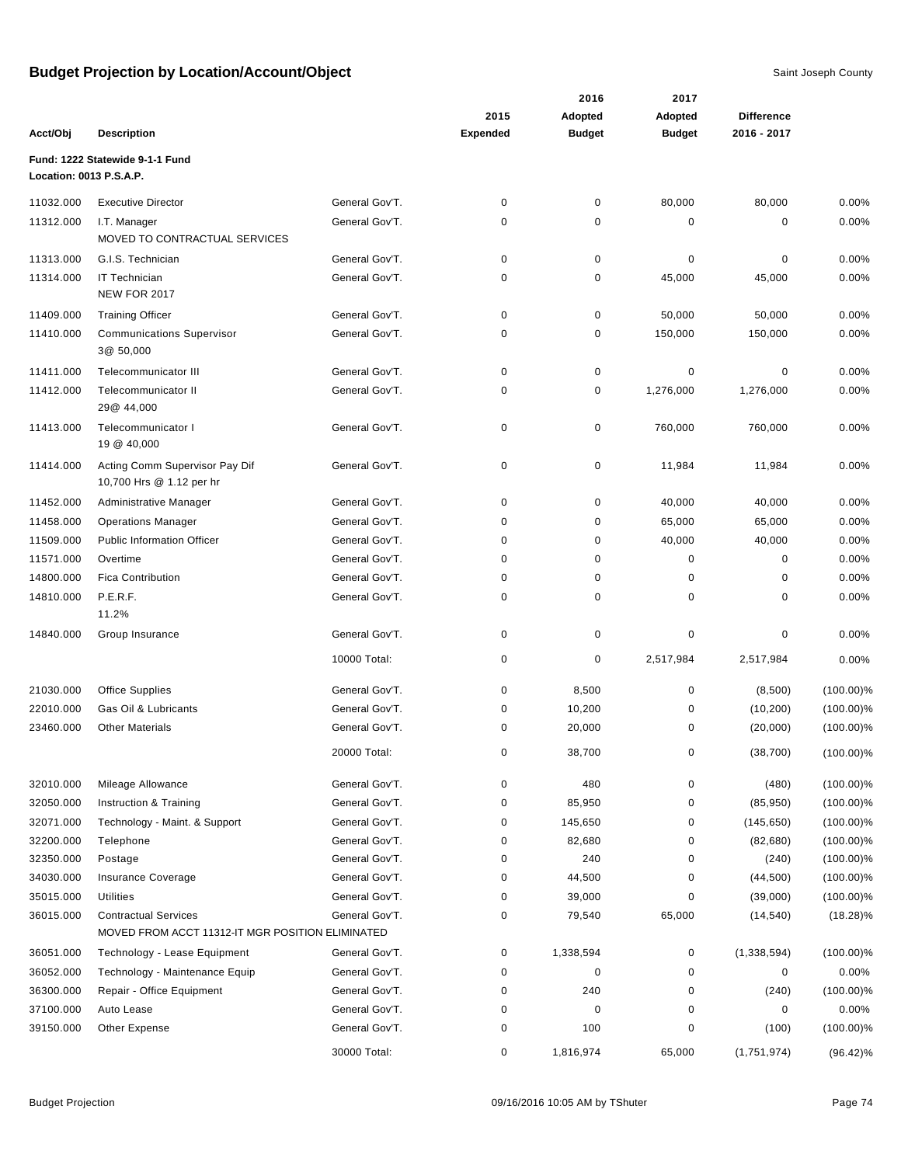|                         |                                                                                 |                |                 | 2016          | 2017          |                   |              |
|-------------------------|---------------------------------------------------------------------------------|----------------|-----------------|---------------|---------------|-------------------|--------------|
|                         |                                                                                 |                | 2015            | Adopted       | Adopted       | <b>Difference</b> |              |
| Acct/Obj                | <b>Description</b>                                                              |                | <b>Expended</b> | <b>Budget</b> | <b>Budget</b> | 2016 - 2017       |              |
|                         | Fund: 1222 Statewide 9-1-1 Fund                                                 |                |                 |               |               |                   |              |
| Location: 0013 P.S.A.P. |                                                                                 |                |                 |               |               |                   |              |
| 11032.000               | <b>Executive Director</b>                                                       | General Gov'T. | 0               | $\pmb{0}$     | 80,000        | 80,000            | 0.00%        |
| 11312.000               | I.T. Manager                                                                    | General Gov'T. | 0               | 0             | 0             | 0                 | 0.00%        |
|                         | MOVED TO CONTRACTUAL SERVICES                                                   |                |                 |               |               |                   |              |
| 11313.000               | G.I.S. Technician                                                               | General Gov'T. | 0               | 0             | $\mathbf 0$   | 0                 | 0.00%        |
| 11314.000               | <b>IT Technician</b>                                                            | General Gov'T. | 0               | 0             | 45,000        | 45,000            | 0.00%        |
|                         | <b>NEW FOR 2017</b>                                                             |                |                 |               |               |                   |              |
| 11409.000               | <b>Training Officer</b>                                                         | General Gov'T. | 0               | $\pmb{0}$     | 50,000        | 50,000            | 0.00%        |
| 11410.000               | <b>Communications Supervisor</b><br>3@ 50,000                                   | General Gov'T. | 0               | 0             | 150,000       | 150,000           | 0.00%        |
| 11411.000               | Telecommunicator III                                                            | General Gov'T. | 0               | 0             | $\mathbf 0$   | 0                 | 0.00%        |
| 11412.000               | Telecommunicator II<br>29@ 44,000                                               | General Gov'T. | 0               | $\pmb{0}$     | 1,276,000     | 1,276,000         | 0.00%        |
| 11413.000               | Telecommunicator I<br>19 @ 40,000                                               | General Gov'T. | 0               | 0             | 760,000       | 760,000           | 0.00%        |
| 11414.000               | Acting Comm Supervisor Pay Dif<br>10,700 Hrs @ 1.12 per hr                      | General Gov'T. | 0               | $\pmb{0}$     | 11,984        | 11,984            | 0.00%        |
| 11452.000               | Administrative Manager                                                          | General Gov'T. | $\mathbf 0$     | $\pmb{0}$     | 40,000        | 40,000            | 0.00%        |
| 11458.000               | <b>Operations Manager</b>                                                       | General Gov'T. | 0               | 0             | 65,000        | 65,000            | 0.00%        |
| 11509.000               | <b>Public Information Officer</b>                                               | General Gov'T. | 0               | 0             | 40,000        | 40,000            | 0.00%        |
| 11571.000               | Overtime                                                                        | General Gov'T. | 0               | 0             | 0             | 0                 | 0.00%        |
| 14800.000               | <b>Fica Contribution</b>                                                        | General Gov'T. | 0               | 0             | 0             | 0                 | 0.00%        |
| 14810.000               | P.E.R.F.<br>11.2%                                                               | General Gov'T. | 0               | 0             | 0             | 0                 | 0.00%        |
| 14840.000               | Group Insurance                                                                 | General Gov'T. | 0               | 0             | $\mathbf 0$   | 0                 | 0.00%        |
|                         |                                                                                 | 10000 Total:   | 0               | $\pmb{0}$     | 2,517,984     | 2,517,984         | 0.00%        |
| 21030.000               | Office Supplies                                                                 | General Gov'T. | 0               | 8,500         | 0             | (8,500)           | $(100.00)\%$ |
| 22010.000               | Gas Oil & Lubricants                                                            | General Gov'T. | 0               | 10,200        | 0             | (10, 200)         | $(100.00)\%$ |
| 23460.000               | <b>Other Materials</b>                                                          | General Gov'T. | 0               | 20,000        | 0             | (20,000)          | $(100.00)\%$ |
|                         |                                                                                 | 20000 Total:   | 0               | 38,700        | 0             | (38, 700)         | $(100.00)\%$ |
| 32010.000               | Mileage Allowance                                                               | General Gov'T. | 0               | 480           | $\pmb{0}$     | (480)             | $(100.00)\%$ |
| 32050.000               | Instruction & Training                                                          | General Gov'T. | 0               | 85,950        | 0             | (85,950)          | $(100.00)\%$ |
| 32071.000               | Technology - Maint. & Support                                                   | General Gov'T. | 0               | 145,650       | 0             | (145, 650)        | $(100.00)\%$ |
| 32200.000               | Telephone                                                                       | General Gov'T. | 0               | 82,680        | 0             | (82, 680)         | $(100.00)\%$ |
| 32350.000               | Postage                                                                         | General Gov'T. | 0               | 240           | 0             | (240)             | $(100.00)\%$ |
| 34030.000               | Insurance Coverage                                                              | General Gov'T. | 0               | 44,500        | 0             | (44, 500)         | $(100.00)\%$ |
| 35015.000               | Utilities                                                                       | General Gov'T. | 0               | 39,000        | 0             | (39,000)          | $(100.00)\%$ |
| 36015.000               | <b>Contractual Services</b><br>MOVED FROM ACCT 11312-IT MGR POSITION ELIMINATED | General Gov'T. | 0               | 79,540        | 65,000        | (14, 540)         | $(18.28)\%$  |
| 36051.000               | Technology - Lease Equipment                                                    | General Gov'T. | 0               | 1,338,594     | 0             | (1,338,594)       | $(100.00)\%$ |
| 36052.000               | Technology - Maintenance Equip                                                  | General Gov'T. | 0               | 0             | 0             | 0                 | 0.00%        |
| 36300.000               | Repair - Office Equipment                                                       | General Gov'T. | 0               | 240           | 0             | (240)             | $(100.00)\%$ |
| 37100.000               | Auto Lease                                                                      | General Gov'T. | 0               | 0             | 0             | 0                 | 0.00%        |
| 39150.000               | Other Expense                                                                   | General Gov'T. | 0               | 100           | $\mathbf 0$   | (100)             | $(100.00)\%$ |
|                         |                                                                                 | 30000 Total:   | 0               | 1,816,974     | 65,000        | (1,751,974)       | $(96.42)\%$  |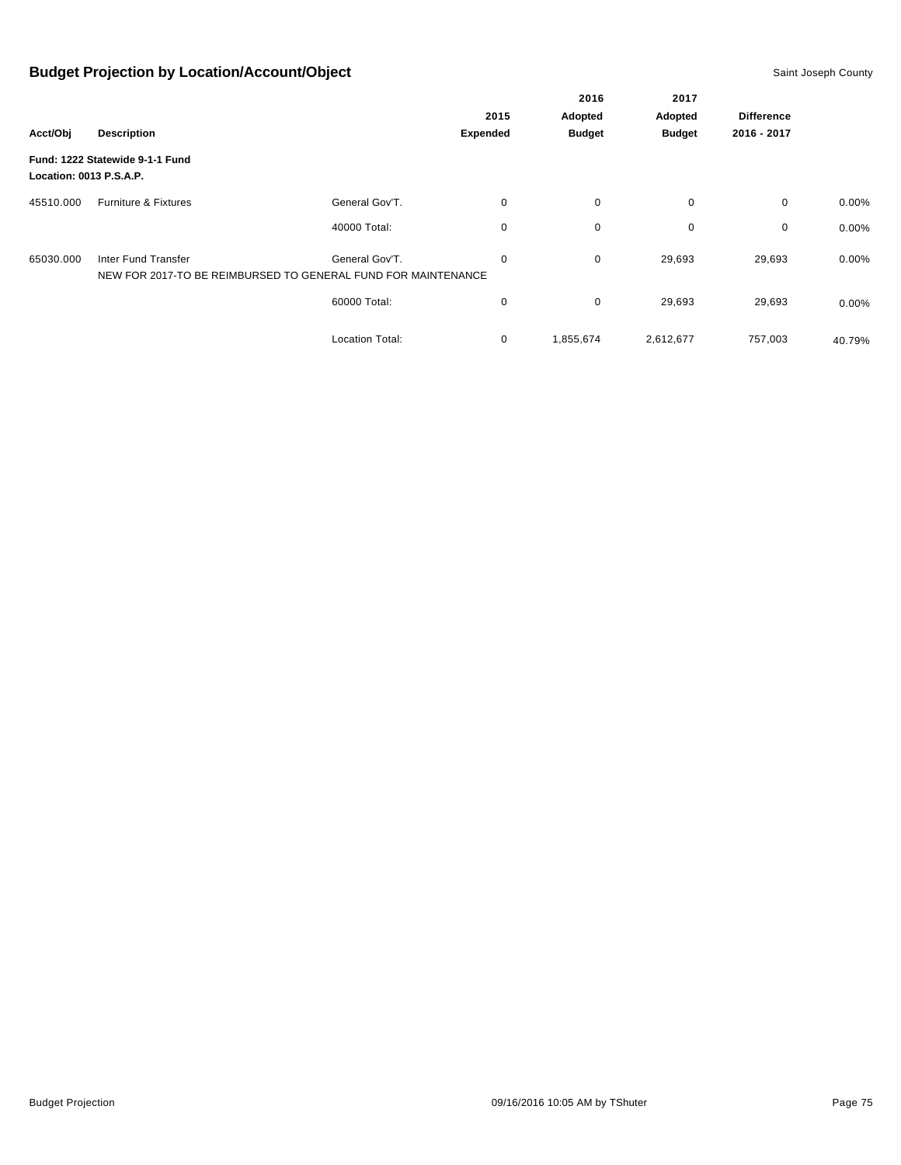|                         |                                                                                      |                        |          | 2016          | 2017          |                   |          |
|-------------------------|--------------------------------------------------------------------------------------|------------------------|----------|---------------|---------------|-------------------|----------|
|                         |                                                                                      |                        | 2015     | Adopted       | Adopted       | <b>Difference</b> |          |
| Acct/Obj                | <b>Description</b>                                                                   |                        | Expended | <b>Budget</b> | <b>Budget</b> | 2016 - 2017       |          |
| Location: 0013 P.S.A.P. | Fund: 1222 Statewide 9-1-1 Fund                                                      |                        |          |               |               |                   |          |
| 45510.000               | Furniture & Fixtures                                                                 | General Gov'T.         | 0        | $\mathbf 0$   | 0             | $\mathbf 0$       | 0.00%    |
|                         |                                                                                      | 40000 Total:           | 0        | $\mathbf 0$   | $\mathbf 0$   | 0                 | 0.00%    |
| 65030.000               | Inter Fund Transfer<br>NEW FOR 2017-TO BE REIMBURSED TO GENERAL FUND FOR MAINTENANCE | General Gov'T.         | 0        | $\mathbf 0$   | 29,693        | 29,693            | 0.00%    |
|                         |                                                                                      | 60000 Total:           | 0        | $\mathbf 0$   | 29,693        | 29,693            | $0.00\%$ |
|                         |                                                                                      | <b>Location Total:</b> | 0        | 1,855,674     | 2,612,677     | 757,003           | 40.79%   |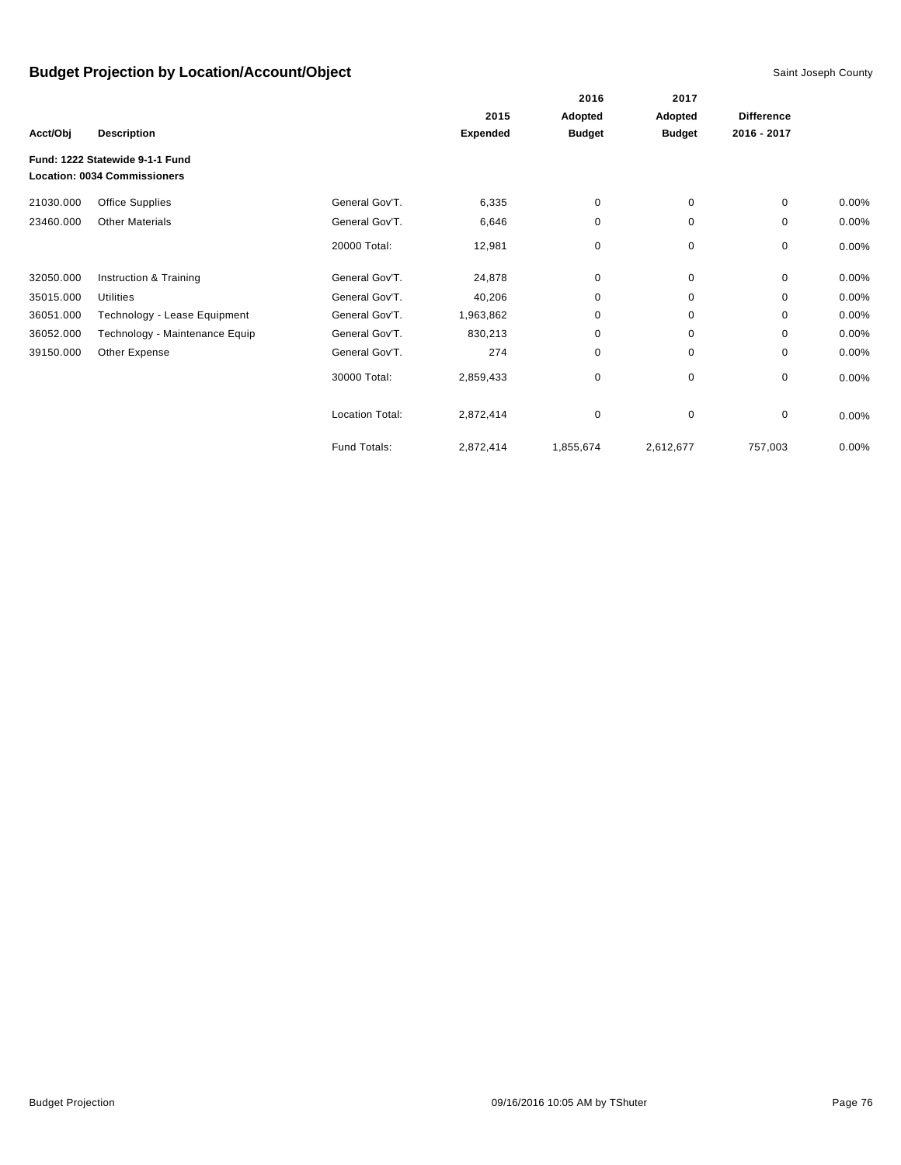|           |                                                                        |                        |                 | 2016          | 2017                     |                   |          |
|-----------|------------------------------------------------------------------------|------------------------|-----------------|---------------|--------------------------|-------------------|----------|
|           |                                                                        |                        | 2015            | Adopted       | Adopted<br><b>Budget</b> | <b>Difference</b> |          |
| Acct/Obj  | <b>Description</b>                                                     |                        | <b>Expended</b> | <b>Budget</b> |                          | 2016 - 2017       |          |
|           | Fund: 1222 Statewide 9-1-1 Fund<br><b>Location: 0034 Commissioners</b> |                        |                 |               |                          |                   |          |
| 21030.000 | <b>Office Supplies</b>                                                 | General Gov'T.         | 6,335           | 0             | 0                        | 0                 | 0.00%    |
| 23460.000 | <b>Other Materials</b>                                                 | General Gov'T.         | 6,646           | 0             | 0                        | 0                 | $0.00\%$ |
|           |                                                                        | 20000 Total:           | 12,981          | 0             | 0                        | 0                 | $0.00\%$ |
| 32050.000 | Instruction & Training                                                 | General Gov'T.         | 24,878          | 0             | $\mathbf 0$              | 0                 | $0.00\%$ |
| 35015.000 | <b>Utilities</b>                                                       | General Gov'T.         | 40,206          | 0             | 0                        | 0                 | $0.00\%$ |
| 36051.000 | Technology - Lease Equipment                                           | General Gov'T.         | 1,963,862       | 0             | 0                        | $\Omega$          | $0.00\%$ |
| 36052.000 | Technology - Maintenance Equip                                         | General Gov'T.         | 830,213         | 0             | 0                        | 0                 | 0.00%    |
| 39150.000 | Other Expense                                                          | General Gov'T.         | 274             | 0             | 0                        | 0                 | $0.00\%$ |
|           |                                                                        | 30000 Total:           | 2,859,433       | 0             | 0                        | 0                 | $0.00\%$ |
|           |                                                                        | <b>Location Total:</b> | 2,872,414       | 0             | $\mathbf 0$              | 0                 | 0.00%    |
|           |                                                                        | Fund Totals:           | 2,872,414       | 1,855,674     | 2,612,677                | 757,003           | $0.00\%$ |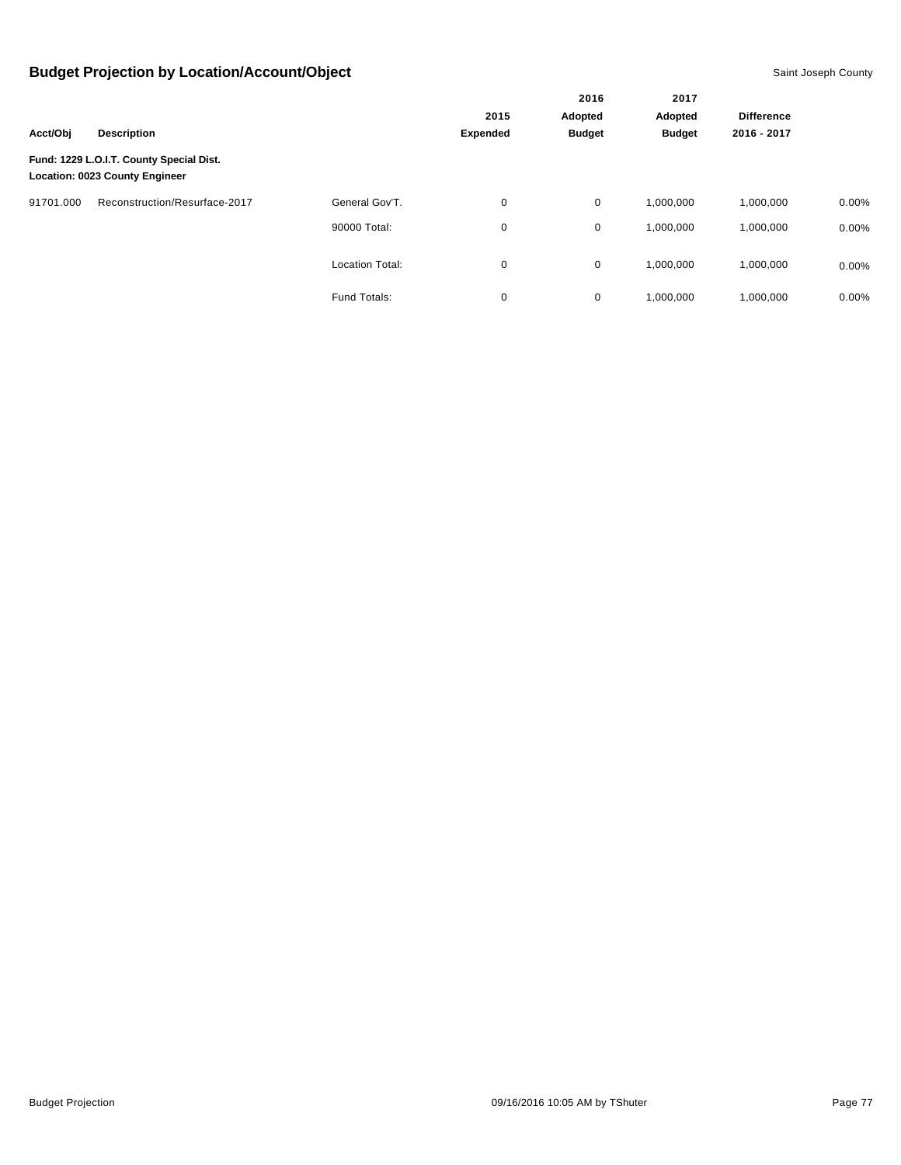|           | <b>Description</b>                                                                |                        |                 | 2016<br>Adopted<br><b>Budget</b> | 2017<br>Adopted |                   |          |
|-----------|-----------------------------------------------------------------------------------|------------------------|-----------------|----------------------------------|-----------------|-------------------|----------|
|           |                                                                                   |                        | 2015            |                                  |                 | <b>Difference</b> |          |
| Acct/Obj  |                                                                                   |                        | <b>Expended</b> |                                  | <b>Budget</b>   | 2016 - 2017       |          |
|           | Fund: 1229 L.O.I.T. County Special Dist.<br><b>Location: 0023 County Engineer</b> |                        |                 |                                  |                 |                   |          |
| 91701.000 | Reconstruction/Resurface-2017                                                     | General Gov'T.         | 0               | $\mathbf 0$                      | 1,000,000       | 1,000,000         | $0.00\%$ |
|           |                                                                                   | 90000 Total:           | 0               | 0                                | 1,000,000       | 1,000,000         | $0.00\%$ |
|           |                                                                                   | <b>Location Total:</b> | 0               | 0                                | 1,000,000       | 1,000,000         | $0.00\%$ |
|           |                                                                                   | Fund Totals:           | 0               | 0                                | 1,000,000       | 1.000.000         | $0.00\%$ |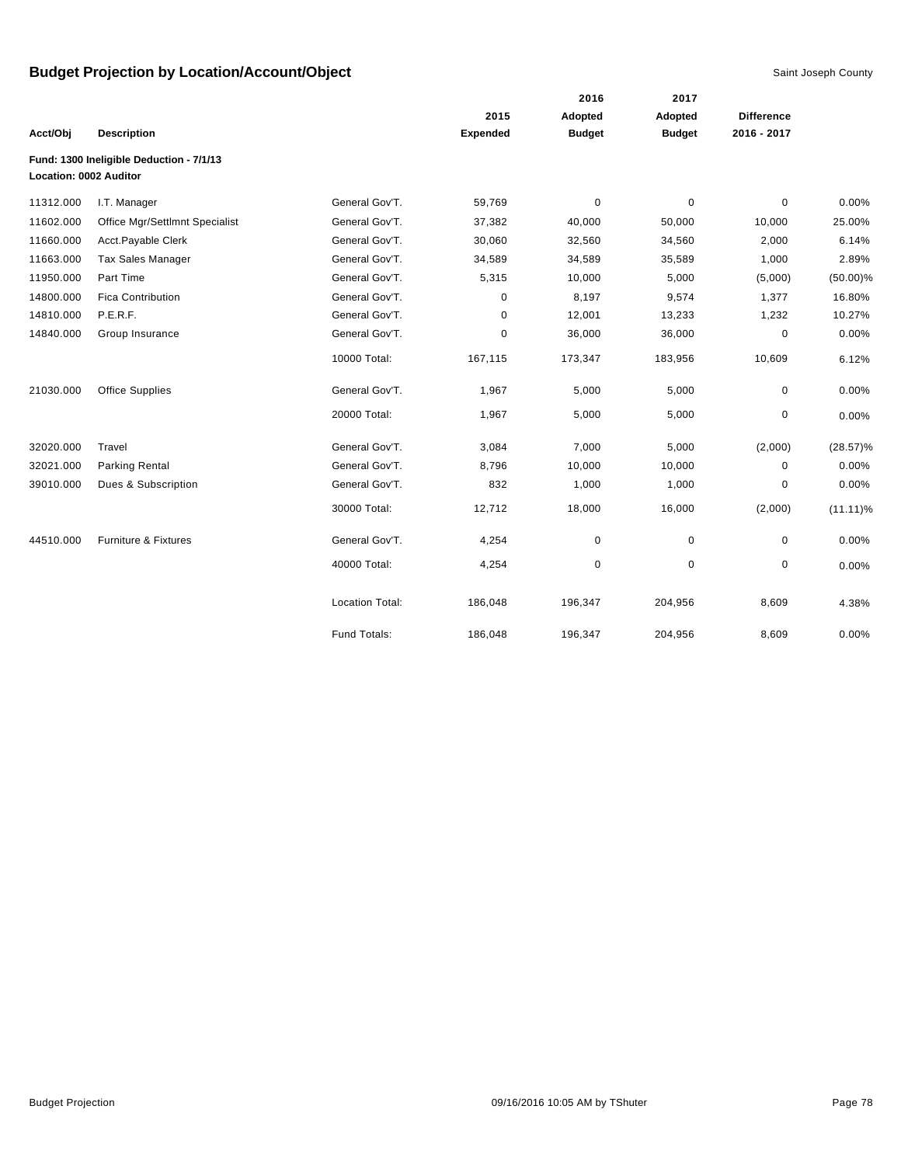|                        |                                          |                        |                 | 2016          | 2017          |                   |             |
|------------------------|------------------------------------------|------------------------|-----------------|---------------|---------------|-------------------|-------------|
|                        |                                          |                        | 2015            | Adopted       | Adopted       | <b>Difference</b> |             |
| Acct/Obj               | <b>Description</b>                       |                        | <b>Expended</b> | <b>Budget</b> | <b>Budget</b> | 2016 - 2017       |             |
| Location: 0002 Auditor | Fund: 1300 Ineligible Deduction - 7/1/13 |                        |                 |               |               |                   |             |
| 11312.000              | I.T. Manager                             | General Gov'T.         | 59,769          | $\mathbf 0$   | $\mathbf 0$   | $\mathbf 0$       | 0.00%       |
| 11602.000              | Office Mgr/Settlmnt Specialist           | General Gov'T.         | 37,382          | 40,000        | 50,000        | 10,000            | 25.00%      |
| 11660.000              | Acct.Payable Clerk                       | General Gov'T.         | 30,060          | 32,560        | 34,560        | 2,000             | 6.14%       |
| 11663.000              | <b>Tax Sales Manager</b>                 | General Gov'T.         | 34,589          | 34,589        | 35,589        | 1,000             | 2.89%       |
| 11950.000              | Part Time                                | General Gov'T.         | 5,315           | 10,000        | 5,000         | (5,000)           | $(50.00)\%$ |
| 14800.000              | <b>Fica Contribution</b>                 | General Gov'T.         | 0               | 8,197         | 9,574         | 1,377             | 16.80%      |
| 14810.000              | P.E.R.F.                                 | General Gov'T.         | 0               | 12,001        | 13,233        | 1,232             | 10.27%      |
| 14840.000              | Group Insurance                          | General Gov'T.         | 0               | 36,000        | 36,000        | $\pmb{0}$         | 0.00%       |
|                        |                                          | 10000 Total:           | 167,115         | 173,347       | 183,956       | 10,609            | 6.12%       |
| 21030.000              | <b>Office Supplies</b>                   | General Gov'T.         | 1,967           | 5,000         | 5,000         | $\mathbf 0$       | 0.00%       |
|                        |                                          | 20000 Total:           | 1,967           | 5,000         | 5,000         | 0                 | 0.00%       |
| 32020.000              | Travel                                   | General Gov'T.         | 3,084           | 7,000         | 5,000         | (2,000)           | $(28.57)\%$ |
| 32021.000              | <b>Parking Rental</b>                    | General Gov'T.         | 8,796           | 10,000        | 10,000        | $\mathbf 0$       | 0.00%       |
| 39010.000              | Dues & Subscription                      | General Gov'T.         | 832             | 1,000         | 1,000         | 0                 | 0.00%       |
|                        |                                          | 30000 Total:           | 12,712          | 18,000        | 16,000        | (2,000)           | $(11.11)\%$ |
| 44510.000              | Furniture & Fixtures                     | General Gov'T.         | 4,254           | $\mathbf 0$   | $\mathbf 0$   | 0                 | 0.00%       |
|                        |                                          | 40000 Total:           | 4,254           | $\pmb{0}$     | $\mathbf 0$   | $\mathbf 0$       | 0.00%       |
|                        |                                          | <b>Location Total:</b> | 186,048         | 196,347       | 204,956       | 8,609             | 4.38%       |
|                        |                                          | Fund Totals:           | 186,048         | 196,347       | 204,956       | 8,609             | 0.00%       |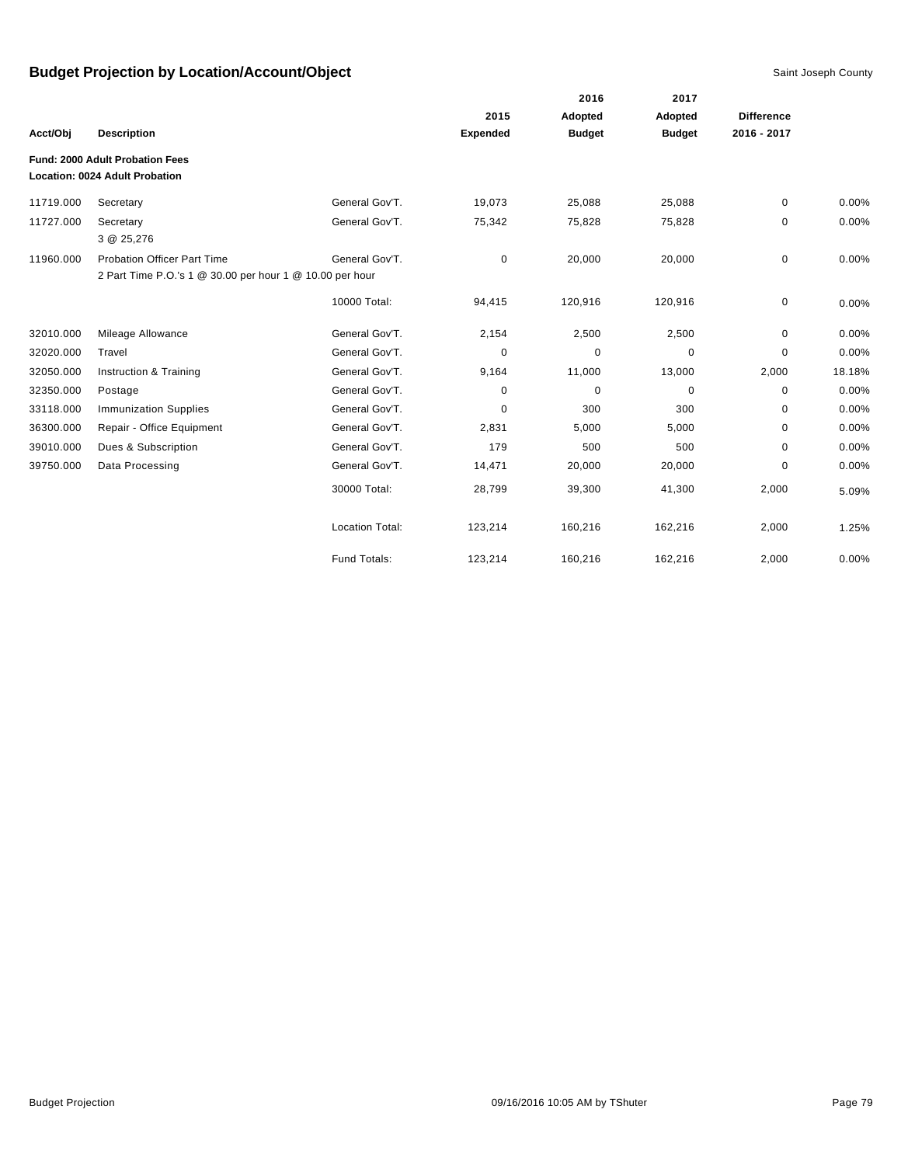|           |                                                          |                        | 2016            |               |               |                   |        |
|-----------|----------------------------------------------------------|------------------------|-----------------|---------------|---------------|-------------------|--------|
|           |                                                          |                        | 2015            | Adopted       | Adopted       | <b>Difference</b> |        |
| Acct/Obj  | <b>Description</b>                                       |                        | <b>Expended</b> | <b>Budget</b> | <b>Budget</b> | 2016 - 2017       |        |
|           | <b>Fund: 2000 Adult Probation Fees</b>                   |                        |                 |               |               |                   |        |
|           | Location: 0024 Adult Probation                           |                        |                 |               |               |                   |        |
| 11719.000 | Secretary                                                | General Gov'T.         | 19,073          | 25,088        | 25,088        | 0                 | 0.00%  |
| 11727.000 | Secretary<br>3 @ 25,276                                  | General Gov'T.         | 75,342          | 75,828        | 75,828        | 0                 | 0.00%  |
| 11960.000 | <b>Probation Officer Part Time</b>                       | General Gov'T.         | 0               | 20,000        | 20,000        | 0                 | 0.00%  |
|           | 2 Part Time P.O.'s 1 @ 30.00 per hour 1 @ 10.00 per hour |                        |                 |               |               |                   |        |
|           |                                                          | 10000 Total:           | 94,415          | 120,916       | 120,916       | 0                 | 0.00%  |
| 32010.000 | Mileage Allowance                                        | General Gov'T.         | 2,154           | 2,500         | 2,500         | 0                 | 0.00%  |
| 32020.000 | Travel                                                   | General Gov'T.         | 0               | 0             | 0             | 0                 | 0.00%  |
| 32050.000 | Instruction & Training                                   | General Gov'T.         | 9,164           | 11,000        | 13,000        | 2,000             | 18.18% |
| 32350.000 | Postage                                                  | General Gov'T.         | 0               | $\mathbf 0$   | 0             | 0                 | 0.00%  |
| 33118.000 | <b>Immunization Supplies</b>                             | General Gov'T.         | 0               | 300           | 300           | 0                 | 0.00%  |
| 36300.000 | Repair - Office Equipment                                | General Gov'T.         | 2,831           | 5,000         | 5,000         | 0                 | 0.00%  |
| 39010.000 | Dues & Subscription                                      | General Gov'T.         | 179             | 500           | 500           | 0                 | 0.00%  |
| 39750.000 | Data Processing                                          | General Gov'T.         | 14,471          | 20,000        | 20,000        | 0                 | 0.00%  |
|           |                                                          | 30000 Total:           | 28,799          | 39,300        | 41,300        | 2,000             | 5.09%  |
|           |                                                          | <b>Location Total:</b> | 123,214         | 160,216       | 162,216       | 2,000             | 1.25%  |
|           |                                                          | Fund Totals:           | 123,214         | 160,216       | 162,216       | 2,000             | 0.00%  |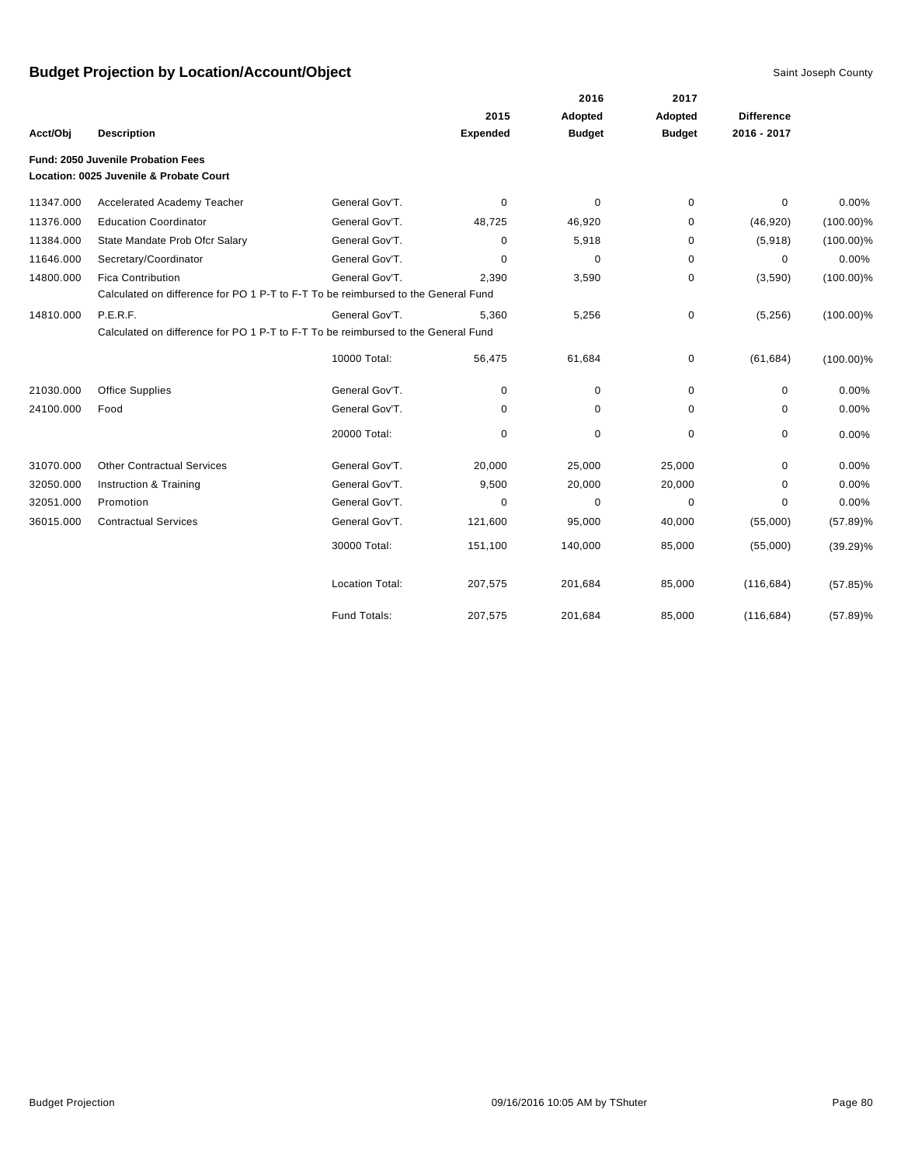|           |                                                                                   |                        |                 | 2016          | 2017          |                   |              |
|-----------|-----------------------------------------------------------------------------------|------------------------|-----------------|---------------|---------------|-------------------|--------------|
|           |                                                                                   |                        | 2015            | Adopted       | Adopted       | <b>Difference</b> |              |
| Acct/Obj  | <b>Description</b>                                                                |                        | <b>Expended</b> | <b>Budget</b> | <b>Budget</b> | 2016 - 2017       |              |
|           | Fund: 2050 Juvenile Probation Fees                                                |                        |                 |               |               |                   |              |
|           | Location: 0025 Juvenile & Probate Court                                           |                        |                 |               |               |                   |              |
| 11347.000 | Accelerated Academy Teacher                                                       | General Gov'T.         | 0               | 0             | 0             | 0                 | 0.00%        |
| 11376.000 | <b>Education Coordinator</b>                                                      | General Gov'T.         | 48,725          | 46,920        | 0             | (46, 920)         | $(100.00)\%$ |
| 11384.000 | State Mandate Prob Ofcr Salary                                                    | General Gov'T.         | 0               | 5,918         | 0             | (5,918)           | $(100.00)\%$ |
| 11646.000 | Secretary/Coordinator                                                             | General Gov'T.         | $\Omega$        | $\mathbf 0$   | 0             | $\mathbf 0$       | 0.00%        |
| 14800.000 | <b>Fica Contribution</b>                                                          | General Gov'T.         | 2,390           | 3,590         | 0             | (3,590)           | $(100.00)\%$ |
|           | Calculated on difference for PO 1 P-T to F-T To be reimbursed to the General Fund |                        |                 |               |               |                   |              |
| 14810.000 | P.E.R.F.                                                                          | General Gov'T.         | 5,360           | 5,256         | 0             | (5,256)           | $(100.00)\%$ |
|           | Calculated on difference for PO 1 P-T to F-T To be reimbursed to the General Fund |                        |                 |               |               |                   |              |
|           |                                                                                   | 10000 Total:           | 56,475          | 61,684        | 0             | (61, 684)         | $(100.00)\%$ |
| 21030.000 | <b>Office Supplies</b>                                                            | General Gov'T.         | 0               | 0             | 0             | 0                 | 0.00%        |
| 24100.000 | Food                                                                              | General Gov'T.         | 0               | 0             | 0             | 0                 | 0.00%        |
|           |                                                                                   | 20000 Total:           | 0               | 0             | 0             | 0                 | 0.00%        |
| 31070.000 | <b>Other Contractual Services</b>                                                 | General Gov'T.         | 20,000          | 25,000        | 25,000        | $\mathbf 0$       | 0.00%        |
| 32050.000 | Instruction & Training                                                            | General Gov'T.         | 9,500           | 20,000        | 20,000        | $\Omega$          | 0.00%        |
| 32051.000 | Promotion                                                                         | General Gov'T.         | 0               | 0             | 0             | 0                 | 0.00%        |
| 36015.000 | <b>Contractual Services</b>                                                       | General Gov'T.         | 121,600         | 95,000        | 40,000        | (55,000)          | $(57.89)\%$  |
|           |                                                                                   | 30000 Total:           | 151,100         | 140,000       | 85,000        | (55,000)          | $(39.29)\%$  |
|           |                                                                                   | <b>Location Total:</b> | 207,575         | 201,684       | 85,000        | (116, 684)        | $(57.85)\%$  |
|           |                                                                                   | Fund Totals:           | 207,575         | 201,684       | 85,000        | (116, 684)        | $(57.89)\%$  |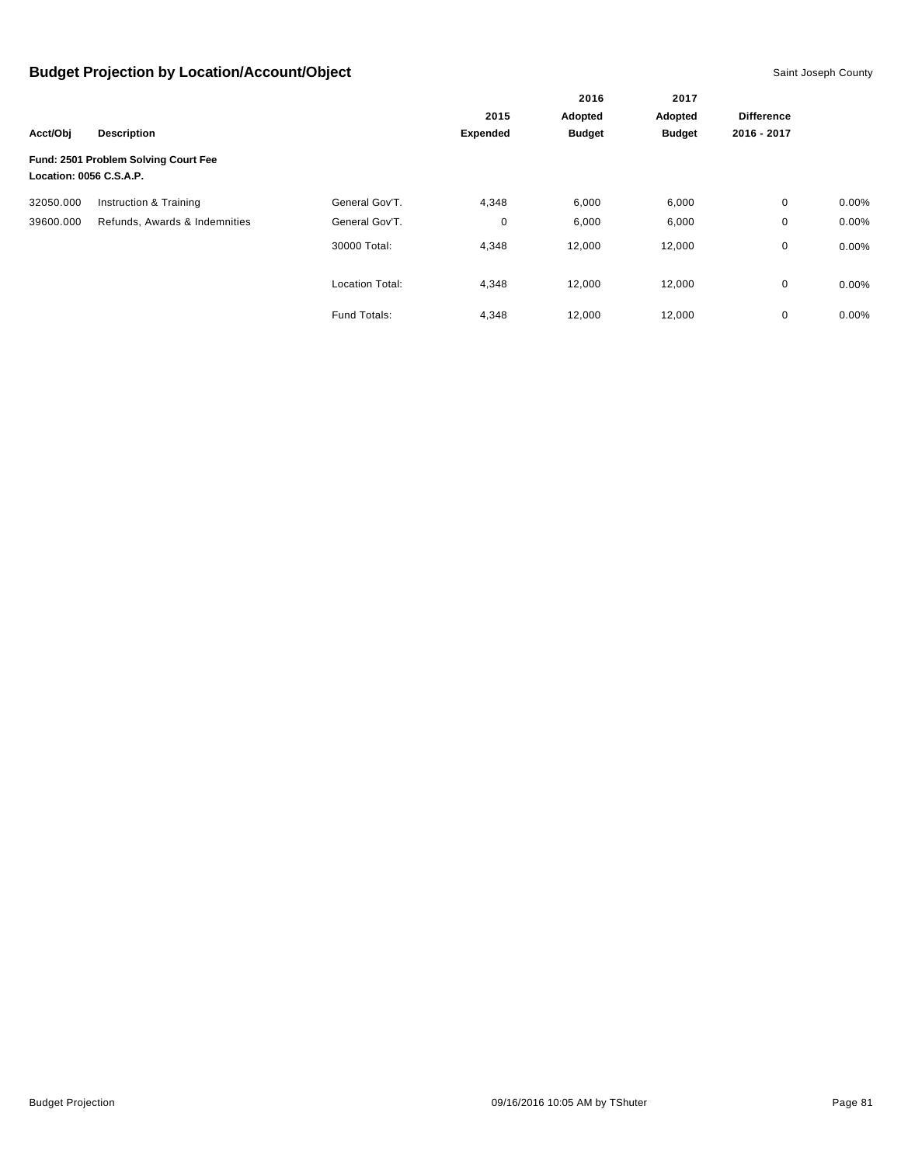|                         |                                      |                        |                         | 2016<br>Adopted | 2017<br>Adopted |                   |          |
|-------------------------|--------------------------------------|------------------------|-------------------------|-----------------|-----------------|-------------------|----------|
|                         |                                      |                        | 2015<br><b>Expended</b> |                 |                 | <b>Difference</b> |          |
| Acct/Obj                | <b>Description</b>                   |                        |                         | <b>Budget</b>   | <b>Budget</b>   | 2016 - 2017       |          |
| Location: 0056 C.S.A.P. | Fund: 2501 Problem Solving Court Fee |                        |                         |                 |                 |                   |          |
| 32050.000               | Instruction & Training               | General Gov'T.         | 4,348                   | 6,000           | 6,000           | 0                 | $0.00\%$ |
| 39600.000               | Refunds, Awards & Indemnities        | General Gov'T.         | 0                       | 6,000           | 6,000           | 0                 | 0.00%    |
|                         |                                      | 30000 Total:           | 4,348                   | 12,000          | 12,000          | 0                 | $0.00\%$ |
|                         |                                      | <b>Location Total:</b> | 4,348                   | 12,000          | 12,000          | 0                 | $0.00\%$ |
|                         |                                      | Fund Totals:           | 4,348                   | 12,000          | 12,000          | $\mathbf 0$       | 0.00%    |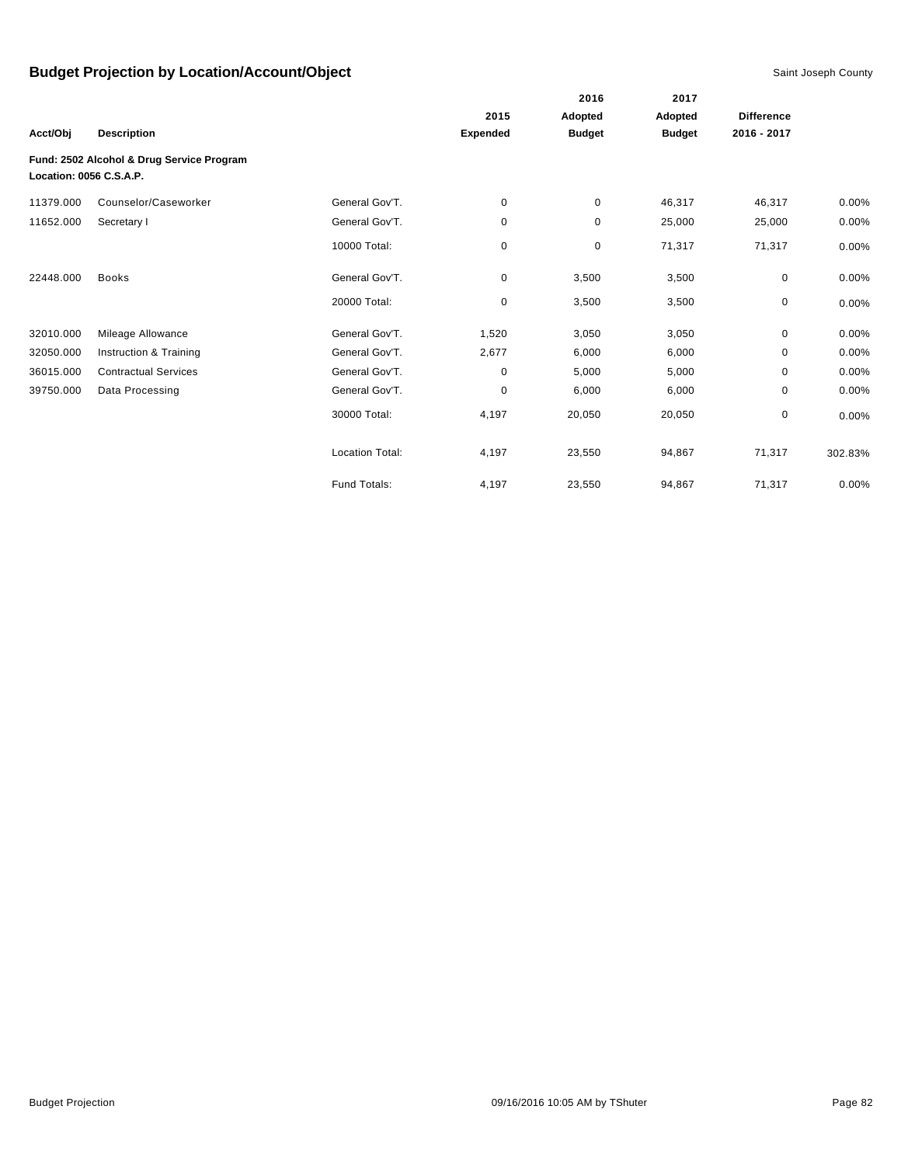|                         |                                           |                        |                 | 2016          | 2017          |                   |         |
|-------------------------|-------------------------------------------|------------------------|-----------------|---------------|---------------|-------------------|---------|
|                         |                                           |                        | 2015            | Adopted       | Adopted       | <b>Difference</b> |         |
| Acct/Obj                | <b>Description</b>                        |                        | <b>Expended</b> | <b>Budget</b> | <b>Budget</b> | 2016 - 2017       |         |
| Location: 0056 C.S.A.P. | Fund: 2502 Alcohol & Drug Service Program |                        |                 |               |               |                   |         |
| 11379.000               | Counselor/Caseworker                      | General Gov'T.         | 0               | $\mathbf 0$   | 46,317        | 46,317            | 0.00%   |
| 11652.000               | Secretary I                               | General Gov'T.         | 0               | $\mathbf 0$   | 25,000        | 25,000            | 0.00%   |
|                         |                                           | 10000 Total:           | 0               | $\pmb{0}$     | 71,317        | 71,317            | 0.00%   |
| 22448.000               | <b>Books</b>                              | General Gov'T.         | 0               | 3,500         | 3,500         | 0                 | 0.00%   |
|                         |                                           | 20000 Total:           | 0               | 3,500         | 3,500         | 0                 | 0.00%   |
| 32010.000               | Mileage Allowance                         | General Gov'T.         | 1,520           | 3,050         | 3,050         | $\mathbf 0$       | 0.00%   |
| 32050.000               | Instruction & Training                    | General Gov'T.         | 2,677           | 6,000         | 6,000         | 0                 | 0.00%   |
| 36015.000               | <b>Contractual Services</b>               | General Gov'T.         | 0               | 5,000         | 5,000         | 0                 | 0.00%   |
| 39750.000               | Data Processing                           | General Gov'T.         | 0               | 6,000         | 6,000         | 0                 | 0.00%   |
|                         |                                           | 30000 Total:           | 4,197           | 20,050        | 20,050        | 0                 | 0.00%   |
|                         |                                           | <b>Location Total:</b> | 4,197           | 23,550        | 94,867        | 71,317            | 302.83% |
|                         |                                           | Fund Totals:           | 4,197           | 23,550        | 94,867        | 71,317            | 0.00%   |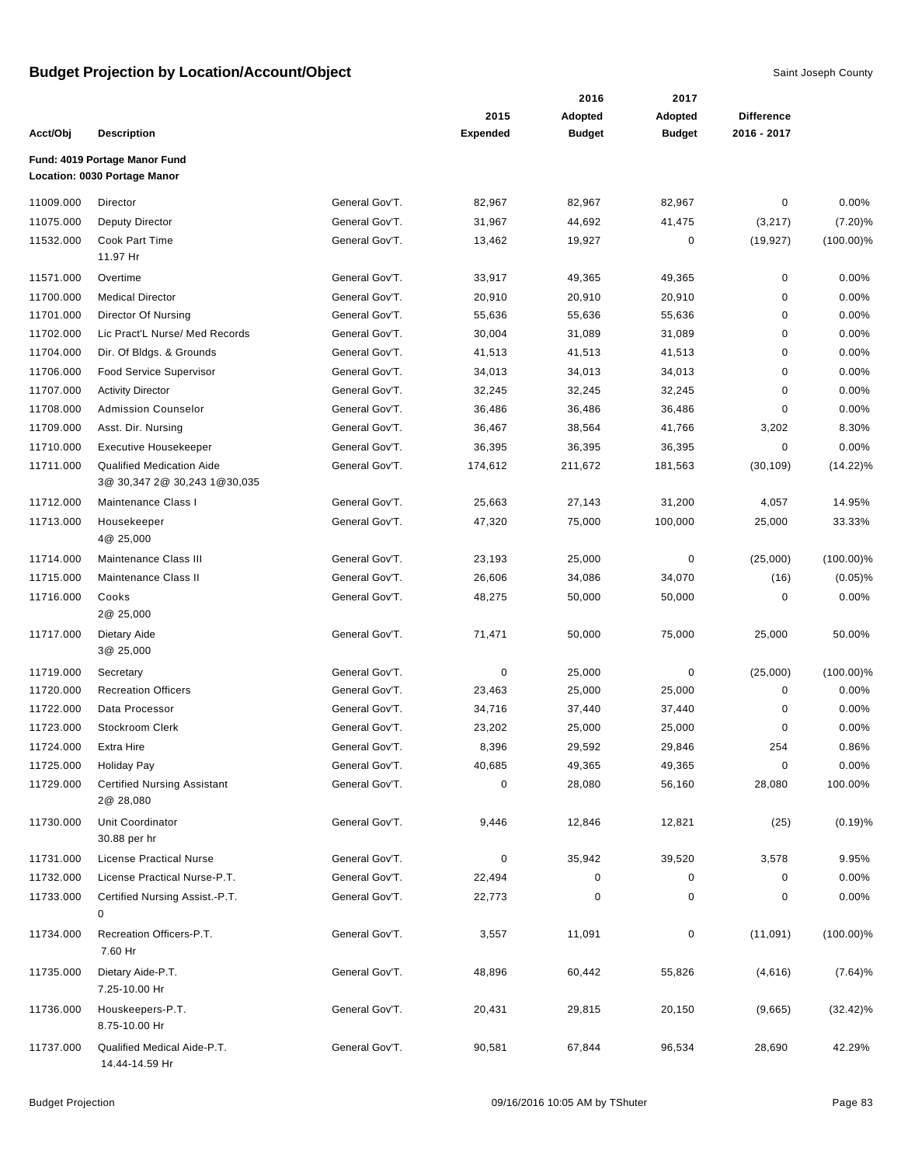|           |                                                                  |                |                 | 2016          | 2017          |                   |              |
|-----------|------------------------------------------------------------------|----------------|-----------------|---------------|---------------|-------------------|--------------|
|           |                                                                  |                | 2015            | Adopted       | Adopted       | <b>Difference</b> |              |
| Acct/Obj  | <b>Description</b>                                               |                | <b>Expended</b> | <b>Budget</b> | <b>Budget</b> | 2016 - 2017       |              |
|           | Fund: 4019 Portage Manor Fund<br>Location: 0030 Portage Manor    |                |                 |               |               |                   |              |
| 11009.000 | Director                                                         | General Gov'T. | 82,967          | 82,967        | 82,967        | 0                 | $0.00\%$     |
| 11075.000 | Deputy Director                                                  | General Gov'T. | 31,967          | 44,692        | 41,475        | (3,217)           | (7.20)%      |
| 11532.000 | Cook Part Time<br>11.97 Hr                                       | General Gov'T. | 13,462          | 19,927        | $\pmb{0}$     | (19, 927)         | $(100.00)\%$ |
| 11571.000 | Overtime                                                         | General Gov'T. | 33,917          | 49,365        | 49,365        | 0                 | 0.00%        |
| 11700.000 | <b>Medical Director</b>                                          | General Gov'T. | 20,910          | 20,910        | 20,910        | $\mathbf 0$       | 0.00%        |
| 11701.000 | Director Of Nursing                                              | General Gov'T. | 55,636          | 55,636        | 55,636        | 0                 | 0.00%        |
| 11702.000 | Lic Pract'L Nurse/ Med Records                                   | General Gov'T. | 30,004          | 31,089        | 31,089        | $\mathbf 0$       | 0.00%        |
| 11704.000 | Dir. Of Bldgs. & Grounds                                         | General Gov'T. | 41,513          | 41,513        | 41,513        | 0                 | 0.00%        |
| 11706.000 | Food Service Supervisor                                          | General Gov'T. | 34,013          | 34,013        | 34,013        | 0                 | 0.00%        |
| 11707.000 | <b>Activity Director</b>                                         | General Gov'T. | 32,245          | 32,245        | 32,245        | 0                 | 0.00%        |
| 11708.000 | <b>Admission Counselor</b>                                       | General Gov'T. | 36,486          | 36,486        | 36,486        | 0                 | 0.00%        |
| 11709.000 | Asst. Dir. Nursing                                               | General Gov'T. | 36,467          | 38,564        | 41,766        | 3,202             | 8.30%        |
| 11710.000 | Executive Housekeeper                                            | General Gov'T. | 36,395          | 36,395        | 36,395        | $\mathbf 0$       | 0.00%        |
| 11711.000 | <b>Qualified Medication Aide</b><br>3@ 30,347 2@ 30,243 1@30,035 | General Gov'T. | 174,612         | 211,672       | 181,563       | (30, 109)         | $(14.22)\%$  |
| 11712.000 | Maintenance Class I                                              | General Gov'T. | 25,663          | 27,143        | 31,200        | 4,057             | 14.95%       |
| 11713.000 | Housekeeper<br>4@ 25,000                                         | General Gov'T. | 47,320          | 75,000        | 100,000       | 25,000            | 33.33%       |
| 11714.000 | Maintenance Class III                                            | General Gov'T. | 23,193          | 25,000        | $\pmb{0}$     | (25,000)          | $(100.00)\%$ |
| 11715.000 | Maintenance Class II                                             | General Gov'T. | 26,606          | 34,086        | 34,070        | (16)              | $(0.05)$ %   |
| 11716.000 | Cooks<br>2@ 25,000                                               | General Gov'T. | 48,275          | 50,000        | 50,000        | 0                 | 0.00%        |
| 11717.000 | Dietary Aide<br>3@ 25,000                                        | General Gov'T. | 71,471          | 50,000        | 75,000        | 25,000            | 50.00%       |
| 11719.000 | Secretary                                                        | General Gov'T. | 0               | 25,000        | 0             | (25,000)          | $(100.00)\%$ |
| 11720.000 | <b>Recreation Officers</b>                                       | General Gov'T. | 23,463          | 25,000        | 25,000        | $\pmb{0}$         | 0.00%        |
| 11722.000 | Data Processor                                                   | General Gov'T. | 34,716          | 37,440        | 37,440        | 0                 | 0.00%        |
| 11723.000 | Stockroom Clerk                                                  | General Gov'T. | 23,202          | 25,000        | 25,000        | 0                 | $0.00\%$     |
| 11724.000 | Extra Hire                                                       | General Gov'T. | 8,396           | 29,592        | 29,846        | 254               | 0.86%        |
| 11725.000 | <b>Holiday Pay</b>                                               | General Gov'T. | 40,685          | 49,365        | 49,365        | $\pmb{0}$         | 0.00%        |
| 11729.000 | <b>Certified Nursing Assistant</b><br>2@ 28,080                  | General Gov'T. | 0               | 28,080        | 56,160        | 28,080            | 100.00%      |
| 11730.000 | Unit Coordinator<br>30.88 per hr                                 | General Gov'T. | 9,446           | 12,846        | 12,821        | (25)              | (0.19)%      |
| 11731.000 | License Practical Nurse                                          | General Gov'T. | 0               | 35,942        | 39,520        | 3,578             | 9.95%        |
| 11732.000 | License Practical Nurse-P.T.                                     | General Gov'T. | 22,494          | 0             | 0             | 0                 | 0.00%        |
| 11733.000 | Certified Nursing Assist.-P.T.<br>0                              | General Gov'T. | 22,773          | 0             | $\pmb{0}$     | 0                 | 0.00%        |
| 11734.000 | Recreation Officers-P.T.<br>7.60 Hr                              | General Gov'T. | 3,557           | 11,091        | $\pmb{0}$     | (11,091)          | $(100.00)\%$ |
| 11735.000 | Dietary Aide-P.T.<br>7.25-10.00 Hr                               | General Gov'T. | 48,896          | 60,442        | 55,826        | (4,616)           | $(7.64)\%$   |
| 11736.000 | Houskeepers-P.T.<br>8.75-10.00 Hr                                | General Gov'T. | 20,431          | 29,815        | 20,150        | (9,665)           | $(32.42)\%$  |
| 11737.000 | Qualified Medical Aide-P.T.<br>14.44-14.59 Hr                    | General Gov'T. | 90,581          | 67,844        | 96,534        | 28,690            | 42.29%       |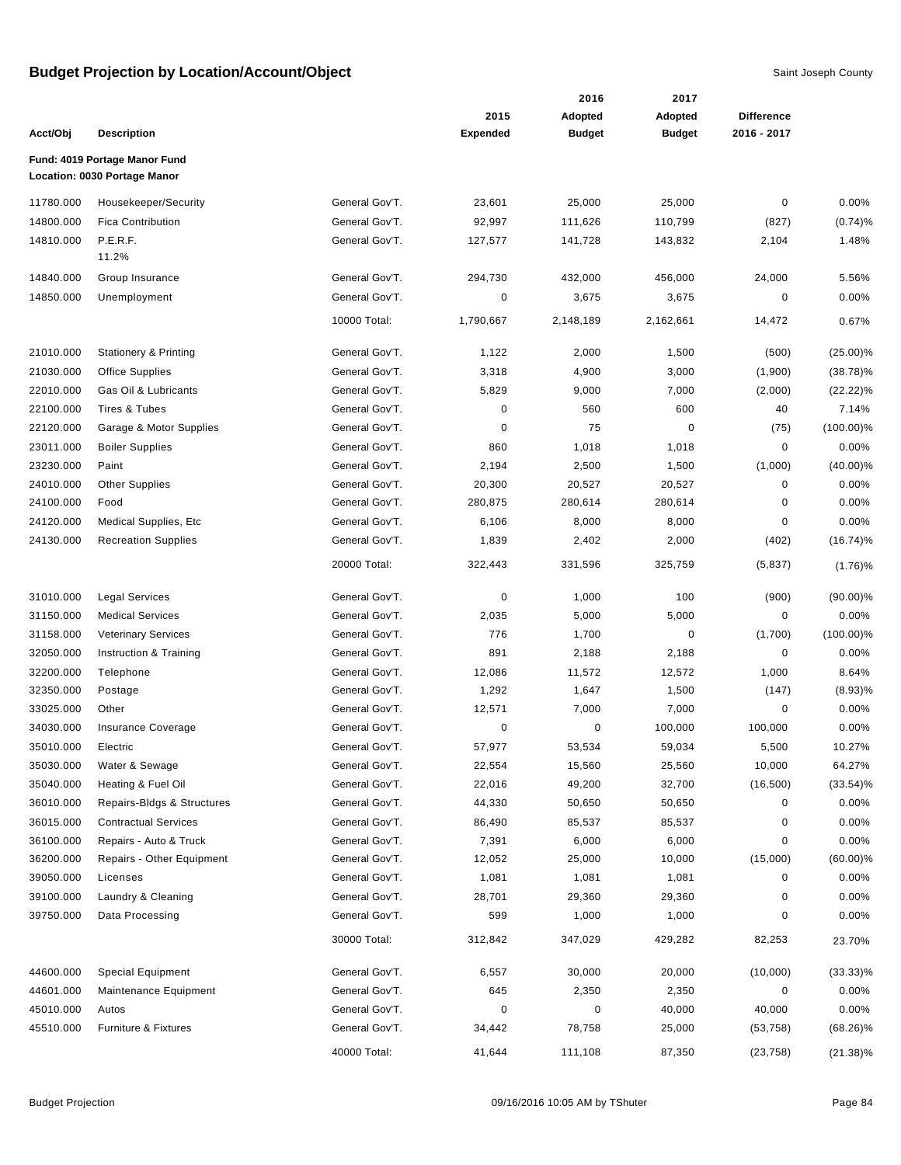|           |                                  |                |                 | 2016          | 2017          |                   |              |
|-----------|----------------------------------|----------------|-----------------|---------------|---------------|-------------------|--------------|
|           |                                  |                | 2015            | Adopted       | Adopted       | <b>Difference</b> |              |
| Acct/Obj  | <b>Description</b>               |                | <b>Expended</b> | <b>Budget</b> | <b>Budget</b> | 2016 - 2017       |              |
|           | Fund: 4019 Portage Manor Fund    |                |                 |               |               |                   |              |
|           | Location: 0030 Portage Manor     |                |                 |               |               |                   |              |
| 11780.000 | Housekeeper/Security             | General Gov'T. | 23,601          | 25,000        | 25,000        | 0                 | 0.00%        |
| 14800.000 | <b>Fica Contribution</b>         | General Gov'T. | 92,997          | 111,626       | 110,799       | (827)             | (0.74)%      |
| 14810.000 | P.E.R.F.                         | General Gov'T. | 127,577         | 141,728       | 143,832       | 2,104             | 1.48%        |
|           | 11.2%                            |                |                 |               |               |                   |              |
| 14840.000 | Group Insurance                  | General Gov'T. | 294,730         | 432,000       | 456,000       | 24,000            | 5.56%        |
| 14850.000 | Unemployment                     | General Gov'T. | 0               | 3,675         | 3,675         | 0                 | 0.00%        |
|           |                                  | 10000 Total:   | 1,790,667       | 2,148,189     | 2,162,661     | 14,472            | 0.67%        |
| 21010.000 | <b>Stationery &amp; Printing</b> | General Gov'T. | 1,122           | 2,000         | 1,500         | (500)             | $(25.00)\%$  |
| 21030.000 | <b>Office Supplies</b>           | General Gov'T. | 3,318           | 4,900         | 3,000         | (1,900)           | $(38.78)\%$  |
| 22010.000 | Gas Oil & Lubricants             | General Gov'T. | 5,829           | 9,000         | 7,000         | (2,000)           | (22.22)%     |
| 22100.000 | Tires & Tubes                    | General Gov'T. | $\pmb{0}$       | 560           | 600           | 40                | 7.14%        |
| 22120.000 | Garage & Motor Supplies          | General Gov'T. | $\pmb{0}$       | 75            | 0             | (75)              | $(100.00)\%$ |
| 23011.000 | <b>Boiler Supplies</b>           | General Gov'T. | 860             | 1,018         | 1,018         | $\mathbf 0$       | 0.00%        |
| 23230.000 | Paint                            | General Gov'T. | 2,194           | 2,500         | 1,500         | (1,000)           | $(40.00)\%$  |
| 24010.000 | <b>Other Supplies</b>            | General Gov'T. | 20,300          | 20,527        | 20,527        | $\pmb{0}$         | 0.00%        |
| 24100.000 | Food                             | General Gov'T. | 280,875         | 280,614       | 280,614       | 0                 | 0.00%        |
| 24120.000 | Medical Supplies, Etc            | General Gov'T. | 6,106           | 8,000         | 8,000         | 0                 | 0.00%        |
| 24130.000 | <b>Recreation Supplies</b>       | General Gov'T. | 1,839           | 2,402         | 2,000         | (402)             | $(16.74)\%$  |
|           |                                  | 20000 Total:   | 322,443         | 331,596       | 325,759       | (5,837)           | (1.76)%      |
| 31010.000 | <b>Legal Services</b>            | General Gov'T. | 0               | 1,000         | 100           | (900)             | $(90.00)\%$  |
| 31150.000 | <b>Medical Services</b>          | General Gov'T. | 2,035           | 5,000         | 5,000         | 0                 | 0.00%        |
| 31158.000 | <b>Veterinary Services</b>       | General Gov'T. | 776             | 1,700         | $\mathbf 0$   | (1,700)           | $(100.00)\%$ |
| 32050.000 | Instruction & Training           | General Gov'T. | 891             | 2,188         | 2,188         | 0                 | 0.00%        |
| 32200.000 | Telephone                        | General Gov'T. | 12,086          | 11,572        | 12,572        | 1,000             | 8.64%        |
| 32350.000 | Postage                          | General Gov'T. | 1,292           | 1,647         | 1,500         | (147)             | (8.93)%      |
| 33025.000 | Other                            | General Gov'T. | 12,571          | 7,000         | 7,000         | $\pmb{0}$         | 0.00%        |
| 34030.000 | Insurance Coverage               | General Gov'T. | 0               | 0             | 100,000       | 100,000           | 0.00%        |
| 35010.000 | Electric                         | General Gov'T. | 57,977          | 53,534        | 59,034        | 5,500             | 10.27%       |
| 35030.000 | Water & Sewage                   | General Gov'T. | 22,554          | 15,560        | 25,560        | 10,000            | 64.27%       |
| 35040.000 | Heating & Fuel Oil               | General Gov'T. | 22,016          | 49,200        | 32,700        | (16, 500)         | $(33.54)\%$  |
| 36010.000 | Repairs-Bldgs & Structures       | General Gov'T. | 44,330          | 50,650        | 50,650        | 0                 | 0.00%        |
| 36015.000 | <b>Contractual Services</b>      | General Gov'T. | 86,490          | 85,537        | 85,537        | 0                 | 0.00%        |
| 36100.000 | Repairs - Auto & Truck           | General Gov'T. | 7,391           | 6,000         | 6,000         | 0                 | 0.00%        |
| 36200.000 | Repairs - Other Equipment        | General Gov'T. | 12,052          | 25,000        | 10,000        | (15,000)          | $(60.00)\%$  |
| 39050.000 | Licenses                         | General Gov'T. | 1,081           | 1,081         | 1,081         | 0                 | 0.00%        |
| 39100.000 | Laundry & Cleaning               | General Gov'T. | 28,701          | 29,360        | 29,360        | 0                 | 0.00%        |
| 39750.000 | Data Processing                  | General Gov'T. | 599             | 1,000         | 1,000         | 0                 | 0.00%        |
|           |                                  | 30000 Total:   | 312,842         | 347,029       | 429,282       | 82,253            | 23.70%       |
| 44600.000 | <b>Special Equipment</b>         | General Gov'T. | 6,557           | 30,000        | 20,000        | (10,000)          | $(33.33)\%$  |
| 44601.000 | Maintenance Equipment            | General Gov'T. | 645             | 2,350         | 2,350         | 0                 | 0.00%        |
| 45010.000 | Autos                            | General Gov'T. | $\mathbf 0$     | $\pmb{0}$     | 40,000        | 40,000            | 0.00%        |
| 45510.000 | Furniture & Fixtures             | General Gov'T. | 34,442          | 78,758        | 25,000        | (53, 758)         | $(68.26)\%$  |
|           |                                  | 40000 Total:   | 41,644          | 111,108       | 87,350        | (23, 758)         | $(21.38)\%$  |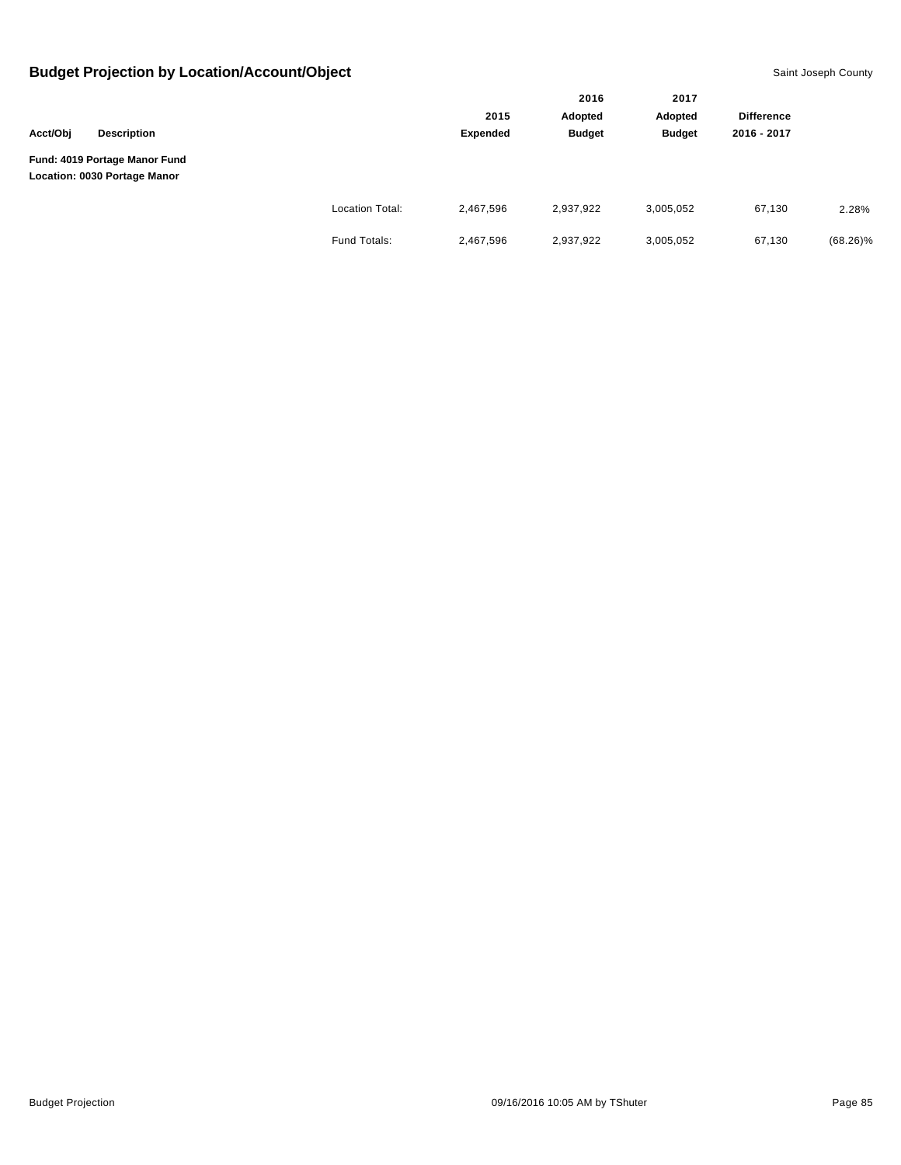|          |                                                               |                        |           | 2016          | 2017<br>Adopted | <b>Difference</b> |             |
|----------|---------------------------------------------------------------|------------------------|-----------|---------------|-----------------|-------------------|-------------|
|          |                                                               |                        | 2015      | Adopted       |                 |                   |             |
| Acct/Obj | <b>Description</b>                                            |                        | Expended  | <b>Budget</b> | <b>Budget</b>   | 2016 - 2017       |             |
|          | Fund: 4019 Portage Manor Fund<br>Location: 0030 Portage Manor |                        |           |               |                 |                   |             |
|          |                                                               | <b>Location Total:</b> | 2,467,596 | 2,937,922     | 3,005,052       | 67,130            | 2.28%       |
|          |                                                               | Fund Totals:           | 2,467,596 | 2,937,922     | 3,005,052       | 67,130            | $(68.26)\%$ |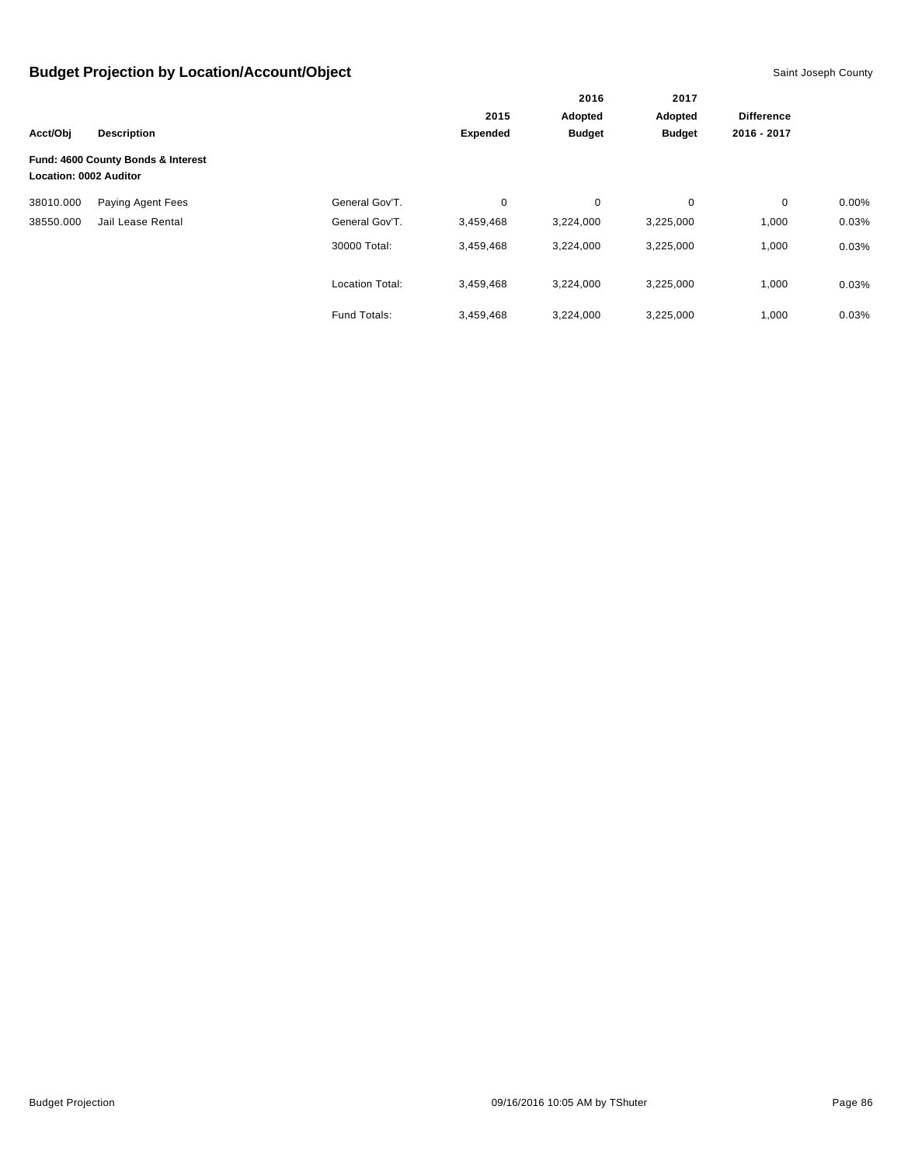|                               |                                    |                        |                 | 2016<br>Adopted | 2017<br>Adopted | <b>Difference</b> |          |
|-------------------------------|------------------------------------|------------------------|-----------------|-----------------|-----------------|-------------------|----------|
|                               |                                    |                        | 2015            |                 |                 |                   |          |
| Acct/Obj                      | <b>Description</b>                 |                        | <b>Expended</b> | <b>Budget</b>   | <b>Budget</b>   | 2016 - 2017       |          |
| <b>Location: 0002 Auditor</b> | Fund: 4600 County Bonds & Interest |                        |                 |                 |                 |                   |          |
| 38010.000                     | Paying Agent Fees                  | General Gov'T.         | 0               | 0               | 0               | $\mathbf 0$       | $0.00\%$ |
| 38550.000                     | Jail Lease Rental                  | General Gov'T.         | 3,459,468       | 3,224,000       | 3,225,000       | 1,000             | 0.03%    |
|                               |                                    | 30000 Total:           | 3,459,468       | 3,224,000       | 3,225,000       | 1,000             | 0.03%    |
|                               |                                    | <b>Location Total:</b> | 3,459,468       | 3,224,000       | 3,225,000       | 1,000             | 0.03%    |
|                               |                                    | Fund Totals:           | 3,459,468       | 3,224,000       | 3,225,000       | 1,000             | 0.03%    |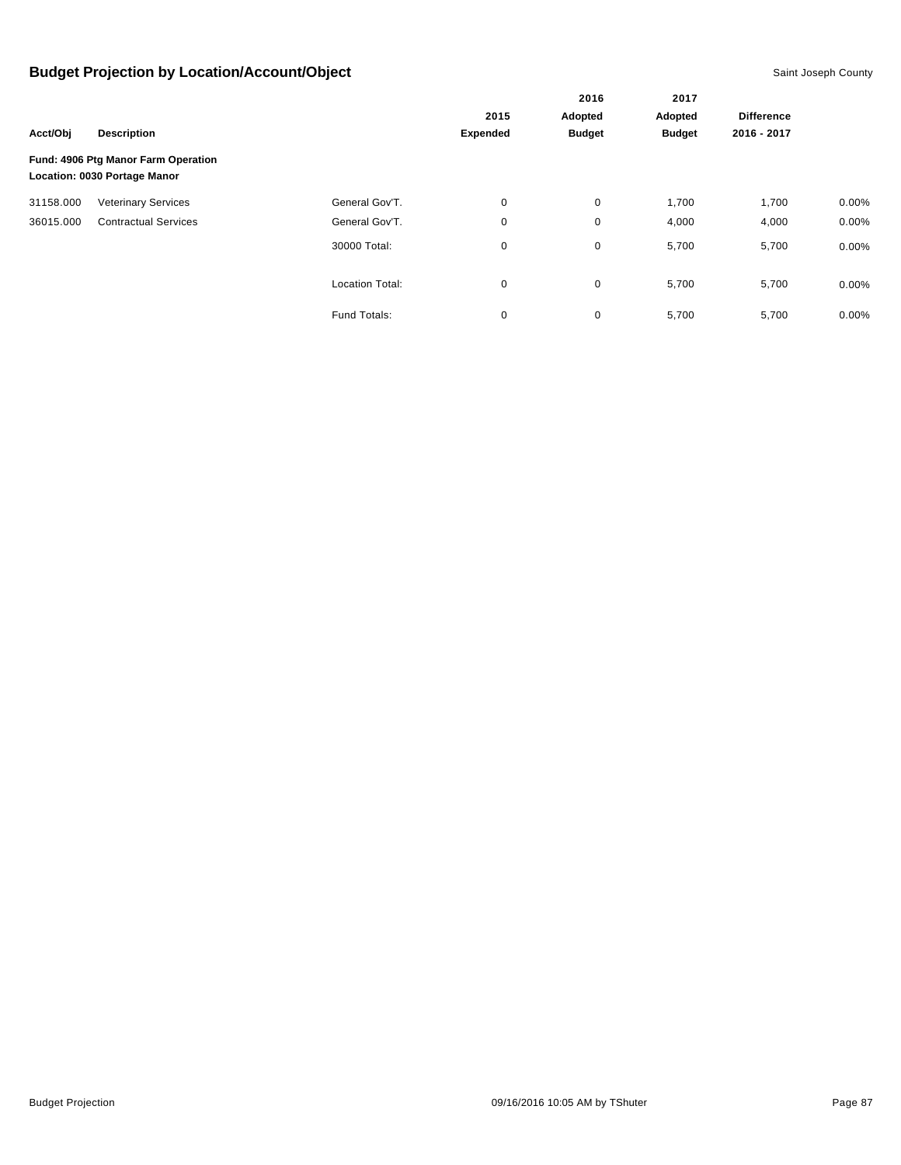|           |                                     |                        |          | 2016          | 2017          | <b>Difference</b> |          |
|-----------|-------------------------------------|------------------------|----------|---------------|---------------|-------------------|----------|
|           |                                     |                        | 2015     | Adopted       | Adopted       |                   |          |
| Acct/Obi  | <b>Description</b>                  |                        | Expended | <b>Budget</b> | <b>Budget</b> | 2016 - 2017       |          |
|           | Fund: 4906 Ptg Manor Farm Operation |                        |          |               |               |                   |          |
|           | Location: 0030 Portage Manor        |                        |          |               |               |                   |          |
| 31158.000 | <b>Veterinary Services</b>          | General Gov'T.         | 0        | 0             | 1,700         | 1,700             | $0.00\%$ |
| 36015.000 | <b>Contractual Services</b>         | General Gov'T.         | 0        | 0             | 4,000         | 4,000             | 0.00%    |
|           |                                     | 30000 Total:           | 0        | 0             | 5,700         | 5,700             | $0.00\%$ |
|           |                                     | <b>Location Total:</b> | 0        | 0             | 5,700         | 5,700             | $0.00\%$ |
|           |                                     | Fund Totals:           | 0        | 0             | 5,700         | 5,700             | 0.00%    |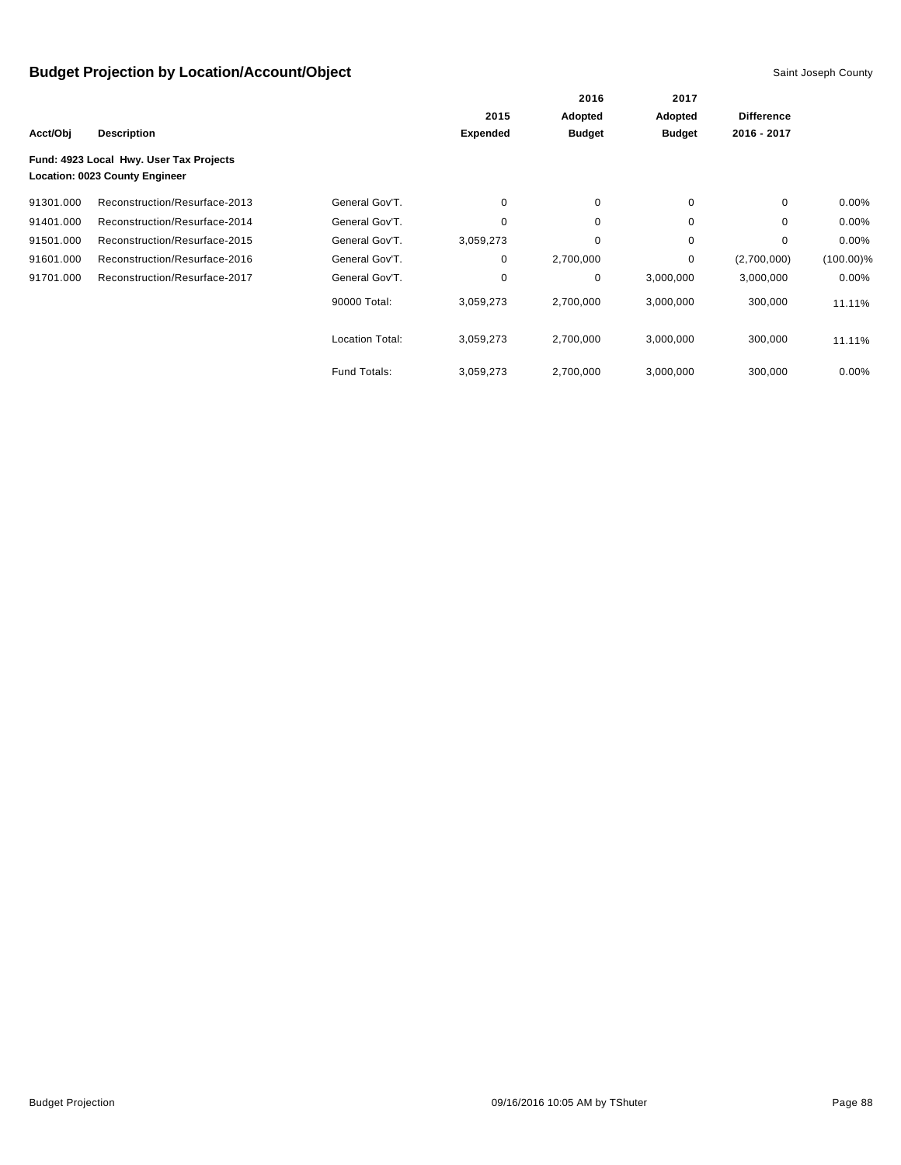|           |                                                                           |                        |                 | 2016          | 2017<br>Adopted | <b>Difference</b> |              |
|-----------|---------------------------------------------------------------------------|------------------------|-----------------|---------------|-----------------|-------------------|--------------|
|           |                                                                           |                        | 2015            | Adopted       |                 |                   |              |
| Acct/Obj  | <b>Description</b>                                                        |                        | <b>Expended</b> | <b>Budget</b> | <b>Budget</b>   | 2016 - 2017       |              |
|           | Fund: 4923 Local Hwy. User Tax Projects<br>Location: 0023 County Engineer |                        |                 |               |                 |                   |              |
| 91301.000 | Reconstruction/Resurface-2013                                             | General Gov'T.         | 0               | 0             | 0               | $\mathbf 0$       | 0.00%        |
| 91401.000 | Reconstruction/Resurface-2014                                             | General Gov'T.         | 0               | 0             | 0               | 0                 | 0.00%        |
| 91501.000 | Reconstruction/Resurface-2015                                             | General Gov'T.         | 3,059,273       | 0             | 0               | $\Omega$          | 0.00%        |
| 91601.000 | Reconstruction/Resurface-2016                                             | General Gov'T.         | 0               | 2,700,000     | 0               | (2,700,000)       | $(100.00)\%$ |
| 91701.000 | Reconstruction/Resurface-2017                                             | General Gov'T.         | 0               | 0             | 3,000,000       | 3,000,000         | $0.00\%$     |
|           |                                                                           | 90000 Total:           | 3,059,273       | 2,700,000     | 3,000,000       | 300,000           | 11.11%       |
|           |                                                                           | <b>Location Total:</b> | 3,059,273       | 2,700,000     | 3,000,000       | 300,000           | 11.11%       |
|           |                                                                           | Fund Totals:           | 3,059,273       | 2,700,000     | 3,000,000       | 300,000           | 0.00%        |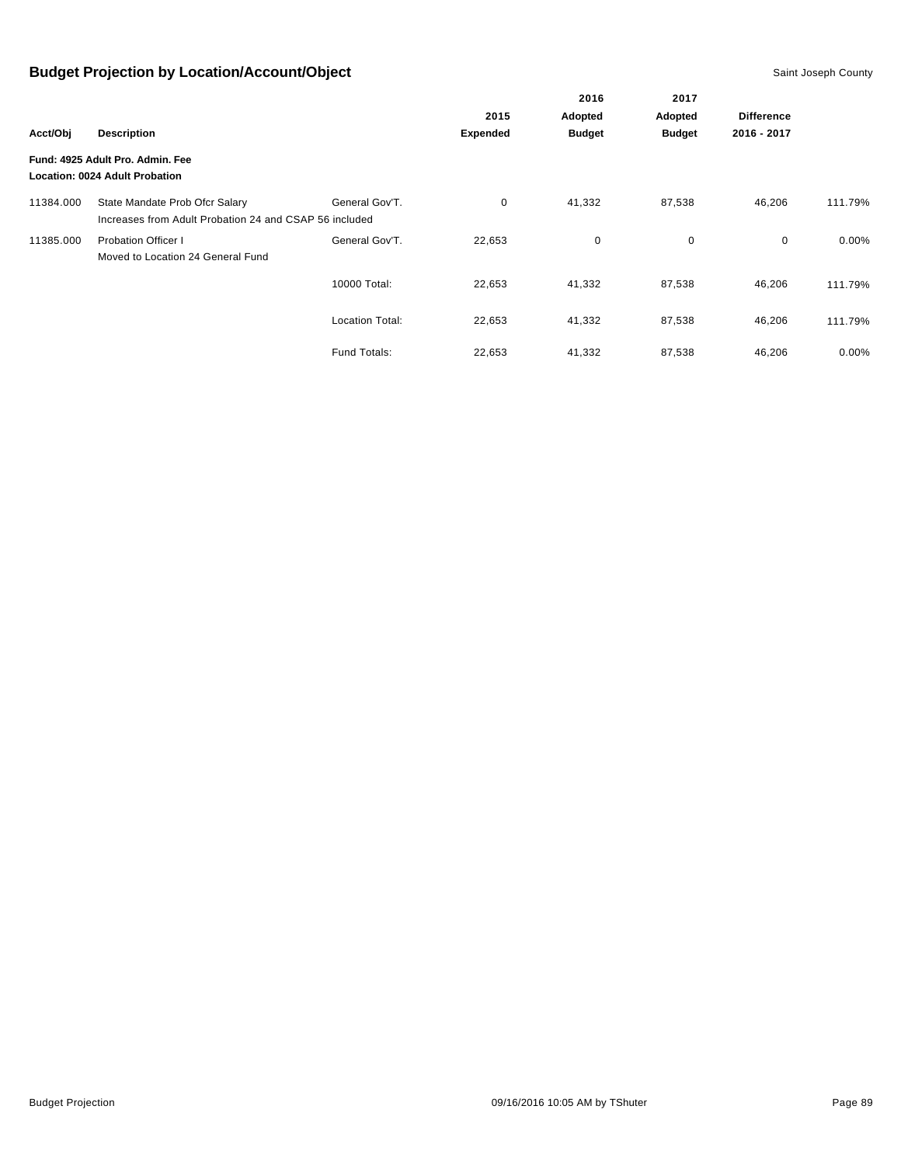|           |                                                                                          |                        |                 | 2016          | 2017              |             |          |
|-----------|------------------------------------------------------------------------------------------|------------------------|-----------------|---------------|-------------------|-------------|----------|
|           |                                                                                          | 2015                   | Adopted         | Adopted       | <b>Difference</b> |             |          |
| Acct/Obj  | <b>Description</b>                                                                       |                        | <b>Expended</b> | <b>Budget</b> | <b>Budget</b>     | 2016 - 2017 |          |
|           | Fund: 4925 Adult Pro. Admin. Fee<br>Location: 0024 Adult Probation                       |                        |                 |               |                   |             |          |
| 11384.000 | State Mandate Prob Ofcr Salary<br>Increases from Adult Probation 24 and CSAP 56 included | General Gov'T.         | 0               | 41,332        | 87,538            | 46,206      | 111.79%  |
| 11385.000 | <b>Probation Officer I</b><br>Moved to Location 24 General Fund                          | General Gov'T.         | 22,653          | 0             | 0                 | $\mathbf 0$ | $0.00\%$ |
|           |                                                                                          | 10000 Total:           | 22,653          | 41,332        | 87,538            | 46,206      | 111.79%  |
|           |                                                                                          | <b>Location Total:</b> | 22,653          | 41,332        | 87,538            | 46,206      | 111.79%  |
|           |                                                                                          | <b>Fund Totals:</b>    | 22,653          | 41,332        | 87,538            | 46,206      | 0.00%    |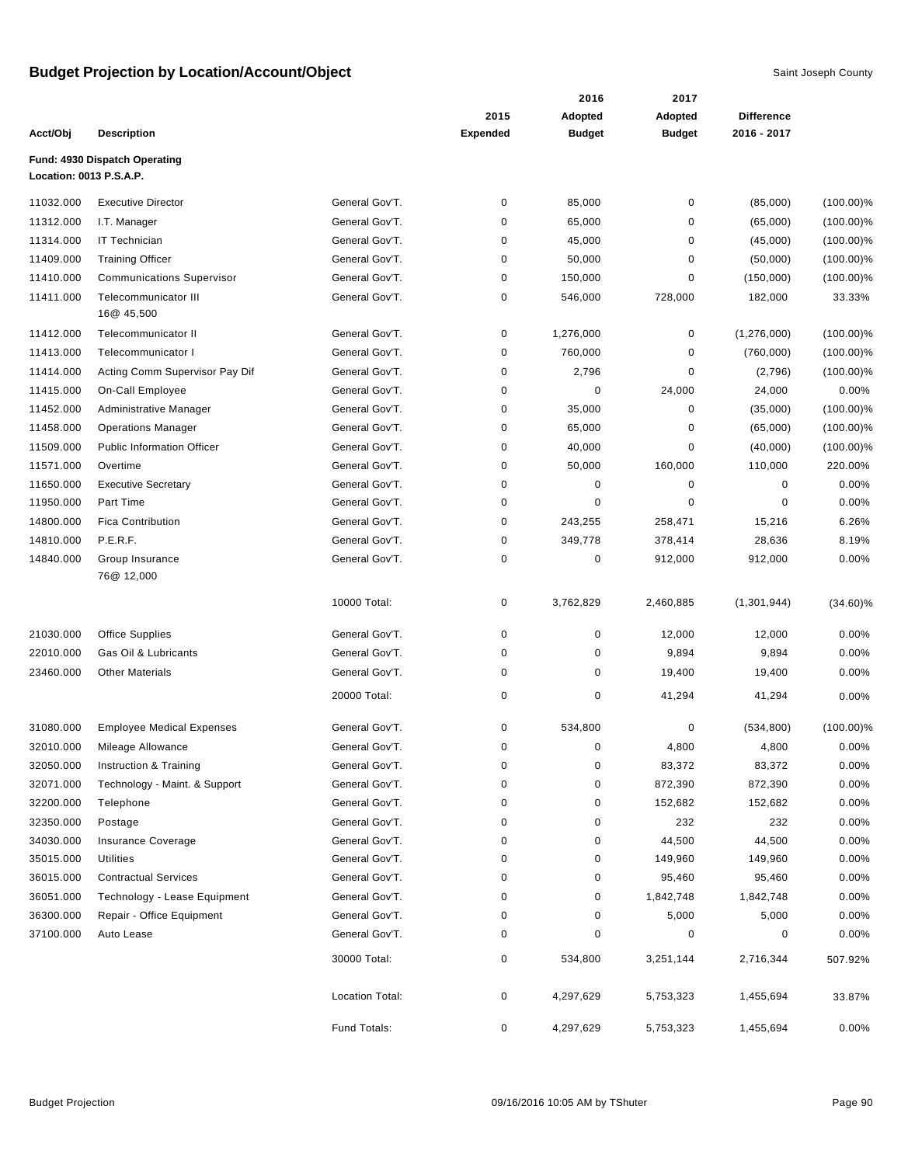|                         |                                           |                 | 2016            | 2017          |               |                   |              |
|-------------------------|-------------------------------------------|-----------------|-----------------|---------------|---------------|-------------------|--------------|
|                         |                                           |                 | 2015            | Adopted       | Adopted       | <b>Difference</b> |              |
| Acct/Obj                | <b>Description</b>                        |                 | <b>Expended</b> | <b>Budget</b> | <b>Budget</b> | 2016 - 2017       |              |
| Location: 0013 P.S.A.P. | Fund: 4930 Dispatch Operating             |                 |                 |               |               |                   |              |
| 11032.000               | <b>Executive Director</b>                 | General Gov'T.  | $\pmb{0}$       | 85,000        | $\pmb{0}$     | (85,000)          | $(100.00)\%$ |
| 11312.000               | I.T. Manager                              | General Gov'T.  | 0               | 65,000        | 0             | (65,000)          | $(100.00)\%$ |
| 11314.000               | <b>IT Technician</b>                      | General Gov'T.  | 0               | 45,000        | $\pmb{0}$     | (45,000)          | $(100.00)\%$ |
| 11409.000               | <b>Training Officer</b>                   | General Gov'T.  | 0               | 50,000        | 0             | (50,000)          | $(100.00)\%$ |
| 11410.000               | <b>Communications Supervisor</b>          | General Gov'T.  | $\pmb{0}$       | 150,000       | $\pmb{0}$     | (150,000)         | $(100.00)\%$ |
| 11411.000               | <b>Telecommunicator III</b><br>16@ 45,500 | General Gov'T.  | 0               | 546,000       | 728,000       | 182,000           | 33.33%       |
| 11412.000               | Telecommunicator II                       | General Gov'T.  | 0               | 1,276,000     | 0             | (1,276,000)       | $(100.00)\%$ |
| 11413.000               | Telecommunicator I                        | General Gov'T.  | $\pmb{0}$       | 760,000       | $\mathbf 0$   | (760,000)         | $(100.00)\%$ |
| 11414.000               | Acting Comm Supervisor Pay Dif            | General Gov'T.  | 0               | 2,796         | 0             | (2,796)           | $(100.00)\%$ |
| 11415.000               | On-Call Employee                          | General Gov'T.  | 0               | 0             | 24,000        | 24,000            | 0.00%        |
| 11452.000               | Administrative Manager                    | General Gov'T.  | 0               | 35,000        | $\pmb{0}$     | (35,000)          | $(100.00)\%$ |
| 11458.000               | <b>Operations Manager</b>                 | General Gov'T.  | $\pmb{0}$       | 65,000        | 0             | (65,000)          | $(100.00)\%$ |
| 11509.000               | <b>Public Information Officer</b>         | General Gov'T.  | 0               | 40,000        | 0             | (40,000)          | $(100.00)\%$ |
| 11571.000               | Overtime                                  | General Gov'T.  | $\pmb{0}$       | 50,000        | 160,000       | 110,000           | 220.00%      |
| 11650.000               | <b>Executive Secretary</b>                | General Gov'T.  | 0               | 0             | 0             | 0                 | 0.00%        |
| 11950.000               | Part Time                                 | General Gov'T.  | $\pmb{0}$       | $\mathbf 0$   | $\mathbf 0$   | $\mathbf 0$       | 0.00%        |
| 14800.000               | <b>Fica Contribution</b>                  | General Gov'T.  | 0               | 243,255       | 258,471       | 15,216            | 6.26%        |
| 14810.000               | P.E.R.F.                                  | General Gov'T.  | 0               | 349,778       | 378,414       | 28,636            | 8.19%        |
| 14840.000               | Group Insurance<br>76@ 12,000             | General Gov'T.  | 0               | $\pmb{0}$     | 912,000       | 912,000           | 0.00%        |
|                         |                                           | 10000 Total:    | $\pmb{0}$       | 3,762,829     | 2,460,885     | (1,301,944)       | $(34.60)\%$  |
| 21030.000               | <b>Office Supplies</b>                    | General Gov'T.  | $\pmb{0}$       | $\pmb{0}$     | 12,000        | 12,000            | 0.00%        |
| 22010.000               | Gas Oil & Lubricants                      | General Gov'T.  | 0               | 0             | 9,894         | 9,894             | 0.00%        |
| 23460.000               | <b>Other Materials</b>                    | General Gov'T.  | 0               | 0             | 19,400        | 19,400            | 0.00%        |
|                         |                                           | 20000 Total:    | $\mathbf 0$     | $\pmb{0}$     | 41,294        | 41,294            | 0.00%        |
| 31080.000               | <b>Employee Medical Expenses</b>          | General Gov'T.  | $\mathbf 0$     | 534,800       | 0             | (534, 800)        | $(100.00)\%$ |
| 32010.000               | Mileage Allowance                         | General Gov'T.  | 0               | 0             | 4,800         | 4,800             | 0.00%        |
| 32050.000               | Instruction & Training                    | General Gov'T.  | $\pmb{0}$       | $\pmb{0}$     | 83,372        | 83,372            | 0.00%        |
| 32071.000               | Technology - Maint. & Support             | General Gov'T.  | 0               | 0             | 872,390       | 872,390           | $0.00\%$     |
| 32200.000               | Telephone                                 | General Gov'T.  | 0               | 0             | 152,682       | 152,682           | 0.00%        |
| 32350.000               | Postage                                   | General Gov'T.  | 0               | $\pmb{0}$     | 232           | 232               | 0.00%        |
| 34030.000               | <b>Insurance Coverage</b>                 | General Gov'T.  | 0               | $\pmb{0}$     | 44,500        | 44,500            | 0.00%        |
| 35015.000               | Utilities                                 | General Gov'T.  | 0               | 0             | 149,960       | 149,960           | 0.00%        |
| 36015.000               | <b>Contractual Services</b>               | General Gov'T.  | $\pmb{0}$       | $\pmb{0}$     | 95,460        | 95,460            | 0.00%        |
| 36051.000               | Technology - Lease Equipment              | General Gov'T.  | 0               | 0             | 1,842,748     | 1,842,748         | 0.00%        |
| 36300.000               | Repair - Office Equipment                 | General Gov'T.  | 0               | $\pmb{0}$     | 5,000         | 5,000             | 0.00%        |
| 37100.000               | Auto Lease                                | General Gov'T.  | 0               | 0             | 0             | 0                 | 0.00%        |
|                         |                                           | 30000 Total:    | 0               | 534,800       | 3,251,144     | 2,716,344         | 507.92%      |
|                         |                                           | Location Total: | 0               | 4,297,629     | 5,753,323     | 1,455,694         | 33.87%       |
|                         |                                           | Fund Totals:    | 0               | 4,297,629     | 5,753,323     | 1,455,694         | 0.00%        |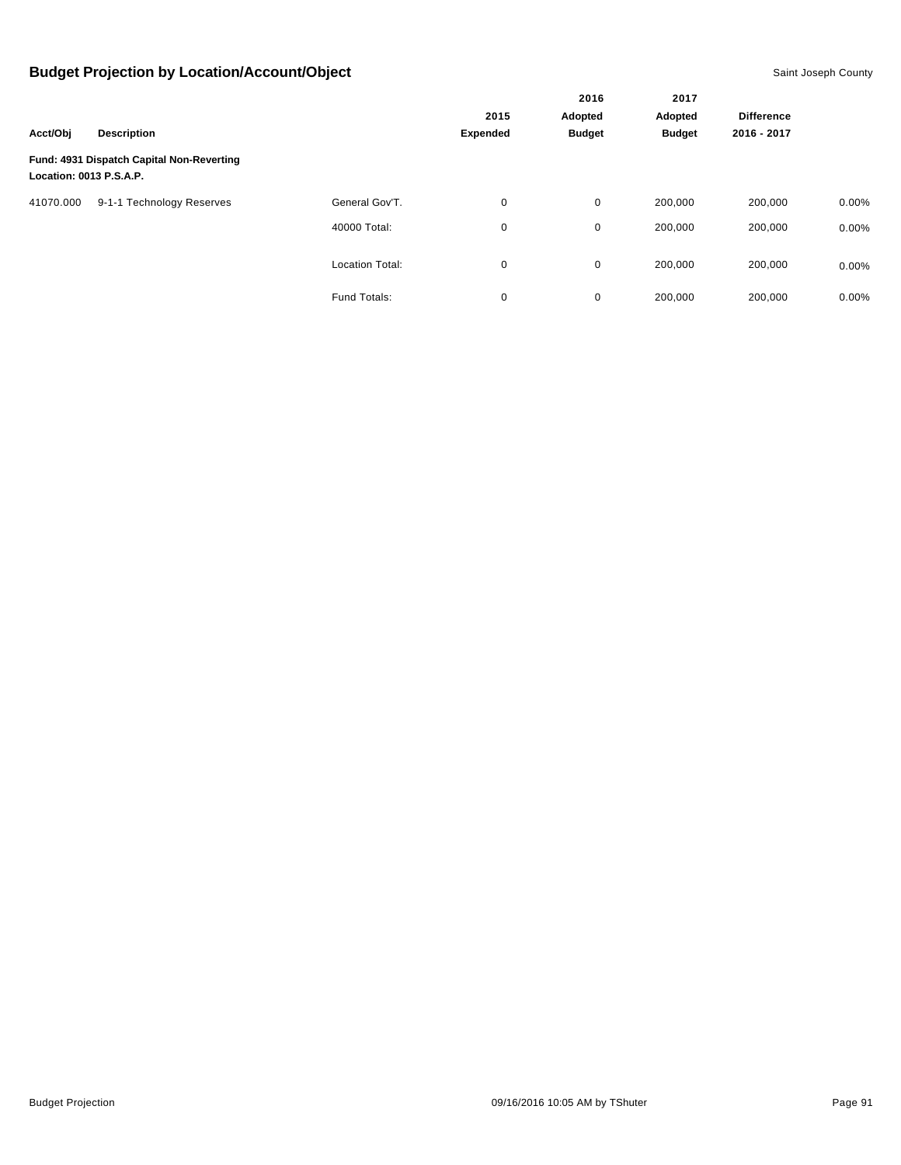| Acct/Obj<br><b>Description</b> |                                           |                        |                 | 2016                     | 2017<br>Adopted |                   |          |
|--------------------------------|-------------------------------------------|------------------------|-----------------|--------------------------|-----------------|-------------------|----------|
|                                |                                           |                        | 2015            | Adopted<br><b>Budget</b> |                 | <b>Difference</b> |          |
|                                |                                           |                        | <b>Expended</b> |                          | <b>Budget</b>   | 2016 - 2017       |          |
| Location: 0013 P.S.A.P.        | Fund: 4931 Dispatch Capital Non-Reverting |                        |                 |                          |                 |                   |          |
| 41070.000                      | 9-1-1 Technology Reserves                 | General Gov'T.         | 0               | 0                        | 200,000         | 200,000           | $0.00\%$ |
|                                |                                           | 40000 Total:           | 0               | 0                        | 200,000         | 200,000           | 0.00%    |
|                                |                                           | <b>Location Total:</b> | 0               | 0                        | 200,000         | 200,000           | $0.00\%$ |
|                                |                                           | Fund Totals:           | 0               | 0                        | 200,000         | 200,000           | 0.00%    |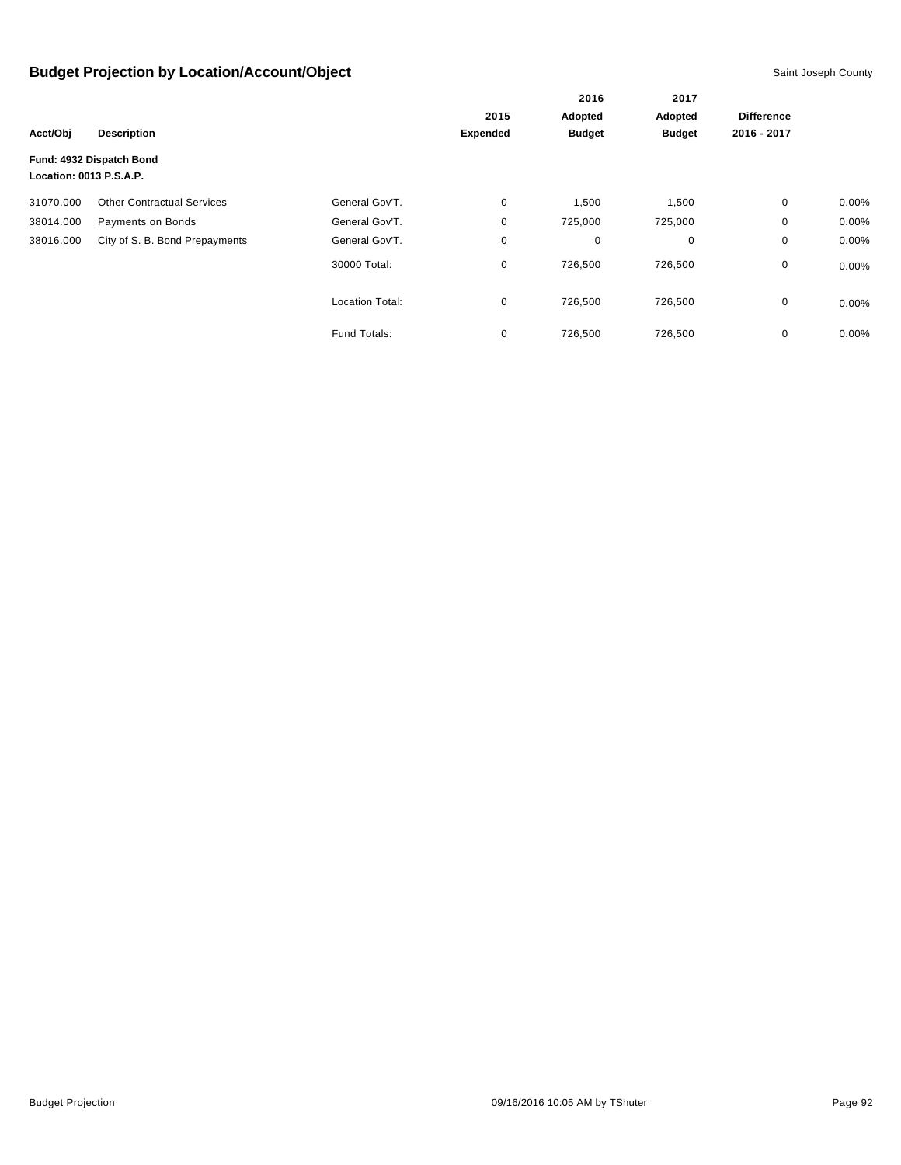|                         |                                   |                        | 2015     | Adopted       | Adopted       | <b>Difference</b> |          |
|-------------------------|-----------------------------------|------------------------|----------|---------------|---------------|-------------------|----------|
| Acct/Obj                | <b>Description</b>                |                        | Expended | <b>Budget</b> | <b>Budget</b> | 2016 - 2017       |          |
| Location: 0013 P.S.A.P. | Fund: 4932 Dispatch Bond          |                        |          |               |               |                   |          |
| 31070.000               | <b>Other Contractual Services</b> | General Gov'T.         | 0        | 1,500         | 1,500         | 0                 | $0.00\%$ |
| 38014.000               | Payments on Bonds                 | General Gov'T.         | 0        | 725,000       | 725,000       | 0                 | 0.00%    |
| 38016.000               | City of S. B. Bond Prepayments    | General Gov'T.         | 0        | 0             | 0             | 0                 | 0.00%    |
|                         |                                   | 30000 Total:           | 0        | 726,500       | 726,500       | 0                 | $0.00\%$ |
|                         |                                   | <b>Location Total:</b> | 0        | 726,500       | 726,500       | 0                 | $0.00\%$ |
|                         |                                   | Fund Totals:           | 0        | 726,500       | 726,500       | 0                 | 0.00%    |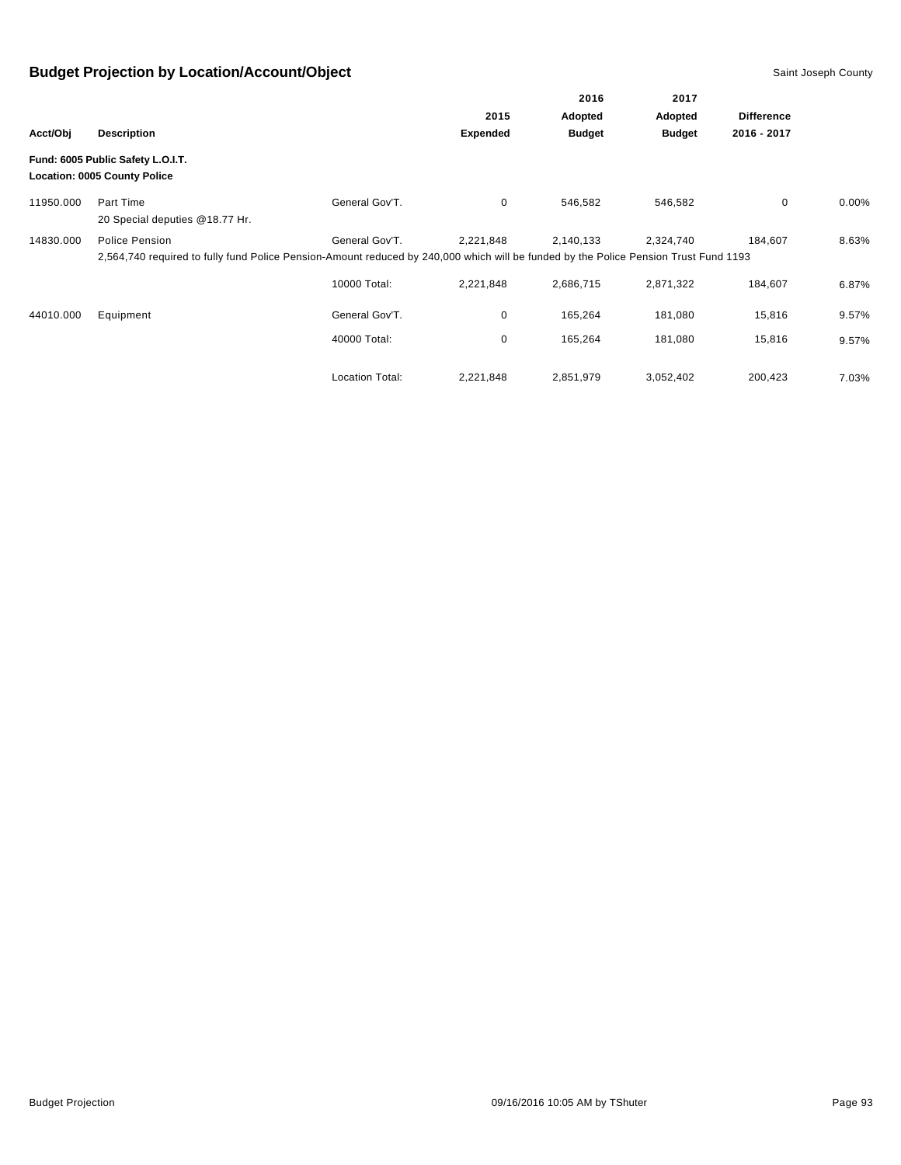|           |                                                                                                                                                        |                        |                 | 2016<br>Adopted | 2017<br>Adopted |                   |          |
|-----------|--------------------------------------------------------------------------------------------------------------------------------------------------------|------------------------|-----------------|-----------------|-----------------|-------------------|----------|
|           |                                                                                                                                                        |                        | 2015            |                 |                 | <b>Difference</b> |          |
| Acct/Obj  | <b>Description</b>                                                                                                                                     |                        | <b>Expended</b> | <b>Budget</b>   | <b>Budget</b>   | 2016 - 2017       |          |
|           | Fund: 6005 Public Safety L.O.I.T.<br><b>Location: 0005 County Police</b>                                                                               |                        |                 |                 |                 |                   |          |
| 11950.000 | Part Time<br>20 Special deputies @18.77 Hr.                                                                                                            | General Gov'T.         | 0               | 546,582         | 546,582         | 0                 | $0.00\%$ |
| 14830.000 | Police Pension<br>2,564,740 required to fully fund Police Pension-Amount reduced by 240,000 which will be funded by the Police Pension Trust Fund 1193 | General Gov'T.         | 2,221,848       | 2,140,133       | 2,324,740       | 184.607           | 8.63%    |
|           |                                                                                                                                                        | 10000 Total:           | 2,221,848       | 2,686,715       | 2,871,322       | 184,607           | 6.87%    |
| 44010.000 | Equipment                                                                                                                                              | General Gov'T.         | 0               | 165,264         | 181,080         | 15,816            | 9.57%    |
|           |                                                                                                                                                        | 40000 Total:           | 0               | 165,264         | 181,080         | 15,816            | 9.57%    |
|           |                                                                                                                                                        | <b>Location Total:</b> | 2,221,848       | 2,851,979       | 3,052,402       | 200,423           | 7.03%    |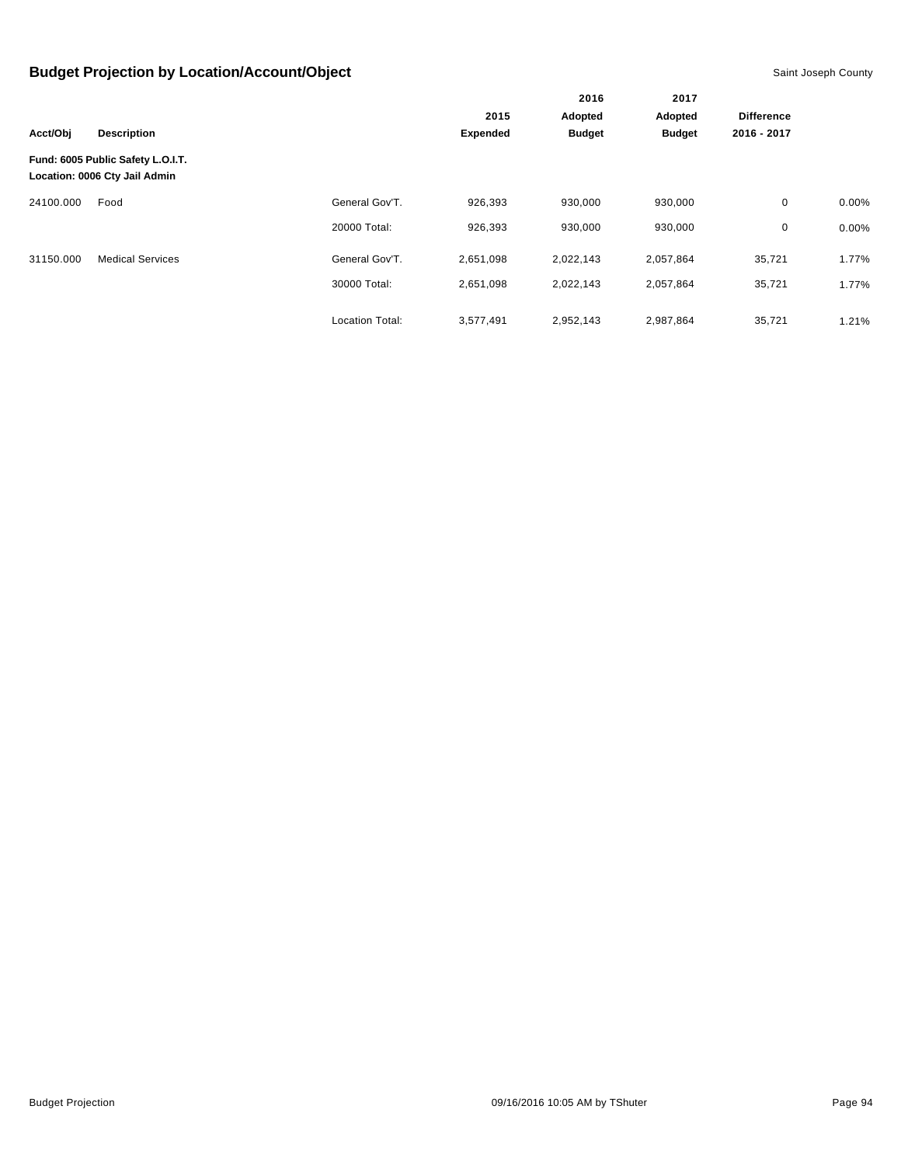|           |                                                                    |                        |                 | 2016          | 2017          |                   |          |
|-----------|--------------------------------------------------------------------|------------------------|-----------------|---------------|---------------|-------------------|----------|
|           |                                                                    |                        | 2015            | Adopted       | Adopted       | <b>Difference</b> |          |
| Acct/Obj  | <b>Description</b>                                                 |                        | <b>Expended</b> | <b>Budget</b> | <b>Budget</b> | 2016 - 2017       |          |
|           | Fund: 6005 Public Safety L.O.I.T.<br>Location: 0006 Cty Jail Admin |                        |                 |               |               |                   |          |
| 24100.000 | Food                                                               | General Gov'T.         | 926,393         | 930,000       | 930,000       | $\mathbf 0$       | $0.00\%$ |
|           |                                                                    | 20000 Total:           | 926,393         | 930,000       | 930,000       | 0                 | $0.00\%$ |
| 31150.000 | <b>Medical Services</b>                                            | General Gov'T.         | 2,651,098       | 2,022,143     | 2,057,864     | 35,721            | 1.77%    |
|           |                                                                    | 30000 Total:           | 2,651,098       | 2,022,143     | 2,057,864     | 35,721            | 1.77%    |
|           |                                                                    | <b>Location Total:</b> | 3,577,491       | 2,952,143     | 2,987,864     | 35,721            | 1.21%    |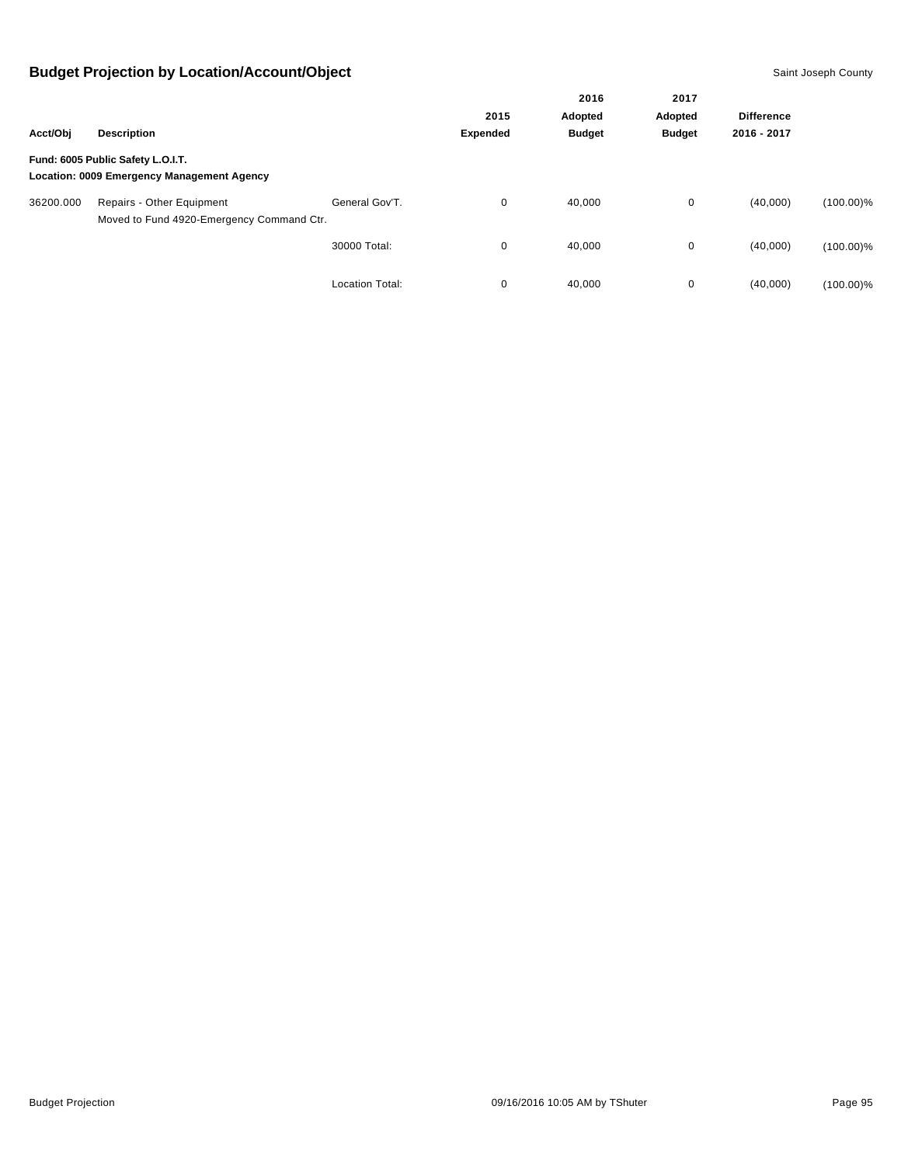|           |                                                                                 |                        |                 | 2016<br>Adopted | 2017<br>Adopted | <b>Difference</b> |              |
|-----------|---------------------------------------------------------------------------------|------------------------|-----------------|-----------------|-----------------|-------------------|--------------|
|           |                                                                                 |                        | 2015            |                 |                 |                   |              |
| Acct/Obj  | <b>Description</b>                                                              |                        | <b>Expended</b> | <b>Budget</b>   | <b>Budget</b>   | 2016 - 2017       |              |
|           | Fund: 6005 Public Safety L.O.I.T.<br>Location: 0009 Emergency Management Agency |                        |                 |                 |                 |                   |              |
| 36200.000 | Repairs - Other Equipment<br>Moved to Fund 4920-Emergency Command Ctr.          | General Gov'T.         | 0               | 40,000          | 0               | (40,000)          | $(100.00)\%$ |
|           |                                                                                 | 30000 Total:           | 0               | 40.000          | 0               | (40,000)          | $(100.00)\%$ |
|           |                                                                                 | <b>Location Total:</b> | 0               | 40,000          | 0               | (40,000)          | $(100.00)\%$ |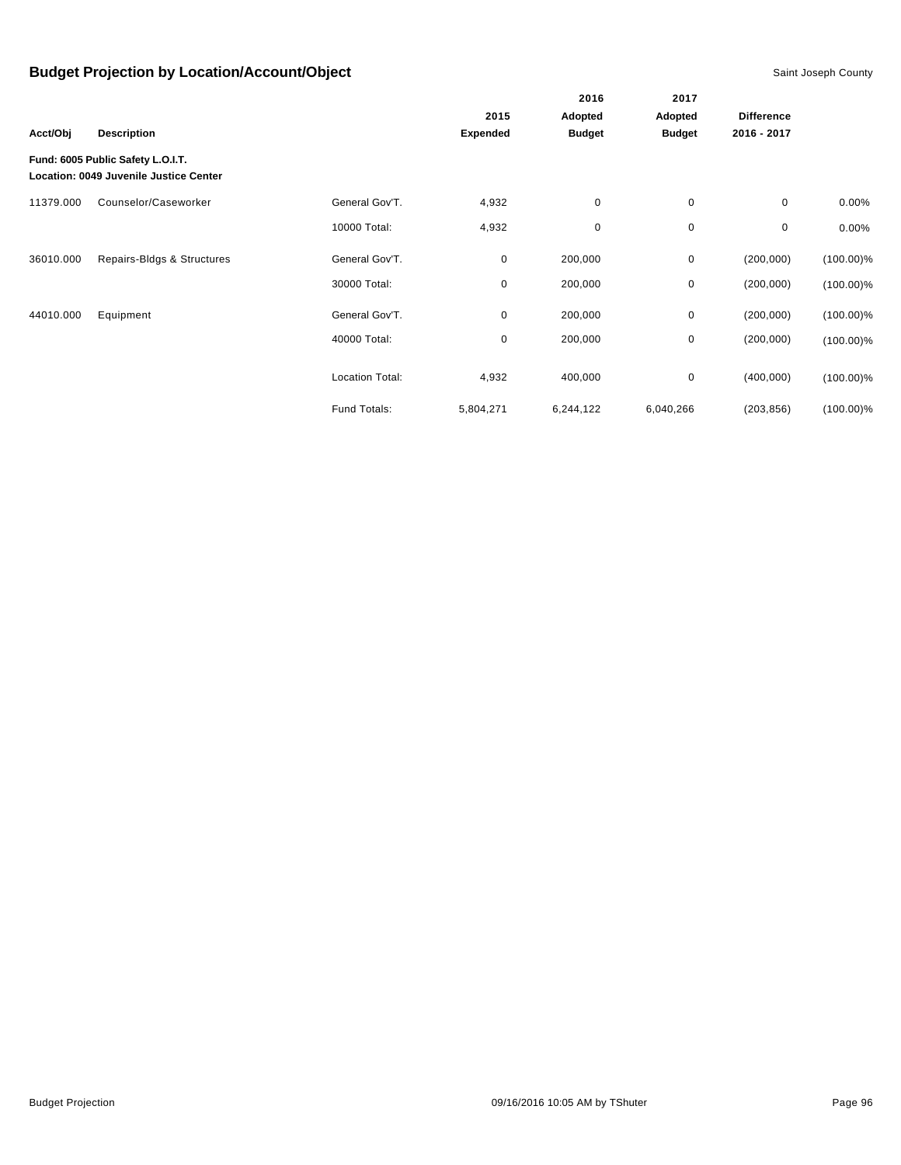|           |                                                                             |                        |                 | 2016          | 2017          | <b>Difference</b> |              |
|-----------|-----------------------------------------------------------------------------|------------------------|-----------------|---------------|---------------|-------------------|--------------|
|           |                                                                             |                        | 2015            | Adopted       | Adopted       |                   |              |
| Acct/Obj  | <b>Description</b>                                                          |                        | <b>Expended</b> | <b>Budget</b> | <b>Budget</b> | 2016 - 2017       |              |
|           | Fund: 6005 Public Safety L.O.I.T.<br>Location: 0049 Juvenile Justice Center |                        |                 |               |               |                   |              |
| 11379.000 | Counselor/Caseworker                                                        | General Gov'T.         | 4,932           | 0             | $\pmb{0}$     | 0                 | 0.00%        |
|           |                                                                             | 10000 Total:           | 4,932           | 0             | 0             | 0                 | 0.00%        |
| 36010.000 | Repairs-Bldgs & Structures                                                  | General Gov'T.         | 0               | 200,000       | 0             | (200,000)         | $(100.00)\%$ |
|           |                                                                             | 30000 Total:           | 0               | 200,000       | 0             | (200,000)         | $(100.00)\%$ |
| 44010.000 | Equipment                                                                   | General Gov'T.         | 0               | 200,000       | 0             | (200,000)         | $(100.00)\%$ |
|           |                                                                             | 40000 Total:           | 0               | 200,000       | 0             | (200,000)         | $(100.00)\%$ |
|           |                                                                             | <b>Location Total:</b> | 4,932           | 400,000       | 0             | (400,000)         | $(100.00)\%$ |
|           |                                                                             | Fund Totals:           | 5,804,271       | 6,244,122     | 6,040,266     | (203, 856)        | $(100.00)\%$ |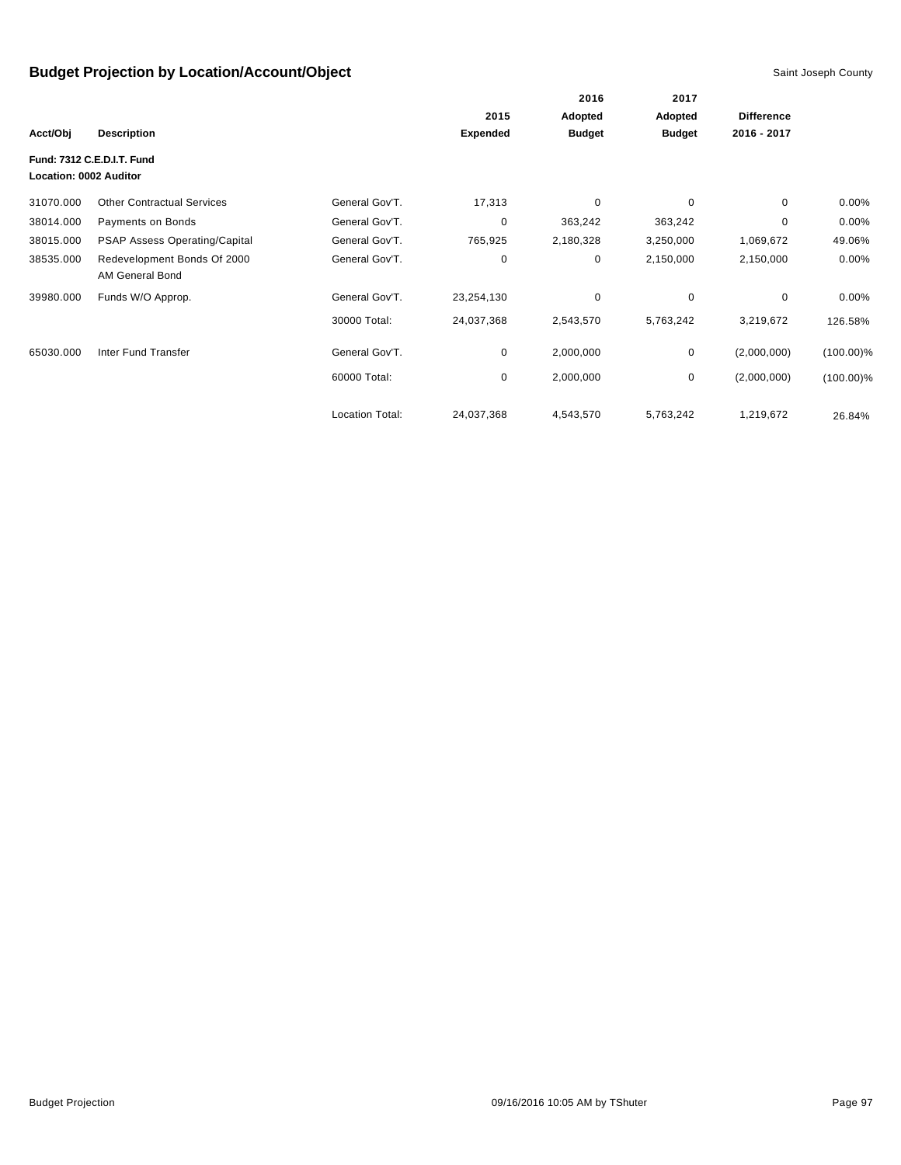|                        |                                                |                 |                 | 2016          | 2017          |                   |              |
|------------------------|------------------------------------------------|-----------------|-----------------|---------------|---------------|-------------------|--------------|
|                        |                                                |                 | 2015            | Adopted       | Adopted       | <b>Difference</b> |              |
| Acct/Obj               | <b>Description</b>                             |                 | <b>Expended</b> | <b>Budget</b> | <b>Budget</b> | 2016 - 2017       |              |
| Location: 0002 Auditor | Fund: 7312 C.E.D.I.T. Fund                     |                 |                 |               |               |                   |              |
| 31070.000              | <b>Other Contractual Services</b>              | General Gov'T.  | 17,313          | 0             | 0             | 0                 | $0.00\%$     |
| 38014.000              | Payments on Bonds                              | General Gov'T.  | 0               | 363,242       | 363,242       | 0                 | $0.00\%$     |
| 38015.000              | <b>PSAP Assess Operating/Capital</b>           | General Gov'T.  | 765,925         | 2,180,328     | 3,250,000     | 1,069,672         | 49.06%       |
| 38535.000              | Redevelopment Bonds Of 2000<br>AM General Bond | General Gov'T.  | 0               | 0             | 2,150,000     | 2,150,000         | $0.00\%$     |
| 39980.000              | Funds W/O Approp.                              | General Gov'T.  | 23,254,130      | $\mathbf 0$   | $\mathbf 0$   | 0                 | 0.00%        |
|                        |                                                | 30000 Total:    | 24,037,368      | 2,543,570     | 5,763,242     | 3,219,672         | 126.58%      |
| 65030.000              | Inter Fund Transfer                            | General Gov'T.  | 0               | 2,000,000     | 0             | (2,000,000)       | $(100.00)\%$ |
|                        |                                                | 60000 Total:    | 0               | 2,000,000     | 0             | (2,000,000)       | $(100.00)\%$ |
|                        |                                                | Location Total: | 24,037,368      | 4,543,570     | 5,763,242     | 1,219,672         | 26.84%       |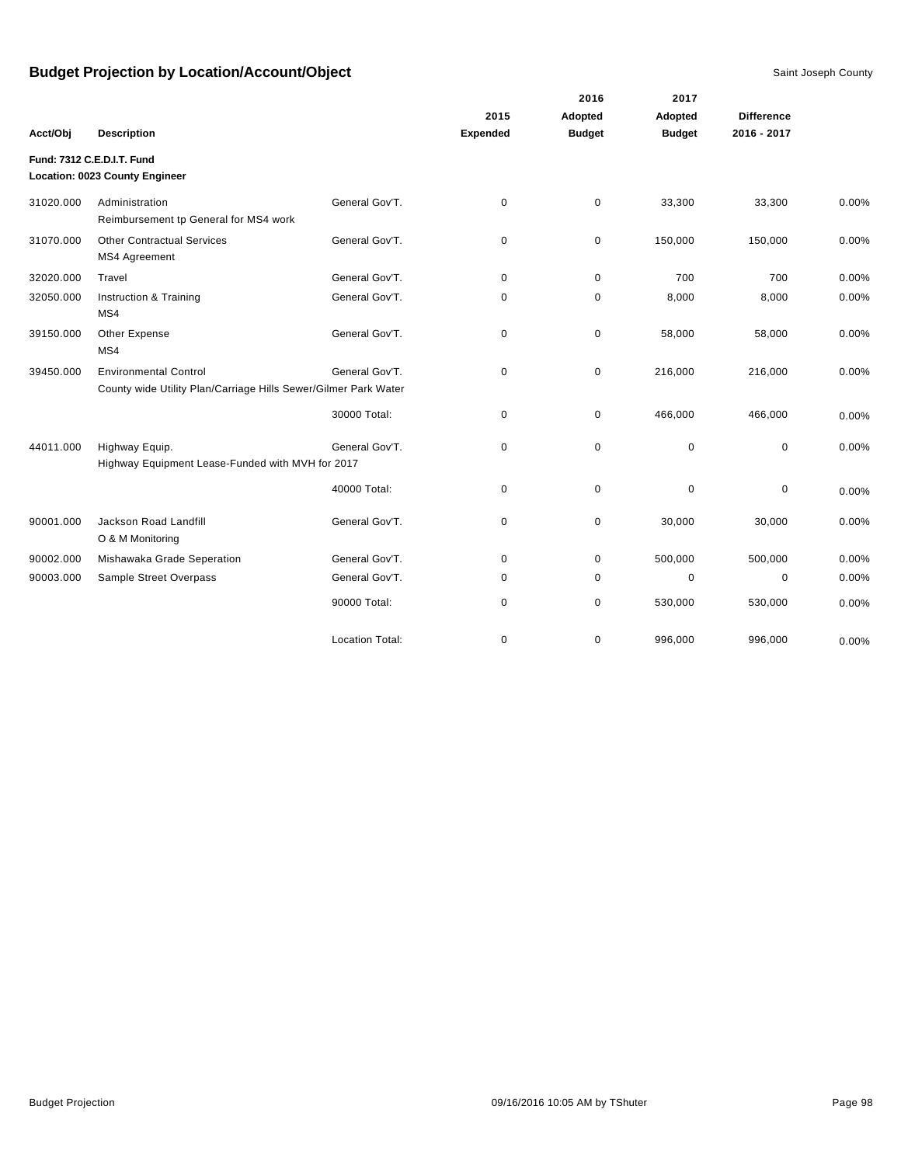|           |                                                                 |                        |                 | 2016          | 2017          |                   |       |
|-----------|-----------------------------------------------------------------|------------------------|-----------------|---------------|---------------|-------------------|-------|
|           |                                                                 |                        | 2015            | Adopted       | Adopted       | <b>Difference</b> |       |
| Acct/Obj  | <b>Description</b>                                              |                        | <b>Expended</b> | <b>Budget</b> | <b>Budget</b> | 2016 - 2017       |       |
|           | Fund: 7312 C.E.D.I.T. Fund                                      |                        |                 |               |               |                   |       |
|           | Location: 0023 County Engineer                                  |                        |                 |               |               |                   |       |
| 31020.000 | Administration                                                  | General Gov'T.         | $\mathbf 0$     | 0             | 33,300        | 33,300            | 0.00% |
|           | Reimbursement tp General for MS4 work                           |                        |                 |               |               |                   |       |
| 31070.000 | <b>Other Contractual Services</b>                               | General Gov'T.         | $\mathbf 0$     | 0             | 150,000       | 150,000           | 0.00% |
|           | MS4 Agreement                                                   |                        |                 |               |               |                   |       |
| 32020.000 | Travel                                                          | General Gov'T.         | $\mathbf 0$     | 0             | 700           | 700               | 0.00% |
| 32050.000 | Instruction & Training                                          | General Gov'T.         | 0               | $\pmb{0}$     | 8,000         | 8,000             | 0.00% |
|           | MS4                                                             |                        |                 |               |               |                   |       |
| 39150.000 | Other Expense                                                   | General Gov'T.         | 0               | 0             | 58,000        | 58,000            | 0.00% |
|           | MS4                                                             |                        |                 |               |               |                   |       |
| 39450.000 | <b>Environmental Control</b>                                    | General Gov'T.         | $\mathbf 0$     | 0             | 216,000       | 216,000           | 0.00% |
|           | County wide Utility Plan/Carriage Hills Sewer/Gilmer Park Water |                        |                 |               |               |                   |       |
|           |                                                                 | 30000 Total:           | $\mathbf 0$     | 0             | 466,000       | 466,000           | 0.00% |
|           |                                                                 |                        |                 |               |               |                   |       |
| 44011.000 | Highway Equip.                                                  | General Gov'T.         | $\mathbf 0$     | 0             | $\pmb{0}$     | 0                 | 0.00% |
|           | Highway Equipment Lease-Funded with MVH for 2017                |                        |                 |               |               |                   |       |
|           |                                                                 | 40000 Total:           | $\mathbf 0$     | 0             | $\pmb{0}$     | 0                 | 0.00% |
|           |                                                                 |                        |                 |               |               |                   |       |
| 90001.000 | Jackson Road Landfill<br>O & M Monitoring                       | General Gov'T.         | $\mathbf 0$     | 0             | 30,000        | 30,000            | 0.00% |
|           |                                                                 |                        |                 |               |               |                   |       |
| 90002.000 | Mishawaka Grade Seperation                                      | General Gov'T.         | 0               | 0             | 500,000       | 500,000           | 0.00% |
| 90003.000 | Sample Street Overpass                                          | General Gov'T.         | 0               | 0             | $\mathbf 0$   | $\mathbf 0$       | 0.00% |
|           |                                                                 | 90000 Total:           | 0               | 0             | 530,000       | 530,000           | 0.00% |
|           |                                                                 |                        |                 |               |               |                   |       |
|           |                                                                 | <b>Location Total:</b> | 0               | 0             | 996,000       | 996,000           | 0.00% |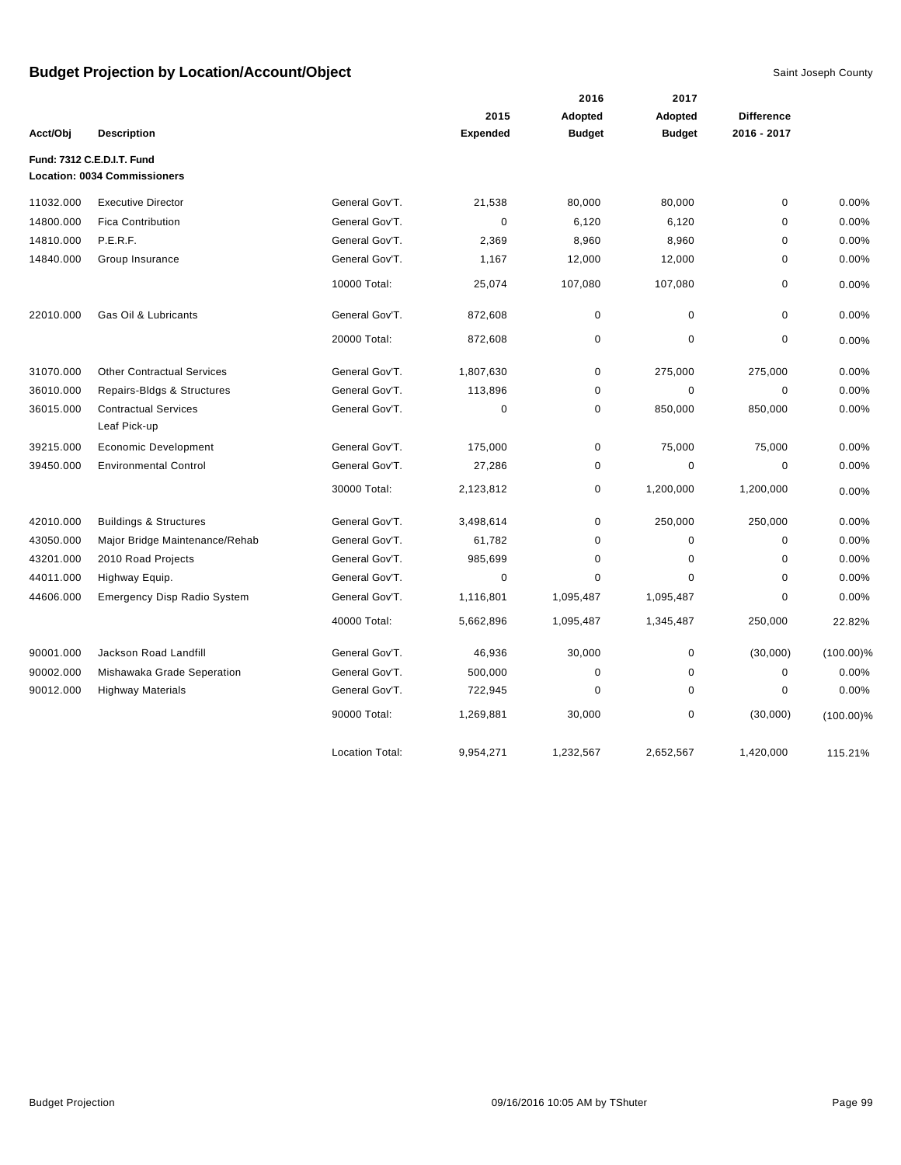|           |                                             |                        |                 | 2016          | 2017          |                   |              |
|-----------|---------------------------------------------|------------------------|-----------------|---------------|---------------|-------------------|--------------|
|           |                                             |                        | 2015            | Adopted       | Adopted       | <b>Difference</b> |              |
| Acct/Obj  | <b>Description</b>                          |                        | <b>Expended</b> | <b>Budget</b> | <b>Budget</b> | 2016 - 2017       |              |
|           | Fund: 7312 C.E.D.I.T. Fund                  |                        |                 |               |               |                   |              |
|           | <b>Location: 0034 Commissioners</b>         |                        |                 |               |               |                   |              |
| 11032.000 | <b>Executive Director</b>                   | General Gov'T.         | 21,538          | 80,000        | 80,000        | 0                 | 0.00%        |
| 14800.000 | <b>Fica Contribution</b>                    | General Gov'T.         | 0               | 6,120         | 6,120         | 0                 | 0.00%        |
| 14810.000 | P.E.R.F.                                    | General Gov'T.         | 2,369           | 8,960         | 8,960         | $\mathbf 0$       | 0.00%        |
| 14840.000 | Group Insurance                             | General Gov'T.         | 1,167           | 12,000        | 12,000        | $\mathbf 0$       | 0.00%        |
|           |                                             | 10000 Total:           | 25,074          | 107,080       | 107,080       | 0                 | 0.00%        |
| 22010.000 | Gas Oil & Lubricants                        | General Gov'T.         | 872,608         | $\mathbf 0$   | 0             | 0                 | 0.00%        |
|           |                                             | 20000 Total:           | 872,608         | 0             | 0             | 0                 | 0.00%        |
| 31070.000 | <b>Other Contractual Services</b>           | General Gov'T.         | 1,807,630       | 0             | 275,000       | 275,000           | 0.00%        |
| 36010.000 | Repairs-Bldgs & Structures                  | General Gov'T.         | 113,896         | 0             | 0             | 0                 | 0.00%        |
| 36015.000 | <b>Contractual Services</b><br>Leaf Pick-up | General Gov'T.         | 0               | 0             | 850,000       | 850,000           | 0.00%        |
| 39215.000 | <b>Economic Development</b>                 | General Gov'T.         | 175,000         | 0             | 75,000        | 75,000            | 0.00%        |
| 39450.000 | <b>Environmental Control</b>                | General Gov'T.         | 27,286          | 0             | $\mathbf 0$   | 0                 | 0.00%        |
|           |                                             | 30000 Total:           | 2,123,812       | 0             | 1,200,000     | 1,200,000         | 0.00%        |
| 42010.000 | <b>Buildings &amp; Structures</b>           | General Gov'T.         | 3,498,614       | 0             | 250,000       | 250,000           | 0.00%        |
| 43050.000 | Major Bridge Maintenance/Rehab              | General Gov'T.         | 61,782          | 0             | $\mathbf 0$   | 0                 | 0.00%        |
| 43201.000 | 2010 Road Projects                          | General Gov'T.         | 985,699         | 0             | $\Omega$      | $\mathbf 0$       | 0.00%        |
| 44011.000 | Highway Equip.                              | General Gov'T.         | 0               | 0             | 0             | 0                 | 0.00%        |
| 44606.000 | <b>Emergency Disp Radio System</b>          | General Gov'T.         | 1,116,801       | 1,095,487     | 1,095,487     | 0                 | 0.00%        |
|           |                                             | 40000 Total:           | 5,662,896       | 1,095,487     | 1,345,487     | 250,000           | 22.82%       |
| 90001.000 | Jackson Road Landfill                       | General Gov'T.         | 46,936          | 30,000        | 0             | (30,000)          | $(100.00)\%$ |
| 90002.000 | Mishawaka Grade Seperation                  | General Gov'T.         | 500,000         | 0             | 0             | 0                 | 0.00%        |
| 90012.000 | <b>Highway Materials</b>                    | General Gov'T.         | 722,945         | 0             | 0             | 0                 | 0.00%        |
|           |                                             | 90000 Total:           | 1,269,881       | 30,000        | 0             | (30,000)          | $(100.00)\%$ |
|           |                                             | <b>Location Total:</b> | 9,954,271       | 1,232,567     | 2,652,567     | 1,420,000         | 115.21%      |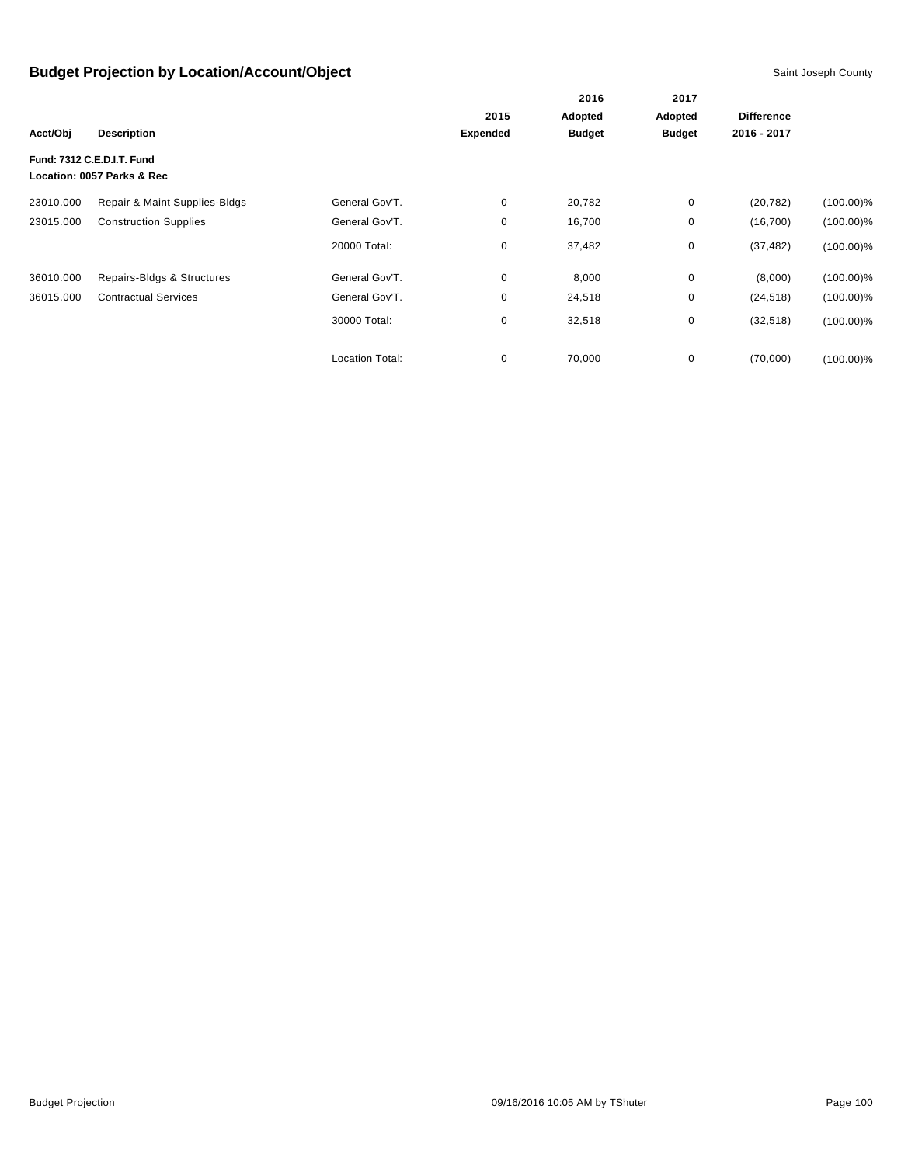|           |                                                          |                        |                 | 2016          | 2017          |                   |              |
|-----------|----------------------------------------------------------|------------------------|-----------------|---------------|---------------|-------------------|--------------|
|           |                                                          |                        | 2015            | Adopted       | Adopted       | <b>Difference</b> |              |
| Acct/Obj  | <b>Description</b>                                       |                        | <b>Expended</b> | <b>Budget</b> | <b>Budget</b> | 2016 - 2017       |              |
|           | Fund: 7312 C.E.D.I.T. Fund<br>Location: 0057 Parks & Rec |                        |                 |               |               |                   |              |
| 23010.000 | Repair & Maint Supplies-Bldgs                            | General Gov'T.         | $\mathbf 0$     | 20,782        | $\mathbf 0$   | (20, 782)         | $(100.00)\%$ |
| 23015.000 | <b>Construction Supplies</b>                             | General Gov'T.         | 0               | 16,700        | 0             | (16, 700)         | $(100.00)\%$ |
|           |                                                          | 20000 Total:           | 0               | 37,482        | 0             | (37, 482)         | $(100.00)\%$ |
| 36010.000 | Repairs-Bldgs & Structures                               | General Gov'T.         | 0               | 8,000         | 0             | (8,000)           | $(100.00)\%$ |
| 36015.000 | <b>Contractual Services</b>                              | General Gov'T.         | 0               | 24,518        | 0             | (24, 518)         | $(100.00)\%$ |
|           |                                                          | 30000 Total:           | 0               | 32,518        | 0             | (32, 518)         | $(100.00)\%$ |
|           |                                                          | <b>Location Total:</b> | 0               | 70,000        | 0             | (70,000)          | $(100.00)\%$ |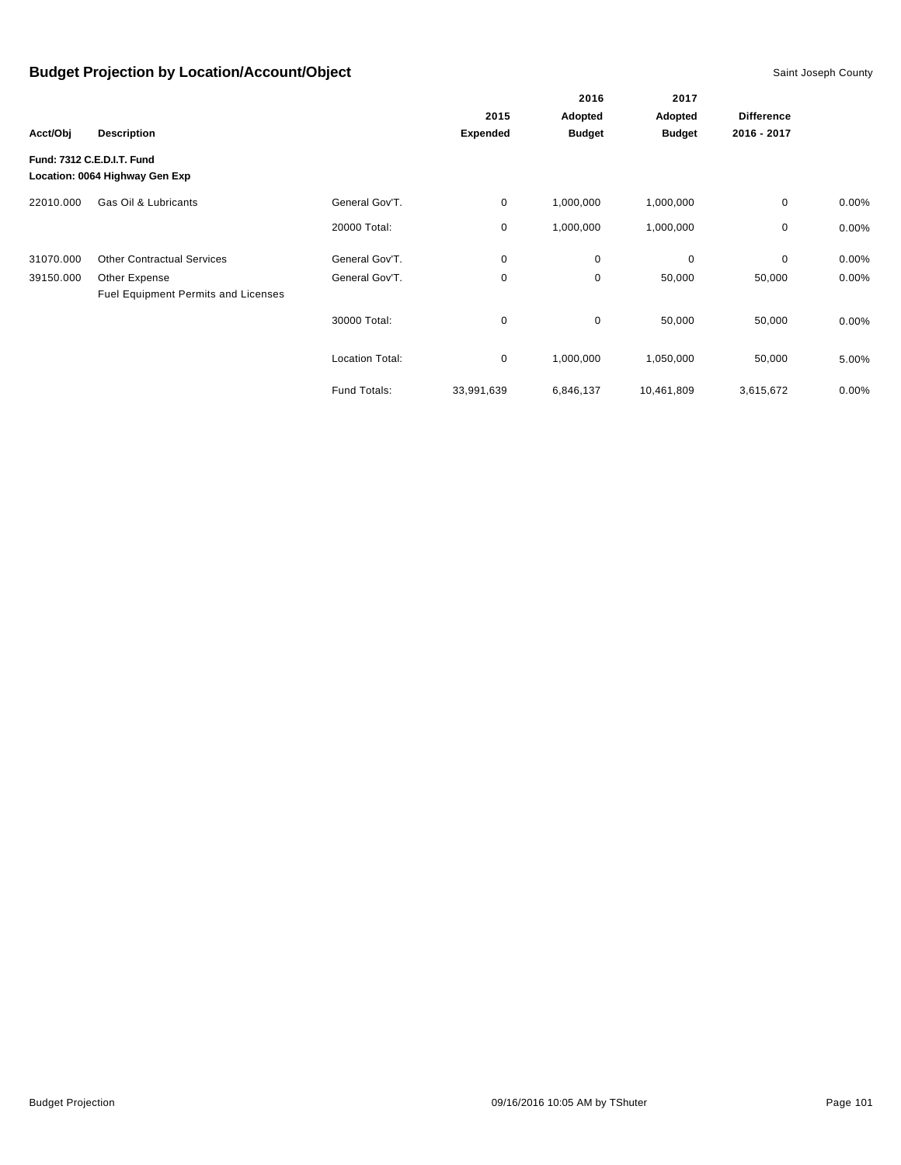|           |                                                              |                        |                 | 2016          | 2017          |                   |          |
|-----------|--------------------------------------------------------------|------------------------|-----------------|---------------|---------------|-------------------|----------|
|           |                                                              |                        | 2015            | Adopted       | Adopted       | <b>Difference</b> |          |
| Acct/Obj  | <b>Description</b>                                           |                        | <b>Expended</b> | <b>Budget</b> | <b>Budget</b> | 2016 - 2017       |          |
|           | Fund: 7312 C.E.D.I.T. Fund<br>Location: 0064 Highway Gen Exp |                        |                 |               |               |                   |          |
| 22010.000 | Gas Oil & Lubricants                                         | General Gov'T.         | 0               | 1,000,000     | 1,000,000     | 0                 | $0.00\%$ |
|           |                                                              | 20000 Total:           | 0               | 1,000,000     | 1,000,000     | 0                 | 0.00%    |
| 31070.000 | <b>Other Contractual Services</b>                            | General Gov'T.         | 0               | $\mathbf 0$   | $\mathbf 0$   | 0                 | 0.00%    |
| 39150.000 | Other Expense<br>Fuel Equipment Permits and Licenses         | General Gov'T.         | 0               | 0             | 50,000        | 50,000            | 0.00%    |
|           |                                                              | 30000 Total:           | 0               | $\mathbf 0$   | 50,000        | 50,000            | $0.00\%$ |
|           |                                                              | <b>Location Total:</b> | 0               | 1,000,000     | 1,050,000     | 50,000            | 5.00%    |
|           |                                                              | Fund Totals:           | 33,991,639      | 6,846,137     | 10,461,809    | 3,615,672         | 0.00%    |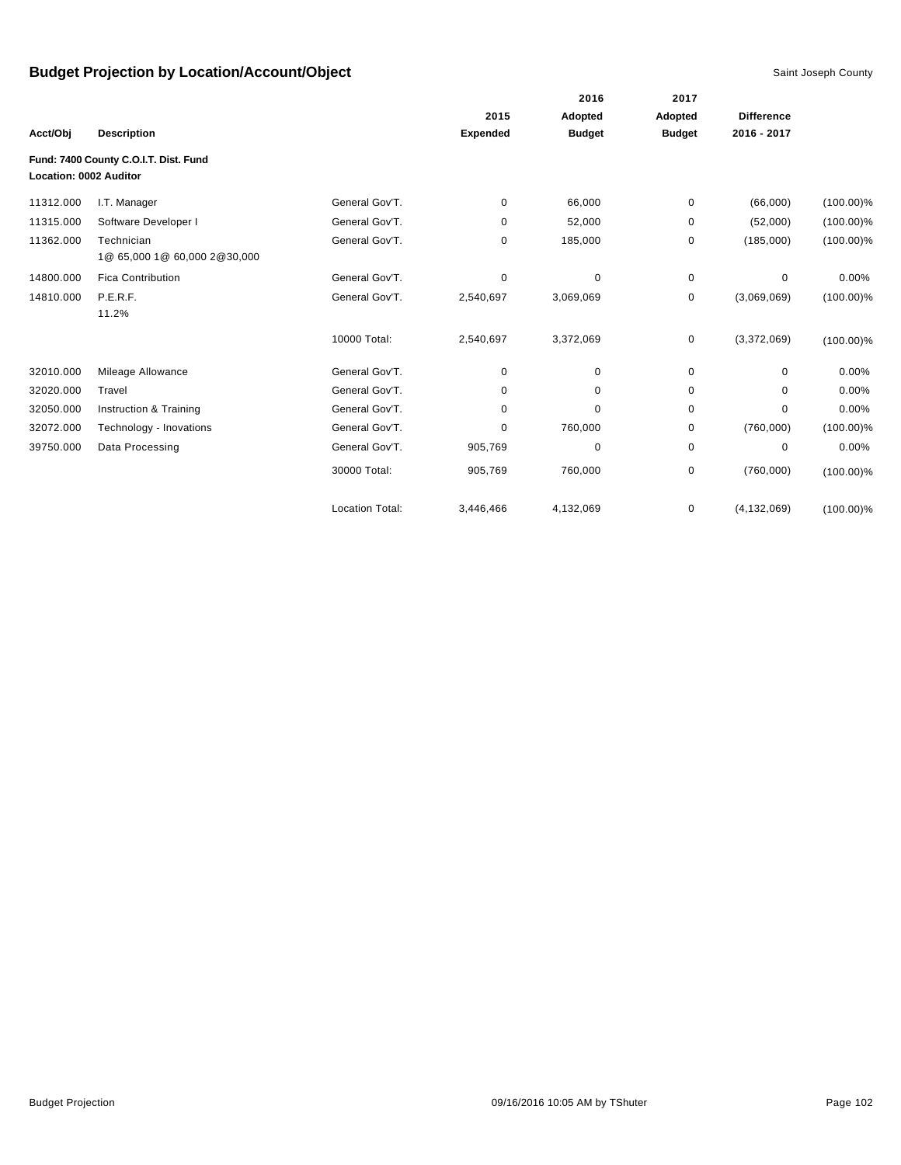|                        |                                            |                        |                 | 2016          | 2017          |                   |              |
|------------------------|--------------------------------------------|------------------------|-----------------|---------------|---------------|-------------------|--------------|
|                        |                                            |                        | 2015            | Adopted       | Adopted       | <b>Difference</b> |              |
| Acct/Obj               | <b>Description</b>                         |                        | <b>Expended</b> | <b>Budget</b> | <b>Budget</b> | 2016 - 2017       |              |
| Location: 0002 Auditor | Fund: 7400 County C.O.I.T. Dist. Fund      |                        |                 |               |               |                   |              |
| 11312.000              | I.T. Manager                               | General Gov'T.         | 0               | 66,000        | 0             | (66,000)          | $(100.00)\%$ |
| 11315.000              | Software Developer I                       | General Gov'T.         | 0               | 52,000        | 0             | (52,000)          | $(100.00)\%$ |
| 11362.000              | Technician<br>1@ 65,000 1@ 60,000 2@30,000 | General Gov'T.         | 0               | 185,000       | 0             | (185,000)         | $(100.00)\%$ |
| 14800.000              | <b>Fica Contribution</b>                   | General Gov'T.         | 0               | 0             | $\pmb{0}$     | 0                 | 0.00%        |
| 14810.000              | P.E.R.F.<br>11.2%                          | General Gov'T.         | 2,540,697       | 3,069,069     | 0             | (3,069,069)       | $(100.00)\%$ |
|                        |                                            | 10000 Total:           | 2,540,697       | 3,372,069     | 0             | (3,372,069)       | $(100.00)\%$ |
| 32010.000              | Mileage Allowance                          | General Gov'T.         | 0               | 0             | 0             | $\mathbf 0$       | 0.00%        |
| 32020.000              | Travel                                     | General Gov'T.         | 0               | 0             | 0             | $\mathbf 0$       | 0.00%        |
| 32050.000              | Instruction & Training                     | General Gov'T.         | 0               | 0             | 0             | 0                 | 0.00%        |
| 32072.000              | Technology - Inovations                    | General Gov'T.         | 0               | 760,000       | 0             | (760,000)         | $(100.00)\%$ |
| 39750.000              | Data Processing                            | General Gov'T.         | 905,769         | 0             | 0             | 0                 | 0.00%        |
|                        |                                            | 30000 Total:           | 905,769         | 760,000       | 0             | (760,000)         | $(100.00)\%$ |
|                        |                                            | <b>Location Total:</b> | 3,446,466       | 4,132,069     | 0             | (4, 132, 069)     | $(100.00)\%$ |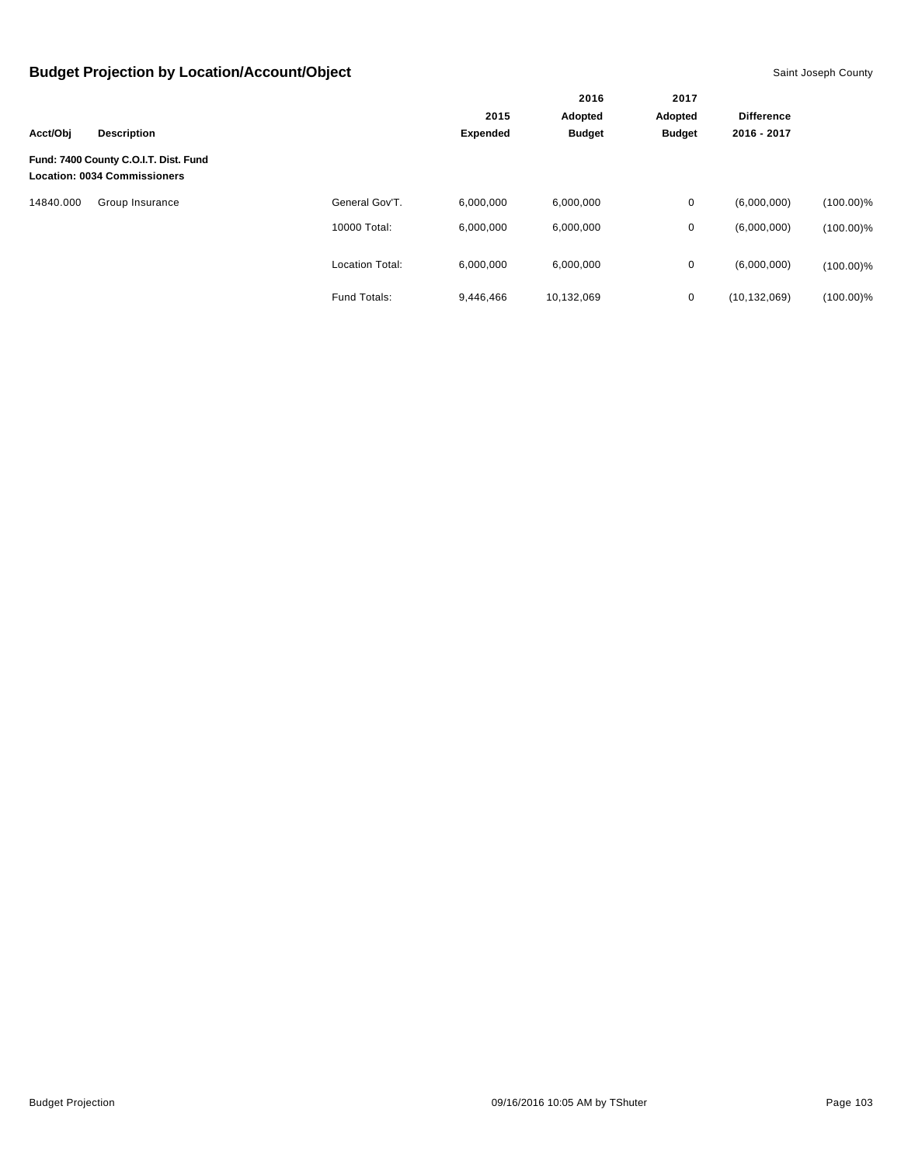|           |                                                                              |                        |                         | 2016          | 2017          |                   |              |
|-----------|------------------------------------------------------------------------------|------------------------|-------------------------|---------------|---------------|-------------------|--------------|
|           |                                                                              |                        | 2015<br><b>Expended</b> | Adopted       | Adopted       | <b>Difference</b> |              |
| Acct/Obj  | <b>Description</b>                                                           |                        |                         | <b>Budget</b> | <b>Budget</b> | 2016 - 2017       |              |
|           | Fund: 7400 County C.O.I.T. Dist. Fund<br><b>Location: 0034 Commissioners</b> |                        |                         |               |               |                   |              |
| 14840.000 | Group Insurance                                                              | General Gov'T.         | 6.000.000               | 6,000,000     | 0             | (6,000,000)       | $(100.00)\%$ |
|           |                                                                              | 10000 Total:           | 6,000,000               | 6,000,000     | 0             | (6,000,000)       | $(100.00)\%$ |
|           |                                                                              | <b>Location Total:</b> | 6,000,000               | 6,000,000     | $\mathbf 0$   | (6,000,000)       | $(100.00)\%$ |
|           |                                                                              | Fund Totals:           | 9,446,466               | 10,132,069    | $\mathbf 0$   | (10, 132, 069)    | $(100.00)\%$ |